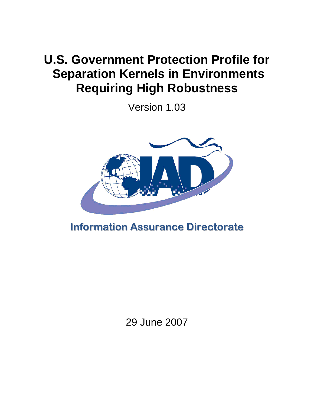# **U.S. Government Protection Profile for Separation Kernels in Environments Requiring High Robustness**

Version 1.03



**Information Assurance Directorate**

29 June 2007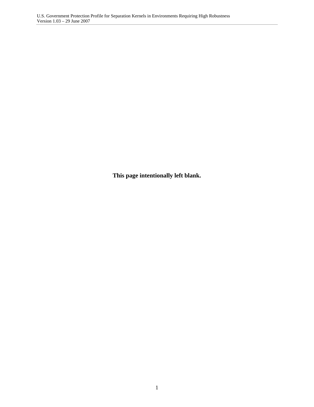**This page intentionally left blank.**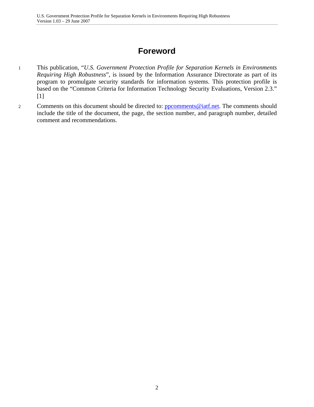#### **Foreword**

- 1 This publication, "*U.S. Government Protection Profile for Separation Kernels in Environments Requiring High Robustness*", is issued by the Information Assurance Directorate as part of its program to promulgate security standards for information systems. This protection profile is based on the "Common Criteria for Information Technology Security Evaluations, Version 2.3." [1]
- 2 Comments on this document should be directed to:  $p$  pcomments @ iatf.net. The comments should include the title of the document, the page, the section number, and paragraph number, detailed comment and recommendations.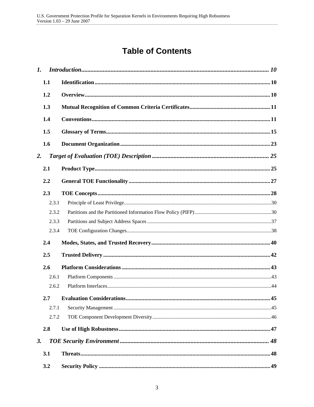#### **Table of Contents**

| 1. |       |  |  |
|----|-------|--|--|
|    | 1.1   |  |  |
|    | 1.2   |  |  |
|    | 1.3   |  |  |
|    | 1.4   |  |  |
|    | 1.5   |  |  |
|    |       |  |  |
|    | 1.6   |  |  |
| 2. |       |  |  |
|    | 2.1   |  |  |
|    | 2.2   |  |  |
|    | 2.3   |  |  |
|    | 2.3.1 |  |  |
|    | 2.3.2 |  |  |
|    | 2.3.3 |  |  |
|    | 2.3.4 |  |  |
|    | 2.4   |  |  |
|    | 2.5   |  |  |
|    | 2.6   |  |  |
|    | 2.6.1 |  |  |
|    | 2.6.2 |  |  |
|    | 2.7   |  |  |
|    | 2.7.1 |  |  |
|    | 2.7.2 |  |  |
|    | 2.8   |  |  |
| 3. |       |  |  |
|    | 3.1   |  |  |
|    | 3.2   |  |  |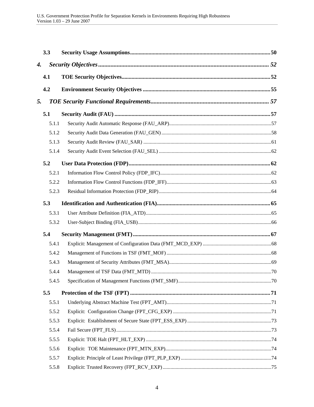|    | 3.3   |  |  |
|----|-------|--|--|
| 4. |       |  |  |
|    | 4.1   |  |  |
|    | 4.2   |  |  |
| 5. |       |  |  |
|    | 5.1   |  |  |
|    | 5.1.1 |  |  |
|    | 5.1.2 |  |  |
|    | 5.1.3 |  |  |
|    | 5.1.4 |  |  |
|    | 5.2   |  |  |
|    | 5.2.1 |  |  |
|    | 5.2.2 |  |  |
|    | 5.2.3 |  |  |
|    | 5.3   |  |  |
|    | 5.3.1 |  |  |
|    | 5.3.2 |  |  |
|    | 5.4   |  |  |
|    | 5.4.1 |  |  |
|    | 5.4.2 |  |  |
|    | 5.4.3 |  |  |
|    | 5.4.4 |  |  |
|    | 5.4.5 |  |  |
|    | 5.5   |  |  |
|    | 5.5.1 |  |  |
|    | 5.5.2 |  |  |
|    | 5.5.3 |  |  |
|    | 5.5.4 |  |  |
|    | 5.5.5 |  |  |
|    | 5.5.6 |  |  |
|    | 5.5.7 |  |  |
|    | 5.5.8 |  |  |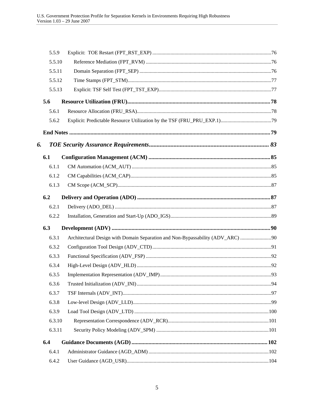|    | 5.5.9  |                                                                                |  |
|----|--------|--------------------------------------------------------------------------------|--|
|    | 5.5.10 |                                                                                |  |
|    | 5.5.11 |                                                                                |  |
|    | 5.5.12 |                                                                                |  |
|    | 5.5.13 |                                                                                |  |
|    | 5.6    |                                                                                |  |
|    | 5.6.1  |                                                                                |  |
|    | 5.6.2  |                                                                                |  |
|    |        |                                                                                |  |
| 6. |        |                                                                                |  |
|    | 6.1    |                                                                                |  |
|    | 6.1.1  |                                                                                |  |
|    | 6.1.2  |                                                                                |  |
|    | 6.1.3  |                                                                                |  |
|    | 6.2    |                                                                                |  |
|    | 6.2.1  |                                                                                |  |
|    | 6.2.2  |                                                                                |  |
|    | 6.3    |                                                                                |  |
|    | 6.3.1  | Architectural Design with Domain Separation and Non-Bypassability (ADV_ARC) 90 |  |
|    | 6.3.2  |                                                                                |  |
|    | 6.3.3  |                                                                                |  |
|    | 6.3.4  |                                                                                |  |
|    | 6.3.5  |                                                                                |  |
|    | 6.3.6  |                                                                                |  |
|    | 6.3.7  |                                                                                |  |
|    | 6.3.8  |                                                                                |  |
|    | 6.3.9  |                                                                                |  |
|    | 6.3.10 |                                                                                |  |
|    | 6.3.11 |                                                                                |  |
|    | 6.4    |                                                                                |  |
|    | 6.4.1  |                                                                                |  |
|    | 6.4.2  |                                                                                |  |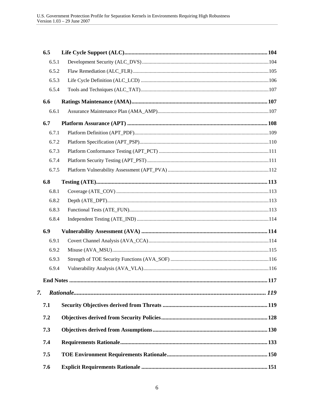| 6.5   |  |  |
|-------|--|--|
| 6.5.1 |  |  |
| 6.5.2 |  |  |
| 6.5.3 |  |  |
| 6.5.4 |  |  |
| 6.6   |  |  |
| 6.6.1 |  |  |
| 6.7   |  |  |
| 6.7.1 |  |  |
| 6.7.2 |  |  |
| 6.7.3 |  |  |
| 6.7.4 |  |  |
| 6.7.5 |  |  |
| 6.8   |  |  |
| 6.8.1 |  |  |
| 6.8.2 |  |  |
| 6.8.3 |  |  |
| 6.8.4 |  |  |
| 6.9   |  |  |
| 6.9.1 |  |  |
| 6.9.2 |  |  |
| 6.9.3 |  |  |
| 6.9.4 |  |  |
|       |  |  |
| 7.    |  |  |
| 7.1   |  |  |
| 7.2   |  |  |
| 7.3   |  |  |
| 7.4   |  |  |
|       |  |  |
| 7.5   |  |  |
| 7.6   |  |  |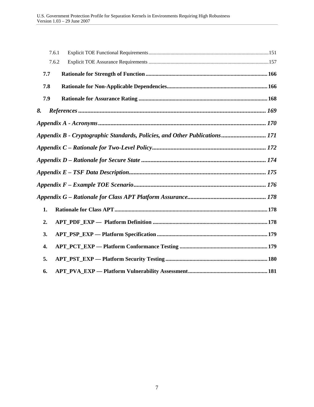| 7.6.1 |                                                                            |  |
|-------|----------------------------------------------------------------------------|--|
| 7.6.2 |                                                                            |  |
| 7.7   |                                                                            |  |
| 7.8   |                                                                            |  |
| 7.9   |                                                                            |  |
| 8.    |                                                                            |  |
|       |                                                                            |  |
|       | Appendix B - Cryptographic Standards, Policies, and Other Publications 171 |  |
|       |                                                                            |  |
|       |                                                                            |  |
|       |                                                                            |  |
|       |                                                                            |  |
|       |                                                                            |  |
| 1.    |                                                                            |  |
| 2.    |                                                                            |  |
| 3.    |                                                                            |  |
| 4.    |                                                                            |  |
| 5.    |                                                                            |  |
| 6.    |                                                                            |  |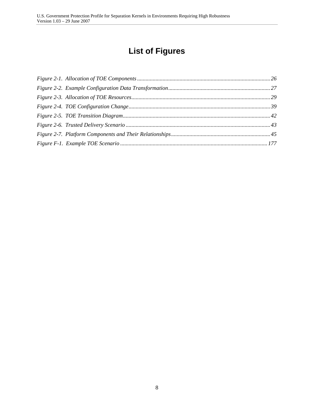## **List of Figures**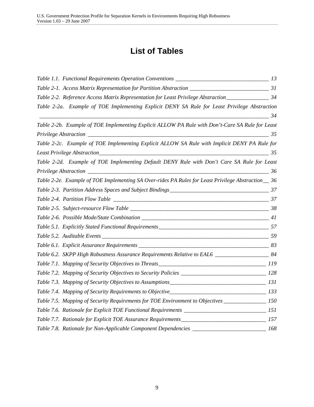#### **List of Tables**

| Table 2-1. Access Matrix Representation for Partition Abstraction ___________________________________31 |  |
|---------------------------------------------------------------------------------------------------------|--|
| Table 2-2. Reference Access Matrix Representation for Least Privilege Abstraction___________________ 34 |  |
| Table 2-2a. Example of TOE Implementing Explicit DENY SA Rule for Least Privilege Abstraction           |  |
|                                                                                                         |  |
| Table 2-2b. Example of TOE Implementing Explicit ALLOW PA Rule with Don't-Care SA Rule for Least        |  |
|                                                                                                         |  |
| Table 2-2c. Example of TOE Implementing Explicit ALLOW SA Rule with Implicit DENY PA Rule for           |  |
|                                                                                                         |  |
| Table 2-2d. Example of TOE Implementing Default DENY Rule with Don't Care SA Rule for Least             |  |
|                                                                                                         |  |
| Table 2-2e. Example of TOE Implementing SA Over-rides PA Rules for Least Privilege Abstraction __ 36    |  |
|                                                                                                         |  |
|                                                                                                         |  |
|                                                                                                         |  |
|                                                                                                         |  |
|                                                                                                         |  |
|                                                                                                         |  |
|                                                                                                         |  |
| Table 6.2. SKPP High Robustness Assurance Requirements Relative to EAL6 ______________________ 84       |  |
|                                                                                                         |  |
|                                                                                                         |  |
|                                                                                                         |  |
|                                                                                                         |  |
| Table 7.5. Mapping of Security Requirements for TOE Environment to Objectives ________________ 150      |  |
|                                                                                                         |  |
|                                                                                                         |  |
| Table 7.8. Rationale for Non-Applicable Component Dependencies ________________________________168      |  |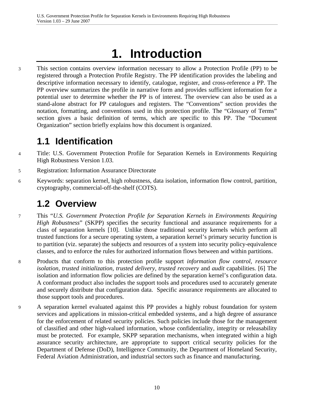# **1. Introduction**

<span id="page-10-0"></span>3 This section contains overview information necessary to allow a Protection Profile (PP) to be registered through a Protection Profile Registry. The PP identification provides the labeling and descriptive information necessary to identify, catalogue, register, and cross-reference a PP. The PP overview summarizes the profile in narrative form and provides sufficient information for a potential user to determine whether the PP is of interest. The overview can also be used as a stand-alone abstract for PP catalogues and registers. The "Conventions" section provides the notation, formatting, and conventions used in this protection profile. The "Glossary of Terms" section gives a basic definition of terms, which are specific to this PP. The "Document Organization" section briefly explains how this document is organized.

## **1.1 Identification**

- 4 Title: U.S. Government Protection Profile for Separation Kernels in Environments Requiring High Robustness Version 1.03.
- 5 Registration: Information Assurance Directorate
- 6 Keywords: separation kernel, high robustness, data isolation, information flow control, partition, cryptography, commercial-off-the-shelf (COTS).

### **1.2 Overview**

- 7 This "*U.S. Government Protection Profile for Separation Kernels in Environments Requiring High Robustness*" (SKPP) specifies the security functional and assurance requirements for a class of separation kernels [10]. Unlike those traditional security kernels which perform all trusted functions for a secure operating system, a separation kernel's primary security function is to partition (viz. separate) the subjects and resources of a system into security policy-equivalence classes, and to enforce the rules for authorized information flows between and within partitions.
- 8 Products that conform to this protection profile support *information flow control, resource isolation, trusted initialization, trusted delivery, trusted recovery* and *audit* capabilities. [6] The isolation and information flow policies are defined by the separation kernel's configuration data. A conformant product also includes the support tools and procedures used to accurately generate and securely distribute that configuration data. Specific assurance requirements are allocated to those support tools and procedures.
- 9 A separation kernel evaluated against this PP provides a highly robust foundation for system services and applications in mission-critical embedded systems, and a high degree of assurance for the enforcement of related security policies. Such policies include those for the management of classified and other high-valued information, whose confidentiality, integrity or releasability must be protected. For example, SKPP separation mechanisms, when integrated within a high assurance security architecture, are appropriate to support critical security policies for the Department of Defense (DoD), Intelligence Community, the Department of Homeland Security, Federal Aviation Administration, and industrial sectors such as finance and manufacturing.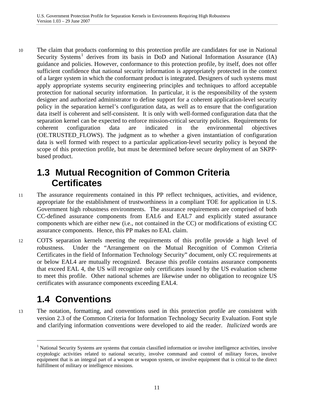<span id="page-11-0"></span>10 The claim that products conforming to this protection profile are candidates for use in National Security Systems<sup>[1](#page-11-1)</sup> derives from its basis in DoD and National Information Assurance (IA) guidance and policies. However, conformance to this protection profile, by itself, does not offer sufficient confidence that national security information is appropriately protected in the context of a larger system in which the conformant product is integrated. Designers of such systems must apply appropriate systems security engineering principles and techniques to afford acceptable protection for national security information. In particular, it is the responsibility of the system designer and authorized administrator to define support for a coherent application-level security policy in the separation kernel's configuration data, as well as to ensure that the configuration data itself is coherent and self-consistent. It is only with well-formed configuration data that the separation kernel can be expected to enforce mission-critical security policies. Requirements for coherent configuration data are indicated in the environmental objectives (OE.TRUSTED\_FLOWS). The judgment as to whether a given instantiation of configuration data is well formed with respect to a particular application-level security policy is beyond the scope of this protection profile, but must be determined before secure deployment of an SKPPbased product.

#### **1.3 Mutual Recognition of Common Criteria Certificates**

- 11 The assurance requirements contained in this PP reflect techniques, activities, and evidence, appropriate for the establishment of trustworthiness in a compliant TOE for application in U.S. Government high robustness environments. The assurance requirements are comprised of both CC-defined assurance components from EAL6 and EAL7 and explicitly stated assurance components which are either new (i.e., not contained in the CC) or modifications of existing CC assurance components. Hence, this PP makes no EAL claim.
- 12 COTS separation kernels meeting the requirements of this profile provide a high level of robustness. Under the "Arrangement on the Mutual Recognition of Common Criteria Certificates in the field of Information Technology Security" document, only CC requirements at or below EAL4 are mutually recognized. Because this profile contains assurance components that exceed EAL 4, the US will recognize only certificates issued by the US evaluation scheme to meet this profile. Other national schemes are likewise under no obligation to recognize US certificates with assurance components exceeding EAL4.

## **1.4 Conventions**

 $\overline{a}$ 

<sup>13</sup> The notation, formatting, and conventions used in this protection profile are consistent with version 2.3 of the Common Criteria for Information Technology Security Evaluation. Font style and clarifying information conventions were developed to aid the reader. *Italicized* words are

<span id="page-11-1"></span><sup>&</sup>lt;sup>1</sup> National Security Systems are systems that contain classified information or involve intelligence activities, involve cryptologic activities related to national security, involve command and control of military forces, involve equipment that is an integral part of a weapon or weapon system, or involve equipment that is critical to the direct fulfillment of military or intelligence missions.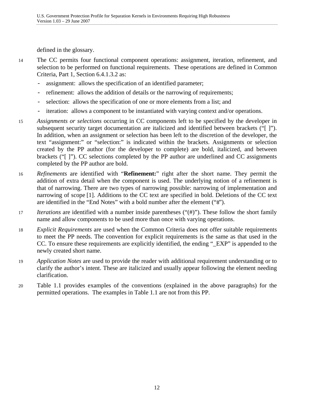defined in the glossary.

- 14 The CC permits four functional component operations: assignment, iteration, refinement, and selection to be performed on functional requirements. These operations are defined in Common Criteria, Part 1, Section 6.4.1.3.2 as:
	- assignment: allows the specification of an identified parameter;
	- refinement: allows the addition of details or the narrowing of requirements;
	- selection: allows the specification of one or more elements from a list; and
	- iteration: allows a component to be instantiated with varying context and/or operations.
- 15 *Assignments or selections* occurring in CC components left to be specified by the developer in subsequent security target documentation are italicized and identified between brackets ("[ ]"). In addition, when an assignment or selection has been left to the discretion of the developer, the text "assignment:" or "selection:" is indicated within the brackets. Assignments or selection created by the PP author (for the developer to complete) are bold, italicized, and between brackets ("[ ]"). CC selections completed by the PP author are underlined and CC assignments completed by the PP author are bold.
- 16 *Refinements* are identified with "**Refinement:**" right after the short name. They permit the addition of extra detail when the component is used. The underlying notion of a refinement is that of narrowing. There are two types of narrowing possible: narrowing of implementation and narrowing of scope [1]. Additions to the CC text are specified in bold. Deletions of the CC text are identified in the "End Notes" with a bold number after the element ("8").
- 17 *Iterations* are identified with a number inside parentheses ("(#)"). These follow the short family name and allow components to be used more than once with varying operations.
- 18 *Explicit Requirements* are used when the Common Criteria does not offer suitable requirements to meet the PP needs. The convention for explicit requirements is the same as that used in the CC. To ensure these requirements are explicitly identified, the ending "\_EXP" is appended to the newly created short name.
- 19 *Application Notes* are used to provide the reader with additional requirement understanding or to clarify the author's intent. These are italicized and usually appear following the element needing clarification.
- 20 Table 1.1 provides examples of the conventions (explained in the above paragraphs) for the permitted operations. The examples in Table 1.1 are not from this PP.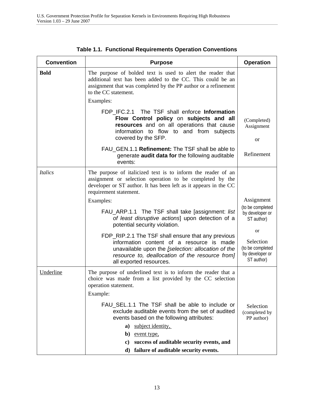<span id="page-13-0"></span>

| <b>Convention</b> | <b>Purpose</b>                                                                                                                                                                                                                      | <b>Operation</b>                                                            |
|-------------------|-------------------------------------------------------------------------------------------------------------------------------------------------------------------------------------------------------------------------------------|-----------------------------------------------------------------------------|
| <b>Bold</b>       | The purpose of bolded text is used to alert the reader that<br>additional text has been added to the CC. This could be an<br>assignment that was completed by the PP author or a refinement<br>to the CC statement.                 |                                                                             |
|                   | Examples:                                                                                                                                                                                                                           |                                                                             |
|                   | FDP IFC.2.1 The TSF shall enforce Information<br>Flow Control policy on subjects and all<br>resources and on all operations that cause<br>information to flow to and from subjects<br>covered by the SFP.                           | (Completed)<br>Assignment<br><b>or</b>                                      |
|                   | FAU_GEN.1.1 Refinement: The TSF shall be able to<br>generate audit data for the following auditable<br>events:                                                                                                                      | Refinement                                                                  |
| <b>Italics</b>    | The purpose of italicized text is to inform the reader of an<br>assignment or selection operation to be completed by the<br>developer or ST author. It has been left as it appears in the CC<br>requirement statement.              |                                                                             |
|                   | Examples:                                                                                                                                                                                                                           | Assignment                                                                  |
|                   | FAU_ARP.1.1 The TSF shall take [assignment: list<br>of least disruptive actions] upon detection of a<br>potential security violation.                                                                                               | (to be completed<br>by developer or<br>ST author)                           |
|                   | FDP_RIP.2.1 The TSF shall ensure that any previous<br>information content of a resource is made<br>unavailable upon the [selection: allocation of the<br>resource to, deallocation of the resource from]<br>all exported resources. | <b>or</b><br>Selection<br>(to be completed<br>by developer or<br>ST author) |
| Underline         | The purpose of underlined text is to inform the reader that a<br>choice was made from a list provided by the CC selection<br>operation statement.                                                                                   |                                                                             |
|                   | Example:                                                                                                                                                                                                                            |                                                                             |
|                   | FAU SEL.1.1 The TSF shall be able to include or<br>exclude auditable events from the set of audited<br>events based on the following attributes:                                                                                    | Selection<br>(completed by<br>PP author)                                    |
|                   | subject identity,<br>a)                                                                                                                                                                                                             |                                                                             |
|                   | b)<br>event type,                                                                                                                                                                                                                   |                                                                             |
|                   | success of auditable security events, and<br>$\mathbf{c}$                                                                                                                                                                           |                                                                             |
|                   | failure of auditable security events.<br>d)                                                                                                                                                                                         |                                                                             |

|  |  | Table 1.1. Functional Requirements Operation Conventions |  |  |
|--|--|----------------------------------------------------------|--|--|
|--|--|----------------------------------------------------------|--|--|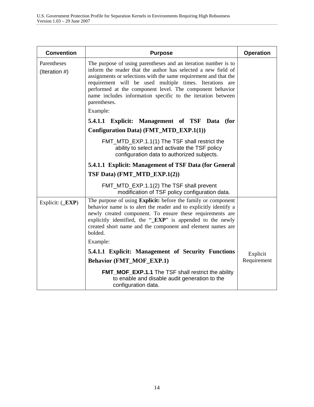| <b>Convention</b>                                                                                                                                                                                                                                                                                                                                                                                                                                     | <b>Purpose</b>                                                                                                                                                                                                                                                                                                                                            | <b>Operation</b>        |
|-------------------------------------------------------------------------------------------------------------------------------------------------------------------------------------------------------------------------------------------------------------------------------------------------------------------------------------------------------------------------------------------------------------------------------------------------------|-----------------------------------------------------------------------------------------------------------------------------------------------------------------------------------------------------------------------------------------------------------------------------------------------------------------------------------------------------------|-------------------------|
| Parentheses<br>The purpose of using parentheses and an iteration number is to<br>inform the reader that the author has selected a new field of<br>(Iteration #)<br>assignments or selections with the same requirement and that the<br>requirement will be used multiple times. Iterations are<br>performed at the component level. The component behavior<br>name includes information specific to the iteration between<br>parentheses.<br>Example: |                                                                                                                                                                                                                                                                                                                                                           |                         |
|                                                                                                                                                                                                                                                                                                                                                                                                                                                       | 5.4.1.1 Explicit: Management of TSF Data (for                                                                                                                                                                                                                                                                                                             |                         |
|                                                                                                                                                                                                                                                                                                                                                                                                                                                       | Configuration Data) (FMT_MTD_EXP.1(1))                                                                                                                                                                                                                                                                                                                    |                         |
|                                                                                                                                                                                                                                                                                                                                                                                                                                                       | FMT_MTD_EXP.1.1(1) The TSF shall restrict the<br>ability to select and activate the TSF policy<br>configuration data to authorized subjects.                                                                                                                                                                                                              |                         |
|                                                                                                                                                                                                                                                                                                                                                                                                                                                       | 5.4.1.1 Explicit: Management of TSF Data (for General                                                                                                                                                                                                                                                                                                     |                         |
|                                                                                                                                                                                                                                                                                                                                                                                                                                                       | TSF Data) (FMT_MTD_EXP.1(2))                                                                                                                                                                                                                                                                                                                              |                         |
|                                                                                                                                                                                                                                                                                                                                                                                                                                                       | FMT_MTD_EXP.1.1(2) The TSF shall prevent<br>modification of TSF policy configuration data.                                                                                                                                                                                                                                                                |                         |
| Explicit: $(\_EXP)$                                                                                                                                                                                                                                                                                                                                                                                                                                   | The purpose of using <b>Explicit:</b> before the family or component<br>behavior name is to alert the reader and to explicitly identify a<br>newly created component. To ensure these requirements are<br>explicitly identified, the "_EXP" is appended to the newly<br>created short name and the component and element names are<br>bolded.<br>Example: |                         |
|                                                                                                                                                                                                                                                                                                                                                                                                                                                       | 5.4.1.1 Explicit: Management of Security Functions                                                                                                                                                                                                                                                                                                        |                         |
|                                                                                                                                                                                                                                                                                                                                                                                                                                                       | <b>Behavior (FMT_MOF_EXP.1)</b>                                                                                                                                                                                                                                                                                                                           | Explicit<br>Requirement |
|                                                                                                                                                                                                                                                                                                                                                                                                                                                       | <b>FMT_MOF_EXP.1.1</b> The TSF shall restrict the ability<br>to enable and disable audit generation to the<br>configuration data.                                                                                                                                                                                                                         |                         |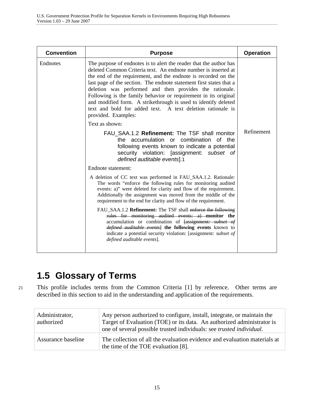<span id="page-15-0"></span>

| <b>Convention</b> | <b>Purpose</b>                                                                                                                                                                                                                                                                                                                                                                                                                                                                                                                                                     | <b>Operation</b> |
|-------------------|--------------------------------------------------------------------------------------------------------------------------------------------------------------------------------------------------------------------------------------------------------------------------------------------------------------------------------------------------------------------------------------------------------------------------------------------------------------------------------------------------------------------------------------------------------------------|------------------|
| Endnotes          | The purpose of endnotes is to alert the reader that the author has<br>deleted Common Criteria text. An endnote number is inserted at<br>the end of the requirement, and the endnote is recorded on the<br>last page of the section. The endnote statement first states that a<br>deletion was performed and then provides the rationale.<br>Following is the family behavior or requirement in its original<br>and modified form. A strikethrough is used to identify deleted<br>text and bold for added text. A text deletion rationale is<br>provided. Examples: |                  |
|                   | Text as shown:                                                                                                                                                                                                                                                                                                                                                                                                                                                                                                                                                     |                  |
|                   | FAU_SAA.1.2 Refinement: The TSF shall monitor<br>the accumulation or combination<br>of the<br>following events known to indicate a potential<br>security violation: [assignment: subset of<br>defined auditable events].1                                                                                                                                                                                                                                                                                                                                          | Refinement       |
|                   | Endnote statement:                                                                                                                                                                                                                                                                                                                                                                                                                                                                                                                                                 |                  |
|                   | A deletion of CC text was performed in FAU_SAA.1.2. Rationale:<br>The words "enforce the following rules for monitoring audited<br>events: a)" were deleted for clarity and flow of the requirement.<br>Additionally the assignment was moved from the middle of the<br>requirement to the end for clarity and flow of the requirement.                                                                                                                                                                                                                            |                  |
|                   | FAU_SAA.1.2 Refinement: The TSF shall enforce the following<br>rules for monitoring audited events: a) monitor the<br>accumulation or combination of <del>[assignment: <i>subset of</i></del><br>defined auditable events] the following events known to<br>indicate a potential security violation: [assignment: subset of<br>defined auditable events].                                                                                                                                                                                                          |                  |

#### **1.5 Glossary of Terms**

21 This profile includes terms from the Common Criteria [1] by reference. Other terms are described in this section to aid in the understanding and application of the requirements.

| Administrator,<br>authorized | Any person authorized to configure, install, integrate, or maintain the<br>Target of Evaluation (TOE) or its data. An authorized administrator is<br>one of several possible trusted individuals: see <i>trusted individual</i> . |
|------------------------------|-----------------------------------------------------------------------------------------------------------------------------------------------------------------------------------------------------------------------------------|
| Assurance baseline           | The collection of all the evaluation evidence and evaluation materials at<br>the time of the TOE evaluation [8].                                                                                                                  |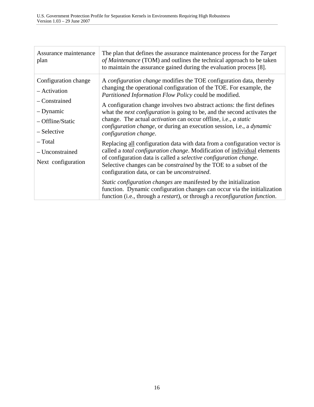| Assurance maintenance<br>plan                                                                         | The plan that defines the assurance maintenance process for the Target<br>of Maintenance (TOM) and outlines the technical approach to be taken<br>to maintain the assurance gained during the evaluation process [8].                                                                                                                                                                                                                                                                                                                                                                                                         |
|-------------------------------------------------------------------------------------------------------|-------------------------------------------------------------------------------------------------------------------------------------------------------------------------------------------------------------------------------------------------------------------------------------------------------------------------------------------------------------------------------------------------------------------------------------------------------------------------------------------------------------------------------------------------------------------------------------------------------------------------------|
| Configuration change<br>- Activation<br>– Constrained<br>- Dynamic<br>- Offline/Static<br>- Selective | A configuration change modifies the TOE configuration data, thereby<br>changing the operational configuration of the TOE. For example, the<br><i>Partitioned Information Flow Policy could be modified.</i><br>A configuration change involves two abstract actions: the first defines<br>what the <i>next configuration</i> is going to be, and the second activates the<br>change. The actual <i>activation</i> can occur offline, i.e., <i>a static</i><br><i>configuration change</i> , or during an execution session, <i>i.e.</i> , a <i>dynamic</i><br>configuration change.                                           |
| – Total<br>- Unconstrained<br>Next configuration                                                      | Replacing all configuration data with data from a configuration vector is<br>called a total configuration change. Modification of individual elements<br>of configuration data is called a <i>selective configuration change</i> .<br>Selective changes can be <i>constrained</i> by the TOE to a subset of the<br>configuration data, or can be <i>unconstrained</i> .<br><i>Static configuration changes</i> are manifested by the initialization<br>function. Dynamic configuration changes can occur via the initialization<br>function (i.e., through a <i>restart</i> ), or through a <i>reconfiguration function</i> . |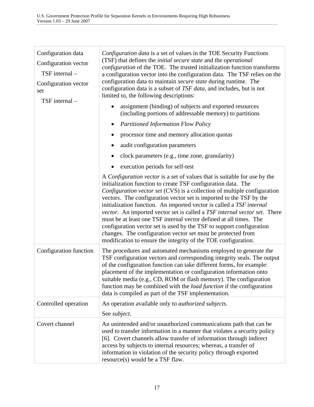| Configuration data<br>Configuration vector<br>TSF internal -<br>Configuration vector<br>set<br>TSF internal - | Configuration data is a set of values in the TOE Security Functions<br>(TSF) that defines the <i>initial secure state</i> and the <i>operational</i><br><i>configuration</i> of the TOE. The trusted initialization function transforms<br>a configuration vector into the configuration data. The TSF relies on the<br>configuration data to maintain secure state during runtime. The<br>configuration data is a subset of TSF data, and includes, but is not<br>limited to, the following descriptions:<br>assignment (binding) of subjects and exported resources<br>(including portions of addressable memory) to partitions<br><b>Partitioned Information Flow Policy</b><br>$\bullet$<br>processor time and memory allocation quotas<br>$\bullet$<br>audit configuration parameters<br>clock parameters (e.g., time zone, granularity)<br>execution periods for self-test<br>A Configuration vector is a set of values that is suitable for use by the<br>initialization function to create TSF configuration data. The<br>Configuration vector set (CVS) is a collection of multiple configuration<br>vectors. The configuration vector set is imported to the TSF by the<br>initialization function. An imported vector is called a TSF internal<br>vector. An imported vector set is called a TSF internal vector set. There<br>must be at least one TSF internal vector defined at all times. The |
|---------------------------------------------------------------------------------------------------------------|--------------------------------------------------------------------------------------------------------------------------------------------------------------------------------------------------------------------------------------------------------------------------------------------------------------------------------------------------------------------------------------------------------------------------------------------------------------------------------------------------------------------------------------------------------------------------------------------------------------------------------------------------------------------------------------------------------------------------------------------------------------------------------------------------------------------------------------------------------------------------------------------------------------------------------------------------------------------------------------------------------------------------------------------------------------------------------------------------------------------------------------------------------------------------------------------------------------------------------------------------------------------------------------------------------------------------------------------------------------------------------------------------------------|
|                                                                                                               | configuration vector set is used by the TSF to support configuration<br>changes. The configuration vector set must be protected from<br>modification to ensure the integrity of the TOE configuration.                                                                                                                                                                                                                                                                                                                                                                                                                                                                                                                                                                                                                                                                                                                                                                                                                                                                                                                                                                                                                                                                                                                                                                                                       |
| Configuration function                                                                                        | The procedures and automated mechanisms employed to generate the<br>TSF configuration vectors and corresponding integrity seals. The output<br>of the configuration function can take different forms, for example:<br>placement of the implementation or configuration information onto<br>suitable media (e.g., CD, ROM or flash memory). The configuration<br>function may be combined with the <i>load function</i> if the configuration<br>data is compiled as part of the TSF implementation.                                                                                                                                                                                                                                                                                                                                                                                                                                                                                                                                                                                                                                                                                                                                                                                                                                                                                                          |
| Controlled operation                                                                                          | An operation available only to <i>authorized</i> subjects.                                                                                                                                                                                                                                                                                                                                                                                                                                                                                                                                                                                                                                                                                                                                                                                                                                                                                                                                                                                                                                                                                                                                                                                                                                                                                                                                                   |
|                                                                                                               | See <i>subject</i> .                                                                                                                                                                                                                                                                                                                                                                                                                                                                                                                                                                                                                                                                                                                                                                                                                                                                                                                                                                                                                                                                                                                                                                                                                                                                                                                                                                                         |
| Covert channel                                                                                                | An unintended and/or unauthorized communications path that can be<br>used to transfer information in a manner that violates a security policy<br>[6]. Covert channels allow transfer of information through indirect<br>access by subjects to internal resources; whereas, a transfer of<br>information in violation of the security policy through exported<br>resource(s) would be a TSF flaw.                                                                                                                                                                                                                                                                                                                                                                                                                                                                                                                                                                                                                                                                                                                                                                                                                                                                                                                                                                                                             |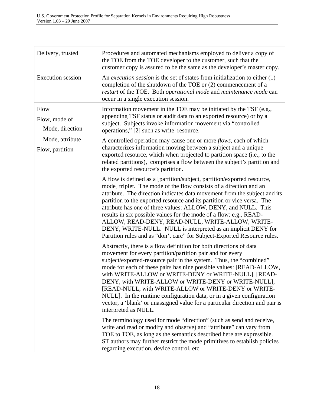| Delivery, trusted                                                              | Procedures and automated mechanisms employed to deliver a copy of<br>the TOE from the TOE developer to the customer, such that the<br>customer copy is assured to be the same as the developer's master copy.                                                                                                                                                                                                                                                                                                                                                                                                                                  |  |  |  |  |  |
|--------------------------------------------------------------------------------|------------------------------------------------------------------------------------------------------------------------------------------------------------------------------------------------------------------------------------------------------------------------------------------------------------------------------------------------------------------------------------------------------------------------------------------------------------------------------------------------------------------------------------------------------------------------------------------------------------------------------------------------|--|--|--|--|--|
| <b>Execution</b> session                                                       | An <i>execution session</i> is the set of states from initialization to either $(1)$<br>completion of the shutdown of the TOE or (2) commencement of a<br>restart of the TOE. Both operational mode and maintenance mode can<br>occur in a single execution session.                                                                                                                                                                                                                                                                                                                                                                           |  |  |  |  |  |
| Flow<br>Flow, mode of<br>Mode, direction<br>Mode, attribute<br>Flow, partition | Information movement in the TOE may be initiated by the TSF (e.g.,<br>appending TSF status or audit data to an exported resource) or by a<br>subject. Subjects invoke information movement via "controlled<br>operations," [2] such as write_resource.                                                                                                                                                                                                                                                                                                                                                                                         |  |  |  |  |  |
|                                                                                | A controlled operation may cause one or more <i>flows</i> , each of which<br>characterizes information moving between a subject and a unique<br>exported resource, which when projected to partition space (i.e., to the<br>related partitions), comprises a flow between the subject's partition and<br>the exported resource's partition.                                                                                                                                                                                                                                                                                                    |  |  |  |  |  |
|                                                                                | A flow is defined as a [partition/subject, partition/exported resource,<br>mode] triplet. The mode of the flow consists of a direction and an<br>attribute. The direction indicates data movement from the subject and its<br>partition to the exported resource and its partition or vice versa. The<br>attribute has one of three values: ALLOW, DENY, and NULL. This<br>results in six possible values for the mode of a flow: e.g., READ-<br>ALLOW, READ-DENY, READ-NULL, WRITE-ALLOW, WRITE-<br>DENY, WRITE-NULL. NULL is interpreted as an implicit DENY for<br>Partition rules and as "don't care" for Subject-Exported Resource rules. |  |  |  |  |  |
|                                                                                | Abstractly, there is a flow definition for both directions of data<br>movement for every partition/partition pair and for every<br>subject/exported-resource pair in the system. Thus, the "combined"<br>mode for each of these pairs has nine possible values: [READ-ALLOW,<br>with WRITE-ALLOW or WRITE-DENY or WRITE-NULL], [READ-<br>DENY, with WRITE-ALLOW or WRITE-DENY or WRITE-NULL],<br>[READ-NULL, with WRITE-ALLOW or WRITE-DENY or WRITE-<br>NULL]. In the runtime configuration data, or in a given configuration<br>vector, a 'blank' or unassigned value for a particular direction and pair is<br>interpreted as NULL.         |  |  |  |  |  |
|                                                                                | The terminology used for mode "direction" (such as send and receive,<br>write and read or modify and observe) and "attribute" can vary from<br>TOE to TOE, as long as the semantics described here are expressible.<br>ST authors may further restrict the mode primitives to establish policies<br>regarding execution, device control, etc.                                                                                                                                                                                                                                                                                                  |  |  |  |  |  |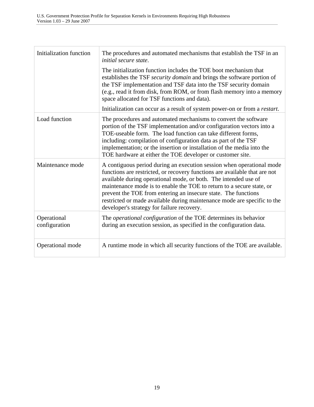| Initialization function      | The procedures and automated mechanisms that establish the TSF in an<br>initial secure state.                                                                                                                                                                                                                                                                                                                                                                                               |  |  |  |  |  |
|------------------------------|---------------------------------------------------------------------------------------------------------------------------------------------------------------------------------------------------------------------------------------------------------------------------------------------------------------------------------------------------------------------------------------------------------------------------------------------------------------------------------------------|--|--|--|--|--|
|                              | The initialization function includes the TOE boot mechanism that<br>establishes the TSF security domain and brings the software portion of<br>the TSF implementation and TSF data into the TSF security domain<br>(e.g., read it from disk, from ROM, or from flash memory into a memory<br>space allocated for TSF functions and data).                                                                                                                                                    |  |  |  |  |  |
|                              | Initialization can occur as a result of system power-on or from a restart.                                                                                                                                                                                                                                                                                                                                                                                                                  |  |  |  |  |  |
| Load function                | The procedures and automated mechanisms to convert the software<br>portion of the TSF implementation and/or configuration vectors into a<br>TOE-useable form. The load function can take different forms,<br>including: compilation of configuration data as part of the TSF<br>implementation; or the insertion or installation of the media into the<br>TOE hardware at either the TOE developer or customer site.                                                                        |  |  |  |  |  |
| Maintenance mode             | A contiguous period during an execution session when operational mode<br>functions are restricted, or recovery functions are available that are not<br>available during operational mode, or both. The intended use of<br>maintenance mode is to enable the TOE to return to a secure state, or<br>prevent the TOE from entering an insecure state. The functions<br>restricted or made available during maintenance mode are specific to the<br>developer's strategy for failure recovery. |  |  |  |  |  |
| Operational<br>configuration | The <i>operational configuration</i> of the TOE determines its behavior<br>during an execution session, as specified in the configuration data.                                                                                                                                                                                                                                                                                                                                             |  |  |  |  |  |
| Operational mode             | A runtime mode in which all security functions of the TOE are available.                                                                                                                                                                                                                                                                                                                                                                                                                    |  |  |  |  |  |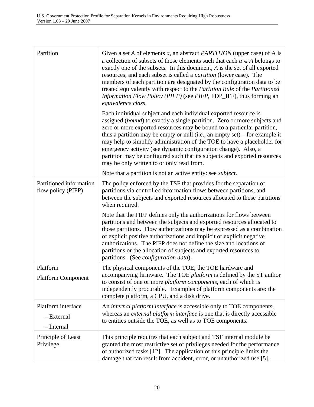| Partition                                     | Given a set A of elements a, an abstract <i>PARTITION</i> (upper case) of A is<br>a collection of subsets of those elements such that each $a \in A$ belongs to<br>exactly one of the subsets. In this document, A is the set of all exported<br>resources, and each subset is called a <i>partition</i> (lower case). The<br>members of each partition are designated by the configuration data to be<br>treated equivalently with respect to the Partition Rule of the Partitioned<br><i>Information Flow Policy (PIFP)</i> (see <i>PIFP</i> , FDP_IFF), thus forming an<br>equivalence class. |  |  |  |  |  |
|-----------------------------------------------|--------------------------------------------------------------------------------------------------------------------------------------------------------------------------------------------------------------------------------------------------------------------------------------------------------------------------------------------------------------------------------------------------------------------------------------------------------------------------------------------------------------------------------------------------------------------------------------------------|--|--|--|--|--|
|                                               | Each individual subject and each individual exported resource is<br>assigned (bound) to exactly a single partition. Zero or more subjects and<br>zero or more exported resources may be bound to a particular partition,<br>thus a partition may be empty or null (i.e., an empty set) – for example it<br>may help to simplify administration of the TOE to have a placeholder for<br>emergency activity (see dynamic configuration change). Also, a<br>partition may be configured such that its subjects and exported resources<br>may be only written to or only read from.                  |  |  |  |  |  |
|                                               | Note that a partition is not an active entity: see <i>subject</i> .                                                                                                                                                                                                                                                                                                                                                                                                                                                                                                                              |  |  |  |  |  |
| Partitioned information<br>flow policy (PIFP) | The policy enforced by the TSF that provides for the separation of<br>partitions via controlled information flows between partitions, and<br>between the subjects and exported resources allocated to those partitions<br>when required.<br>Note that the PIFP defines only the authorizations for flows between                                                                                                                                                                                                                                                                                 |  |  |  |  |  |
|                                               | partitions and between the subjects and exported resources allocated to<br>those partitions. Flow authorizations may be expressed as a combination<br>of explicit positive authorizations and implicit or explicit negative<br>authorizations. The PIFP does not define the size and locations of<br>partitions or the allocation of subjects and exported resources to<br>partitions. (See <i>configuration data</i> ).                                                                                                                                                                         |  |  |  |  |  |
| Platform                                      | The physical components of the TOE; the TOE hardware and                                                                                                                                                                                                                                                                                                                                                                                                                                                                                                                                         |  |  |  |  |  |
| <b>Platform Component</b>                     | accompanying firmware. The TOE <i>platform</i> is defined by the ST author<br>to consist of one or more <i>platform components</i> , each of which is<br>independently procurable. Examples of platform components are: the<br>complete platform, a CPU, and a disk drive.                                                                                                                                                                                                                                                                                                                       |  |  |  |  |  |
| Platform interface                            | An <i>internal platform interface</i> is accessible only to TOE components,                                                                                                                                                                                                                                                                                                                                                                                                                                                                                                                      |  |  |  |  |  |
| $-$ External<br>- Internal                    | whereas an external platform interface is one that is directly accessible<br>to entities outside the TOE, as well as to TOE components.                                                                                                                                                                                                                                                                                                                                                                                                                                                          |  |  |  |  |  |
| Principle of Least<br>Privilege               | This principle requires that each subject and TSF internal module be<br>granted the most restrictive set of privileges needed for the performance<br>of authorized tasks [12]. The application of this principle limits the<br>damage that can result from accident, error, or unauthorized use [5].                                                                                                                                                                                                                                                                                             |  |  |  |  |  |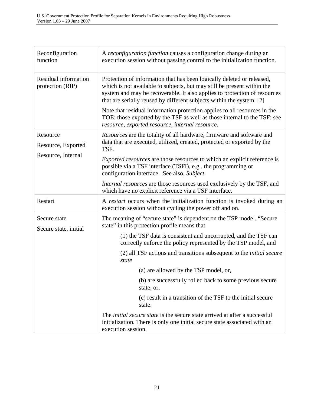| Reconfiguration<br>function                          | A reconfiguration function causes a configuration change during an<br>execution session without passing control to the initialization function.                                                                                                                                                         |  |  |  |  |  |  |
|------------------------------------------------------|---------------------------------------------------------------------------------------------------------------------------------------------------------------------------------------------------------------------------------------------------------------------------------------------------------|--|--|--|--|--|--|
| Residual information<br>protection (RIP)             | Protection of information that has been logically deleted or released,<br>which is not available to subjects, but may still be present within the<br>system and may be recoverable. It also applies to protection of resources<br>that are serially reused by different subjects within the system. [2] |  |  |  |  |  |  |
|                                                      | Note that residual information protection applies to all resources in the<br>TOE: those exported by the TSF as well as those internal to the TSF: see<br>resource, exported resource, internal resource.                                                                                                |  |  |  |  |  |  |
| Resource<br>Resource, Exported<br>Resource, Internal | Resources are the totality of all hardware, firmware and software and<br>data that are executed, utilized, created, protected or exported by the<br>TSF.                                                                                                                                                |  |  |  |  |  |  |
|                                                      | <i>Exported resources</i> are those resources to which an explicit reference is<br>possible via a TSF interface (TSFI), e.g., the programming or<br>configuration interface. See also, Subject.                                                                                                         |  |  |  |  |  |  |
|                                                      | <i>Internal resources</i> are those resources used exclusively by the TSF, and<br>which have no explicit reference via a TSF interface.                                                                                                                                                                 |  |  |  |  |  |  |
| Restart                                              | A restart occurs when the initialization function is invoked during an<br>execution session without cycling the power off and on.                                                                                                                                                                       |  |  |  |  |  |  |
| Secure state<br>Secure state, initial                | The meaning of "secure state" is dependent on the TSP model. "Secure<br>state" in this protection profile means that                                                                                                                                                                                    |  |  |  |  |  |  |
|                                                      | (1) the TSF data is consistent and uncorrupted, and the TSF can<br>correctly enforce the policy represented by the TSP model, and                                                                                                                                                                       |  |  |  |  |  |  |
|                                                      | (2) all TSF actions and transitions subsequent to the <i>initial secure</i><br>state                                                                                                                                                                                                                    |  |  |  |  |  |  |
|                                                      | (a) are allowed by the TSP model, or,                                                                                                                                                                                                                                                                   |  |  |  |  |  |  |
|                                                      | (b) are successfully rolled back to some previous secure<br>state, or,                                                                                                                                                                                                                                  |  |  |  |  |  |  |
|                                                      | (c) result in a transition of the TSF to the initial secure<br>state.                                                                                                                                                                                                                                   |  |  |  |  |  |  |
|                                                      | The <i>initial secure state</i> is the secure state arrived at after a successful<br>initialization. There is only one initial secure state associated with an<br>execution session.                                                                                                                    |  |  |  |  |  |  |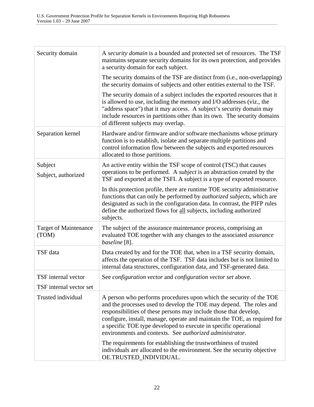| Security domain                                | A security domain is a bounded and protected set of resources. The TSF<br>maintains separate security domains for its own protection, and provides<br>a security domain for each subject.                                                                                                                                                                                                                                                                                                                |
|------------------------------------------------|----------------------------------------------------------------------------------------------------------------------------------------------------------------------------------------------------------------------------------------------------------------------------------------------------------------------------------------------------------------------------------------------------------------------------------------------------------------------------------------------------------|
|                                                | The security domains of the TSF are distinct from (i.e., non-overlapping)<br>the security domains of subjects and other entities external to the TSF.                                                                                                                                                                                                                                                                                                                                                    |
|                                                | The security domain of a subject includes the exported resources that it<br>is allowed to use, including the memory and I/O addresses (viz., the<br>"address space") that it may access. A subject's security domain may<br>include resources in partitions other than its own. The security domains<br>of different subjects may overlap.                                                                                                                                                               |
| Separation kernel                              | Hardware and/or firmware and/or software mechanisms whose primary<br>function is to establish, isolate and separate multiple partitions and<br>control information flow between the subjects and exported resources<br>allocated to those partitions.                                                                                                                                                                                                                                                    |
| Subject<br>Subject, authorized                 | An active entity within the TSF scope of control (TSC) that causes<br>operations to be performed. A <i>subject</i> is an abstraction created by the<br>TSF and exported at the TSFI. A subject is a type of exported resource.                                                                                                                                                                                                                                                                           |
|                                                | In this protection profile, there are runtime TOE security administrative<br>functions that can only be performed by <i>authorized subjects</i> , which are<br>designated as such in the configuration data. In contrast, the PIFP rules<br>define the authorized flows for all subjects, including authorized<br>subjects.                                                                                                                                                                              |
| <b>Target of Maintenance</b><br>(TOM)          | The subject of the assurance maintenance process, comprising an<br>evaluated TOE together with any changes to the associated assurance<br>baseline [8].                                                                                                                                                                                                                                                                                                                                                  |
| TSF data                                       | Data created by and for the TOE that, when in a TSF security domain,<br>affects the operation of the TSF. TSF data includes but is not limited to<br>internal data structures, configuration data, and TSF-generated data.                                                                                                                                                                                                                                                                               |
| TSF internal vector<br>TSF internal vector set | See configuration vector and configuration vector set above                                                                                                                                                                                                                                                                                                                                                                                                                                              |
| Trusted individual                             | A person who performs procedures upon which the security of the TOE<br>and the processes used to develop the TOE may depend. The roles and<br>responsibilities of these persons may include those that develop,<br>configure, install, manage, operate and maintain the TOE, as required for<br>a specific TOE type developed to execute in specific operational<br>environments and contexts. See <i>authorized administrator</i> .<br>The requirements for establishing the trustworthiness of trusted |
|                                                | individuals are allocated to the environment. See the security objective<br>OE.TRUSTED_INDIVIDUAL.                                                                                                                                                                                                                                                                                                                                                                                                       |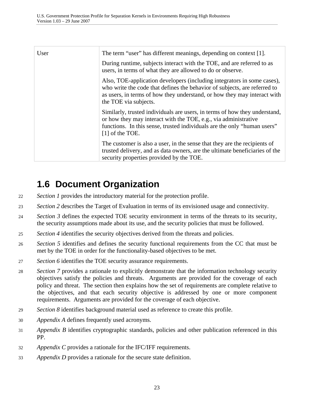<span id="page-23-0"></span>

| User | The term "user" has different meanings, depending on context [1].                                                                                                                                                                                         |
|------|-----------------------------------------------------------------------------------------------------------------------------------------------------------------------------------------------------------------------------------------------------------|
|      | During runtime, subjects interact with the TOE, and are referred to as<br>users, in terms of what they are allowed to do or observe.                                                                                                                      |
|      | Also, TOE-application developers (including integrators in some cases),<br>who write the code that defines the behavior of subjects, are referred to<br>as users, in terms of how they understand, or how they may interact with<br>the TOE via subjects. |
|      | Similarly, trusted individuals are users, in terms of how they understand,<br>or how they may interact with the TOE, e.g., via administrative<br>functions. In this sense, trusted individuals are the only "human users"<br>[1] of the TOE.              |
|      | The customer is also a user, in the sense that they are the recipients of<br>trusted delivery, and as data owners, are the ultimate beneficiaries of the<br>security properties provided by the TOE.                                                      |

## **1.6 Document Organization**

- 22 *Section 1* provides the introductory material for the protection profile.
- 23 *Section 2* describes the Target of Evaluation in terms of its envisioned usage and connectivity.
- 24 *Section 3* defines the expected TOE security environment in terms of the threats to its security, the security assumptions made about its use, and the security policies that must be followed.
- 25 *Section 4* identifies the security objectives derived from the threats and policies.
- 26 *Section 5* identifies and defines the security functional requirements from the CC that must be met by the TOE in order for the functionality-based objectives to be met.
- 27 *Section 6* identifies the TOE security assurance requirements.
- 28 *Section 7* provides a rationale to explicitly demonstrate that the information technology security objectives satisfy the policies and threats. Arguments are provided for the coverage of each policy and threat. The section then explains how the set of requirements are complete relative to the objectives, and that each security objective is addressed by one or more component requirements. Arguments are provided for the coverage of each objective.
- 29 *Section 8* identifies background material used as reference to create this profile.
- 30 *Appendix A* defines frequently used acronyms.
- 31 *Appendix B* identifies cryptographic standards, policies and other publication referenced in this PP.
- 32 *Appendix C* provides a rationale for the IFC/IFF requirements.
- 33 *Appendix D* provides a rationale for the secure state definition.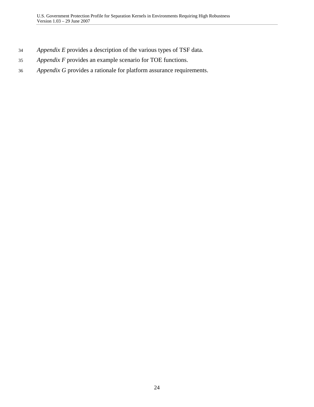- *Appendix E* provides a description of the various types of TSF data.
- *Appendix F* provides an example scenario for TOE functions.
- *Appendix G* provides a rationale for platform assurance requirements.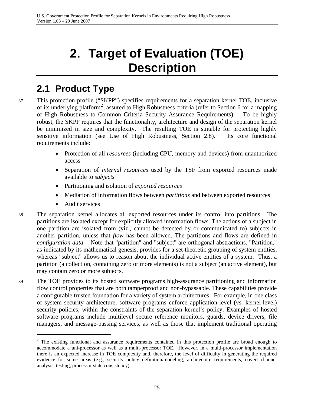# <span id="page-25-0"></span>**2. Target of Evaluation (TOE) Description**

#### **2.1 Product Type**

 $\overline{a}$ 

37 This protection profile ("SKPP") specifies requirements for a separation kernel TOE, inclusive of its underlying platform<sup>[2](#page-25-1)</sup>, assured to High Robustness criteria (refer to Section 6 for a mapping of High Robustness to Common Criteria Security Assurance Requirements). To be highly robust, the SKPP requires that the functionality, architecture and design of the separation kernel be minimized in size and complexity. The resulting TOE is suitable for protecting highly sensitive information (see Use of High Robustness, Section 2.8). Its core functional requirements include:

- Protection of all *resources* (including CPU, memory and devices) from unauthorized access
- Separation of *internal resources* used by the TSF from exported resources made available to *subjects*
- Partitioning and isolation of *exported resources*
- Mediation of information flows between *partitions* and between exported resources
- Audit services
- 38 The separation kernel allocates all exported resources under its control into partitions. The partitions are isolated except for explicitly allowed information flows. The actions of a subject in one partition are isolated from (viz., cannot be detected by or communicated to) subjects in another partition, unless that *flow* has been allowed. The partitions and flows are defined in *configuration data*. Note that "partition" and "subject" are orthogonal abstractions. "Partition," as indicated by its mathematical genesis, provides for a set-theoretic grouping of system entities, whereas "subject" allows us to reason about the individual active entities of a system. Thus, a partition (a collection, containing zero or more elements) is not a subject (an active element), but may contain zero or more subjects.
- 39 The TOE provides to its hosted software programs high-assurance partitioning and information flow control properties that are both tamperproof and non-bypassable. These capabilities provide a configurable trusted foundation for a variety of system architectures. For example, in one class of system security architecture, software programs enforce application-level (vs. kernel-level) security policies, within the constraints of the separation kernel's policy. Examples of hosted software programs include multilevel secure reference monitors, guards, device drivers, file managers, and message-passing services, as well as those that implement traditional operating

<span id="page-25-1"></span> $2$  The existing functional and assurance requirements contained in this protection profile are broad enough to accommodate a uni-processor as well as a multi-processor TOE. However, in a multi-processor implementation there is an expected increase in TOE complexity and, therefore, the level of difficulty in generating the required evidence for some areas (e.g., security policy definition/modeling, architecture requirements, covert channel analysis, testing, processor state consistency).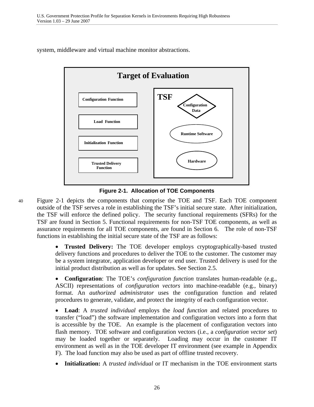

<span id="page-26-0"></span>system, middleware and virtual machine monitor abstractions.

**Figure 2-1. Allocation of TOE Components** 

40 Figure 2-1 depicts the components that comprise the TOE and TSF. Each TOE component outside of the TSF serves a role in establishing the TSF's initial secure state. After initialization, the TSF will enforce the defined policy. The security functional requirements (SFRs) for the TSF are found in Section 5. Functional requirements for non-TSF TOE components, as well as assurance requirements for all TOE components, are found in Section 6. The role of non-TSF functions in establishing the initial secure state of the TSF are as follows:

> • **Trusted Delivery:** The TOE developer employs cryptographically-based trusted delivery functions and procedures to deliver the TOE to the customer. The customer may be a system integrator, application developer or end user. Trusted delivery is used for the initial product distribution as well as for updates. See Section 2.5.

> • **Configuration**: The TOE's *configuration function* translates human-readable (e.g., ASCII) representations of *configuration vectors* into machine-readable (e.g., binary) format. An *authorized administrator* uses the configuration function and related procedures to generate, validate, and protect the integrity of each configuration vector.

> • **Load**: A *trusted individual* employs the *load function* and related procedures to transfer ("load") the software implementation and configuration vectors into a form that is accessible by the TOE. An example is the placement of configuration vectors into flash memory. TOE software and configuration vectors (i.e., a *configuration vector set*) may be loaded together or separately. Loading may occur in the customer IT environment as well as in the TOE developer IT environment (see example in Appendix F). The load function may also be used as part of offline trusted recovery.

> • **Initialization:** A *trusted individual* or IT mechanism in the TOE environment starts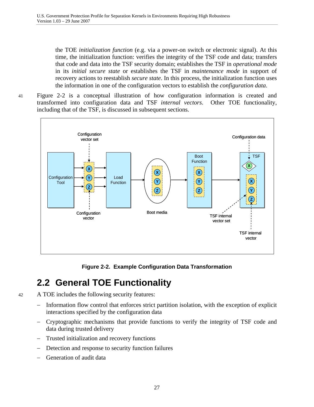<span id="page-27-0"></span>the TOE *initialization function* (e.g. via a power-on switch or electronic signal). At this time, the initialization function: verifies the integrity of the TSF code and data; transfers that code and data into the TSF security domain; establishes the TSF in *operational mode* in its *initial secure state* or establishes the TSF in *maintenance mode* in support of recovery actions to reestablish *secure state*. In this process, the initialization function uses the information in one of the configuration vectors to establish the *configuration data*.

41 Figure 2-2 is a conceptual illustration of how configuration information is created and transformed into configuration data and TSF *internal vectors*. Other TOE functionality, including that of the TSF, is discussed in subsequent sections.



**Figure 2-2. Example Configuration Data Transformation** 

## **2.2 General TOE Functionality**

- 42 A TOE includes the following security features:
	- − Information flow control that enforces strict partition isolation, with the exception of explicit interactions specified by the configuration data
	- − Cryptographic mechanisms that provide functions to verify the integrity of TSF code and data during trusted delivery

27

- Trusted initialization and recovery functions
- Detection and response to security function failures
- − Generation of audit data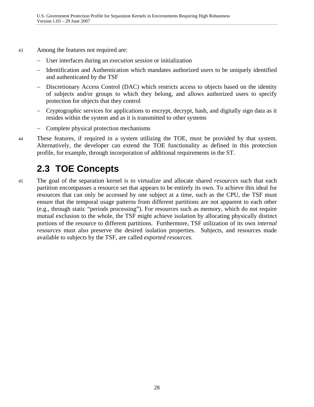- <span id="page-28-0"></span>43 Among the features not required are:
	- − User interfaces during an *execution session* or initialization
	- − Identification and Authentication which mandates authorized users to be uniquely identified and authenticated by the TSF
	- Discretionary Access Control (DAC) which restricts access to objects based on the identity of subjects and/or groups to which they belong, and allows authorized users to specify protection for objects that they control
	- − Cryptographic services for applications to encrypt, decrypt, hash, and digitally sign data as it resides within the system and as it is transmitted to other systems
	- − Complete physical protection mechanisms
- 44 These features, if required in a system utilizing the TOE, must be provided by that system. Alternatively, the developer can extend the TOE functionality as defined in this protection profile, for example, through incorporation of additional requirements in the ST.

## **2.3 TOE Concepts**

45 The goal of the separation kernel is to virtualize and allocate shared *resources* such that each partition encompasses a resource set that appears to be entirely its own. To achieve this ideal for resources that can only be accessed by one subject at a time, such as the CPU, the TSF must ensure that the temporal usage patterns from different partitions are not apparent to each other (e.g., through static "periods processing"). For resources such as memory, which do not require mutual exclusion to the whole, the TSF might achieve isolation by allocating physically distinct portions of the resource to different partitions. Furthermore, TSF utilization of its own *internal resources* must also preserve the desired isolation properties. Subjects, and resources made available to subjects by the TSF, are called *exported resources*.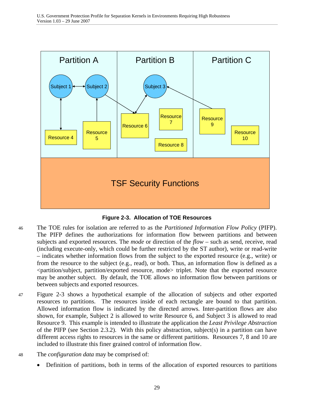<span id="page-29-0"></span>

**Figure 2-3. Allocation of TOE Resources** 

- 46 The TOE rules for isolation are referred to as the *Partitioned Information Flow Policy* (PIFP). The PIFP defines the authorizations for information flow between partitions and between subjects and exported resources. The *mode* or direction of the *flow* – such as send, receive, read (including execute-only, which could be further restricted by the ST author), write or read-write – indicates whether information flows from the subject to the exported resource (e.g., write) or from the resource to the subject (e.g., read), or both. Thus, an information flow is defined as a <partition/subject, partition/exported resource, mode> triplet. Note that the exported resource may be another subject. By default, the TOE allows no information flow between partitions or between subjects and exported resources.
- 47 Figure 2-3 shows a hypothetical example of the allocation of subjects and other exported resources to partitions. The resources inside of each rectangle are bound to that partition. Allowed information flow is indicated by the directed arrows. Inter-partition flows are also shown, for example, Subject 2 is allowed to write Resource 6, and Subject 3 is allowed to read Resource 9. This example is intended to illustrate the application the *Least Privilege Abstraction* of the PIFP (see Section 2.3.2). With this policy abstraction, subject(s) in a partition can have different access rights to resources in the same or different partitions. Resources 7, 8 and 10 are included to illustrate this finer grained control of information flow.
- 48 The *configuration data* may be comprised of:
	- Definition of partitions, both in terms of the allocation of exported resources to partitions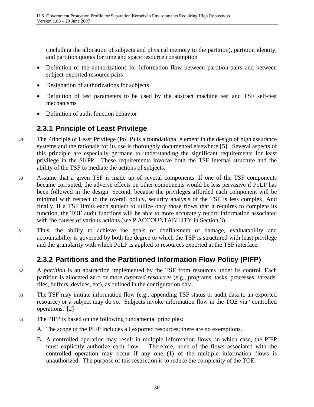<span id="page-30-0"></span>(including the allocation of subjects and physical memory to the partition), partition identity, and partition quotas for time and space resource consumption

- Definition of the authorizations for information flow between partition-pairs and between subject-exported resource pairs
- Designation of authorizations for subjects
- Definition of test parameters to be used by the abstract machine test and TSF self-test mechanisms
- Definition of audit function behavior

#### **2.3.1 Principle of Least Privilege**

- 49 The Principle of Least Privilege (PoLP) is a foundational element in the design of high assurance systems and the rationale for its use is thoroughly documented elsewhere [5]. Several aspects of this principle are especially germane to understanding the significant requirements for least privilege in the SKPP. These requirements involve both the TSF internal structure and the ability of the TSF to mediate the actions of subjects.
- 50 Assume that a given TSF is made up of several components. If one of the TSF components became corrupted, the adverse effects on other components would be less pervasive if PoLP has been followed in the design. Second, because the privileges afforded each component will be minimal with respect to the overall policy, security analysis of the TSF is less complex. And finally, if a TSF limits each subject to utilize only those flows that it requires to complete its function, the TOE audit functions will be able to more accurately record information associated with the causes of various actions (see P.ACCOUNTABILITY in Section 3).
- 51 Thus, the ability to achieve the goals of confinement of damage, evaluatability and accountability is governed by both the degree to which the TSF is structured with least privilege and the granularity with which PoLP is applied to resources exported at the TSF interface.

#### **2.3.2 Partitions and the Partitioned Information Flow Policy (PIFP)**

- 52 A *partition* is an abstraction implemented by the TSF from resources under its control. Each partition is allocated zero or more *exported resources* (e.g., programs, tasks, processes, threads, files, buffers, devices, etc), as defined in the configuration data.
- 53 The TSF may initiate information flow (e.g., appending TSF status or audit data to an exported resource) or a subject may do so. Subjects invoke information flow in the TOE via "controlled operations."[2]
- 54 The PIFP is based on the following fundamental principles:
	- A. The scope of the PIFP includes all exported resources; there are no exemptions.
	- B. A controlled operation may result in multiple information flows, in which case, the PIFP must explicitly authorize each flow. Therefore, none of the flows associated with the controlled operation may occur if any one (1) of the multiple information flows is unauthorized. The purpose of this restriction is to reduce the complexity of the TOE.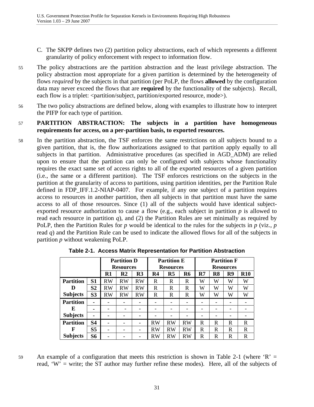- <span id="page-31-0"></span>C. The SKPP defines two (2) partition policy abstractions, each of which represents a different granularity of policy enforcement with respect to information flow.
- 55 The policy abstractions are the partition abstraction and the least privilege abstraction. The policy abstraction most appropriate for a given partition is determined by the heterogeneity of flows *required* by the subjects in that partition (per PoLP, the flows **allowed** by the configuration data may never exceed the flows that are **required** by the functionality of the subjects). Recall, each flow is a triplet: <partition/subject, partition/exported resource, mode>).
- 56 The two policy abstractions are defined below, along with examples to illustrate how to interpret the PIFP for each type of partition.

#### 57 **PARTITION ABSTRACTION: The subjects in a partition have homogeneous requirements for access, on a per-partition basis, to exported resources.**

58 In the partition abstraction, the TSF enforces the same restrictions on all subjects bound to a given partition, that is, the flow authorizations assigned to that partition apply equally to all subjects in that partition. Administrative procedures (as specified in AGD\_ADM) are relied upon to ensure that the partition can only be configured with subjects whose functionality requires the exact same set of access rights to all of the exported resources of a given partition (i.e., the same or a different partition). The TSF enforces restrictions on the subjects in the partition at the granularity of access to partitions, using partition identities, per the Partition Rule defined in FDP\_IFF.1.2-NIAP-0407. For example, if any one subject of a partition requires access to resources in another partition, then all subjects in that partition must have the same access to all of those resources. Since (1) all of the subjects would have identical subjectexported resource authorization to cause a flow (e.g., each subject in partition *p* is allowed to read each resource in partition  $q$ ), and (2) the Partition Rules are set minimally as required by PoLP, then the Partition Rules for *p* would be identical to the rules for the subjects in *p* (viz., *p* read *q*) and the Partition Rule can be used to indicate the allowed flows for all of the subjects in partition *p* without weakening PoLP.

|                  |                  | <b>Partition D</b>       |                  | <b>Partition E</b> |           |                  | <b>Partition F</b> |    |                |                |            |
|------------------|------------------|--------------------------|------------------|--------------------|-----------|------------------|--------------------|----|----------------|----------------|------------|
|                  | <b>Resources</b> |                          | <b>Resources</b> |                    |           | <b>Resources</b> |                    |    |                |                |            |
|                  |                  | R1                       | R2               | R <sub>3</sub>     | R4        | R <sub>5</sub>   | R6                 | R7 | R <sub>8</sub> | R <sub>9</sub> | <b>R10</b> |
| <b>Partition</b> | S1               | <b>RW</b>                | <b>RW</b>        | <b>RW</b>          | R         | R                | R                  | W  | W              | W              | W          |
| D                | S <sub>2</sub>   | RW                       | <b>RW</b>        | <b>RW</b>          | R         | R                | R                  | W  | W              | W              | W          |
| <b>Subjects</b>  | S <sub>3</sub>   | RW                       | <b>RW</b>        | <b>RW</b>          | R         | R                | R                  | W  | W              | W              | W          |
| <b>Partition</b> |                  |                          |                  |                    |           |                  |                    |    |                |                |            |
| E                |                  |                          |                  |                    |           |                  |                    |    |                |                |            |
| <b>Subjects</b>  |                  |                          |                  |                    |           |                  |                    |    |                |                |            |
| <b>Partition</b> | <b>S4</b>        |                          |                  |                    | <b>RW</b> | <b>RW</b>        | <b>RW</b>          | R  | R              | R              | R          |
| F                | S <sub>5</sub>   | $\overline{\phantom{0}}$ |                  | -                  | <b>RW</b> | <b>RW</b>        | <b>RW</b>          | R  | R              | R              | R          |
| <b>Subjects</b>  | <b>S6</b>        |                          |                  |                    | RW        | <b>RW</b>        | <b>RW</b>          | R  | R              | R              | R          |

**Table 2-1. Access Matrix Representation for Partition Abstraction** 

59 An example of a configuration that meets this restriction is shown in Table 2-1 (where  $\mathbb{R}^7$  = read, 'W' = write; the ST author may further refine these modes). Here, all of the subjects of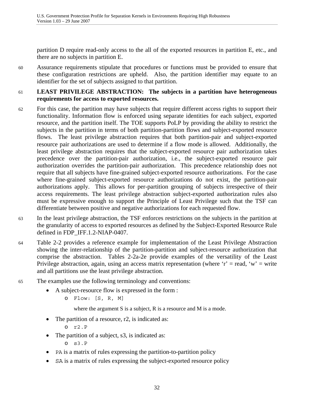partition D require read-only access to the all of the exported resources in partition E, etc., and there are no subjects in partition E.

60 Assurance requirements stipulate that procedures or functions must be provided to ensure that these configuration restrictions are upheld. Also, the partition identifier may equate to an identifier for the set of subjects assigned to that partition.

#### 61 **LEAST PRIVILEGE ABSTRACTION: The subjects in a partition have heterogeneous requirements for access to exported resources.**

- 62 For this case, the partition may have subjects that require different access rights to support their functionality. Information flow is enforced using separate identities for each subject, exported resource, and the partition itself. The TOE supports PoLP by providing the ability to restrict the subjects in the partition in terms of both partition-partition flows and subject-exported resource flows. The least privilege abstraction requires that both partition-pair and subject-exported resource pair authorizations are used to determine if a flow mode is allowed. Additionally, the least privilege abstraction requires that the subject-exported resource pair authorization takes precedence over the partition-pair authorization, i.e., the subject-exported resource pair authorization overrides the partition-pair authorization. This precedence relationship does not require that all subjects have fine-grained subject-exported resource authorizations. For the case where fine-grained subject-exported resource authorizations do not exist, the partition-pair authorizations apply. This allows for per-partition grouping of subjects irrespective of their access requirements. The least privilege abstraction subject-exported authorization rules also must be expressive enough to support the Principle of Least Privilege such that the TSF can differentiate between positive and negative authorizations for each requested flow.
- 63 In the least privilege abstraction, the TSF enforces restrictions on the subjects in the partition at the granularity of access to exported resources as defined by the Subject-Exported Resource Rule defined in FDP\_IFF.1.2-NIAP-0407.
- 64 Table 2-2 provides a reference example for implementation of the Least Privilege Abstraction showing the inter-relationship of the partition-partition and subject-resource authorization that comprise the abstraction. Tables 2-2a-2e provide examples of the versatility of the Least Privilege abstraction, again, using an access matrix representation (where 'r' = read, 'w' = write and all partitions use the least privilege abstraction.
- 65 The examples use the following terminology and conventions:
	- A subject-resource flow is expressed in the form :
		- o Flow: [S, R, M]

where the argument S is a subject, R is a resource and M is a mode.

• The partition of a resource, r2, is indicated as:

o r2.P

• The partition of a subject, s3, is indicated as:

o s3.P

- PA is a matrix of rules expressing the partition-to-partition policy
- SA is a matrix of rules expressing the subject-exported resource policy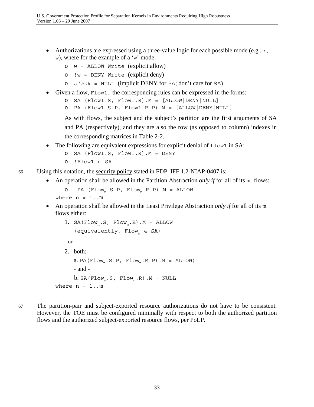- Authorizations are expressed using a three-value logic for each possible mode (e.g.,  $r$ , w), where for the example of a 'w' mode:
	- o w = ALLOW Write (explicit allow)
	- o !w = DENY Write (explicit deny)
	- o *blank* = NULL (implicit DENY for PA; don't care for SA)
- Given a flow,  $Flow1$ , the corresponding rules can be expressed in the forms:
	- $O$  SA (Flow1.S, Flow1.R). M = [ALLOW|DENY|NULL]
	- o PA (Flow1.S.P, Flow1.R.P).M = [ALLOW|DENY|NULL]

As with flows, the subject and the subject's partition are the first arguments of SA and PA (respectively), and they are also the row (as opposed to column) indexes in the corresponding matrices in Table 2-2.

• The following are equivalent expressions for explicit denial of  $f$ low1 in SA:

```
o SA (Flow1.S, Flow1.R).M = DENY
```
- o !Flow1 ∈ SA
- 66 Using this notation, the security policy stated in FDP\_IFF.1.2-NIAP-0407 is:
	- An operation shall be allowed in the Partition Abstraction *only if* for all of its m flows:

```
O PA (Flow<sub>n</sub>.S.P, Flow<sub>n</sub>.R.P).M = ALLOW
where n = 1..m
```
• An operation shall be allowed in the Least Privilege Abstraction *only if* for all of its m flows either:

```
1. SA(Flow_n.S, Flow_n.R) .M = ALLOW(equivalently, Flow<sub>n</sub> \in SA)
   - or -2. both: 
       a. PA(Flow<sub>n</sub>.S.P, Flow<sub>n</sub>.R.P).M = ALLOW)
       - and - 
       b. SA(Flow.S., Flow.R).M = NULLwhere n = 1..m
```
67 The partition-pair and subject-exported resource authorizations do not have to be consistent. However, the TOE must be configured minimally with respect to both the authorized partition flows and the authorized subject-exported resource flows, per PoLP.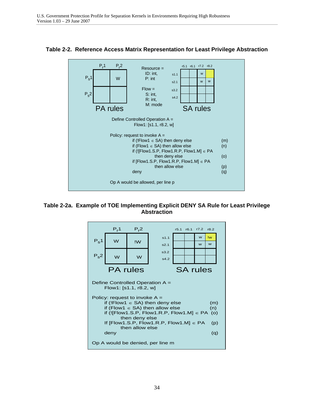

<span id="page-34-0"></span>**Table 2-2. Reference Access Matrix Representation for Least Privilege Abstraction** 

**Table 2-2a. Example of TOE Implementing Explicit DENY SA Rule for Least Privilege Abstraction** 

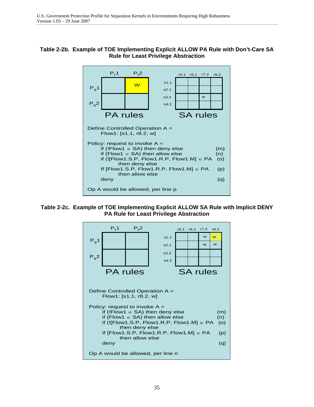#### <span id="page-35-0"></span>**Table 2-2b. Example of TOE Implementing Explicit ALLOW PA Rule with Don't-Care SA Rule for Least Privilege Abstraction**



**Table 2-2c. Example of TOE Implementing Explicit ALLOW SA Rule with Implicit DENY PA Rule for Least Privilege Abstraction** 

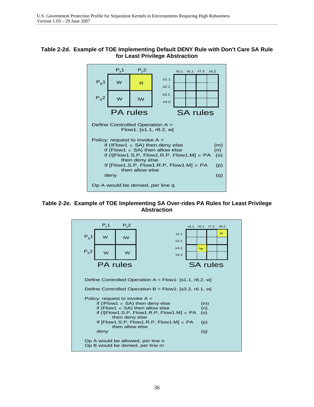#### **Table 2-2d. Example of TOE Implementing Default DENY Rule with Don't Care SA Rule for Least Privilege Abstraction**



**Table 2-2e. Example of TOE Implementing SA Over-rides PA Rules for Least Privilege Abstraction** 

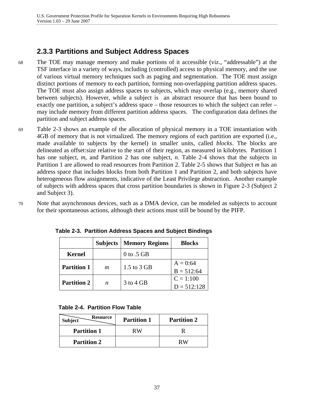### **2.3.3 Partitions and Subject Address Spaces**

68 The TOE may manage memory and make portions of it accessible (viz., "addressable") at the TSF interface in a variety of ways, including (controlled) access to physical memory, and the use of various virtual memory techniques such as paging and segmentation. The TOE must assign distinct portions of memory to each partition, forming non-overlapping partition address spaces. The TOE must also assign address spaces to subjects, which may overlap (e.g., memory shared between subjects). However, while a subject is an abstract resource that has been bound to exactly one partition, a subject's address space – those resources to which the subject can refer – may include memory from different partition address spaces. The configuration data defines the partition and subject address spaces.

- 69 Table 2-3 shows an example of the allocation of physical memory in a TOE instantiation with 4GB of memory that is not virtualized. The memory regions of each partition are exported (i.e., made available to subjects by the kernel) in smaller units, called *blocks*. The blocks are delineated as offset:size relative to the start of their region, as measured in kilobytes. Partition 1 has one subject, *m*, and Partition 2 has one subject, *n*. Table 2-4 shows that the subjects in Partition 1 are allowed to read resources from Partition 2. Table 2-5 shows that Subject *m* has an address space that includes blocks from both Partition 1 and Partition 2, and both subjects have heterogeneous flow assignments, indicative of the Least Privilege abstraction. Another example of subjects with address spaces that cross partition boundaries is shown in Figure 2-3 (Subject 2 and Subject 3).
- 70 Note that asynchronous devices, such as a DMA device, can be modeled as subjects to account for their spontaneous actions, although their actions must still be bound by the PIFP.

|                    | <b>Subjects</b> | <b>Memory Regions</b> | <b>Blocks</b>                |
|--------------------|-----------------|-----------------------|------------------------------|
| Kernel             |                 | 0 to .5 GB            |                              |
| <b>Partition 1</b> | m               | 1.5 to 3 GB           | $A = 0:64$<br>$B = 512:64$   |
| <b>Partition 2</b> | n               | $3$ to $4$ GB         | $C = 1:100$<br>$D = 512:128$ |

**Table 2-3. Partition Address Spaces and Subject Bindings** 

|  |  | <b>Table 2-4. Partition Flow Table</b> |
|--|--|----------------------------------------|
|--|--|----------------------------------------|

| <b>Resource</b><br>Subject | <b>Partition 1</b> | <b>Partition 2</b> |
|----------------------------|--------------------|--------------------|
| <b>Partition 1</b>         | RW                 |                    |
| <b>Partition 2</b>         |                    |                    |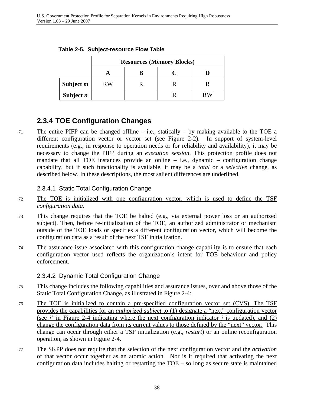|             | <b>Resources (Memory Blocks)</b> |  |  |    |
|-------------|----------------------------------|--|--|----|
|             |                                  |  |  |    |
| Subject $m$ | <b>RW</b>                        |  |  |    |
| Subject $n$ |                                  |  |  | RW |

 **Table 2-5. Subject-resource Flow Table** 

### **2.3.4 TOE Configuration Changes**

71 The entire PIFP can be changed offline – i.e., statically – by making available to the TOE a different configuration vector or vector set (see Figure 2-2). In support of system-level requirements (e.g., in response to operation needs or for reliability and availability), it may be necessary to change the PIFP during an *execution session*. This protection profile does not mandate that all TOE instances provide an online – i.e., dynamic – configuration change capability, but if such functionality is available, it may be a *total* or a *selective* change, as described below. In these descriptions, the most salient differences are underlined.

#### 2.3.4.1 Static Total Configuration Change

- 72 The TOE is initialized with one configuration vector, which is used to define the TSF *configuration data*.
- 73 This change requires that the TOE be halted (e.g., via external power loss or an authorized subject). Then, before re-initialization of the TOE, an authorized administrator or mechanism outside of the TOE loads or specifies a different configuration vector, which will become the configuration data as a result of the next TSF initialization.
- 74 The assurance issue associated with this configuration change capability is to ensure that each configuration vector used reflects the organization's intent for TOE behaviour and policy enforcement.

#### 2.3.4.2 Dynamic Total Configuration Change

- 75 This change includes the following capabilities and assurance issues, over and above those of the Static Total Configuration Change, as illustrated in Figure 2-4:
- 76 The TOE is initialized to contain a pre-specified configuration vector set (CVS). The TSF provides the capabilities for an *authorized subject* to (1) designate a "next" configuration vector (see *j'* in Figure 2-4 indicating where the next configuration indicator *j* is updated), and (2) change the configuration data from its current values to those defined by the "next" vector. This change can occur through either a TSF initialization (e.g., *restart*) or an online reconfiguration operation, as shown in Figure 2-4.
- 77 The SKPP does not require that the selection of the next configuration vector and the *activation* of that vector occur together as an atomic action. Nor is it required that activating the next configuration data includes halting or restarting the TOE – so long as secure state is maintained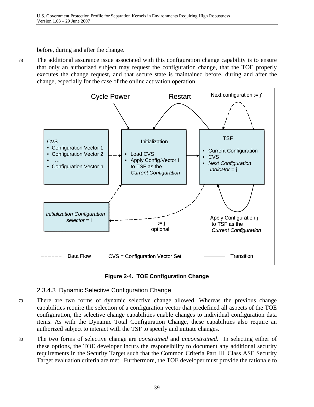before, during and after the change.

78 The additional assurance issue associated with this configuration change capability is to ensure that only an authorized subject may request the configuration change, that the TOE properly executes the change request, and that secure state is maintained before, during and after the change, especially for the case of the online activation operation.





#### 2.3.4.3 Dynamic Selective Configuration Change

- 79 There are two forms of dynamic selective change allowed. Whereas the previous change capabilities require the selection of a configuration vector that predefined all aspects of the TOE configuration, the selective change capabilities enable changes to individual configuration data items. As with the Dynamic Total Configuration Change, these capabilities also require an authorized subject to interact with the TSF to specify and initiate changes.
- 80 The two forms of selective change are *constrained* and *unconstrained*. In selecting either of these options, the TOE developer incurs the responsibility to document any additional security requirements in the Security Target such that the Common Criteria Part III, Class ASE Security Target evaluation criteria are met. Furthermore, the TOE developer must provide the rationale to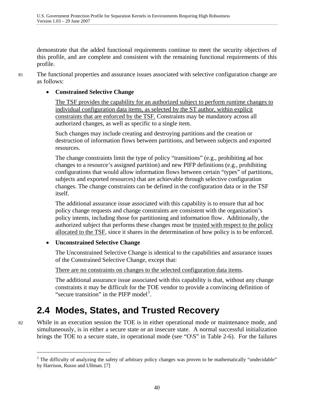demonstrate that the added functional requirements continue to meet the security objectives of this profile, and are complete and consistent with the remaining functional requirements of this profile.

81 The functional properties and assurance issues associated with selective configuration change are as follows:

#### • **Constrained Selective Change**

The TSF provides the capability for an authorized subject to perform runtime changes to individual configuration data items, as selected by the ST author, within explicit constraints that are enforced by the TSF. Constraints may be mandatory across all authorized changes, as well as specific to a single item.

Such changes may include creating and destroying partitions and the creation or destruction of information flows between partitions, and between subjects and exported resources.

The change constraints limit the type of policy "transitions" (e.g., prohibiting ad hoc changes to a resource's assigned partition) and new PIFP definitions (e.g., prohibiting configurations that would allow information flows between certain "types" of partitions, subjects and exported resources) that are achievable through selective configuration changes. The change constraints can be defined in the configuration data or in the TSF itself.

The additional assurance issue associated with this capability is to ensure that ad hoc policy change requests and change constraints are consistent with the organization's policy intents, including those for partitioning and information flow. Additionally, the authorized subject that performs these changes must be trusted with respect to the policy allocated to the TSF, since it shares in the determination of how policy is to be enforced.

#### • **Unconstrained Selective Change**

The Unconstrained Selective Change is identical to the capabilities and assurance issues of the Constrained Selective Change, except that:

There are no constraints on changes to the selected configuration data items.

The additional assurance issue associated with this capability is that, without any change constraints it may be difficult for the TOE vendor to provide a convincing definition of "secure transition" in the PIFP model<sup>[3](#page-40-0)</sup>.

## **2.4 Modes, States, and Trusted Recovery**

 $\overline{a}$ 

82 While in an execution session the TOE is in either operational mode or maintenance mode, and simultaneously, is in either a secure state or an insecure state. A normal successful initialization brings the TOE to a secure state, in operational mode (see "O\S" in Table 2-6). For the failures

<span id="page-40-0"></span> $3$  The difficulty of analyzing the safety of arbitrary policy changes was proven to be mathematically "undecidable" by Harrison, Russo and Ullman. [7]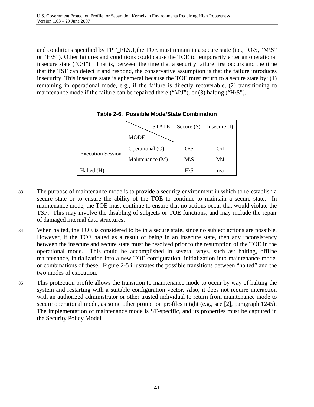and conditions specified by FPT\_FLS.1,the TOE must remain in a secure state (i.e., " $O\$ S, " $M\$ S"" or "H\S"). Other failures and conditions could cause the TOE to temporarily enter an operational insecure state (" $O(Y)$ "). That is, between the time that a security failure first occurs and the time that the TSF can detect it and respond, the conservative assumption is that the failure introduces insecurity. This insecure state is ephemeral because the TOE must return to a secure state by: (1) remaining in operational mode, e.g., if the failure is directly recoverable, (2) transitioning to maintenance mode if the failure can be repaired there (" $M\langle I''\rangle$ , or (3) halting (" $H\langle S''\rangle$ .

|                          | <b>STATE</b>    | Secure $(S)$   | Insecure $(I)$ |
|--------------------------|-----------------|----------------|----------------|
|                          | <b>MODE</b>     |                |                |
|                          | Operational (O) | $O\setminus S$ | $O\setminus I$ |
| <b>Execution Session</b> | Maintenance (M) | $M\setminus S$ | $M\setminus I$ |
| Halted (H)               |                 | $H\setminus S$ | n/a            |

**Table 2-6. Possible Mode/State Combination** 

- 83 The purpose of maintenance mode is to provide a security environment in which to re-establish a secure state or to ensure the ability of the TOE to continue to maintain a secure state. In maintenance mode, the TOE must continue to ensure that no actions occur that would violate the TSP. This may involve the disabling of subjects or TOE functions, and may include the repair of damaged internal data structures.
- 84 When halted, the TOE is considered to be in a secure state, since no subject actions are possible. However, if the TOE halted as a result of being in an insecure state, then any inconsistency between the insecure and secure state must be resolved prior to the resumption of the TOE in the operational mode. This could be accomplished in several ways, such as: halting, offline maintenance, initialization into a new TOE configuration, initialization into maintenance mode, or combinations of these. Figure 2-5 illustrates the possible transitions between "halted" and the two modes of execution.
- 85 This protection profile allows the transition to maintenance mode to occur by way of halting the system and restarting with a suitable configuration vector. Also, it does not require interaction with an authorized administrator or other trusted individual to return from maintenance mode to secure operational mode, as some other protection profiles might (e.g., see [2], paragraph 1245). The implementation of maintenance mode is ST-specific, and its properties must be captured in the Security Policy Model.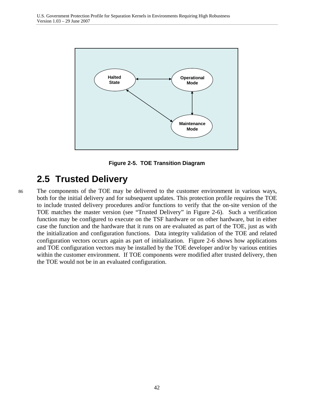

**Figure 2-5. TOE Transition Diagram** 

## **2.5 Trusted Delivery**

86 The components of the TOE may be delivered to the customer environment in various ways, both for the initial delivery and for subsequent updates. This protection profile requires the TOE to include trusted delivery procedures and/or functions to verify that the on-site version of the TOE matches the master version (see "Trusted Delivery" in Figure 2-6). Such a verification function may be configured to execute on the TSF hardware or on other hardware, but in either case the function and the hardware that it runs on are evaluated as part of the TOE, just as with the initialization and configuration functions. Data integrity validation of the TOE and related configuration vectors occurs again as part of initialization. Figure 2-6 shows how applications and TOE configuration vectors may be installed by the TOE developer and/or by various entities within the customer environment. If TOE components were modified after trusted delivery, then the TOE would not be in an evaluated configuration.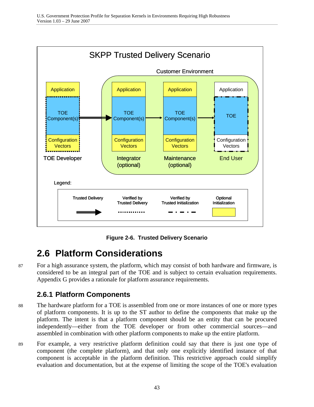

**Figure 2-6. Trusted Delivery Scenario** 

## **2.6 Platform Considerations**

87 For a high assurance system, the platform, which may consist of both hardware and firmware, is considered to be an integral part of the TOE and is subject to certain evaluation requirements. Appendix G provides a rationale for platform assurance requirements.

## **2.6.1 Platform Components**

- 88 The hardware platform for a TOE is assembled from one or more instances of one or more types of platform components. It is up to the ST author to define the components that make up the platform. The intent is that a platform component should be an entity that can be procured independently—either from the TOE developer or from other commercial sources—and assembled in combination with other platform components to make up the entire platform.
- 89 For example, a very restrictive platform definition could say that there is just one type of component (the complete platform), and that only one explicitly identified instance of that component is acceptable in the platform definition. This restrictive approach could simplify evaluation and documentation, but at the expense of limiting the scope of the TOE's evaluation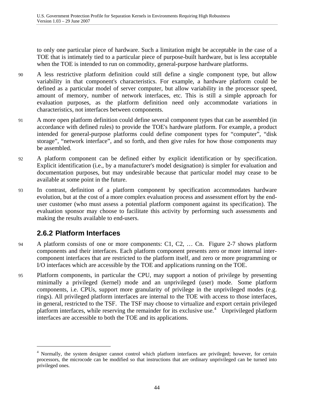to only one particular piece of hardware. Such a limitation might be acceptable in the case of a TOE that is intimately tied to a particular piece of purpose-built hardware, but is less acceptable when the TOE is intended to run on commodity, general-purpose hardware platforms.

- 90 A less restrictive platform definition could still define a single component type, but allow variability in that component's characteristics. For example, a hardware platform could be defined as a particular model of server computer, but allow variability in the processor speed, amount of memory, number of network interfaces, etc. This is still a simple approach for evaluation purposes, as the platform definition need only accommodate variations in characteristics, not interfaces between components.
- 91 A more open platform definition could define several component types that can be assembled (in accordance with defined rules) to provide the TOE's hardware platform. For example, a product intended for general-purpose platforms could define component types for "computer", "disk storage", "network interface", and so forth, and then give rules for how those components may be assembled.
- 92 A platform component can be defined either by explicit identification or by specification. Explicit identification (i.e., by a manufacturer's model designation) is simpler for evaluation and documentation purposes, but may undesirable because that particular model may cease to be available at some point in the future.
- 93 In contrast, definition of a platform component by specification accommodates hardware evolution, but at the cost of a more complex evaluation process and assessment effort by the enduser customer (who must assess a potential platform component against its specification). The evaluation sponsor may choose to facilitate this activity by performing such assessments and making the results available to end-users.

## **2.6.2 Platform Interfaces**

 $\overline{a}$ 

- 94 A platform consists of one or more components: C1, C2, … Cn. Figure 2-7 shows platform components and their interfaces. Each platform component presents zero or more internal intercomponent interfaces that are restricted to the platform itself, and zero or more programming or I/O interfaces which are accessible by the TOE and applications running on the TOE.
- 95 Platform components, in particular the CPU, may support a notion of privilege by presenting minimally a privileged (kernel) mode and an unprivileged (user) mode. Some platform components, i.e. CPUs, support more granularity of privilege in the unprivileged modes (e.g. rings). All privileged platform interfaces are internal to the TOE with access to those interfaces, in general, restricted to the TSF. The TSF may choose to virtualize and export certain privileged platform interfaces, while reserving the remainder for its exclusive use.<sup>[4](#page-44-0)</sup> Unprivileged platform interfaces are accessible to both the TOE and its applications.

<span id="page-44-0"></span><sup>&</sup>lt;sup>4</sup> Normally, the system designer cannot control which platform interfaces are privileged; however, for certain processors, the microcode can be modified so that instructions that are ordinary unprivileged can be turned into privileged ones.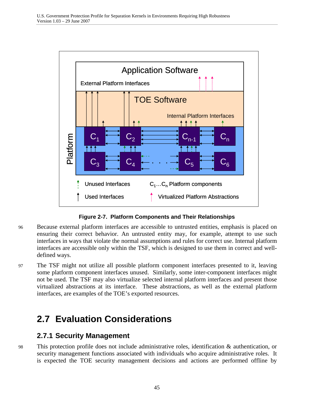

#### **Figure 2-7. Platform Components and Their Relationships**

- 96 Because external platform interfaces are accessible to untrusted entities, emphasis is placed on ensuring their correct behavior. An untrusted entity may, for example, attempt to use such interfaces in ways that violate the normal assumptions and rules for correct use. Internal platform interfaces are accessible only within the TSF, which is designed to use them in correct and welldefined ways.
- 97 The TSF might not utilize all possible platform component interfaces presented to it, leaving some platform component interfaces unused. Similarly, some inter-component interfaces might not be used. The TSF may also virtualize selected internal platform interfaces and present those virtualized abstractions at its interface. These abstractions, as well as the external platform interfaces, are examples of the TOE's exported resources.

## **2.7 Evaluation Considerations**

### **2.7.1 Security Management**

98 This protection profile does not include administrative roles, identification & authentication, or security management functions associated with individuals who acquire administrative roles. It is expected the TOE security management decisions and actions are performed offline by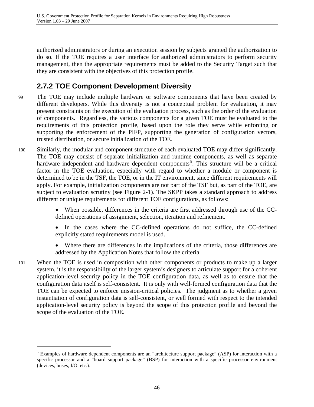authorized administrators or during an execution session by subjects granted the authorization to do so. If the TOE requires a user interface for authorized administrators to perform security management, then the appropriate requirements must be added to the Security Target such that they are consistent with the objectives of this protection profile.

## **2.7.2 TOE Component Development Diversity**

- 99 The TOE may include multiple hardware or software components that have been created by different developers. While this diversity is not a conceptual problem for evaluation, it may present constraints on the execution of the evaluation process, such as the order of the evaluation of components. Regardless, the various components for a given TOE must be evaluated to the requirements of this protection profile, based upon the role they serve while enforcing or supporting the enforcement of the PIFP, supporting the generation of configuration vectors, trusted distribution, or secure initialization of the TOE.
- 100 Similarly, the modular and component structure of each evaluated TOE may differ significantly. The TOE may consist of separate initialization and runtime components, as well as separate hardware independent and hardware dependent components<sup>[5](#page-46-0)</sup>. This structure will be a critical factor in the TOE evaluation, especially with regard to whether a module or component is determined to be in the TSF, the TOE, or in the IT environment, since different requirements will apply. For example, initialization components are not part of the TSF but, as part of the TOE, are subject to evaluation scrutiny (see Figure 2-1). The SKPP takes a standard approach to address different or unique requirements for different TOE configurations, as follows:
	- When possible, differences in the criteria are first addressed through use of the CCdefined operations of assignment, selection, iteration and refinement.
	- In the cases where the CC-defined operations do not suffice, the CC-defined explicitly stated requirements model is used.
	- Where there are differences in the implications of the criteria, those differences are addressed by the Application Notes that follow the criteria.
- 101 When the TOE is used in composition with other components or products to make up a larger system, it is the responsibility of the larger system's designers to articulate support for a coherent application-level security policy in the TOE configuration data, as well as to ensure that the configuration data itself is self-consistent. It is only with well-formed configuration data that the TOE can be expected to enforce mission-critical policies. The judgment as to whether a given instantiation of configuration data is self-consistent, or well formed with respect to the intended application-level security policy is beyond the scope of this protection profile and beyond the scope of the evaluation of the TOE.

 $\overline{a}$ 

<span id="page-46-0"></span><sup>&</sup>lt;sup>5</sup> Examples of hardware dependent components are an "architecture support package" (ASP) for interaction with a specific processor and a "board support package" (BSP) for interaction with a specific processor environment (devices, buses, I/O, etc.).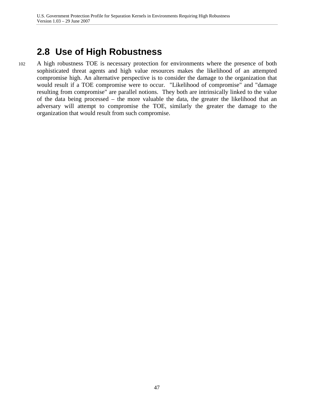## **2.8 Use of High Robustness**

102 A high robustness TOE is necessary protection for environments where the presence of both sophisticated threat agents and high value resources makes the likelihood of an attempted compromise high. An alternative perspective is to consider the damage to the organization that would result if a TOE compromise were to occur. "Likelihood of compromise" and "damage resulting from compromise" are parallel notions. They both are intrinsically linked to the value of the data being processed – the more valuable the data, the greater the likelihood that an adversary will attempt to compromise the TOE, similarly the greater the damage to the organization that would result from such compromise.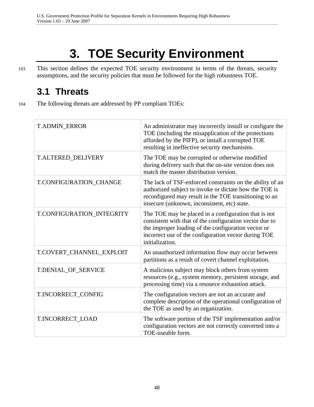# **3. TOE Security Environment**

103 This section defines the expected TOE security environment in terms of the threats, security assumptions, and the security policies that must be followed for the high robustness TOE.

## **3.1 Threats**

104 The following threats are addressed by PP compliant TOEs:

| <b>T.ADMIN ERROR</b>      | An administrator may incorrectly install or configure the<br>TOE (including the misapplication of the protections<br>afforded by the PIFP), or install a corrupted TOE<br>resulting in ineffective security mechanisms.                           |
|---------------------------|---------------------------------------------------------------------------------------------------------------------------------------------------------------------------------------------------------------------------------------------------|
| T.ALTERED_DELIVERY        | The TOE may be corrupted or otherwise modified<br>during delivery such that the on-site version does not<br>match the master distribution version.                                                                                                |
| T.CONFIGURATION_CHANGE    | The lack of TSF-enforced constraints on the ability of an<br>authorized subject to invoke or dictate how the TOE is<br>reconfigured may result in the TOE transitioning to an<br>insecure (unknown, inconsistent, etc) state.                     |
| T.CONFIGURATION_INTEGRITY | The TOE may be placed in a configuration that is not<br>consistent with that of the configuration vector due to<br>the improper loading of the configuration vector or<br>incorrect use of the configuration vector during TOE<br>initialization. |
| T.COVERT_CHANNEL_EXPLOIT  | An unauthorized information flow may occur between<br>partitions as a result of covert channel exploitation.                                                                                                                                      |
| T.DENIAL_OF_SERVICE       | A malicious subject may block others from system<br>resources (e.g., system memory, persistent storage, and<br>processing time) via a resource exhaustion attack.                                                                                 |
| T.INCORRECT_CONFIG        | The configuration vectors are not an accurate and<br>complete description of the operational configuration of<br>the TOE as used by an organization.                                                                                              |
| T.INCORRECT_LOAD          | The software portion of the TSF implementation and/or<br>configuration vectors are not correctly converted into a<br>TOE-useable form.                                                                                                            |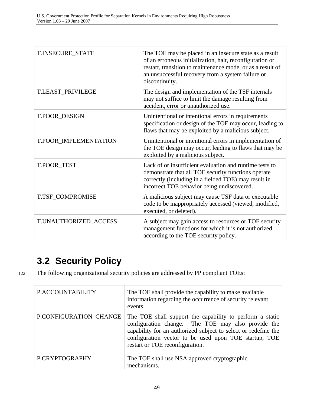| T.INSECURE_STATE      | The TOE may be placed in an insecure state as a result<br>of an erroneous initialization, halt, reconfiguration or<br>restart, transition to maintenance mode, or as a result of<br>an unsuccessful recovery from a system failure or<br>discontinuity. |
|-----------------------|---------------------------------------------------------------------------------------------------------------------------------------------------------------------------------------------------------------------------------------------------------|
| T.LEAST_PRIVILEGE     | The design and implementation of the TSF internals<br>may not suffice to limit the damage resulting from<br>accident, error or unauthorized use.                                                                                                        |
| T.POOR_DESIGN         | Unintentional or intentional errors in requirements<br>specification or design of the TOE may occur, leading to<br>flaws that may be exploited by a malicious subject.                                                                                  |
| T.POOR_IMPLEMENTATION | Unintentional or intentional errors in implementation of<br>the TOE design may occur, leading to flaws that may be<br>exploited by a malicious subject.                                                                                                 |
| T.POOR_TEST           | Lack of or insufficient evaluation and runtime tests to<br>demonstrate that all TOE security functions operate<br>correctly (including in a fielded TOE) may result in<br>incorrect TOE behavior being undiscovered.                                    |
| T.TSF_COMPROMISE      | A malicious subject may cause TSF data or executable<br>code to be inappropriately accessed (viewed, modified,<br>executed, or deleted).                                                                                                                |
| T.UNAUTHORIZED_ACCESS | A subject may gain access to resources or TOE security<br>management functions for which it is not authorized<br>according to the TOE security policy.                                                                                                  |

## **3.2 Security Policy**

122 The following organizational security policies are addressed by PP compliant TOEs:

| P.ACCOUNTABILITY       | The TOE shall provide the capability to make available<br>information regarding the occurrence of security relevant<br>events.                                                                                                                                               |
|------------------------|------------------------------------------------------------------------------------------------------------------------------------------------------------------------------------------------------------------------------------------------------------------------------|
| P.CONFIGURATION CHANGE | The TOE shall support the capability to perform a static<br>configuration change. The TOE may also provide the<br>capability for an authorized subject to select or redefine the<br>configuration vector to be used upon TOE startup, TOE<br>restart or TOE reconfiguration. |
| P.CRYPTOGRAPHY         | The TOE shall use NSA approved cryptographic<br>mechanisms.                                                                                                                                                                                                                  |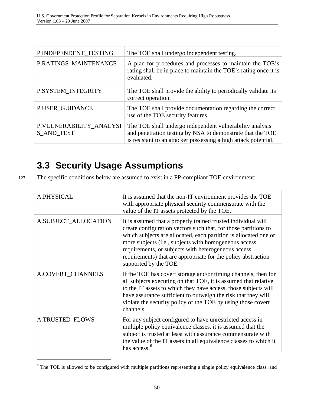| P.INDEPENDENT_TESTING                 | The TOE shall undergo independent testing.                                                                                                                                                |
|---------------------------------------|-------------------------------------------------------------------------------------------------------------------------------------------------------------------------------------------|
| P.RATINGS_MAINTENANCE                 | A plan for procedures and processes to maintain the TOE's<br>rating shall be in place to maintain the TOE's rating once it is<br>evaluated.                                               |
| P.SYSTEM_INTEGRITY                    | The TOE shall provide the ability to periodically validate its<br>correct operation.                                                                                                      |
| P.USER_GUIDANCE                       | The TOE shall provide documentation regarding the correct<br>use of the TOE security features.                                                                                            |
| P.VULNERABILITY ANALYSI<br>S_AND_TEST | The TOE shall undergo independent vulnerability analysis<br>and penetration testing by NSA to demonstrate that the TOE<br>is resistant to an attacker possessing a high attack potential. |

## **3.3 Security Usage Assumptions**

 $\overline{a}$ 

| 123 | The specific conditions below are assumed to exist in a PP-compliant TOE environment: |  |
|-----|---------------------------------------------------------------------------------------|--|
|     |                                                                                       |  |

| A.PHYSICAL           | It is assumed that the non-IT environment provides the TOE<br>with appropriate physical security commensurate with the<br>value of the IT assets protected by the TOE.                                                                                                                                                                                                                                         |
|----------------------|----------------------------------------------------------------------------------------------------------------------------------------------------------------------------------------------------------------------------------------------------------------------------------------------------------------------------------------------------------------------------------------------------------------|
| A.SUBJECT_ALLOCATION | It is assumed that a properly trained trusted individual will<br>create configuration vectors such that, for those partitions to<br>which subjects are allocated, each partition is allocated one or<br>more subjects (i.e., subjects with homogeneous access<br>requirements, or subjects with heterogeneous access<br>requirements) that are appropriate for the policy abstraction<br>supported by the TOE. |
| A.COVERT_CHANNELS    | If the TOE has covert storage and/or timing channels, then for<br>all subjects executing on that TOE, it is assumed that relative<br>to the IT assets to which they have access, those subjects will<br>have assurance sufficient to outweigh the risk that they will<br>violate the security policy of the TOE by using those covert<br>channels.                                                             |
| A.TRUSTED_FLOWS      | For any subject configured to have unrestricted access in<br>multiple policy equivalence classes, it is assumed that the<br>subject is trusted at least with assurance commensurate with<br>the value of the IT assets in all equivalence classes to which it<br>has access. <sup>6</sup>                                                                                                                      |

<span id="page-50-0"></span><sup>&</sup>lt;sup>6</sup> The TOE is allowed to be configured with multiple partitions representing a single policy equivalence class, and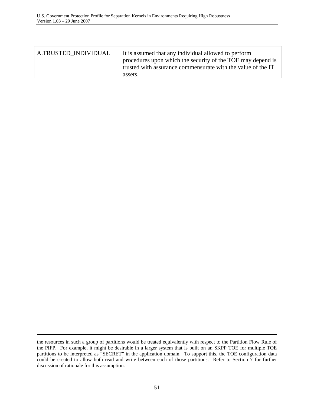| A.TRUSTED INDIVIDUAL | It is assumed that any individual allowed to perform<br>procedures upon which the security of the TOE may depend is<br>trusted with assurance commensurate with the value of the IT<br>assets. |
|----------------------|------------------------------------------------------------------------------------------------------------------------------------------------------------------------------------------------|
|----------------------|------------------------------------------------------------------------------------------------------------------------------------------------------------------------------------------------|

 $\overline{a}$ 

the resources in such a group of partitions would be treated equivalently with respect to the Partition Flow Rule of the PIFP. For example, it might be desirable in a larger system that is built on an SKPP TOE for multiple TOE partitions to be interpreted as "SECRET" in the application domain. To support this, the TOE configuration data could be created to allow both read and write between each of those partitions. Refer to Section 7 for further discussion of rationale for this assumption.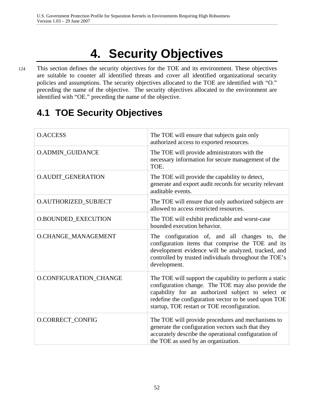# **4. Security Objectives**

- 
- 124 This section defines the security objectives for the TOE and its environment. These objectives are suitable to counter all identified threats and cover all identified organizational security policies and assumptions. The security objectives allocated to the TOE are identified with "O." preceding the name of the objective. The security objectives allocated to the environment are identified with "OE." preceding the name of the objective.

## **4.1 TOE Security Objectives**

| <b>O.ACCESS</b>            | The TOE will ensure that subjects gain only<br>authorized access to exported resources.                                                                                                                                                                                     |
|----------------------------|-----------------------------------------------------------------------------------------------------------------------------------------------------------------------------------------------------------------------------------------------------------------------------|
| O.ADMIN_GUIDANCE           | The TOE will provide administrators with the<br>necessary information for secure management of the<br>TOE.                                                                                                                                                                  |
| O.AUDIT_GENERATION         | The TOE will provide the capability to detect,<br>generate and export audit records for security relevant<br>auditable events.                                                                                                                                              |
| O.AUTHORIZED_SUBJECT       | The TOE will ensure that only authorized subjects are<br>allowed to access restricted resources.                                                                                                                                                                            |
| <b>O.BOUNDED EXECUTION</b> | The TOE will exhibit predictable and worst-case<br>bounded execution behavior.                                                                                                                                                                                              |
| O.CHANGE_MANAGEMENT        | The configuration of, and all changes to, the<br>configuration items that comprise the TOE and its<br>development evidence will be analyzed, tracked, and<br>controlled by trusted individuals throughout the TOE's<br>development.                                         |
| O.CONFIGURATION_CHANGE     | The TOE will support the capability to perform a static<br>configuration change. The TOE may also provide the<br>capability for an authorized subject to select or<br>redefine the configuration vector to be used upon TOE<br>startup, TOE restart or TOE reconfiguration. |
| O.CORRECT_CONFIG           | The TOE will provide procedures and mechanisms to<br>generate the configuration vectors such that they<br>accurately describe the operational configuration of<br>the TOE as used by an organization.                                                                       |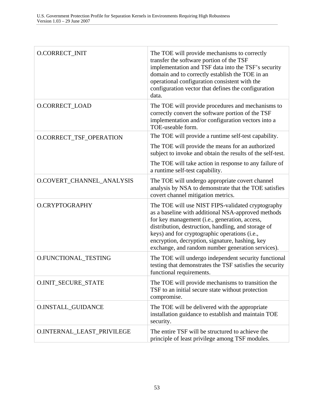| O.CORRECT_INIT             | The TOE will provide mechanisms to correctly<br>transfer the software portion of the TSF<br>implementation and TSF data into the TSF's security<br>domain and to correctly establish the TOE in an<br>operational configuration consistent with the<br>configuration vector that defines the configuration<br>data.                                                      |
|----------------------------|--------------------------------------------------------------------------------------------------------------------------------------------------------------------------------------------------------------------------------------------------------------------------------------------------------------------------------------------------------------------------|
| O.CORRECT_LOAD             | The TOE will provide procedures and mechanisms to<br>correctly convert the software portion of the TSF<br>implementation and/or configuration vectors into a<br>TOE-useable form.                                                                                                                                                                                        |
| O.CORRECT_TSF_OPERATION    | The TOE will provide a runtime self-test capability.                                                                                                                                                                                                                                                                                                                     |
|                            | The TOE will provide the means for an authorized<br>subject to invoke and obtain the results of the self-test.                                                                                                                                                                                                                                                           |
|                            | The TOE will take action in response to any failure of<br>a runtime self-test capability.                                                                                                                                                                                                                                                                                |
| O.COVERT_CHANNEL_ANALYSIS  | The TOE will undergo appropriate covert channel<br>analysis by NSA to demonstrate that the TOE satisfies<br>covert channel mitigation metrics.                                                                                                                                                                                                                           |
| O.CRYPTOGRAPHY             | The TOE will use NIST FIPS-validated cryptography<br>as a baseline with additional NSA-approved methods<br>for key management (i.e., generation, access,<br>distribution, destruction, handling, and storage of<br>keys) and for cryptographic operations (i.e.,<br>encryption, decryption, signature, hashing, key<br>exchange, and random number generation services). |
| O.FUNCTIONAL_TESTING       | The TOE will undergo independent security functional<br>testing that demonstrates the TSF satisfies the security<br>functional requirements.                                                                                                                                                                                                                             |
| <b>O.INIT_SECURE_STATE</b> | The TOE will provide mechanisms to transition the<br>TSF to an initial secure state without protection<br>compromise.                                                                                                                                                                                                                                                    |
| O.INSTALL_GUIDANCE         | The TOE will be delivered with the appropriate<br>installation guidance to establish and maintain TOE<br>security.                                                                                                                                                                                                                                                       |
| O.INTERNAL_LEAST_PRIVILEGE | The entire TSF will be structured to achieve the<br>principle of least privilege among TSF modules.                                                                                                                                                                                                                                                                      |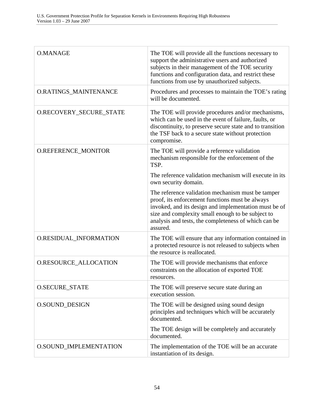| <b>O.MANAGE</b>         | The TOE will provide all the functions necessary to<br>support the administrative users and authorized<br>subjects in their management of the TOE security<br>functions and configuration data, and restrict these<br>functions from use by unauthorized subjects.                     |
|-------------------------|----------------------------------------------------------------------------------------------------------------------------------------------------------------------------------------------------------------------------------------------------------------------------------------|
| O.RATINGS_MAINTENANCE   | Procedures and processes to maintain the TOE's rating<br>will be documented.                                                                                                                                                                                                           |
| O.RECOVERY_SECURE_STATE | The TOE will provide procedures and/or mechanisms,<br>which can be used in the event of failure, faults, or<br>discontinuity, to preserve secure state and to transition<br>the TSF back to a secure state without protection<br>compromise.                                           |
| O.REFERENCE_MONITOR     | The TOE will provide a reference validation<br>mechanism responsible for the enforcement of the<br>TSP.                                                                                                                                                                                |
|                         | The reference validation mechanism will execute in its<br>own security domain.                                                                                                                                                                                                         |
|                         | The reference validation mechanism must be tamper<br>proof, its enforcement functions must be always<br>invoked, and its design and implementation must be of<br>size and complexity small enough to be subject to<br>analysis and tests, the completeness of which can be<br>assured. |
| O.RESIDUAL_INFORMATION  | The TOE will ensure that any information contained in<br>a protected resource is not released to subjects when<br>the resource is reallocated.                                                                                                                                         |
| O.RESOURCE_ALLOCATION   | The TOE will provide mechanisms that enforce<br>constraints on the allocation of exported TOE<br>resources.                                                                                                                                                                            |
| O.SECURE_STATE          | The TOE will preserve secure state during an<br>execution session.                                                                                                                                                                                                                     |
| O.SOUND_DESIGN          | The TOE will be designed using sound design<br>principles and techniques which will be accurately<br>documented.                                                                                                                                                                       |
|                         | The TOE design will be completely and accurately<br>documented.                                                                                                                                                                                                                        |
| O.SOUND_IMPLEMENTATION  | The implementation of the TOE will be an accurate<br>instantiation of its design.                                                                                                                                                                                                      |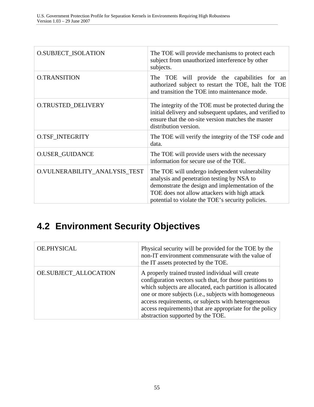| O.SUBJECT_ISOLATION           | The TOE will provide mechanisms to protect each<br>subject from unauthorized interference by other<br>subjects.                                                                                                                                        |
|-------------------------------|--------------------------------------------------------------------------------------------------------------------------------------------------------------------------------------------------------------------------------------------------------|
| <b>O.TRANSITION</b>           | The TOE will provide the capabilities for an<br>authorized subject to restart the TOE, halt the TOE<br>and transition the TOE into maintenance mode.                                                                                                   |
| O.TRUSTED_DELIVERY            | The integrity of the TOE must be protected during the<br>initial delivery and subsequent updates, and verified to<br>ensure that the on-site version matches the master<br>distribution version.                                                       |
| O.TSF_INTEGRITY               | The TOE will verify the integrity of the TSF code and<br>data.                                                                                                                                                                                         |
| O.USER_GUIDANCE               | The TOE will provide users with the necessary<br>information for secure use of the TOE.                                                                                                                                                                |
| O.VULNERABILITY_ANALYSIS_TEST | The TOE will undergo independent vulnerability<br>analysis and penetration testing by NSA to<br>demonstrate the design and implementation of the<br>TOE does not allow attackers with high attack<br>potential to violate the TOE's security policies. |

## **4.2 Environment Security Objectives**

| <b>OE.PHYSICAL</b>    | Physical security will be provided for the TOE by the<br>non-IT environment commensurate with the value of<br>the IT assets protected by the TOE.                                                                                                                                                                                                                                           |
|-----------------------|---------------------------------------------------------------------------------------------------------------------------------------------------------------------------------------------------------------------------------------------------------------------------------------------------------------------------------------------------------------------------------------------|
| OE.SUBJECT ALLOCATION | A properly trained trusted individual will create<br>configuration vectors such that, for those partitions to<br>which subjects are allocated, each partition is allocated<br>one or more subjects (i.e., subjects with homogeneous<br>access requirements, or subjects with heterogeneous<br>access requirements) that are appropriate for the policy<br>abstraction supported by the TOE. |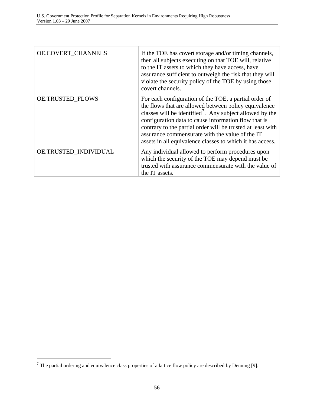| OE.COVERT_CHANNELS      | If the TOE has covert storage and/or timing channels,<br>then all subjects executing on that TOE will, relative<br>to the IT assets to which they have access, have<br>assurance sufficient to outweigh the risk that they will<br>violate the security policy of the TOE by using those<br>covert channels.                                                                                                                  |
|-------------------------|-------------------------------------------------------------------------------------------------------------------------------------------------------------------------------------------------------------------------------------------------------------------------------------------------------------------------------------------------------------------------------------------------------------------------------|
| <b>OE.TRUSTED FLOWS</b> | For each configuration of the TOE, a partial order of<br>the flows that are allowed between policy equivalence<br>classes will be identified <sup>7</sup> . Any subject allowed by the<br>configuration data to cause information flow that is<br>contrary to the partial order will be trusted at least with<br>assurance commensurate with the value of the IT<br>assets in all equivalence classes to which it has access. |
| OE.TRUSTED INDIVIDUAL   | Any individual allowed to perform procedures upon<br>which the security of the TOE may depend must be<br>trusted with assurance commensurate with the value of<br>the IT assets.                                                                                                                                                                                                                                              |

 $\overline{a}$ 

<span id="page-56-0"></span><sup>&</sup>lt;sup>7</sup> The partial ordering and equivalence class properties of a lattice flow policy are described by Denning [9].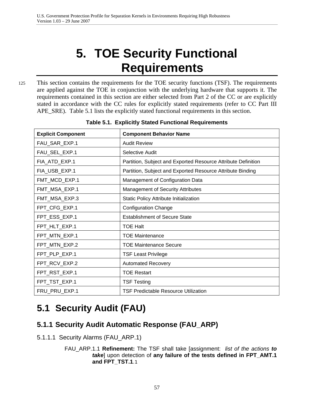# **5. TOE Security Functional Requirements**

125 This section contains the requirements for the TOE security functions (TSF). The requirements are applied against the TOE in conjunction with the underlying hardware that supports it. The requirements contained in this section are either selected from Part 2 of the CC or are explicitly stated in accordance with the CC rules for explicitly stated requirements (refer to CC Part III APE\_SRE). Table 5.1 lists the explicitly stated functional requirements in this section.

| <b>Explicit Component</b> | <b>Component Behavior Name</b>                                |
|---------------------------|---------------------------------------------------------------|
| FAU_SAR_EXP.1             | <b>Audit Review</b>                                           |
| FAU_SEL_EXP.1             | Selective Audit                                               |
| FIA_ATD_EXP.1             | Partition, Subject and Exported Resource Attribute Definition |
| FIA_USB_EXP.1             | Partition, Subject and Exported Resource Attribute Binding    |
| FMT_MCD_EXP.1             | Management of Configuration Data                              |
| FMT_MSA_EXP.1             | <b>Management of Security Attributes</b>                      |
| FMT_MSA_EXP.3             | <b>Static Policy Attribute Initialization</b>                 |
| FPT_CFG_EXP.1             | <b>Configuration Change</b>                                   |
| FPT_ESS_EXP.1             | <b>Establishment of Secure State</b>                          |
| FPT_HLT_EXP.1             | <b>TOE Halt</b>                                               |
| FPT_MTN_EXP.1             | <b>TOE Maintenance</b>                                        |
| FPT_MTN_EXP.2             | <b>TOE Maintenance Secure</b>                                 |
| FPT_PLP_EXP.1             | <b>TSF Least Privilege</b>                                    |
| FPT_RCV_EXP.2             | <b>Automated Recovery</b>                                     |
| FPT_RST_EXP.1             | <b>TOE Restart</b>                                            |
| FPT_TST_EXP.1             | <b>TSF Testing</b>                                            |
| FRU_PRU_EXP.1             | <b>TSF Predictable Resource Utilization</b>                   |

|  |  | <b>Table 5.1. Explicitly Stated Functional Requirements</b> |
|--|--|-------------------------------------------------------------|
|  |  |                                                             |

## **5.1 Security Audit (FAU)**

## **5.1.1 Security Audit Automatic Response (FAU\_ARP)**

5.1.1.1 Security Alarms (FAU\_ARP.1)

#### FAU\_ARP.1.1 **Refinement:** The TSF shall take [assignment: *list of the actions to take*] upon detection of **any failure of the tests defined in FPT\_AMT.1 and FPT\_TST.1**. 1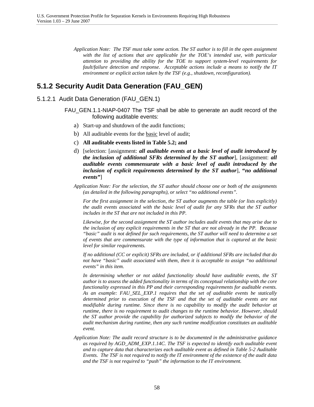*Application Note: The TSF must take some action. The ST author is to fill in the open assignment with the list of actions that are applicable for the TOE's intended use, with particular attention to providing the ability for the TOE to support system-level requirements for fault/failure detection and response. Acceptable actions include a means to notify the IT environment or explicit action taken by the TSF (e.g., shutdown, reconfiguration).* 

### **5.1.2 Security Audit Data Generation (FAU\_GEN)**

5.1.2.1 Audit Data Generation (FAU\_GEN.1)

FAU\_GEN.1.1-NIAP-0407 The TSF shall be able to generate an audit record of the following auditable events:

- a) Start-up and shutdown of the audit functions;
- b) All auditable events for the basic level of audit;
- c) **All auditable events listed in Table 5.2; and**
- d) [selection: [assignment: *all auditable events at a basic level of audit introduced by the inclusion of additional SFRs determined by the ST author*], [assignment: *all auditable events commensurate with a basic level of audit introduced by the inclusion of explicit requirements determined by the ST author*], **"***no additional events"*]
- *Application Note: For the selection, the ST author should choose one or both of the assignments (as detailed in the following paragraphs), or select "no additional events".*

*For the first assignment in the selection, the ST author augments the table (or lists explicitly) the audit events associated with the basic level of audit for any SFRs that the ST author includes in the ST that are not included in this PP.* 

*Likewise, for the second assignment the ST author includes audit events that may arise due to the inclusion of any explicit requirements in the ST that are not already in the PP. Because "basic" audit is not defined for such requirements, the ST author will need to determine a set of events that are commensurate with the type of information that is captured at the basic level for similar requirements.* 

*If no additional (CC or explicit) SFRs are included, or if additional SFRs are included that do not have "basic" audit associated with them, then it is acceptable to assign "no additional events" in this item.* 

*In determining whether or not added functionality should have auditable events, the ST author is to assess the added functionality in terms of its conceptual relationship with the core functionality expressed in this PP and their corresponding requirements for auditable events. As an example: FAU\_SEL\_EXP.1 requires that the set of auditable events be statically determined prior to execution of the TSF and that the set of auditable events are not modifiable during runtime. Since there is no capability to modify the audit behavior at runtime, there is no requirement to audit changes to the runtime behavior. However, should the ST author provide the capability for authorized subjects to modify the behavior of the audit mechanism during runtime, then any such runtime modification constitutes an auditable event.* 

*Application Note: The audit record structure is to be documented in the administrative guidance as required by AGD\_ADM\_EXP.1.14C. The TSF is expected to identify each auditable event and to capture data that characterizes each auditable event as defined in Table 5-2 Auditable Events. The TSF is not required to notify the IT environment of the existence of the audit data and the TSF is not required to "push" the information to the IT environment.*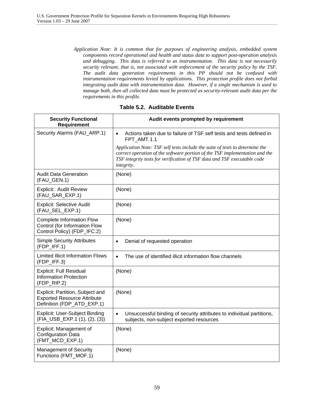*Application Note: It is common that for purposes of engineering analysis, embedded system components record operational and health and status data to support post-operation analysis and debugging. This data is referred to as instrumentation. This data is not necessarily security relevant, that is, not associated with enforcement of the security policy by the TSF. The audit data generation requirements in this PP should not be confused with instrumentation requirements levied by applications. This protection profile does not forbid integrating audit data with instrumentation data. However, if a single mechanism is used to manage both, then all collected data must be protected as security-relevant audit data per the requirements in this profile.* 

| <b>Security Functional</b><br><b>Requirement</b>                                                     | Audit events prompted by requirement                                                                                                                                                                                                                  |
|------------------------------------------------------------------------------------------------------|-------------------------------------------------------------------------------------------------------------------------------------------------------------------------------------------------------------------------------------------------------|
| Security Alarms (FAU_ARP.1)                                                                          | Actions taken due to failure of TSF self tests and tests defined in<br>$\bullet$<br>FPT_AMT.1.1                                                                                                                                                       |
|                                                                                                      | Application Note: TSF self tests include the suite of tests to determine the<br>correct operation of the software portion of the TSF implementation and the<br>TSF integrity tests for verification of TSF data and TSF executable code<br>integrity. |
| <b>Audit Data Generation</b><br>(FAU_GEN.1)                                                          | (None)                                                                                                                                                                                                                                                |
| Explicit: Audit Review<br>(FAU_SAR_EXP.1)                                                            | (None)                                                                                                                                                                                                                                                |
| <b>Explicit: Selective Audit</b><br>(FAU_SEL_EXP.1)                                                  | (None)                                                                                                                                                                                                                                                |
| <b>Complete Information Flow</b><br>Control (for Information Flow<br>Control Policy) (FDP_IFC.2)     | (None)                                                                                                                                                                                                                                                |
| <b>Simple Security Attributes</b><br>$(FDP_IFF.1)$                                                   | Denial of requested operation<br>$\bullet$                                                                                                                                                                                                            |
| <b>Limited Illicit Information Flows</b><br>(FDP_IFF.3)                                              | The use of identified illicit information flow channels<br>$\bullet$                                                                                                                                                                                  |
| <b>Explicit: Full Residual</b><br><b>Information Protection</b><br>(FDP_RIP.2)                       | (None)                                                                                                                                                                                                                                                |
| Explicit: Partition, Subject and<br><b>Exported Resource Attribute</b><br>Definition (FDP_ATD_EXP.1) | (None)                                                                                                                                                                                                                                                |
| <b>Explicit: User-Subject Binding</b><br>(FIA_USB_EXP.1 (1), (2), (3))                               | Unsuccessful binding of security attributes to individual partitions,<br>$\bullet$<br>subjects, non-subject exported resources                                                                                                                        |
| Explicit: Management of<br><b>Configuration Data</b><br>(FMT_MCD_EXP.1)                              | (None)                                                                                                                                                                                                                                                |
| <b>Management of Security</b><br>Functions (FMT_MOF.1)                                               | (None)                                                                                                                                                                                                                                                |

#### **Table 5.2. Auditable Events**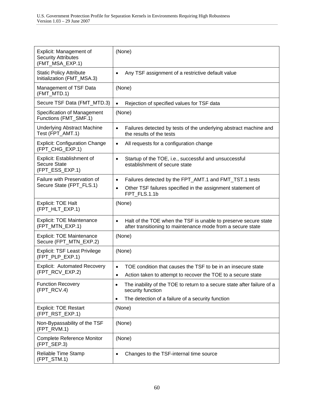| Explicit: Management of<br><b>Security Attributes</b><br>(FMT_MSA_EXP.1) | (None)                                                                                                                                                          |
|--------------------------------------------------------------------------|-----------------------------------------------------------------------------------------------------------------------------------------------------------------|
| <b>Static Policy Attribute</b><br>Initialization (FMT_MSA.3)             | Any TSF assignment of a restrictive default value<br>$\bullet$                                                                                                  |
| Management of TSF Data<br>(FMT_MTD.1)                                    | (None)                                                                                                                                                          |
| Secure TSF Data (FMT_MTD.3)                                              | Rejection of specified values for TSF data<br>$\bullet$                                                                                                         |
| Specification of Management<br>Functions (FMT_SMF.1)                     | (None)                                                                                                                                                          |
| <b>Underlying Abstract Machine</b><br>Test (FPT_AMT.1)                   | Failures detected by tests of the underlying abstract machine and<br>$\bullet$<br>the results of the tests                                                      |
| <b>Explicit: Configuration Change</b><br>(FPT_CHG_EXP.1)                 | All requests for a configuration change<br>$\bullet$                                                                                                            |
| Explicit: Establishment of<br><b>Secure State</b><br>(FPT_ESS_EXP.1)     | Startup of the TOE, i.e., successful and unsuccessful<br>$\bullet$<br>establishment of secure state                                                             |
| Failure with Preservation of<br>Secure State (FPT_FLS.1)                 | Failures detected by the FPT_AMT.1 and FMT_TST.1 tests<br>$\bullet$<br>Other TSF failures specified in the assignment statement of<br>$\bullet$<br>FPT_FLS.1.1b |
| Explicit: TOE Halt<br>(FPT_HLT_EXP.1)                                    | (None)                                                                                                                                                          |
| <b>Explicit: TOE Maintenance</b><br>(FPT_MTN_EXP.1)                      | Halt of the TOE when the TSF is unable to preserve secure state<br>$\bullet$<br>after transitioning to maintenance mode from a secure state                     |
| <b>Explicit: TOE Maintenance</b><br>Secure (FPT_MTN_EXP.2)               | (None)                                                                                                                                                          |
| <b>Explicit: TSF Least Privilege</b><br>(FPT_PLP_EXP.1)                  | (None)                                                                                                                                                          |
| <b>Explicit: Automated Recovery</b><br>(FPT_RCV_EXP.2)                   | TOE condition that causes the TSF to be in an insecure state<br>Action taken to attempt to recover the TOE to a secure state<br>$\bullet$                       |
| <b>Function Recovery</b><br>(FPT_RCV.4)                                  | The inability of the TOE to return to a secure state after failure of a<br>$\bullet$<br>security function                                                       |
|                                                                          | The detection of a failure of a security function<br>٠                                                                                                          |
| <b>Explicit: TOE Restart</b><br>(FPT_RST_EXP.1)                          | (None)                                                                                                                                                          |
| Non-Bypassability of the TSF<br>(FPT_RVM.1)                              | (None)                                                                                                                                                          |
| Complete Reference Monitor<br>(FPT_SEP.3)                                | (None)                                                                                                                                                          |
| Reliable Time Stamp<br>(FPT_STM.1)                                       | Changes to the TSF-internal time source<br>$\bullet$                                                                                                            |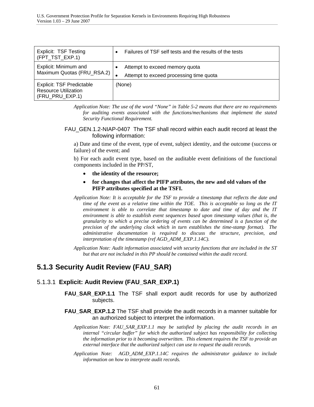| <b>Explicit: TSF Testing</b><br>(FPT_TST_EXP.1)                                    | Failures of TSF self tests and the results of the tests                        |
|------------------------------------------------------------------------------------|--------------------------------------------------------------------------------|
| Explicit: Minimum and<br>Maximum Quotas (FRU_RSA.2)                                | Attempt to exceed memory quota<br>٠<br>Attempt to exceed processing time quota |
| <b>Explicit: TSF Predictable</b><br><b>Resource Utilization</b><br>(FRU_PRU_EXP.1) | (None)                                                                         |

*Application Note: The use of the word "None" in Table 5-2 means that there are no requirements for auditing events associated with the functions/mechanisms that implement the stated Security Functional Requirement.* 

FAU\_GEN.1.2-NIAP-0407 The TSF shall record within each audit record at least the following information:

a) Date and time of the event, type of event, subject identity, and the outcome (success or failure) of the event; and

b) For each audit event type, based on the auditable event definitions of the functional components included in the PP/ST,

- **the identity of the resource;**
- **for changes that affect the PIFP attributes, the new and old values of the PIFP attributes specified at the TSFI.**
- *Application Note: It is acceptable for the TSF to provide a timestamp that reflects the date and time of the event as a relative time within the TOE. This is acceptable so long as the IT environment is able to correlate that timestamp to date and time of day and the IT environment is able to establish event sequences based upon timestamp values (that is, the granularity to which a precise ordering of events can be determined is a function of the precision of the underlying clock which in turn establishes the time-stamp format). The administrative documentation is required to discuss the structure, precision, and interpretation of the timestamp (ref AGD\_ADM\_EXP.1.14C).*

*Application Note: Audit information associated with security functions that are included in the ST but that are not included in this PP should be contained within the audit record.* 

### **5.1.3 Security Audit Review (FAU\_SAR)**

#### 5.1.3.1 **Explicit: Audit Review (FAU\_SAR\_EXP.1)**

- **FAU\_SAR\_EXP.1.1** The TSF shall export audit records for use by authorized subjects.
- **FAU\_SAR\_EXP.1.2** The TSF shall provide the audit records in a manner suitable for an authorized subject to interpret the information.
	- *Application Note: FAU\_SAR\_EXP.1.1 may be satisfied by placing the audit records in an internal "circular buffer" for which the authorized subject has responsibility for collecting the information prior to it becoming overwritten. This element requires the TSF to provide an external interface that the authorized subject can use to request the audit records.*
	- *Application Note: AGD\_ADM\_EXP.1.14C requires the administrator guidance to include information on how to interprete audit records.*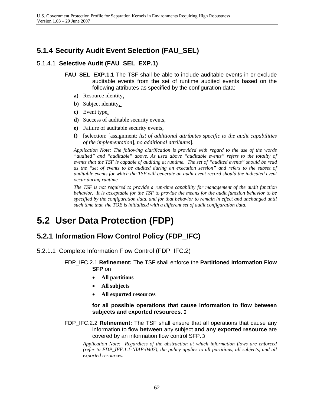## **5.1.4 Security Audit Event Selection (FAU\_SEL)**

#### 5.1.4.1 **Selective Audit (FAU\_SEL\_EXP.1)**

- **FAU SEL EXP.1.1** The TSF shall be able to include auditable events in or exclude auditable events from the set of runtime audited events based on the following attributes as specified by the configuration data:
	- **a)** Resource identity,
	- **b)** Subject identity,
	- **c)** Event type,
	- **d)** Success of auditable security events,
	- **e)** Failure of auditable security events,
	- **f)** [selection: [assignment: *list of additional attributes specific to the audit capabilities of the implementation*], *no additional attributes*].

*Application Note: The following clarification is provided with regard to the use of the words "audited" and "auditable" above. As used above "auditable events" refers to the totality of events that the TSF is capable of auditing at runtime. The set of "audited events" should be read as the "set of events to be audited during an execution session" and refers to the subset of auditable events for which the TSF will generate an audit event record should the indicated event occur during runtime.* 

*The TSF is not required to provide a run-time capability for management of the audit function behavior. It is acceptable for the TSF to provide the means for the audit function behavior to be specified by the configuration data, and for that behavior to remain in effect and unchanged until such time that the TOE is initialized with a different set of audit configuration data.* 

## **5.2 User Data Protection (FDP)**

### **5.2.1 Information Flow Control Policy (FDP\_IFC)**

5.2.1.1 Complete Information Flow Control (FDP\_IFC.2)

#### FDP\_IFC.2.1 **Refinement:** The TSF shall enforce the **Partitioned Information Flow SFP** on

- **All partitions**
- **All subjects**
- **All exported resources**

#### **for all possible operations that cause information to flow between subjects and exported resources**. 2

FDP\_IFC.2.2 **Refinement:** The TSF shall ensure that all operations that cause any information to flow **between** any subject **and any exported resource** are covered by an information flow control SFP. 3

*Application Note: Regardless of the abstraction at which information flows are enforced (refer to FDP\_IFF.1.1-NIAP-0407), the policy applies to all partitions, all subjects, and all exported resources.*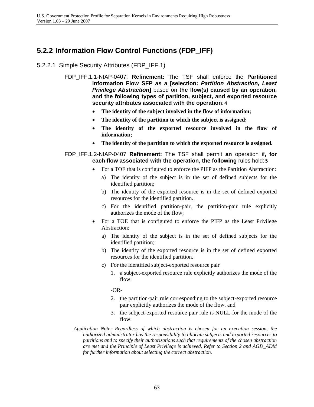## **5.2.2 Information Flow Control Functions (FDP\_IFF)**

#### 5.2.2.1 Simple Security Attributes (FDP\_IFF.1)

FDP\_IFF.1.1-NIAP-0407: **Refinement:** The TSF shall enforce the **Partitioned Information Flow SFP as a [selection:** *Partition Abstraction, Least Privilege Abstraction***]** based on **the flow(s) caused by an operation, and the following types of partition, subject, and exported resource security attributes associated with the operation**: 4

- **The identity of the subject involved in the flow of information;**
- **The identity of the partition to which the subject is assigned;**
- **The identity of the exported resource involved in the flow of information;**
- **The identity of the partition to which the exported resource is assigned.**

#### FDP\_IFF.1.2-NIAP-0407 **Refinement:** The TSF shall permit **an** operation if**, for each flow associated with the operation, the following** rules hold: 5

- For a TOE that is configured to enforce the PIFP as the Partition Abstraction:
	- a) The identity of the subject is in the set of defined subjects for the identified partition;
	- b) The identity of the exported resource is in the set of defined exported resources for the identified partition.
	- c) For the identified partition-pair, the partition-pair rule explicitly authorizes the mode of the flow;
- For a TOE that is configured to enforce the PIFP as the Least Privilege Abstraction:
	- a) The identity of the subject is in the set of defined subjects for the identified partition;
	- b) The identity of the exported resource is in the set of defined exported resources for the identified partition.
	- c) For the identified subject-exported resource pair
		- 1. a subject-exported resource rule explicitly authorizes the mode of the flow;

 $-OR-$ 

- 2. the partition-pair rule corresponding to the subject-exported resource pair explicitly authorizes the mode of the flow, and
- 3. the subject-exported resource pair rule is NULL for the mode of the flow.
- *Application Note: Regardless of which abstraction is chosen for an execution session, the authorized administrator has the responsibility to allocate subjects and exported resources to partitions and to specify their authorizations such that requirements of the chosen abstraction are met and the Principle of Least Privilege is achieved. Refer to Section 2 and AGD\_ADM for further information about selecting the correct abstraction.*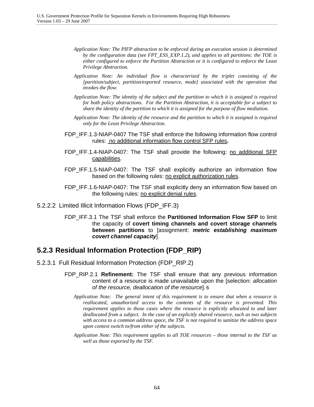- *Application Note: The PIFP abstraction to be enforced during an execution session is determined by the configuration data (see FPT\_ESS\_EXP.1.2), and applies to all partitions: the TOE is either configured to enforce the Partition Abstraction or it is configured to enforce the Least Privilege Abstraction.*
- *Application Note: An individual flow is characterized by the triplet consisting of the [partition/subject, partition/exported resource, mode] associated with the operation that invokes the flow.*
- *Application Note: The identity of the subject and the partition to which it is assigned is required for both policy abstractions. For the Partition Abstraction, it is acceptable for a subject to share the identity of the partition to which it is assigned for the purpose of flow mediation.*
- *Application Note: The identity of the resource and the partition to which it is assigned is required only for the Least Privilege Abstraction.*
- FDP\_IFF.1.3-NIAP-0407 The TSF shall enforce the following information flow control rules: no additional information flow control SFP rules**.**
- FDP\_IFF.1.4-NIAP-0407: The TSF shall provide the following: no additional SFP capabilities.
- FDP\_IFF.1.5-NIAP-0407: The TSF shall explicitly authorize an information flow based on the following rules: no explicit authorization rules.
- FDP IFF.1.6-NIAP-0407: The TSF shall explicitly deny an information flow based on the following rules: no explicit denial rules.
- 5.2.2.2 Limited Illicit Information Flows (FDP\_IFF.3)
	- FDP\_IFF.3.1 The TSF shall enforce the **Partitioned Information Flow SFP** to limit the capacity of **covert timing channels and covert storage channels between partitions** to [assignment: *metric establishing maximum covert channel capacity*].

#### **5.2.3 Residual Information Protection (FDP\_RIP)**

- 5.2.3.1 Full Residual Information Protection (FDP\_RIP.2)
	- FDP\_RIP.2.1 **Refinement:** The TSF shall ensure that any previous information content of a resource is made unavailable upon the [selection: *allocation of the resource, deallocation of the resource*]. 6
		- *Application Note: The general intent of this requirement is to ensure that when a resource is reallocated, unauthorized access to the contents of the resource is prevented. This requirement applies to those cases where the resource is explicitly allocated to and later deallocated from a subject. In the case of an explicitly shared resource, such as two subjects with access to a common address space, the TSF is not required to sanitize the address space upon context switch to/from either of the subjects.*
		- *Application Note: This requirement applies to all TOE resources those internal to the TSF as well as those exported by the TSF.*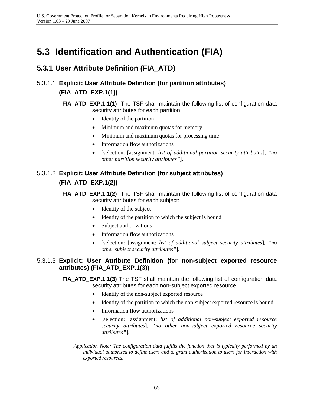## **5.3 Identification and Authentication (FIA)**

## **5.3.1 User Attribute Definition (FIA\_ATD)**

## 5.3.1.1 **Explicit: User Attribute Definition (for partition attributes) (FIA\_ATD\_EXP.1(1))**

#### **FIA\_ATD\_EXP.1.1(1)** The TSF shall maintain the following list of configuration data security attributes for each partition:

- Identity of the partition
- Minimum and maximum quotas for memory
- Minimum and maximum quotas for processing time
- Information flow authorizations
- [selection: [assignment: *list of additional partition security attributes*], *"no other partition security attributes"*].

### 5.3.1.2 **Explicit: User Attribute Definition (for subject attributes) (FIA\_ATD\_EXP.1(2))**

**FIA\_ATD\_EXP.1.1(2)** The TSF shall maintain the following list of configuration data security attributes for each subject:

- Identity of the subject
- Identity of the partition to which the subject is bound
- Subject authorizations
- Information flow authorizations
- [selection: [assignment: *list of additional subject security attributes*], *"no other subject security attributes"*].

#### 5.3.1.3 **Explicit: User Attribute Definition (for non-subject exported resource attributes) (FIA\_ATD\_EXP.1(3))**

**FIA ATD EXP.1.1(3)** The TSF shall maintain the following list of configuration data security attributes for each non-subject exported resource:

- Identity of the non-subject exported resource
- Identity of the partition to which the non-subject exported resource is bound
- Information flow authorizations
- [selection: [assignment: *list of additional non-subject exported resource security attributes*], *"no other non-subject exported resource security attributes"*].

*Application Note: The configuration data fulfills the function that is typically performed by an individual authorized to define users and to grant authorization to users for interaction with exported resources.*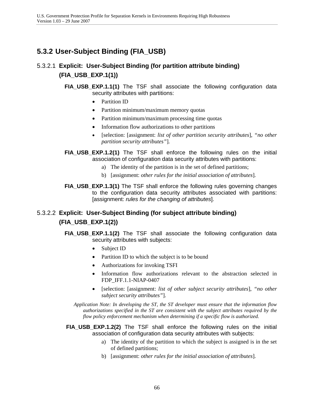## **5.3.2 User-Subject Binding (FIA\_USB)**

### 5.3.2.1 **Explicit: User-Subject Binding (for partition attribute binding) (FIA\_USB\_EXP.1(1))**

**FIA\_USB\_EXP.1.1(1)** The TSF shall associate the following configuration data security attributes with partitions:

- Partition ID
- Partition minimum/maximum memory quotas
- Partition minimum/maximum processing time quotas
- Information flow authorizations to other partitions
- [selection: [assignment: *list of other partition security attributes*], *"no other partition security attributes"*].
- **FIA\_USB\_EXP.1.2(1)** The TSF shall enforce the following rules on the initial association of configuration data security attributes with partitions:
	- a) The identity of the partition is in the set of defined partitions;
	- b) [assignment: *other rules for the initial association of attributes*].
- **FIA\_USB\_EXP.1.3(1)** The TSF shall enforce the following rules governing changes to the configuration data security attributes associated with partitions: [assignment: *rules for the changing of attributes*].

### 5.3.2.2 **Explicit: User-Subject Binding (for subject attribute binding) (FIA\_USB\_EXP.1(2))**

**FIA\_USB\_EXP.1.1(2)** The TSF shall associate the following configuration data security attributes with subjects:

- Subject ID
- Partition ID to which the subject is to be bound
- Authorizations for invoking TSFI
- Information flow authorizations relevant to the abstraction selected in FDP\_IFF.1.1-NIAP-0407
- [selection: [assignment: *list of other subject security attributes*], *"no other subject security attributes"*].

*Application Note: In developing the ST, the ST developer must ensure that the information flow authorizations specified in the ST are consistent with the subject attributes required by the flow policy enforcement mechanism when determining if a specific flow is authorized.* 

#### **FIA\_USB\_EXP.1.2(2)** The TSF shall enforce the following rules on the initial association of configuration data security attributes with subjects:

- a) The identity of the partition to which the subject is assigned is in the set of defined partitions;
- b) [assignment: *other rules for the initial association of attributes*].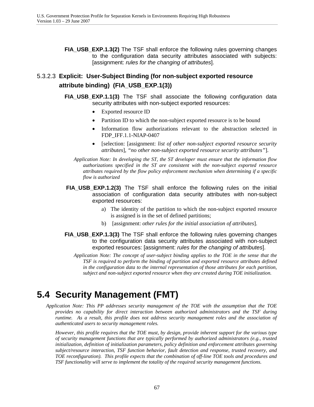**FIA\_USB\_EXP.1.3(2)** The TSF shall enforce the following rules governing changes to the configuration data security attributes associated with subjects: [assignment: *rules for the changing of attributes*].

### 5.3.2.3 **Explicit: User-Subject Binding (for non-subject exported resource attribute binding) (FIA\_USB\_EXP.1(3))**

**FIA\_USB\_EXP.1.1(3)** The TSF shall associate the following configuration data security attributes with non-subject exported resources:

- Exported resource ID
- Partition ID to which the non-subject exported resource is to be bound
- Information flow authorizations relevant to the abstraction selected in FDP\_IFF.1.1-NIAP-0407
- [selection: [assignment: *list of other non-subject exported resource security attributes*], *"no other non-subject exported resource security attributes"*].
- *Application Note: In developing the ST, the ST developer must ensure that the information flow authorizations specified in the ST are consistent with the non-subject exported resource attributes required by the flow policy enforcement mechanism when determining if a specific flow is authorized*
- **FIA\_USB\_EXP.1.2(3)** The TSF shall enforce the following rules on the initial association of configuration data security attributes with non-subject exported resources:
	- a) The identity of the partition to which the non-subject exported resource is assigned is in the set of defined partitions;
	- b) [assignment: *other rules for the initial association of attributes*].
- **FIA\_USB\_EXP.1.3(3)** The TSF shall enforce the following rules governing changes to the configuration data security attributes associated with non-subject exported resources: [assignment: *rules for the changing of attributes*].

*Application Note: The concept of user-subject binding applies to the TOE in the sense that the TSF is required to perform the binding of partition and exported resource attributes defined in the configuration data to the internal representation of those attributes for each partition, subject and non-subject exported resource when they are created during TOE initialization.* 

## **5.4 Security Management (FMT)**

*Application Note: This PP addresses security management of the TOE with the assumption that the TOE provides no capability for direct interaction between authorized administrators and the TSF during runtime. As a result, this profile does not address security management roles and the association of authenticated users to security management roles.* 

*However, this profile requires that the TOE must, by design, provide inherent support for the various type of security management functions that are typically performed by authorized administrators (e.g., trusted initialization, definition of initialization parameters, policy definition and enforcement attributes governing subject/resource interaction, TSF function behavior, fault detection and response, trusted recovery, and TOE reconfiguration). This profile expects that the combination of off-line TOE tools and procedures and TSF functionality will serve to implement the totality of the required security management functions.*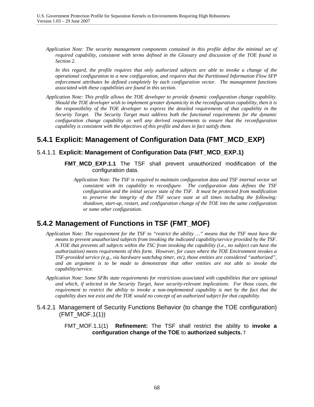*Application Note: The security management components contained in this profile define the minimal set of required capability, consistent with terms defined in the Glossary and discussion of the TOE found in Section 2.* 

*In this regard, the profile requires that only authorized subjects are able to invoke a change of the operational configuration to a new configuration, and requires that the Partitioned Information Flow SFP enforcement attributes be defined completely by each configuration vector. The management functions associated with these capabilities are found in this section.* 

*Application Note: This profile allows the TOE developer to provide dynamic configuration change capability. Should the TOE developer wish to implement greater dynamicity in the reconfiguration capability, then it is the responsibility of the TOE developer to express the detailed requirements of that capability in the Security Target. The Security Target must address both the functional requirements for the dynamic configuration change capability as well any derived requirements to ensure that the reconfiguration capability is consistent with the objectives of this profile and does in fact satisfy them.* 

### **5.4.1 Explicit: Management of Configuration Data (FMT\_MCD\_EXP)**

#### 5.4.1.1 **Explicit: Management of Configuration Data (FMT\_MCD\_EXP.1)**

**FMT\_MCD\_EXP.1.1** The TSF shall prevent unauthorized modification of the configuration data.

*Application Note: The TSF is required to maintain configuration data and TSF internal vector set consistent with its capability to reconfigure. The configuration data defines the TSF configuration and the initial secure state of the TSF. It must be protected from modification to preserve the integrity of the TSF secure state at all times including the following: shutdown, start-up, restart, and configuration change of the TOE into the same configuration or some other configuration.* 

### **5.4.2 Management of Functions in TSF (FMT\_MOF)**

- *Application Note: The requirement for the TSF to "restrict the ability …" means that the TSF must have the means to prevent unauthorized subjects from invoking the indicated capability/service provided by the TSF. A TOE that prevents all subjects within the TSC from invoking the capability (i.e., no subject can have the authorization) meets requirements of this form. However, for cases where the TOE Environment invokes a TSF-provided service (e.g., via hardware watchdog timer, etc), those entities are considered "authorized", and an argument is to be made to demonstrate that other entities are not able to invoke the capability/service.*
- *Application Note: Some SFRs state requirements for restrictions associated with capabilities that are optional and which, if selected in the Security Target, have security-relevant implications. For those cases, the requirement to restrict the ability to invoke a non-implemented capability is met by the fact that the capability does not exist and the TOE would no concept of an authorized subject for that capability.*
- 5.4.2.1 Management of Security Functions Behavior (to change the TOE configuration)  $(FMTMOF.1(1))$

FMT\_MOF.1.1(1) **Refinement:** The TSF shall restrict the ability to **invoke a configuration change of the TOE** to **authorized subjects.** 7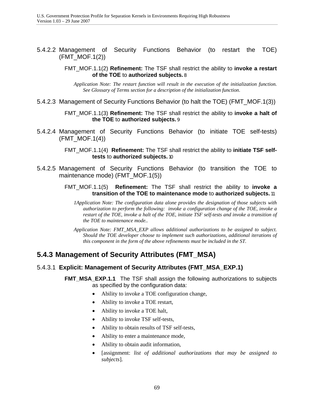5.4.2.2 Management of Security Functions Behavior (to restart the TOE) (FMT\_MOF.1(2))

#### FMT\_MOF.1.1(2) **Refinement:** The TSF shall restrict the ability to **invoke a restart of the TOE** to **authorized subjects.** 8

*Application Note: The restart function will result in the execution of the initialization function. See Glossary of Terms section for a description of the initialization function.* 

5.4.2.3 Management of Security Functions Behavior (to halt the TOE) (FMT\_MOF.1(3))

#### FMT\_MOF.1.1(3) **Refinement:** The TSF shall restrict the ability to **invoke a halt of the TOE** to **authorized subjects.** 9

5.4.2.4 Management of Security Functions Behavior (to initiate TOE self-tests)  $(FMTMOF.1(4))$ 

> FMT\_MOF.1.1(4) **Refinement:** The TSF shall restrict the ability to **initiate TSF selftests** to **authorized subjects.** 10

- 5.4.2.5 Management of Security Functions Behavior (to transition the TOE to maintenance mode) (FMT\_MOF.1(5))
	- FMT\_MOF.1.1(5) **Refinement:** The TSF shall restrict the ability to **invoke a transition of the TOE to maintenance mode** to **authorized subjects.** 11
		- *1Application Note: The configuration data alone provides the designation of those subjects with authorization to perform the following: invoke a configuration change of the TOE, invoke a restart of the TOE, invoke a halt of the TOE, initiate TSF self-tests and invoke a transition of the TOE to maintenance mode..*
		- *Application Note: FMT\_MSA\_EXP allows additional authorizations to be assigned to subject. Should the TOE developer choose to implement such authorizations, additional iterations of this component in the form of the above refinements must be included in the ST.*

#### **5.4.3 Management of Security Attributes (FMT\_MSA)**

#### 5.4.3.1 **Explicit: Management of Security Attributes (FMT\_MSA\_EXP.1)**

**FMT\_MSA\_EXP.1.1** The TSF shall assign the following authorizations to subjects as specified by the configuration data:

- Ability to invoke a TOE configuration change,
- Ability to invoke a TOE restart,
- Ability to invoke a TOE halt,
- Ability to invoke TSF self-tests,
- Ability to obtain results of TSF self-tests,
- Ability to enter a maintenance mode,
- Ability to obtain audit information,
- [assignment: *list of additional authorizations that may be assigned to subjects*].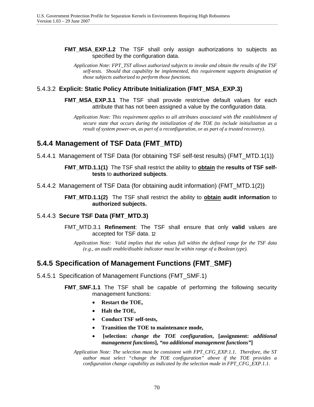**FMT\_MSA\_EXP.1.2** The TSF shall only assign authorizations to subjects as specified by the configuration data.

*Application Note: FPT\_TST allows authorized subjects to invoke and obtain the results of the TSF self-tests. Should that capability be implemented, this requirement supports designation of those subjects authorized to perform those functions.* 

#### 5.4.3.2 **Explicit: Static Policy Attribute Initialization (FMT\_MSA\_EXP.3)**

**FMT\_MSA\_EXP.3.1** The TSF shall provide restrictive default values for each attribute that has not been assigned a value by the configuration data.

*Application Note: This requirement applies to all attributes associated with the establishment of secure state that occurs during the initialization of the TOE (to include initialization as a result of system power-on, as part of a reconfiguration, or as part of a trusted recovery).* 

#### **5.4.4 Management of TSF Data (FMT\_MTD)**

5.4.4.1 Management of TSF Data (for obtaining TSF self-test results) (FMT\_MTD.1(1))

**FMT\_MTD.1.1(1)** The TSF shall restrict the ability to **obtain** the **results of TSF selftests** to **authorized subjects**.

5.4.4.2 Management of TSF Data (for obtaining audit information) (FMT\_MTD.1(2))

**FMT\_MTD.1.1(2)** The TSF shall restrict the ability to **obtain audit information** to **authorized subjects.** 

#### 5.4.4.3 **Secure TSF Data (FMT\_MTD.3)**

FMT\_MTD.3.1 **Refinement**: The TSF shall ensure that only **valid** values are accepted for TSF data. 12

*Application Note: Valid implies that the values fall within the defined range for the TSF data (e.g., an audit enable/disable indicator must be within range of a Boolean type).* 

#### **5.4.5 Specification of Management Functions (FMT\_SMF)**

5.4.5.1 Specification of Management Functions (FMT\_SMF.1)

**FMT\_SMF.1.1** The TSF shall be capable of performing the following security management functions:

- **Restart the TOE,**
- **Halt the TOE,**
- **Conduct TSF self-tests,**
- **Transition the TOE to maintenance mode,**
- • **[selection:** *change the TOE configuration***, [assignment:** *additional management functions***],** *"no additional management functions"***]**

*Application Note: The selection must be consistent with FPT\_CFG\_EXP.1.1. Therefore, the ST author must select "change the TOE configuration" above if the TOE provides a configuration change capability as indicated by the selection made in FPT\_CFG\_EXP.1.1.*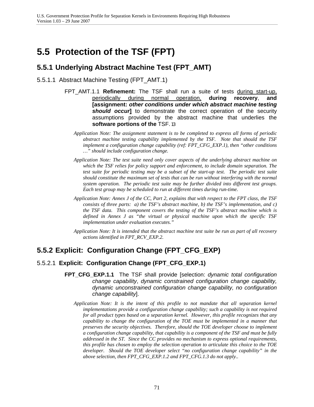## **5.5 Protection of the TSF (FPT)**

## **5.5.1 Underlying Abstract Machine Test (FPT\_AMT)**

- 5.5.1.1 Abstract Machine Testing (FPT\_AMT.1)
	- FPT\_AMT.1.1 **Refinement:** The TSF shall run a suite of tests during start-up, periodically during normal operation, **during recovery**, **and [assignment:** *other conditions under which abstract machine testing*  **should occur**<sup>l</sup> to demonstrate the correct operation of the security assumptions provided by the abstract machine that underlies the **software portions of the** TSF. 13
		- *Application Note: The assignment statement is to be completed to express all forms of periodic abstract machine testing capability implemented by the TSF. Note that should the TSF implement a configuration change capability (ref: FPT\_CFG\_EXP.1), then "other conditions …" should include configuration change.*
		- *Application Note: The test suite need only cover aspects of the underlying abstract machine on which the TSF relies for policy support and enforcement, to include domain separation. The test suite for periodic testing may be a subset of the start-up test. The periodic test suite should constitute the maximum set of tests that can be run without interfering with the normal system operation. The periodic test suite may be further divided into different test groups. Each test group may be scheduled to run at different times during run-time.*
		- *Application Note: Annex J of the CC, Part 2, explains that with respect to the FPT class, the TSF consists of three parts: a) the TSF's abstract machine, b) the TSF's implementation, and c) the TSF data. This component covers the testing of the TSF's abstract machine which is defined in Annex J as "the virtual or physical machine upon which the specific TSF implementation under evaluation executes."*
		- *Application Note: It is intended that the abstract machine test suite be run as part of all recovery actions identified in FPT\_RCV\_EXP.2.*

### **5.5.2 Explicit: Configuration Change (FPT\_CFG\_EXP)**

#### 5.5.2.1 **Explicit: Configuration Change (FPT\_CFG\_EXP.1)**

- **FPT\_CFG\_EXP.1.1** The TSF shall provide [selection: *dynamic total configuration change capability*, *dynamic constrained configuration change capability, dynamic unconstrained configuration change capability, no configuration change capability*].
	- *Application Note: It is the intent of this profile to not mandate that all separation kernel implementations provide a configuration change capability; such a capability is not required for all product types based on a separation kernel. However, this profile recognizes that any capability to change the configuration of the TOE must be implemented in a manner that preserves the security objectives. Therefore, should the TOE developer choose to implement a configuration change capability, that capability is a component of the TSF and must be fully addressed in the ST. Since the CC provides no mechanism to express optional requirements, this profile has chosen to employ the selection operation to articulate this choice to the TOE developer. Should the TOE developer select "no configuration change capability" in the above selection, then FPT\_CFG\_EXP.1.2 and FPT\_CFG.1.3 do not apply..*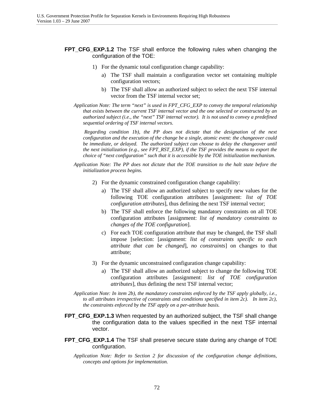**FPT\_CFG\_EXP.1.2** The TSF shall enforce the following rules when changing the configuration of the TOE:

- 1) For the dynamic total configuration change capability:
	- a) The TSF shall maintain a configuration vector set containing multiple configuration vectors;
	- b) The TSF shall allow an authorized subject to select the next TSF internal vector from the TSF internal vector set;
- *Application Note: The term "next" is used in FPT\_CFG\_EXP to convey the temporal relationship that exists between the current TSF internal vector and the one selected or constructed by an authorized subject (i.e., the "next" TSF internal vector). It is not used to convey a predefined sequential ordering of TSF internal vectors.*

 *Regarding condition 1b), the PP does not dictate that the designation of the next configuration and the execution of the change be a single, atomic event: the changeover could be immediate, or delayed. The authorized subject can choose to delay the changeover until the next initialization (e.g., see FPT\_RST\_EXP), if the TSF provides the means to export the choice of "next configuration" such that it is accessible by the TOE initialization mechanism.* 

*Application Note: The PP does not dictate that the TOE transition to the halt state before the initialization process begins.* 

- 2) For the dynamic constrained configuration change capability:
	- a) The TSF shall allow an authorized subject to specify new values for the following TOE configuration attributes [assignment: *list of TOE configuration attributes*], thus defining the next TSF internal vector;
	- b) The TSF shall enforce the following mandatory constraints on all TOE configuration attributes [assignment: *list of mandatory constraints to changes of the TOE configuration*].
	- c) For each TOE configuration attribute that may be changed, the TSF shall impose [selection: [assignment: *list of constraints specific to each attribute that can be changed*], *no constraints*] on changes to that attribute;
- 3) For the dynamic unconstrained configuration change capability:
	- a) The TSF shall allow an authorized subject to change the following TOE configuration attributes [assignment: *list of TOE configuration attributes*], thus defining the next TSF internal vector;
- *Application Note: In item 2b), the mandatory constraints enforced by the TSF apply globally, i.e., to all attributes irrespective of constraints and conditions specified in item 2c). In item 2c), the constraints enforced by the TSF apply on a per-attribute basis.*
- **FPT\_CFG\_EXP.1.3** When requested by an authorized subject, the TSF shall change the configuration data to the values specified in the next TSF internal vector.
- **FPT CFG EXP.1.4** The TSF shall preserve secure state during any change of TOE configuration.
	- *Application Note: Refer to Section 2 for discussion of the configuration change definitions, concepts and options for implementation.*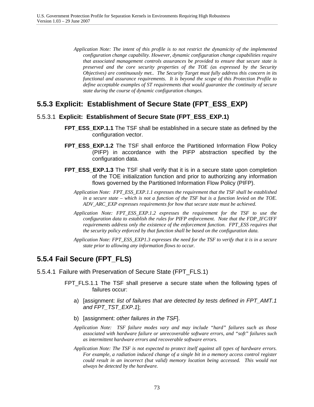*Application Note: The intent of this profile is to not restrict the dynamicity of the implemented configuration change capability. However, dynamic configuration change capabilities require that associated management controls assurances be provided to ensure that secure state is preserved and the core security properties of the TOE (as expressed by the Security Objectives) are continuously met.. The Security Target must fully address this concern in its functional and assurance requirements. It is beyond the scope of this Protection Profile to define acceptable examples of ST requirements that would guarantee the continuity of secure state during the course of dynamic configuration changes.* 

# **5.5.3 Explicit: Establishment of Secure State (FPT\_ESS\_EXP)**

#### 5.5.3.1 **Explicit: Establishment of Secure State (FPT\_ESS\_EXP.1)**

- **FPT\_ESS\_EXP.1.1** The TSF shall be established in a secure state as defined by the configuration vector.
- **FPT\_ESS\_EXP.1.2** The TSF shall enforce the Partitioned Information Flow Policy (PIFP) in accordance with the PIFP abstraction specified by the configuration data.
- **FPT\_ESS\_EXP.1.3** The TSF shall verify that it is in a secure state upon completion of the TOE initialization function and prior to authorizing any information flows governed by the Partitioned Information Flow Policy (PIFP).
	- *Application Note: FPT\_ESS\_EXP.1.1 expresses the requirement that the TSF shall be established in a secure state – which is not a function of the TSF but is a function levied on the TOE. ADV\_ARC\_EXP expresses requirements for how that secure state must be achieved.*
	- *Application Note: FPT\_ESS\_EXP.1.2 expresses the requirement for the TSF to use the configuration data to establish the rules for PIFP enforcement. Note that the FDP\_IFC/IFF requirements address only the existence of the enforcement function. FPT\_ESS requires that the security policy enforced by that function shall be based on the configuration data.*
	- *Application Note: FPT\_ESS\_EXP1.3 expresses the need for the TSF to verify that it is in a secure state prior to allowing any information flows to occur.*

# **5.5.4 Fail Secure (FPT\_FLS)**

- 5.5.4.1 Failure with Preservation of Secure State (FPT\_FLS.1)
	- FPT\_FLS.1.1 The TSF shall preserve a secure state when the following types of failures occur:
		- a) [assignment: *list of failures that are detected by tests defined in FPT\_AMT.1 and FPT\_TST\_EXP.1*];
		- b) [assignment: *other failures in the TSF*].
		- *Application Note: TSF failure modes vary and may include "hard" failures such as those associated with hardware failure or unrecoverable software errors, and "soft" failures such as intermittent hardware errors and recoverable software errors.*
		- *Application Note: The TSF is not expected to protect itself against all types of hardware errors. For example, a radiation induced change of a single bit in a memory access control register could result in an incorrect (but valid) memory location being accessed. This would not always be detected by the hardware.*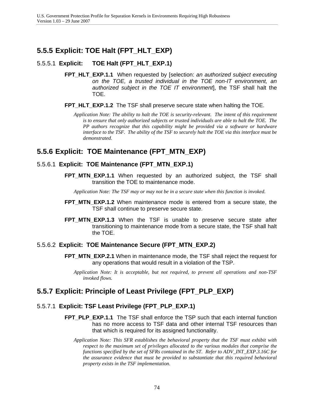# **5.5.5 Explicit: TOE Halt (FPT\_HLT\_EXP)**

#### 5.5.5.1 **Explicit: TOE Halt (FPT\_HLT\_EXP.1)**

- **FPT\_HLT\_EXP.1.1** When requested by [selection: *an authorized subject executing on the TOE, a trusted individual in the TOE non-IT environment, an authorized subject in the TOE IT environment*], the TSF shall halt the TOE.
- **FPT\_HLT\_EXP.1.2** The TSF shall preserve secure state when halting the TOE.
	- *Application Note: The ability to halt the TOE is security-relevant. The intent of this requirement is to ensure that only authorized subjects or trusted individuals are able to halt the TOE. The PP authors recognize that this capability might be provided via a software or hardware interface to the TSF. The ability of the TSF to securely halt the TOE via this interface must be demonstrated.*

# **5.5.6 Explicit: TOE Maintenance (FPT\_MTN\_EXP)**

#### 5.5.6.1 **Explicit: TOE Maintenance (FPT\_MTN\_EXP.1)**

**FPT MTN EXP.1.1** When requested by an authorized subject, the TSF shall transition the TOE to maintenance mode.

*Application Note: The TSF may or may not be in a secure state when this function is invoked.* 

- **FPT\_MTN\_EXP.1.2** When maintenance mode is entered from a secure state, the TSF shall continue to preserve secure state.
- **FPT\_MTN\_EXP.1.3** When the TSF is unable to preserve secure state after transitioning to maintenance mode from a secure state, the TSF shall halt the TOE.

#### 5.5.6.2 **Explicit: TOE Maintenance Secure (FPT\_MTN\_EXP.2)**

- **FPT\_MTN\_EXP.2.1** When in maintenance mode, the TSF shall reject the request for any operations that would result in a violation of the TSP.
	- *Application Note: It is acceptable, but not required, to prevent all operations and non-TSF invoked flows.*

### **5.5.7 Explicit: Principle of Least Privilege (FPT\_PLP\_EXP)**

#### 5.5.7.1 **Explicit: TSF Least Privilege (FPT\_PLP\_EXP.1)**

- **FPT\_PLP\_EXP.1.1** The TSF shall enforce the TSP such that each internal function has no more access to TSF data and other internal TSF resources than that which is required for its assigned functionality.
	- *Application Note: This SFR establishes the behavioral property that the TSF must exhibit with respect to the maximum set of privileges allocated to the various modules that comprise the functions specified by the set of SFRs contained in the ST. Refer to ADV\_INT\_EXP.3.16C for the assurance evidence that must be provided to substantiate that this required behavioral property exists in the TSF implementation.*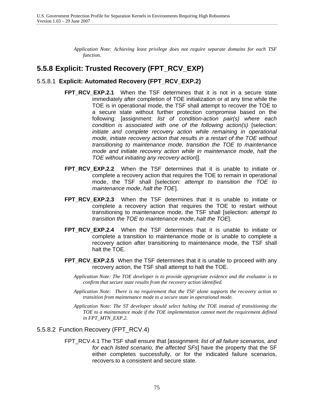*Application Note: Achieving least privilege does not require separate domains for each TSF function.* 

# **5.5.8 Explicit: Trusted Recovery (FPT\_RCV\_EXP)**

#### 5.5.8.1 **Explicit: Automated Recovery (FPT\_RCV\_EXP.2)**

- **FPT\_RCV\_EXP.2.1** When the TSF determines that it is not in a secure state immediately after completion of TOE initialization or at any time while the TOE is in operational mode, the TSF shall attempt to recover the TOE to a secure state without further protection compromise based on the following: [assignment: *list of condition-action pair(s) where each condition is associated with one of the following action(s)* [selection: *initiate and complete recovery action while remaining in operational mode, initiate recovery action that results in a restart of the TOE without transitioning to maintenance mode, transition the TOE to maintenance mode and initiate recovery action while in maintenance mode, halt the TOE without initiating any recovery action*]].
- **FPT RCV EXP.2.2** When the TSF determines that it is unable to initiate or complete a recovery action that requires the TOE to remain in operational mode, the TSF shall [selection: *attempt to transition the TOE to maintenance mode*, *halt the TOE*].
- **FPT RCV EXP.2.3** When the TSF determines that it is unable to initiate or complete a recovery action that requires the TOE to restart without transitioning to maintenance mode, the TSF shall [selection: *attempt to transition the TOE to maintenance mode*, *halt the TOE*].
- **FPT RCV EXP.2.4** When the TSF determines that it is unable to initiate or complete a transition to maintenance mode or is unable to complete a recovery action after transitioning to maintenance mode, the TSF shall halt the TOE.
- **FPT\_RCV\_EXP.2.5** When the TSF determines that it is unable to proceed with any recovery action, the TSF shall attempt to halt the TOE.
	- *Application Note: The TOE developer is to provide appropriate evidence and the evaluator is to confirm that secure state results from the recovery action identified.*
	- *Application Note: There is no requirement that the TSF alone supports the recovery action to transition from maintenance mode to a secure state in operational mode.*
	- *Application Note: The ST developer should select halting the TOE instead of transitioning the TOE to a maintenance mode if the TOE implementation cannot meet the requirement defined in FPT\_MTN\_EXP.2.*

#### 5.5.8.2 Function Recovery (FPT\_RCV.4)

FPT\_RCV.4.1 The TSF shall ensure that [assignment: *list of all failure scenarios, and for each listed scenario, the affected SFs*] have the property that the SF either completes successfully, or for the indicated failure scenarios, recovers to a consistent and secure state.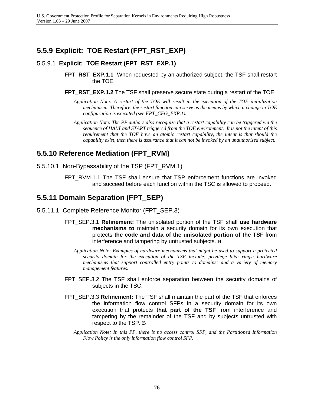# **5.5.9 Explicit: TOE Restart (FPT\_RST\_EXP)**

#### 5.5.9.1 **Explicit: TOE Restart (FPT\_RST\_EXP.1)**

- **FPT\_RST\_EXP.1.1** When requested by an authorized subject, the TSF shall restart the TOE.
- **FPT\_RST\_EXP.1.2** The TSF shall preserve secure state during a restart of the TOE.
	- *Application Note: A restart of the TOE will result in the execution of the TOE initialization mechanism. Therefore, the restart function can serve as the means by which a change in TOE configuration is executed (see FPT\_CFG\_EXP.1).*
	- *Application Note: The PP authors also recognize that a restart capability can be triggered via the sequence of HALT and START triggered from the TOE environment. It is not the intent of this requirement that the TOE have an atomic restart capability, the intent is that should the capability exist, then there is assurance that it can not be invoked by an unauthorized subject.*

# **5.5.10 Reference Mediation (FPT\_RVM)**

- 5.5.10.1 Non-Bypassability of the TSP (FPT\_RVM.1)
	- FPT\_RVM.1.1 The TSF shall ensure that TSP enforcement functions are invoked and succeed before each function within the TSC is allowed to proceed.

### **5.5.11 Domain Separation (FPT\_SEP)**

- 5.5.11.1 Complete Reference Monitor (FPT\_SEP.3)
	- FPT\_SEP.3.1 **Refinement:** The unisolated portion of the TSF shall **use hardware mechanisms to** maintain a security domain for its own execution that protects **the code and data of the unisolated portion of the TSF** from interference and tampering by untrusted subjects. 14
		- *Application Note: Examples of hardware mechanisms that might be used to support a protected security domain for the execution of the TSF include: privilege bits; rings; hardware mechanisms that support controlled entry points to domains; and a variety of memory management features.*
	- FPT\_SEP.3.2 The TSF shall enforce separation between the security domains of subjects in the TSC.
	- FPT\_SEP.3.3 **Refinement:** The TSF shall maintain the part of the TSF that enforces the information flow control SFPs in a security domain for its own execution that protects **that part of the TSF** from interference and tampering by the remainder of the TSF and by subjects untrusted with respect to the TSP. 15
		- *Application Note: In this PP, there is no access control SFP, and the Partitioned Information Flow Policy is the only information flow control SFP.*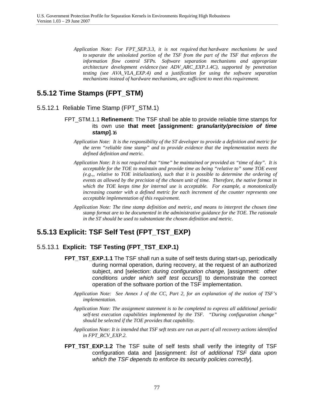*Application Note: For FPT\_SEP.3.3, it is not required that hardware mechanisms be used to separate the unisolated portion of the TSF from the part of the TSF that enforces the information flow control SFPs. Software separation mechanisms and appropriate architecture development evidence (see ADV\_ARC\_EXP.1.4C), supported by penetration testing (see AVA\_VLA\_EXP.4) and a justification for using the software separation mechanisms instead of hardware mechanisms, are sufficient to meet this requirement.* 

# **5.5.12 Time Stamps (FPT\_STM)**

#### 5.5.12.1 Reliable Time Stamp (FPT\_STM.1)

- FPT\_STM.1.1 **Refinement:** The TSF shall be able to provide reliable time stamps for its own use **that meet [assignment:** *granularity/precision of time stamp***]**.16
	- *Application Note: It is the responsibility of the ST developer to provide a definition and metric for the term "reliable time stamp" and to provide evidence that the implementation meets the defined definition and metric.*
	- *Application Note: It is not required that "time" be maintained or provided as "time of day". It is acceptable for the TOE to maintain and provide time as being "relative to" some TOE event (e.g.,, relative to TOE initialization), such that it is possible to determine the ordering of events as allowed by the precision of the chosen unit of time. Therefore, the native format in which the TOE keeps time for internal use is acceptable. For example, a monotonically increasing counter with a defined metric for each increment of the counter represents one acceptable implementation of this requirement.*
	- *Application Note: The time stamp definition and metric, and means to interpret the chosen time stamp format are to be documented in the administrative guidance for the TOE. The rationale in the ST should be used to substantiate the chosen definition and metric.*

# **5.5.13 Explicit: TSF Self Test (FPT\_TST\_EXP)**

#### 5.5.13.1 **Explicit: TSF Testing (FPT\_TST\_EXP.1)**

- **FPT\_TST\_EXP.1.1** The TSF shall run a suite of self tests during start-up, periodically during normal operation, during recovery, at the request of an authorized subject, and [selection: *during configuration change,* [assignment: *other conditions under which self test occurs*]] to demonstrate the correct operation of the software portion of the TSF implementation.
	- *Application Note: See Annex J of the CC, Part 2, for an explanation of the notion of TSF's implementation.*
	- *Application Note: The assignment statement is to be completed to express all additional periodic self-test execution capabilities implemented by the TSF. "During configuration change" should be selected if the TOE provides that capability.*
	- *Application Note: It is intended that TSF seft tests are run as part of all recovery actions identified in FPT\_RCV\_EXP.2.*
- **FPT\_TST\_EXP.1.2** The TSF suite of self tests shall verify the integrity of TSF configuration data and [assignment: *list of additional TSF data upon which the TSF depends to enforce its security policies correctly*].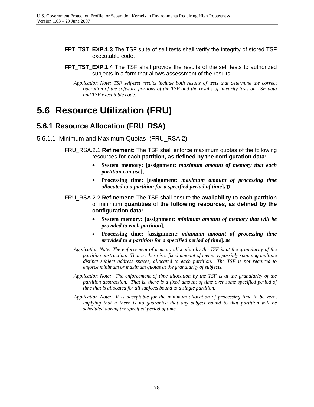- **FPT\_TST\_EXP.1.3** The TSF suite of self tests shall verify the integrity of stored TSF executable code.
- **FPT\_TST\_EXP.1.4** The TSF shall provide the results of the self tests to authorized subjects in a form that allows assessment of the results.
	- *Application Note: TSF self-test results include both results of tests that determine the correct operation of the software portions of the TSF and the results of integrity tests on TSF data and TSF executable code.*

# **5.6 Resource Utilization (FRU)**

#### **5.6.1 Resource Allocation (FRU\_RSA)**

- 5.6.1.1 Minimum and Maximum Quotas (FRU\_RSA.2)
	- FRU\_RSA.2.1 **Refinement:** The TSF shall enforce maximum quotas of the following resources **for each partition, as defined by the configuration data:** 
		- **System memory: [assignment:** *maximum amount of memory that each partition can use***],**
		- **Processing time: [assignment:** *maximum amount of processing time allocated to a partition for a specified period of time***].** 17
	- FRU\_RSA.2.2 **Refinement:** The TSF shall ensure the **availability to each partition** of minimum **quantities** of **the following resources, as defined by the configuration data:** 
		- **System memory: [assignment:** *minimum amount of memory that will be provided to each partition***],**
		- **Processing time: [assignment:** *minimum amount of processing time provided to a partition for a specified period of time***].** 18
		- *Application Note: The enforcement of memory allocation by the TSF is at the granularity of the partition abstraction. That is, there is a fixed amount of memory, possibly spanning multiple distinct subject address spaces, allocated to each partition. The TSF is not required to enforce minimum or maximum quotas at the granularity of subjects.*
		- *Application Note: The enforcement of time allocation by the TSF is at the granularity of the partition abstraction. That is, there is a fixed amount of time over some specified period of time that is allocated for all subjects bound to a single partition.*
		- *Application Note: It is acceptable for the minimum allocation of processing time to be zero, implying that a there is no guarantee that any subject bound to that partition will be scheduled during the specified period of time.*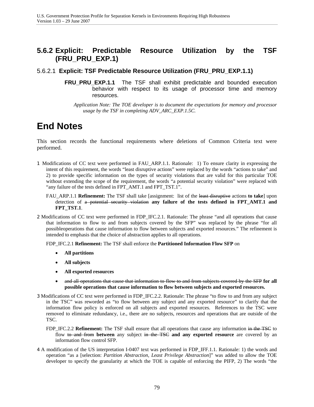# **5.6.2 Explicit: Predictable Resource Utilization by the TSF (FRU\_PRU\_EXP.1)**

#### 5.6.2.1 **Explicit: TSF Predictable Resource Utilization (FRU\_PRU\_EXP.1.1)**

**FRU PRU EXP.1.1** The TSF shall exhibit predictable and bounded execution behavior with respect to its usage of processor time and memory resources.

*Application Note: The TOE developer is to document the expectations for memory and processor usage by the TSF in completing ADV\_ARC\_EXP.1.5C.*

# **End Notes**

This section records the functional requirements where deletions of Common Criteria text were performed.

- 1 Modifications of CC text were performed in FAU\_ARP.1.1. Rationale: 1) To ensure clarity in expressing the intent of this requirement, the words "least disruptive actions" were replaced by the words "actions to take" and 2) to provide specific information on the types of security violations that are valid for this particular TOE without extending the scope of the requirement, the words "a potential security violation" were replaced with "any failure of the tests defined in FPT\_AMT.1 and FPT\_TST.1".
	- FAU\_ARP.1.1 **Refinement:** The TSF shall take [assignment: list of the least disruptive actions **to take**] upon detection of a potential security violation **any failure of the tests defined in FPT\_AMT.1 and FPT\_TST.1**.
- 2 Modifications of CC text were performed in FDP\_IFC.2.1. Rationale: The phrase "and all operations that cause that information to flow to and from subjects covered by the SFP" was replaced by the phrase "for all possibleoperations that cause information to flow between subjects and exported resources." The refinement is intended to emphasis that the choice of abstraction applies to all operations.

FDP\_IFC.2.1 **Refinement:** The TSF shall enforce the **Partitioned Information Flow SFP** on

- **All partitions**
- **All subjects**
- **All exported resources**
- and all operations that cause that information to flow to and from subjects covered by the SFP **for all possible operations that cause information to flow between subjects and exported resources.**
- 3 Modifications of CC text were performed in FDP\_IFC.2.2. Rationale: The phrase "to flow to and from any subject in the TSC" was reworded as "to flow between any subject and any exported resource" to clarify that the information flow policy is enforced on all subjects and exported resources. References to the TSC were removed to eliminate redundancy, i.e., there are no subjects, resources and operations that are outside of the TSC.
	- FDP\_IFC.2.2 **Refinement:** The TSF shall ensure that all operations that cause any information in the TSC to flow to and from **between** any subject in the TSC **and any exported resource** are covered by an information flow control SFP.
- 4 A modification of the US interpretation I-0407 text was performed in FDP\_IFF.1.1. Rationale: 1) the words and operation "as a [selection: *Partition Abstraction, Least Privilege Abstraction*]" was added to allow the TOE developer to specify the granularity at which the TOE is capable of enforcing the PIFP, 2) The words "the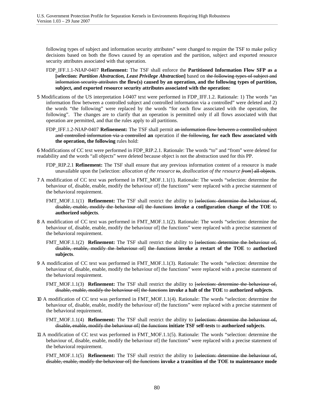following types of subject and information security attributes" were changed to require the TSF to make policy decisions based on both the flows caused by an operation and the partition, subject and exported resource security attributes associated with that operation.

- FDP\_IFF.1.1-NIAP-0407 **Refinement:** The TSF shall enforce the **Partitioned Information Flow SFP as a [selection:** *Partition Abstraction, Least Privilege Abstraction***]** based on the following types of subject and information security attributes **the flow(s) caused by an operation, and the following types of partition, subject, and exported resource security attributes associated with the operation:**
- 5 Modifications of the US interpretation I-0407 text were performed in FDP\_IFF.1.2. Rationale: 1) The words "an information flow between a controlled subject and controlled information via a controlled" were deleted and 2) the words "the following" were replaced by the words "for each flow associated with the operation, the following". The changes are to clarify that an operation is permitted only if all flows associated with that operation are permitted, and that the rules apply to all partitions.
	- FDP\_IFF.1.2-NIAP-0407 **Refinement:** The TSF shall permit an information flow between a controlled subject and controlled information via a controlled **an** operation if the following**, for each flow associated with the operation, the following** rules hold:

6 Modifications of CC text were performed in FDP\_RIP.2.1. Rationale: The words "to" and "from" were deleted for readability and the words "all objects" were deleted because object is not the abstraction used for this PP.

- FDP\_RIP.2.1 **Refinement:** The TSF shall ensure that any previous information content of a resource is made unavailable upon the [selection: *allocation of the resource to*, *deallocation of the resource from*] all objects.
- 7 A modification of CC text was performed in FMT\_MOF.1.1(1). Rationale: The words "selection: determine the behaviour of, disable, enable, modify the behaviour of] the functions" were replaced with a precise statement of the behavioral requirement.
	- FMT\_MOF.1.1(1) **Refinement:** The TSF shall restrict the ability to <del>[selection: determine the behaviour of,</del> disable, enable, modify the behaviour of] the functions **invoke a configuration change of the TOE** to **authorized subjects**.
- 8 A modification of CC text was performed in FMT\_MOF.1.1(2). Rationale: The words "selection: determine the behaviour of, disable, enable, modify the behaviour of] the functions" were replaced with a precise statement of the behavioral requirement.
	- FMT\_MOF.1.1(2) **Refinement:** The TSF shall restrict the ability to <del>[selection: determine the behaviour of,</del> disable, enable, modify the behaviour of] the functions **invoke a restart of the TOE** to **authorized subjects**.
- 9 A modification of CC text was performed in FMT\_MOF.1.1(3). Rationale: The words "selection: determine the behaviour of, disable, enable, modify the behaviour of] the functions" were replaced with a precise statement of the behavioral requirement.
	- FMT\_MOF.1.1(3) **Refinement:** The TSF shall restrict the ability to <del>[selection: determine the behaviour of,</del> disable, enable, modify the behaviour of] the functions **invoke a halt of the TOE** to **authorized subjects**.
- 10 A modification of CC text was performed in FMT\_MOF.1.1(4). Rationale: The words "selection: determine the behaviour of, disable, enable, modify the behaviour of] the functions" were replaced with a precise statement of the behavioral requirement.

FMT\_MOF.1.1(4) **Refinement:** The TSF shall restrict the ability to <del>[selection: determine the behaviour of,</del> disable, enable, modify the behaviour of] the functions **initiate TSF self-tests** to **authorized subjects**.

11 A modification of CC text was performed in FMT\_MOF.1.1(5). Rationale: The words "selection: determine the behaviour of, disable, enable, modify the behaviour of] the functions" were replaced with a precise statement of the behavioral requirement.

FMT\_MOF.1.1(5) **Refinement:** The TSF shall restrict the ability to <del>[selection: determine the behaviour of,</del> disable, enable, modify the behaviour of] the functions **invoke a transition of the TOE to maintenance mode**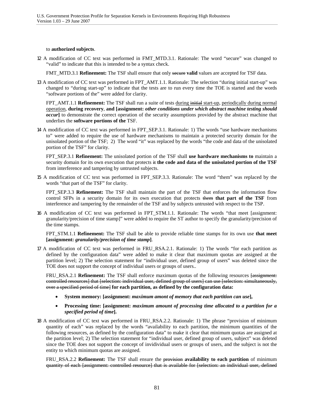#### to **authorized subjects**.

12 A modification of CC text was performed in FMT\_MTD.3.1. Rationale: The word "secure" was changed to "valid" to indicate that this is intended to be a syntax check.

FMT\_MTD.3.1 **Refinement:** The TSF shall ensure that only secure valid values are accepted for TSF data.

13 A modification of CC text was performed in FPT\_AMT.1.1. Rationale: The selection "during initial start-up" was changed to "during start-up" to indicate that the tests are to run every time the TOE is started and the words "software portions of the" were added for clarity.

FPT\_AMT.1.1 **Refinement:** The TSF shall run a suite of tests during initial start-up, periodically during normal operation, **during recovery**, **and [assignment:** *other conditions under which abstract machine testing should occur* I to demonstrate the correct operation of the security assumptions provided by the abstract machine that underlies the **software portions of the** TSF.

14 A modification of CC text was performed in FPT\_SEP.3.1. Rationale: 1) The words "use hardware mechanisms to" were added to require the use of hardware mechanisms to maintain a protected security domain for the unisolated portion of the TSF; 2) The word "it" was replaced by the words "the code and data of the unisolated portion of the TSF" for clarity.

 FPT\_SEP.3.1 **Refinement:** The unisolated portion of the TSF shall **use hardware mechanisms to** maintain a security domain for its own execution that protects it **the code and data of the unisolated portion of the TSF** from interference and tampering by untrusted subjects.

15 A modification of CC text was performed in FPT\_SEP.3.3. Rationale: The word "them" was replaced by the words "that part of the TSF" for clarity.

 FPT\_SEP.3.3 **Refinement:** The TSF shall maintain the part of the TSF that enforces the information flow control SFPs in a security domain for its own execution that protects them **that part of the TSF** from interference and tampering by the remainder of the TSF and by subjects untrusted with respect to the TSP.

16 A modification of CC text was performed in FPT\_STM.1.1. Rationale: The words "that meet [assignment: granularity/precision of time stamp]" were added to require the ST author to specify the granularity/precision of the time stamps.

 FPT\_STM.1.1 **Refinement:** The TSF shall be able to provide reliable time stamps for its own use **that meet [assignment:** *granularity/precision of time stamp***]**.

17 A modification of CC text was performed in FRU\_RSA.2.1. Rationale: 1) The words "for each partition as defined by the configuration data" were added to make it clear that maximum quotas are assigned at the partition level; 2) The selection statement for "individual user, defined group of users" was deleted since the TOE does not support the concept of individual users or groups of users..

FRU RSA.2.1 **Refinement:** The TSF shall enforce maximum quotas of the following resources <del>[assignment:</del> controlled resources] that [selection: individual user, defined group of users] can use [selection: simultaneously, over a specified period of time] **for each partition, as defined by the configuration data:** 

- **System memory: [assignment:** *maximum amont of memory that each partition can use***],**
- **Processing time: [assignment:** *maximum amount of processing time allocated to a partition for a specified period of time***].**
- 18 A modification of CC text was performed in FRU\_RSA.2.2. Rationale: 1) The phrase "provision of minimum quantity of each" was replaced by the words "availability to each partition, the minimum quantities of the following resources, as defined by the configuration data" to make it clear that minimum quotas are assigned at the partition level; 2) The selection statement for "individual user, defined group of users, subject" was deleted since the TOE does not support the concept of invidividual users or groups of users, and the subject is not the entity to which minimum quotas are assigned.

 FRU\_RSA.2.2 **Refinement:** The TSF shall ensure the provision **availability to each partition** of minimum quantity of each [assignment: controlled resource] that is available for [selection: an individual user, defined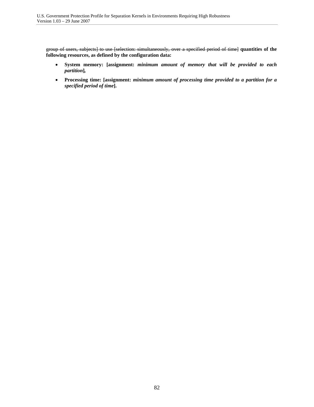group of users, subjects] to use [selection: simultaneously, over a specified period of time] **quantities of the following resources, as defined by the configuration data:** 

- **System memory: [assignment:** *minimum amount of memory that will be provided to each partition***]***,*
- **Processing time: [assignment:** *minimum amount of processing time provided to a partition for a specified period of time***].**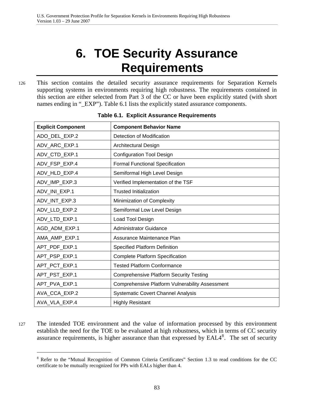# **6. TOE Security Assurance Requirements**

 $\overline{a}$ 

126 This section contains the detailed security assurance requirements for Separation Kernels supporting systems in environments requiring high robustness. The requirements contained in this section are either selected from Part 3 of the CC or have been explicitly stated (with short names ending in "\_EXP"). Table 6.1 lists the explicitly stated assurance components.

| <b>Explicit Component</b> | <b>Component Behavior Name</b>                  |
|---------------------------|-------------------------------------------------|
| ADO_DEL_EXP.2             | Detection of Modification                       |
| ADV_ARC_EXP.1             | Architectural Design                            |
| ADV_CTD_EXP.1             | <b>Configuration Tool Design</b>                |
| ADV_FSP_EXP.4             | <b>Formal Functional Specification</b>          |
| ADV_HLD_EXP.4             | Semiformal High Level Design                    |
| ADV_IMP_EXP.3             | Verified Implementation of the TSF              |
| ADV_INI_EXP.1             | <b>Trusted Initialization</b>                   |
| ADV_INT_EXP.3             | Minimization of Complexity                      |
| ADV_LLD_EXP.2             | Semiformal Low Level Design                     |
| ADV_LTD_EXP.1             | Load Tool Design                                |
| AGD_ADM_EXP.1             | <b>Administrator Guidance</b>                   |
| AMA_AMP_EXP.1             | Assurance Maintenance Plan                      |
| APT_PDF_EXP.1             | <b>Specified Platform Definition</b>            |
| APT_PSP_EXP.1             | <b>Complete Platform Specification</b>          |
| APT_PCT_EXP.1             | <b>Tested Platform Conformance</b>              |
| APT_PST_EXP.1             | <b>Comprehensive Platform Security Testing</b>  |
| APT_PVA_EXP.1             | Comprehensive Platform Vulnerability Assessment |
| AVA_CCA_EXP.2             | <b>Systematic Covert Channel Analysis</b>       |
| AVA_VLA_EXP.4             | <b>Highly Resistant</b>                         |

| <b>Table 6.1. Explicit Assurance Requirements</b> |  |
|---------------------------------------------------|--|
|                                                   |  |

127 The intended TOE environment and the value of information processed by this environment establish the need for the TOE to be evaluated at high robustness, which in terms of CC security assurance requirements, is higher assurance than that expressed by  $EAL4<sup>8</sup>$  $EAL4<sup>8</sup>$  $EAL4<sup>8</sup>$ . The set of security

<span id="page-83-0"></span><sup>&</sup>lt;sup>8</sup> Refer to the "Mutual Recognition of Common Criteria Certificates" Section 1.3 to read conditions for the CC certificate to be mutually recognized for PPs with EALs higher than 4.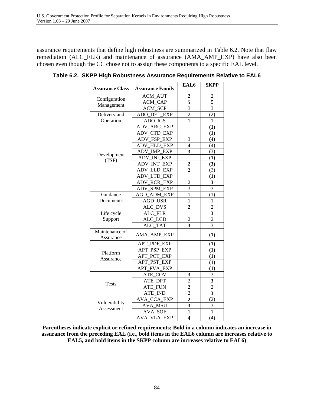assurance requirements that define high robustness are summarized in Table 6.2. Note that flaw remediation (ALC\_FLR) and maintenance of assurance (AMA\_AMP\_EXP) have also been chosen even though the CC chose not to assign these components to a specific EAL level.

| <b>Assurance Class</b>      | <b>Assurance Family</b> | EAL6                    | SKPP                    |
|-----------------------------|-------------------------|-------------------------|-------------------------|
| Configuration<br>Management | <b>ACM AUT</b>          | 2                       | $\overline{c}$          |
|                             | ACM_CAP                 | 5                       | $\overline{5}$          |
|                             | <b>ACM SCP</b>          | $\overline{3}$          | $\overline{3}$          |
| Delivery and                | ADO DEL EXP             | $\overline{2}$          | (2)                     |
| Operation                   | $ADO$ <sub>IGS</sub>    | $\mathbf{1}$            | 1                       |
|                             | ADV ARC EXP             |                         | (1)                     |
|                             | ADV_CTD_EXP             |                         | (1)                     |
|                             | ADV FSP EXP             | 3                       | (4)                     |
|                             | ADV HLD EXP             | $\overline{\mathbf{4}}$ | (4)                     |
|                             | ADV IMP EXP             | 3                       | (3)                     |
| Development<br>(TSF)        | ADV INI EXP             |                         | (1)                     |
|                             | ADV INT EXP             | $\mathbf{2}$            | (3)                     |
|                             | ADV_LLD_EXP             | $\overline{2}$          | (2)                     |
|                             | ADV_LTD_EXP             |                         | $\bf(1)$                |
|                             | ADV_RCR_EXP             | $\overline{c}$          | 3                       |
|                             | ADV_SPM_EXP             | $\overline{3}$          | $\overline{3}$          |
| Guidance                    | AGD_ADM_EXP             | $\overline{1}$          | (1)                     |
| Documents                   | AGD USR                 | $\mathbf{1}$            | 1                       |
|                             | <b>ALC DVS</b>          | $\overline{2}$          | $\overline{2}$          |
| Life cycle                  | ALC_FLR                 |                         | $\overline{\mathbf{3}}$ |
| Support                     | ALC_LCD                 | $\overline{2}$          | $\overline{2}$          |
|                             | <b>ALC TAT</b>          | 3                       | $\overline{3}$          |
| Maintenance of<br>Assurance | AMA_AMP_EXP             |                         | (1)                     |
| Platform<br>Assurance       | APT PDF EXP             |                         | (1)                     |
|                             | APT PSP EXP             |                         | (1)                     |
|                             | APT PCT EXP             |                         | (1)                     |
|                             | APT_PST_EXP             |                         | (1)                     |
|                             | APT PVA EXP             |                         | $\bf(1)$                |
|                             | ATE_COV                 | 3                       | 3                       |
| <b>Tests</b>                | ATE_DPT                 | $\overline{c}$          | 3                       |
|                             | <b>ATE_FUN</b>          | $\overline{2}$          | $\overline{2}$          |
|                             | ATE IND                 | $\overline{2}$          | $\overline{\mathbf{3}}$ |
| Vulnerability<br>Assessment | <b>AVA_CCA_EXP</b>      | $\overline{2}$          | (2)                     |
|                             | AVA_MSU                 | $\overline{\mathbf{3}}$ | 3                       |
|                             | <b>AVA_SOF</b>          | 1                       | 1                       |
|                             | AVA_VLA_EXP             | 4                       | (4)                     |

**Table 6.2. SKPP High Robustness Assurance Requirements Relative to EAL6** 

**Parentheses indicate explicit or refined requirements; Bold in a column indicates an increase in assurance from the preceding EAL (i.e., bold items in the EAL6 column are increases relative to EAL5, and bold items in the SKPP column are increases relative to EAL6)**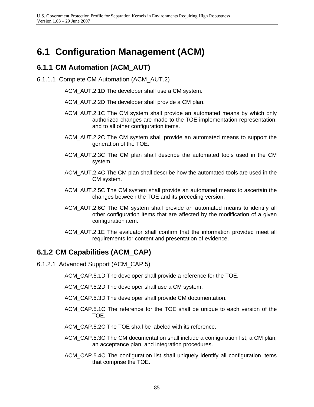# **6.1 Configuration Management (ACM)**

# **6.1.1 CM Automation (ACM\_AUT)**

6.1.1.1 Complete CM Automation (ACM\_AUT.2)

ACM AUT.2.1D The developer shall use a CM system.

ACM AUT.2.2D The developer shall provide a CM plan.

- ACM\_AUT.2.1C The CM system shall provide an automated means by which only authorized changes are made to the TOE implementation representation, and to all other configuration items.
- ACM\_AUT.2.2C The CM system shall provide an automated means to support the generation of the TOE.
- ACM\_AUT.2.3C The CM plan shall describe the automated tools used in the CM system.
- ACM\_AUT.2.4C The CM plan shall describe how the automated tools are used in the CM system.
- ACM\_AUT.2.5C The CM system shall provide an automated means to ascertain the changes between the TOE and its preceding version.
- ACM\_AUT.2.6C The CM system shall provide an automated means to identify all other configuration items that are affected by the modification of a given configuration item.
- ACM\_AUT.2.1E The evaluator shall confirm that the information provided meet all requirements for content and presentation of evidence.

# **6.1.2 CM Capabilities (ACM\_CAP)**

6.1.2.1 Advanced Support (ACM\_CAP.5)

ACM\_CAP.5.1D The developer shall provide a reference for the TOE.

ACM\_CAP.5.2D The developer shall use a CM system.

ACM CAP.5.3D The developer shall provide CM documentation.

- ACM\_CAP.5.1C The reference for the TOE shall be unique to each version of the TOE.
- ACM CAP.5.2C The TOE shall be labeled with its reference.
- ACM\_CAP.5.3C The CM documentation shall include a configuration list, a CM plan, an acceptance plan, and integration procedures.
- ACM\_CAP.5.4C The configuration list shall uniquely identify all configuration items that comprise the TOE.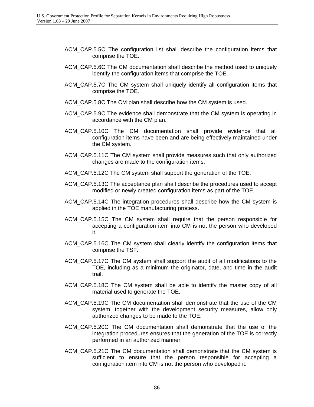- ACM\_CAP.5.5C The configuration list shall describe the configuration items that comprise the TOE.
- ACM\_CAP.5.6C The CM documentation shall describe the method used to uniquely identify the configuration items that comprise the TOE.
- ACM\_CAP.5.7C The CM system shall uniquely identify all configuration items that comprise the TOE.
- ACM CAP.5.8C The CM plan shall describe how the CM system is used.
- ACM\_CAP.5.9C The evidence shall demonstrate that the CM system is operating in accordance with the CM plan.
- ACM\_CAP.5.10C The CM documentation shall provide evidence that all configuration items have been and are being effectively maintained under the CM system.
- ACM\_CAP.5.11C The CM system shall provide measures such that only authorized changes are made to the configuration items.
- ACM\_CAP.5.12C The CM system shall support the generation of the TOE.
- ACM\_CAP.5.13C The acceptance plan shall describe the procedures used to accept modified or newly created configuration items as part of the TOE.
- ACM\_CAP.5.14C The integration procedures shall describe how the CM system is applied in the TOE manufacturing process.
- ACM\_CAP.5.15C The CM system shall require that the person responsible for accepting a configuration item into CM is not the person who developed it.
- ACM\_CAP.5.16C The CM system shall clearly identify the configuration items that comprise the TSF.
- ACM\_CAP.5.17C The CM system shall support the audit of all modifications to the TOE, including as a minimum the originator, date, and time in the audit trail.
- ACM\_CAP.5.18C The CM system shall be able to identify the master copy of all material used to generate the TOE.
- ACM\_CAP.5.19C The CM documentation shall demonstrate that the use of the CM system, together with the development security measures, allow only authorized changes to be made to the TOE.
- ACM\_CAP.5.20C The CM documentation shall demonstrate that the use of the integration procedures ensures that the generation of the TOE is correctly performed in an authorized manner.
- ACM\_CAP.5.21C The CM documentation shall demonstrate that the CM system is sufficient to ensure that the person responsible for accepting a configuration item into CM is not the person who developed it.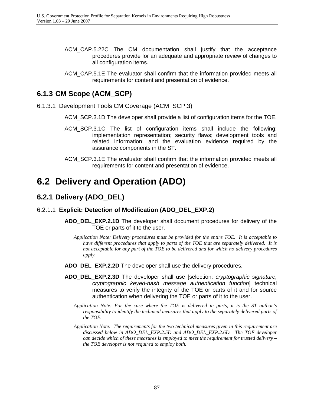- ACM\_CAP.5.22C The CM documentation shall justify that the acceptance procedures provide for an adequate and appropriate review of changes to all configuration items.
- ACM\_CAP.5.1E The evaluator shall confirm that the information provided meets all requirements for content and presentation of evidence.

# **6.1.3 CM Scope (ACM\_SCP)**

- 6.1.3.1 Development Tools CM Coverage (ACM\_SCP.3)
	- ACM\_SCP.3.1D The developer shall provide a list of configuration items for the TOE.
	- ACM\_SCP.3.1C The list of configuration items shall include the following: implementation representation; security flaws; development tools and related information; and the evaluation evidence required by the assurance components in the ST.
	- ACM\_SCP.3.1E The evaluator shall confirm that the information provided meets all requirements for content and presentation of evidence.

# **6.2 Delivery and Operation (ADO)**

# **6.2.1 Delivery (ADO\_DEL)**

#### 6.2.1.1 **Explicit: Detection of Modification (ADO\_DEL\_EXP.2)**

- **ADO\_DEL\_EXP.2.1D** The developer shall document procedures for delivery of the TOE or parts of it to the user.
	- *Application Note: Delivery procedures must be provided for the entire TOE. It is acceptable to have different procedures that apply to parts of the TOE that are separately delivered. It is not acceptable for any part of the TOE to be delivered and for which no delivery procedures apply.*
- **ADO\_DEL\_EXP.2.2D** The developer shall use the delivery procedures.
- **ADO\_DEL\_EXP.2.3D** The developer shall use [selection: *cryptographic signature, cryptographic keyed-hash message authentication function*] technical measures to verify the integrity of the TOE or parts of it and for source authentication when delivering the TOE or parts of it to the user.
	- *Application Note: For the case where the TOE is delivered in parts, it is the ST author's responsibility to identify the technical measures that apply to the separately delivered parts of the TOE.*
	- *Application Note: The requirements for the two technical measures given in this requirement are discussed below in ADO\_DEL\_EXP.2.5D and ADO\_DEL\_EXP.2.6D. The TOE developer can decide which of these measures is employed to meet the requirement for trusted delivery – the TOE developer is not required to employ both.*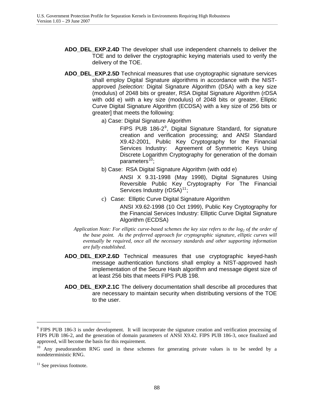- **ADO\_DEL\_EXP.2.4D** The developer shall use independent channels to deliver the TOE and to deliver the cryptographic keying materials used to verify the delivery of the TOE.
- **ADO\_DEL\_EXP.2.5D** Technical measures that use cryptographic signature services shall employ Digital Signature algorithms in accordance with the NISTapproved *[selection:* Digital Signature Algorithm (DSA) with a key size (modulus) of 2048 bits or greater, RSA Digital Signature Algorithm (rDSA with odd e) with a key size (modulus) of 2048 bits or greater, Elliptic Curve Digital Signature Algorithm (ECDSA) with a key size of 256 bits or greater] that meets the following:
	- a) Case: Digital Signature Algorithm

FIPS PUB 186-2 $9$ , Digital Signature Standard, for signature creation and verification processing; and ANSI Standard X9.42-2001, Public Key Cryptography for the Financial Services Industry: Agreement of Symmetric Keys Using Discrete Logarithm Cryptography for generation of the domain parameters $^{10}$  $^{10}$  $^{10}$ ;

b) Case: RSA Digital Signature Algorithm (with odd e)

ANSI X 9.31-1998 (May 1998), Digital Signatures Using Reversible Public Key Cryptography For The Financial Services Industry (rDSA)<sup>[11](#page-88-2)</sup>;

c) Case: Elliptic Curve Digital Signature Algorithm

ANSI X9.62-1998 (10 Oct 1999), Public Key Cryptography for the Financial Services Industry: Elliptic Curve Digital Signature Algorithm (ECDSA)

- *Application Note: For elliptic curve-based schemes the key size refers to the log<sub>2</sub> of the order of the base point. As the preferred approach for cryptographic signature, elliptic curves will eventually be required, once all the necessary standards and other supporting information are fully established.*
- **ADO\_DEL\_EXP.2.6D** Technical measures that use cryptographic keyed-hash message authentication functions shall employ a NIST-approved hash implementation of the Secure Hash algorithm and message digest size of at least 256 bits that meets FIPS PUB 198.
- **ADO\_DEL\_EXP.2.1C** The delivery documentation shall describe all procedures that are necessary to maintain security when distributing versions of the TOE to the user.

 $\overline{a}$ 

<span id="page-88-0"></span><sup>&</sup>lt;sup>9</sup> FIPS PUB 186-3 is under development. It will incorporate the signature creation and verification processing of FIPS PUB 186-2, and the generation of domain parameters of ANSI X9.42. FIPS PUB 186-3, once finalized and approved, will become the basis for this requirement.

<span id="page-88-1"></span><sup>&</sup>lt;sup>10</sup> Any pseudorandom RNG used in these schemes for generating private values is to be seeded by a nondeterministic RNG.

<span id="page-88-2"></span><sup>&</sup>lt;sup>11</sup> See previous footnote.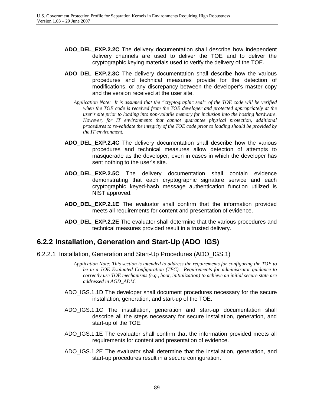- **ADO\_DEL\_EXP.2.2C** The delivery documentation shall describe how independent delivery channels are used to deliver the TOE and to deliver the cryptographic keying materials used to verify the delivery of the TOE.
- **ADO\_DEL\_EXP.2.3C** The delivery documentation shall describe how the various procedures and technical measures provide for the detection of modifications, or any discrepancy between the developer's master copy and the version received at the user site.
	- *Application Note: It is assumed that the "cryptographic seal" of the TOE code will be verified when the TOE code is received from the TOE developer and protected appropriately at the user's site prior to loading into non-volatile memory for inclusion into the hosting hardware. However, for IT environments that cannot guarantee physical protection, additional procedures to re-validate the integrity of the TOE code prior to loading should be provided by the IT environment.*
- **ADO\_DEL\_EXP.2.4C** The delivery documentation shall describe how the various procedures and technical measures allow detection of attempts to masquerade as the developer, even in cases in which the developer has sent nothing to the user's site.
- **ADO\_DEL\_EXP.2.5C** The delivery documentation shall contain evidence demonstrating that each cryptographic signature service and each cryptographic keyed-hash message authentication function utilized is NIST approved.
- **ADO\_DEL\_EXP.2.1E** The evaluator shall confirm that the information provided meets all requirements for content and presentation of evidence.
- **ADO\_DEL\_EXP.2.2E** The evaluator shall determine that the various procedures and technical measures provided result in a trusted delivery.

### **6.2.2 Installation, Generation and Start-Up (ADO\_IGS)**

- 6.2.2.1 Installation, Generation and Start-Up Procedures (ADO\_IGS.1)
	- *Application Note: This section is intended to address the requirements for configuring the TOE to be in a TOE Evaluated Configuration (TEC). Requirements for administrator guidance to correctly use TOE mechanisms (e.g., boot, initialization) to achieve an initial secure state are addressed in AGD\_ADM.*
	- ADO\_IGS.1.1D The developer shall document procedures necessary for the secure installation, generation, and start-up of the TOE.
	- ADO\_IGS.1.1C The installation, generation and start-up documentation shall describe all the steps necessary for secure installation, generation, and start-up of the TOE.
	- ADO\_IGS.1.1E The evaluator shall confirm that the information provided meets all requirements for content and presentation of evidence.
	- ADO\_IGS.1.2E The evaluator shall determine that the installation, generation, and start-up procedures result in a secure configuration.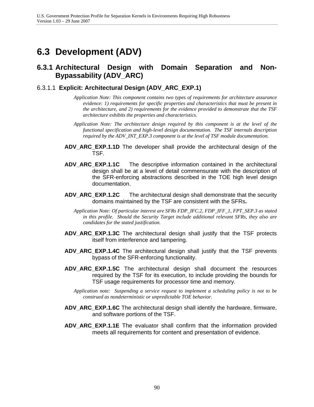# **6.3 Development (ADV)**

### **6.3.1 Architectural Design with Domain Separation and Non-Bypassability (ADV\_ARC)**

#### 6.3.1.1 **Explicit: Architectural Design (ADV\_ARC\_EXP.1)**

- *Application Note: This component contains two types of requirements for architecture assurance evidence: 1) requirements for specific properties and characteristics that must be present in the architecture, and 2) requirements for the evidence provided to demonstrate that the TSF architecture exhibits the properties and characteristics.*
- *Application Note: The architecture design required by this component is at the level of the functional specification and high-level design documentation. The TSF internals description required by the ADV\_INT\_EXP.3 component is at the level of TSF module documentation.*
- **ADV\_ARC\_EXP.1.1D** The developer shall provide the architectural design of the TSF.
- **ADV\_ARC\_EXP.1.1C** The descriptive information contained in the architectural design shall be at a level of detail commensurate with the description of the SFR-enforcing abstractions described in the TOE high level design documentation.
- **ADV\_ARC\_EXP.1.2C** The architectural design shall demonstrate that the security domains maintained by the TSF are consistent with the SFRs**.** 
	- *Application Note: Of particular interest are SFRs FDP\_IFC.2, FDP\_IFF\_1, FPT\_SEP.3 as stated in this profile. Should the Security Target include additional relevant SFRs, they also are candidates for the stated justification.*
- **ADV\_ARC\_EXP.1.3C** The architectural design shall justify that the TSF protects itself from interference and tampering.
- **ADV\_ARC\_EXP.1.4C** The architectural design shall justify that the TSF prevents bypass of the SFR-enforcing functionality.
- **ADV\_ARC\_EXP.1.5C** The architectural design shall document the resources required by the TSF for its execution, to include providing the bounds for TSF usage requirements for processor time and memory.
	- *Application note: Suspending a service request to implement a scheduling policy is not to be construed as nondeterministic or unpredictable TOE behavior.*
- **ADV\_ARC\_EXP.1.6C** The architectural design shall identify the hardware, firmware, and software portions of the TSF.
- **ADV\_ARC\_EXP.1.1E** The evaluator shall confirm that the information provided meets all requirements for content and presentation of evidence.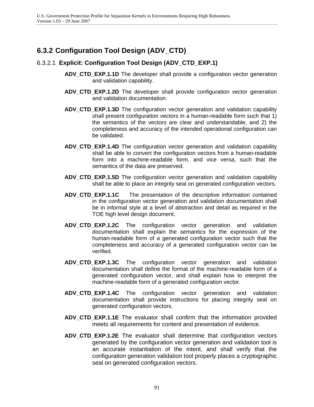# **6.3.2 Configuration Tool Design (ADV\_CTD)**

#### 6.3.2.1 **Explicit: Configuration Tool Design (ADV\_CTD\_EXP.1)**

- **ADV CTD EXP.1.1D** The developer shall provide a configuration vector generation and validation capability.
- **ADV CTD EXP.1.2D** The developer shall provide configuration vector generation and validation documentation.
- **ADV\_CTD\_EXP.1.3D** The configuration vector generation and validation capability shall present configuration vectors in a human-readable form such that 1) the semantics of the vectors are clear and understandable, and 2) the completeness and accuracy of the intended operational configuration can be validated.
- **ADV\_CTD\_EXP.1.4D** The configuration vector generation and validation capability shall be able to convert the configuration vectors from a human-readable form into a machine-readable form, and vice versa, such that the semantics of the data are preserved.
- **ADV\_CTD\_EXP.1.5D** The configuration vector generation and validation capability shall be able to place an integrity seal on generated configuration vectors.
- **ADV\_CTD\_EXP.1.1C** The presentation of the descriptive information contained in the configuration vector generation and validation documentation shall be in informal style at a level of abstraction and detail as required in the TOE high level design document.
- **ADV\_CTD\_EXP.1.2C** The configuration vector generation and validation documentation shall explain the semantics for the expression of the human-readable form of a generated configuration vector such that the completeness and accuracy of a generated configuration vector can be verified.
- **ADV\_CTD\_EXP.1.3C** The configuration vector generation and validation documentation shall define the format of the machine-readable form of a generated configuration vector, and shall explain how to interpret the machine-readable form of a generated configuration vector.
- **ADV\_CTD\_EXP.1.4C** The configuration vector generation and validation documentation shall provide instructions for placing integrity seal on generated configuration vectors.
- **ADV\_CTD\_EXP.1.1E** The evaluator shall confirm that the information provided meets all requirements for content and presentation of evidence.
- **ADV\_CTD\_EXP.1.2E** The evaluator shall determine that configuration vectors generated by the configuration vector generation and validation tool is an accurate instantiation of the intent, and shall verify that the configuration generation validation tool properly places a cryptographic seal on generated configuration vectors.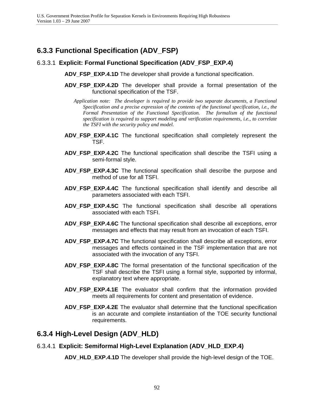# **6.3.3 Functional Specification (ADV\_FSP)**

#### 6.3.3.1 **Explicit: Formal Functional Specification (ADV\_FSP\_EXP.4)**

ADV FSP EXP.4.1D The developer shall provide a functional specification.

- **ADV\_FSP\_EXP.4.2D** The developer shall provide a formal presentation of the functional specification of the TSF.
	- *Application note: The developer is required to provide two separate documents, a Functional Specification and a precise expression of the contents of the functional specification, i.e., the Formal Presentation of the Functional Specification. The formalism of the functional specification is required to support modeling and verification requirements, i.e., to correlate the TSFI with the security policy and model.*
- **ADV\_FSP\_EXP.4.1C** The functional specification shall completely represent the TSF.
- **ADV\_FSP\_EXP.4.2C** The functional specification shall describe the TSFI using a semi-formal style.
- **ADV FSP EXP.4.3C** The functional specification shall describe the purpose and method of use for all TSFI.
- **ADV\_FSP\_EXP.4.4C** The functional specification shall identify and describe all parameters associated with each TSFI.
- **ADV\_FSP\_EXP.4.5C** The functional specification shall describe all operations associated with each TSFI.
- **ADV\_FSP\_EXP.4.6C** The functional specification shall describe all exceptions, error messages and effects that may result from an invocation of each TSFI.
- **ADV\_FSP\_EXP.4.7C** The functional specification shall describe all exceptions, error messages and effects contained in the TSF implementation that are not associated with the invocation of any TSFI.
- **ADV\_FSP\_EXP.4.8C** The formal presentation of the functional specification of the TSF shall describe the TSFI using a formal style, supported by informal, explanatory text where appropriate.
- **ADV\_FSP\_EXP.4.1E** The evaluator shall confirm that the information provided meets all requirements for content and presentation of evidence.
- **ADV\_FSP\_EXP.4.2E** The evaluator shall determine that the functional specification is an accurate and complete instantiation of the TOE security functional requirements.

### **6.3.4 High-Level Design (ADV\_HLD)**

#### 6.3.4.1 **Explicit: Semiformal High-Level Explanation (ADV\_HLD\_EXP.4)**

**ADV\_HLD\_EXP.4.1D** The developer shall provide the high-level design of the TOE.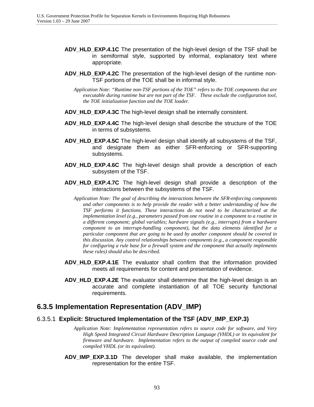- **ADV\_HLD\_EXP.4.1C** The presentation of the high-level design of the TSF shall be in semiformal style, supported by informal, explanatory text where appropriate.
- **ADV\_HLD\_EXP.4.2C** The presentation of the high-level design of the runtime non-TSF portions of the TOE shall be in informal style.
	- *Application Note: "Runtime non-TSF portions of the TOE" refers to the TOE components that are executable during runtime but are not part of the TSF. These exclude the configuration tool, the TOE initialization function and the TOE loader.*
- **ADV\_HLD\_EXP.4.3C** The high-level design shall be internally consistent.
- **ADV\_HLD\_EXP.4.4C** The high-level design shall describe the structure of the TOE in terms of subsystems.
- **ADV\_HLD\_EXP.4.5C** The high-level design shall identify all subsystems of the TSF, and designate them as either SFR-enforcing or SFR-supporting subsystems.
- **ADV\_HLD\_EXP.4.6C** The high-level design shall provide a description of each subsystem of the TSF.
- **ADV HLD EXP.4.7C** The high-level design shall provide a description of the interactions between the subsystems of the TSF.
	- *Application Note: The goal of describing the interactions between the SFR-enforcing components and other components is to help provide the reader with a better understanding of how the TSF performs it functions. These interactions do not need to be characterized at the implementation level (e.g., parameters passed from one routine in a component to a routine in a different component; global variables; hardware signals (e.g., interrupts) from a hardware component to an interrupt-handling component), but the data elements identified for a particular component that are going to be used by another component should be covered in this discussion. Any control relationships between components (e.g., a component responsible for configuring a rule base for a firewall system and the component that actually implements these rules) should also be described.*
- **ADV\_HLD\_EXP.4.1E** The evaluator shall confirm that the information provided meets all requirements for content and presentation of evidence.
- **ADV\_HLD\_EXP.4.2E** The evaluator shall determine that the high-level design is an accurate and complete instantiation of all TOE security functional requirements.

#### **6.3.5 Implementation Representation (ADV\_IMP)**

#### 6.3.5.1 **Explicit: Structured Implementation of the TSF (ADV\_IMP\_EXP.3)**

- *Application Note: Implementation representation refers to source code for software, and Very High Speed Integrated Circuit Hardware Description Language (VHDL) or its equivalent for firmware and hardware. Implementation refers to the output of compiled source code and compiled VHDL (or its equivalent).*
- **ADV\_IMP\_EXP.3.1D** The developer shall make available, the implementation representation for the entire TSF.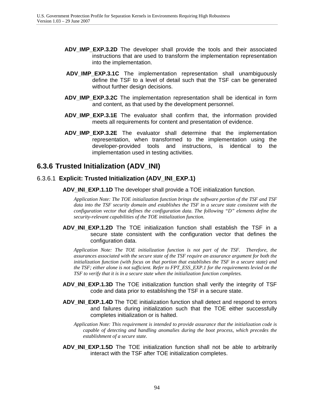- **ADV\_IMP\_EXP.3.2D** The developer shall provide the tools and their associated instructions that are used to transform the implementation representation into the implementation.
- **ADV\_IMP\_EXP.3.1C** The implementation representation shall unambiguously define the TSF to a level of detail such that the TSF can be generated without further design decisions.
- **ADV\_IMP\_EXP.3.2C** The implementation representation shall be identical in form and content, as that used by the development personnel.
- **ADV\_IMP\_EXP.3.1E** The evaluator shall confirm that, the information provided meets all requirements for content and presentation of evidence.
- **ADV\_IMP\_EXP.3.2E** The evaluator shall determine that the implementation representation, when transformed to the implementation using the developer-provided tools and instructions, is identical to the implementation used in testing activities.

### **6.3.6 Trusted Initialization (ADV\_INI)**

#### 6.3.6.1 **Explicit: Trusted Initialization (ADV\_INI\_EXP.1)**

**ADV\_INI\_EXP.1.1D** The developer shall provide a TOE initialization function.

*Application Note: The TOE initialization function brings the software portion of the TSF and TSF data into the TSF security domain and establishes the TSF in a secure state consistent with the configuration vector that defines the configuration data. The following "D" elements define the security-relevant capabilities of the TOE initialization function.* 

#### **ADV INI EXP.1.2D** The TOE initialization function shall establish the TSF in a secure state consistent with the configuration vector that defines the configuration data.

*Application Note: The TOE initialization function is not part of the TSF. Therefore, the assurances associated with the secure state of the TSF require an assurance argument for both the initialization function (with focus on that portion that establishes the TSF in a secure state) and the TSF; either alone is not sufficient. Refer to FPT\_ESS\_EXP.1 for the requirements levied on the TSF to verify that it is in a secure state when the initialization function completes.* 

- **ADV INI EXP.1.3D** The TOE initialization function shall verify the integrity of TSF code and data prior to establishing the TSF in a secure state.
- **ADV\_INI\_EXP.1.4D** The TOE initialization function shall detect and respond to errors and failures during initialization such that the TOE either successfully completes initialization or is halted.
	- *Application Note: This requirement is intended to provide assurance that the initialization code is capable of detecting and handling anomalies during the boot process, which precedes the establishment of a secure state.*
- ADV INI EXP.1.5D The TOE initialization function shall not be able to arbitrarily interact with the TSF after TOE initialization completes.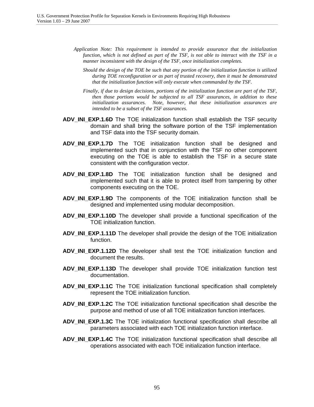- *Application Note: This requirement is intended to provide assurance that the initialization function, which is not defined as part of the TSF, is not able to interact with the TSF in a manner inconsistent with the design of the TSF, once initialization completes.* 
	- *Should the design of the TOE be such that any portion of the initialization function is utilized during TOE reconfiguration or as part of trusted recovery, then it must be demonstrated that the initialization function will only execute when commanded by the TSF.*
	- *Finally, if due to design decisions, portions of the initialization function are part of the TSF, then those portions would be subjected to all TSF assurances, in addition to these initialization assurances. Note, however, that these initialization assurances are intended to be a subset of the TSF assurances.*
- **ADV\_INI\_EXP.1.6D** The TOE initialization function shall establish the TSF security domain and shall bring the software portion of the TSF implementation and TSF data into the TSF security domain.
- **ADV\_INI\_EXP.1.7D** The TOE initialization function shall be designed and implemented such that in conjunction with the TSF no other component executing on the TOE is able to establish the TSF in a secure state consistent with the configuration vector.
- **ADV\_INI\_EXP.1.8D** The TOE initialization function shall be designed and implemented such that it is able to protect itself from tampering by other components executing on the TOE.
- **ADV\_INI\_EXP.1.9D** The components of the TOE initialization function shall be designed and implemented using modular decomposition.
- **ADV\_INI\_EXP.1.10D** The developer shall provide a functional specification of the TOE initialization function.
- **ADV** INI EXP.1.11D The developer shall provide the design of the TOE initialization function.
- **ADV\_INI\_EXP.1.12D** The developer shall test the TOE initialization function and document the results.
- **ADV\_INI\_EXP.1.13D** The developer shall provide TOE initialization function test documentation.
- **ADV INI EXP.1.1C** The TOE initialization functional specification shall completely represent the TOE initialization function.
- **ADV\_INI\_EXP.1.2C** The TOE initialization functional specification shall describe the purpose and method of use of all TOE initialization function interfaces.
- **ADV\_INI\_EXP.1.3C** The TOE initialization functional specification shall describe all parameters associated with each TOE initialization function interface.
- **ADV\_INI\_EXP.1.4C** The TOE initialization functional specification shall describe all operations associated with each TOE initialization function interface.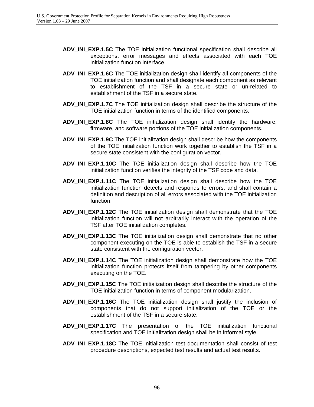- **ADV\_INI\_EXP.1.5C** The TOE initialization functional specification shall describe all exceptions, error messages and effects associated with each TOE initialization function interface.
- **ADV\_INI\_EXP.1.6C** The TOE initialization design shall identify all components of the TOE initialization function and shall designate each component as relevant to establishment of the TSF in a secure state or un-related to establishment of the TSF in a secure state.
- **ADV\_INI\_EXP.1.7C** The TOE initialization design shall describe the structure of the TOE initialization function in terms of the identified components.
- **ADV\_INI\_EXP.1.8C** The TOE initialization design shall identify the hardware, firmware, and software portions of the TOE initialization components.
- **ADV\_INI\_EXP.1.9C** The TOE initialization design shall describe how the components of the TOE initialization function work together to establish the TSF in a secure state consistent with the configuration vector.
- **ADV\_INI\_EXP.1.10C** The TOE initialization design shall describe how the TOE initialization function verifies the integrity of the TSF code and data.
- **ADV\_INI\_EXP.1.11C** The TOE initialization design shall describe how the TOE initialization function detects and responds to errors, and shall contain a definition and description of all errors associated with the TOE initialization function.
- **ADV\_INI\_EXP.1.12C** The TOE initialization design shall demonstrate that the TOE initialization function will not arbitrarily interact with the operation of the TSF after TOE initialization completes.
- **ADV\_INI\_EXP.1.13C** The TOE initialization design shall demonstrate that no other component executing on the TOE is able to establish the TSF in a secure state consistent with the configuration vector.
- **ADV\_INI\_EXP.1.14C** The TOE initialization design shall demonstrate how the TOE initialization function protects itself from tampering by other components executing on the TOE.
- **ADV\_INI\_EXP.1.15C** The TOE initialization design shall describe the structure of the TOE initialization function in terms of component modularization.
- **ADV\_INI\_EXP.1.16C** The TOE initialization design shall justify the inclusion of components that do not support initialization of the TOE or the establishment of the TSF in a secure state.
- **ADV\_INI\_EXP.1.17C** The presentation of the TOE initialization functional specification and TOE initialization design shall be in informal style.
- **ADV\_INI\_EXP.1.18C** The TOE initialization test documentation shall consist of test procedure descriptions, expected test results and actual test results.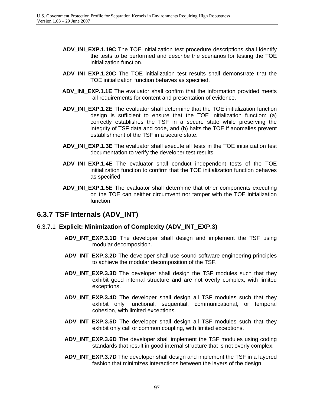- **ADV\_INI\_EXP.1.19C** The TOE initialization test procedure descriptions shall identify the tests to be performed and describe the scenarios for testing the TOE initialization function.
- **ADV\_INI\_EXP.1.20C** The TOE initialization test results shall demonstrate that the TOE initialization function behaves as specified.
- **ADV\_INI\_EXP.1.1E** The evaluator shall confirm that the information provided meets all requirements for content and presentation of evidence.
- **ADV\_INI\_EXP.1.2E** The evaluator shall determine that the TOE initialization function design is sufficient to ensure that the TOE initialization function: (a) correctly establishes the TSF in a secure state while preserving the integrity of TSF data and code, and (b) halts the TOE if anomalies prevent establishment of the TSF in a secure state.
- ADV INI EXP.1.3E The evaluator shall execute all tests in the TOE initialization test documentation to verify the developer test results.
- **ADV\_INI\_EXP.1.4E** The evaluator shall conduct independent tests of the TOE initialization function to confirm that the TOE initialization function behaves as specified.
- **ADV\_INI\_EXP.1.5E** The evaluator shall determine that other components executing on the TOE can neither circumvent nor tamper with the TOE initialization function.

### **6.3.7 TSF Internals (ADV\_INT)**

#### 6.3.7.1 **Explicit: Minimization of Complexity (ADV\_INT\_EXP.3)**

- **ADV INT EXP.3.1D** The developer shall design and implement the TSF using modular decomposition.
- **ADV\_INT\_EXP.3.2D** The developer shall use sound software engineering principles to achieve the modular decomposition of the TSF.
- **ADV\_INT\_EXP.3.3D** The developer shall design the TSF modules such that they exhibit good internal structure and are not overly complex, with limited exceptions.
- **ADV INT EXP.3.4D** The developer shall design all TSF modules such that they exhibit only functional, sequential, communicational, or temporal cohesion, with limited exceptions.
- **ADV\_INT\_EXP.3.5D** The developer shall design all TSF modules such that they exhibit only call or common coupling, with limited exceptions.
- **ADV\_INT\_EXP.3.6D** The developer shall implement the TSF modules using coding standards that result in good internal structure that is not overly complex.
- **ADV** INT EXP.3.7D The developer shall design and implement the TSF in a layered fashion that minimizes interactions between the layers of the design.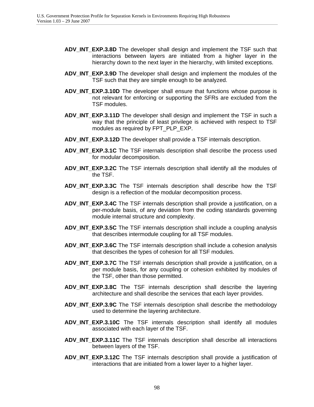- **ADV\_INT\_EXP.3.8D** The developer shall design and implement the TSF such that interactions between layers are initiated from a higher layer in the hierarchy down to the next layer in the hierarchy, with limited exceptions.
- **ADV\_INT\_EXP.3.9D** The developer shall design and implement the modules of the TSF such that they are simple enough to be analyzed.
- **ADV INT EXP.3.10D** The developer shall ensure that functions whose purpose is not relevant for enforcing or supporting the SFRs are excluded from the TSF modules.
- **ADV\_INT\_EXP.3.11D** The developer shall design and implement the TSF in such a way that the principle of least privilege is achieved with respect to TSF modules as required by FPT\_PLP\_EXP.
- **ADV** INT EXP.3.12D The developer shall provide a TSF internals description.
- **ADV\_INT\_EXP.3.1C** The TSF internals description shall describe the process used for modular decomposition.
- **ADV\_INT\_EXP.3.2C** The TSF internals description shall identify all the modules of the TSF.
- **ADV\_INT\_EXP.3.3C** The TSF internals description shall describe how the TSF design is a reflection of the modular decomposition process.
- **ADV\_INT\_EXP.3.4C** The TSF internals description shall provide a justification, on a per-module basis, of any deviation from the coding standards governing module internal structure and complexity.
- **ADV\_INT\_EXP.3.5C** The TSF internals description shall include a coupling analysis that describes intermodule coupling for all TSF modules.
- **ADV\_INT\_EXP.3.6C** The TSF internals description shall include a cohesion analysis that describes the types of cohesion for all TSF modules.
- **ADV INT EXP.3.7C** The TSF internals description shall provide a justification, on a per module basis, for any coupling or cohesion exhibited by modules of the TSF, other than those permitted.
- **ADV\_INT\_EXP.3.8C** The TSF internals description shall describe the layering architecture and shall describe the services that each layer provides.
- **ADV\_INT\_EXP.3.9C** The TSF internals description shall describe the methodology used to determine the layering architecture.
- **ADV\_INT\_EXP.3.10C** The TSF internals description shall identify all modules associated with each layer of the TSF.
- **ADV\_INT\_EXP.3.11C** The TSF internals description shall describe all interactions between layers of the TSF.
- **ADV\_INT\_EXP.3.12C** The TSF internals description shall provide a justification of interactions that are initiated from a lower layer to a higher layer.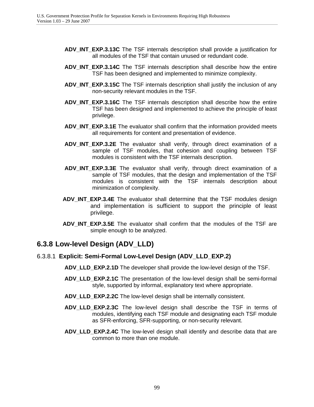- **ADV\_INT\_EXP.3.13C** The TSF internals description shall provide a justification for all modules of the TSF that contain unused or redundant code.
- ADV INT EXP.3.14C The TSF internals description shall describe how the entire TSF has been designed and implemented to minimize complexity.
- **ADV\_INT\_EXP.3.15C** The TSF internals description shall justify the inclusion of any non-security relevant modules in the TSF.
- **ADV\_INT\_EXP.3.16C** The TSF internals description shall describe how the entire TSF has been designed and implemented to achieve the principle of least privilege.
- **ADV\_INT\_EXP.3.1E** The evaluator shall confirm that the information provided meets all requirements for content and presentation of evidence.
- **ADV\_INT\_EXP.3.2E** The evaluator shall verify, through direct examination of a sample of TSF modules, that cohesion and coupling between TSF modules is consistent with the TSF internals description.
- **ADV\_INT\_EXP.3.3E** The evaluator shall verify, through direct examination of a sample of TSF modules, that the design and implementation of the TSF modules is consistent with the TSF internals description about minimization of complexity.
- **ADV\_INT\_EXP.3.4E** The evaluator shall determine that the TSF modules design and implementation is sufficient to support the principle of least privilege.
- **ADV\_INT\_EXP.3.5E** The evaluator shall confirm that the modules of the TSF are simple enough to be analyzed.

### **6.3.8 Low-level Design (ADV\_LLD)**

#### 6.3.8.1 **Explicit: Semi-Formal Low-Level Design (ADV\_LLD\_EXP.2)**

- **ADV\_LLD\_EXP.2.1D** The developer shall provide the low-level design of the TSF.
- **ADV\_LLD\_EXP.2.1C** The presentation of the low-level design shall be semi-formal style, supported by informal, explanatory text where appropriate.
- **ADV\_LLD\_EXP.2.2C** The low-level design shall be internally consistent.
- **ADV\_LLD\_EXP.2.3C** The low-level design shall describe the TSF in terms of modules, identifying each TSF module and designating each TSF module as SFR-enforcing, SFR-supporting, or non-security relevant.
- **ADV\_LLD\_EXP.2.4C** The low-level design shall identify and describe data that are common to more than one module.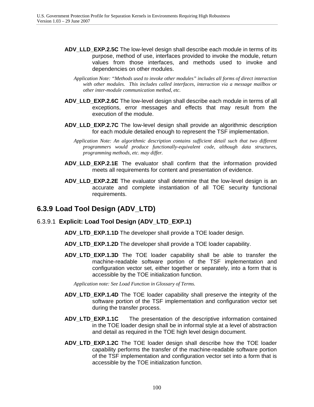- **ADV\_LLD\_EXP.2.5C** The low-level design shall describe each module in terms of its purpose, method of use, interfaces provided to invoke the module, return values from those interfaces, and methods used to invoke and dependencies on other modules.
	- *Application Note: "Methods used to invoke other modules" includes all forms of direct interaction with other modules. This includes called interfaces, interaction via a message mailbox or other inter-module communication method, etc.*
- **ADV\_LLD\_EXP.2.6C** The low-level design shall describe each module in terms of all exceptions, error messages and effects that may result from the execution of the module.
- **ADV\_LLD\_EXP.2.7C** The low-level design shall provide an algorithmic description for each module detailed enough to represent the TSF implementation.
	- *Application Note: An algorithmic description contains sufficient detail such that two different programmers would produce functionally-equivalent code, although data structures, programming methods, etc. may differ.*
- **ADV\_LLD\_EXP.2.1E** The evaluator shall confirm that the information provided meets all requirements for content and presentation of evidence.
- **ADV LLD EXP.2.2E** The evaluator shall determine that the low-level design is an accurate and complete instantiation of all TOE security functional requirements.

### **6.3.9 Load Tool Design (ADV\_LTD)**

#### 6.3.9.1 **Explicit: Load Tool Design (ADV\_LTD\_EXP.1)**

ADV LTD EXP.1.1D The developer shall provide a TOE loader design.

- ADV LTD EXP.1.2D The developer shall provide a TOE loader capability.
- **ADV\_LTD\_EXP.1.3D** The TOE loader capability shall be able to transfer the machine-readable software portion of the TSF implementation and configuration vector set, either together or separately, into a form that is accessible by the TOE initialization function.

*Application note: See Load Function in Glossary of Terms.* 

- **ADV LTD EXP.1.4D** The TOE loader capability shall preserve the integrity of the software portion of the TSF implementation and configuration vector set during the transfer process.
- **ADV\_LTD\_EXP.1.1C** The presentation of the descriptive information contained in the TOE loader design shall be in informal style at a level of abstraction and detail as required in the TOE high level design document.
- **ADV\_LTD\_EXP.1.2C** The TOE loader design shall describe how the TOE loader capability performs the transfer of the machine-readable software portion of the TSF implementation and configuration vector set into a form that is accessible by the TOE initialization function.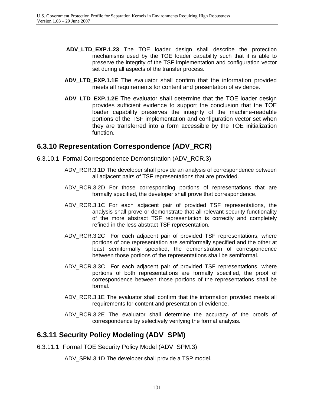- **ADV\_LTD\_EXP.1.23** The TOE loader design shall describe the protection mechanisms used by the TOE loader capability such that it is able to preserve the integrity of the TSF implementation and configuration vector set during all aspects of the transfer process.
- **ADV\_LTD\_EXP.1.1E** The evaluator shall confirm that the information provided meets all requirements for content and presentation of evidence.
- **ADV\_LTD\_EXP.1.2E** The evaluator shall determine that the TOE loader design provides sufficient evidence to support the conclusion that the TOE loader capability preserves the integrity of the machine-readable portions of the TSF implementation and configuration vector set when they are transferred into a form accessible by the TOE initialization function.

### **6.3.10 Representation Correspondence (ADV\_RCR)**

- 6.3.10.1 Formal Correspondence Demonstration (ADV\_RCR.3)
	- ADV RCR.3.1D The developer shall provide an analysis of correspondence between all adjacent pairs of TSF representations that are provided.
	- ADV\_RCR.3.2D For those corresponding portions of representations that are formally specified, the developer shall prove that correspondence.
	- ADV\_RCR.3.1C For each adjacent pair of provided TSF representations, the analysis shall prove or demonstrate that all relevant security functionality of the more abstract TSF representation is correctly and completely refined in the less abstract TSF representation.
	- ADV RCR.3.2C For each adjacent pair of provided TSF representations, where portions of one representation are semiformally specified and the other at least semiformally specified, the demonstration of correspondence between those portions of the representations shall be semiformal.
	- ADV\_RCR.3.3C For each adjacent pair of provided TSF representations, where portions of both representations are formally specified, the proof of correspondence between those portions of the representations shall be formal.
	- ADV\_RCR.3.1E The evaluator shall confirm that the information provided meets all requirements for content and presentation of evidence.
	- ADV RCR.3.2E The evaluator shall determine the accuracy of the proofs of correspondence by selectively verifying the formal analysis.

### **6.3.11 Security Policy Modeling (ADV\_SPM)**

6.3.11.1 Formal TOE Security Policy Model (ADV\_SPM.3)

ADV\_SPM.3.1D The developer shall provide a TSP model.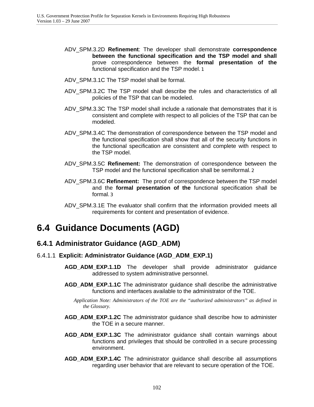- ADV\_SPM.3.2D **Refinement**: The developer shall demonstrate **correspondence between the functional specification and the TSP model and shall**  prove correspondence between the **formal presentation of the**  functional specification and the TSP model. 1
- ADV SPM.3.1C The TSP model shall be formal.
- ADV SPM.3.2C The TSP model shall describe the rules and characteristics of all policies of the TSP that can be modeled.
- ADV\_SPM.3.3C The TSP model shall include a rationale that demonstrates that it is consistent and complete with respect to all policies of the TSP that can be modeled.
- ADV\_SPM.3.4C The demonstration of correspondence between the TSP model and the functional specification shall show that all of the security functions in the functional specification are consistent and complete with respect to the TSP model.
- ADV\_SPM.3.5C **Refinement:** The demonstration of correspondence between the TSP model and the functional specification shall be semiformal. 2
- ADV\_SPM.3.6C **Refinement:** The proof of correspondence between the TSP model and the **formal presentation of the** functional specification shall be formal. 3
- ADV\_SPM.3.1E The evaluator shall confirm that the information provided meets all requirements for content and presentation of evidence.

# **6.4 Guidance Documents (AGD)**

#### **6.4.1 Administrator Guidance (AGD\_ADM)**

- 6.4.1.1 **Explicit: Administrator Guidance (AGD\_ADM\_EXP.1)** 
	- **AGD ADM EXP.1.1D** The developer shall provide administrator guidance addressed to system administrative personnel.
	- **AGD\_ADM\_EXP.1.1C** The administrator guidance shall describe the administrative functions and interfaces available to the administrator of the TOE.

*Application Note: Administrators of the TOE are the "authorized administrators" as defined in the Glossary.* 

- **AGD\_ADM\_EXP.1.2C** The administrator guidance shall describe how to administer the TOE in a secure manner.
- **AGD ADM EXP.1.3C** The administrator guidance shall contain warnings about functions and privileges that should be controlled in a secure processing environment.
- **AGD\_ADM\_EXP.1.4C** The administrator guidance shall describe all assumptions regarding user behavior that are relevant to secure operation of the TOE.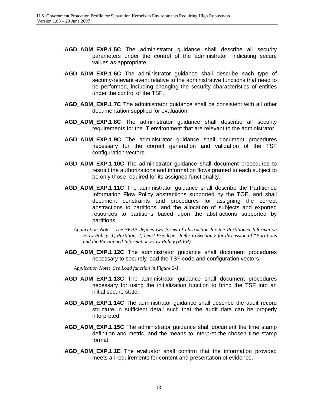- **AGD\_ADM\_EXP.1.5C** The administrator guidance shall describe all security parameters under the control of the administrator, indicating secure values as appropriate.
- **AGD\_ADM\_EXP.1.6C** The administrator guidance shall describe each type of security-relevant event relative to the administrative functions that need to be performed, including changing the security characteristics of entities under the control of the TSF.
- **AGD\_ADM\_EXP.1.7C** The administrator guidance shall be consistent with all other documentation supplied for evaluation.
- **AGD\_ADM\_EXP.1.8C** The administrator guidance shall describe all security requirements for the IT environment that are relevant to the administrator.
- **AGD\_ADM\_EXP.1.9C** The administrator guidance shall document procedures necessary for the correct generation and validation of the TSF configuration vectors.
- **AGD\_ADM\_EXP.1.10C** The administrator guidance shall document procedures to restrict the authorizations and information flows granted to each subject to be only those required for its assigned functionality.
- **AGD\_ADM\_EXP.1.11C** The administrator guidance shall describe the Partitioned Information Flow Policy abstractions supported by the TOE, and shall document constraints and procedures for assigning the correct abstractions to partitions, and the allocation of subjects and exported resources to partitions based upon the abstractions supported by partitions.
	- *Application Note: The SKPP defines two forms of abstraction for the Partitioned Information Flow Policy: 1) Partition, 2) Least Privilege. Refer to Section 2 for discussion of "Partitions and the Partitioned Information Flow Policy (PIFP)".*
- **AGD\_ADM\_EXP.1.12C** The administrator guidance shall document procedures necessary to securely load the TSF code and configuration vectors.

*Application Note: See Load function in Figure 2-1.* 

- **AGD\_ADM\_EXP.1.13C** The administrator guidance shall document procedures necessary for using the initialization function to bring the TSF into an initial secure state.
- **AGD\_ADM\_EXP.1.14C** The administrator guidance shall describe the audit record structure in sufficient detail such that the audit data can be properly interpreted.
- **AGD\_ADM\_EXP.1.15C** The administrator guidance shall document the time stamp definition and metric, and the means to interpret the chosen time stamp format.
- **AGD\_ADM\_EXP.1.1E** The evaluator shall confirm that the information provided meets all requirements for content and presentation of evidence.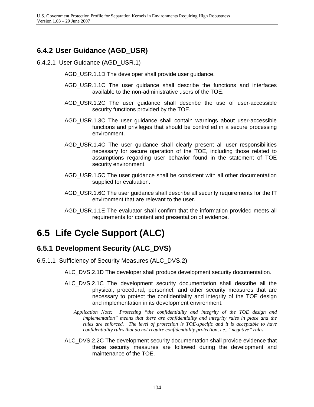# **6.4.2 User Guidance (AGD\_USR)**

- 6.4.2.1 User Guidance (AGD\_USR.1)
	- AGD USR.1.1D The developer shall provide user guidance.
	- AGD USR.1.1C The user quidance shall describe the functions and interfaces available to the non-administrative users of the TOE.
	- AGD\_USR.1.2C The user guidance shall describe the use of user-accessible security functions provided by the TOE.
	- AGD\_USR.1.3C The user guidance shall contain warnings about user-accessible functions and privileges that should be controlled in a secure processing environment.
	- AGD USR.1.4C The user quidance shall clearly present all user responsibilities necessary for secure operation of the TOE, including those related to assumptions regarding user behavior found in the statement of TOE security environment.
	- AGD\_USR.1.5C The user guidance shall be consistent with all other documentation supplied for evaluation.
	- AGD\_USR.1.6C The user guidance shall describe all security requirements for the IT environment that are relevant to the user.
	- AGD\_USR.1.1E The evaluator shall confirm that the information provided meets all requirements for content and presentation of evidence.

# **6.5 Life Cycle Support (ALC)**

### **6.5.1 Development Security (ALC\_DVS)**

- 6.5.1.1 Sufficiency of Security Measures (ALC\_DVS.2)
	- ALC\_DVS.2.1D The developer shall produce development security documentation.
	- ALC\_DVS.2.1C The development security documentation shall describe all the physical, procedural, personnel, and other security measures that are necessary to protect the confidentiality and integrity of the TOE design and implementation in its development environment.
		- *Application Note: Protecting "the confidentiality and integrity of the TOE design and implementation" means that there are confidentiality and integrity rules in place and the rules are enforced. The level of protection is TOE-specific and it is acceptable to have confidentiality rules that do not require confidentiality protection, i.e., "negative" rules.*
	- ALC\_DVS.2.2C The development security documentation shall provide evidence that these security measures are followed during the development and maintenance of the TOE.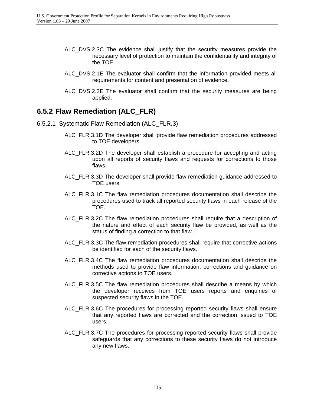- ALC\_DVS.2.3C The evidence shall justify that the security measures provide the necessary level of protection to maintain the confidentiality and integrity of the TOE.
- ALC\_DVS.2.1E The evaluator shall confirm that the information provided meets all requirements for content and presentation of evidence.
- ALC\_DVS.2.2E The evaluator shall confirm that the security measures are being applied.

# **6.5.2 Flaw Remediation (ALC\_FLR)**

- 6.5.2.1 Systematic Flaw Remediation (ALC\_FLR.3)
	- ALC\_FLR.3.1D The developer shall provide flaw remediation procedures addressed to TOE developers.
	- ALC\_FLR.3.2D The developer shall establish a procedure for accepting and acting upon all reports of security flaws and requests for corrections to those flaws.
	- ALC\_FLR.3.3D The developer shall provide flaw remediation guidance addressed to TOE users.
	- ALC\_FLR.3.1C The flaw remediation procedures documentation shall describe the procedures used to track all reported security flaws in each release of the TOE.
	- ALC\_FLR.3.2C The flaw remediation procedures shall require that a description of the nature and effect of each security flaw be provided, as well as the status of finding a correction to that flaw.
	- ALC\_FLR.3.3C The flaw remediation procedures shall require that corrective actions be identified for each of the security flaws.
	- ALC\_FLR.3.4C The flaw remediation procedures documentation shall describe the methods used to provide flaw information, corrections and guidance on corrective actions to TOE users.
	- ALC\_FLR.3.5C The flaw remediation procedures shall describe a means by which the developer receives from TOE users reports and enquiries of suspected security flaws in the TOE.
	- ALC\_FLR.3.6C The procedures for processing reported security flaws shall ensure that any reported flaws are corrected and the correction issued to TOE users.
	- ALC\_FLR.3.7C The procedures for processing reported security flaws shall provide safeguards that any corrections to these security flaws do not introduce any new flaws.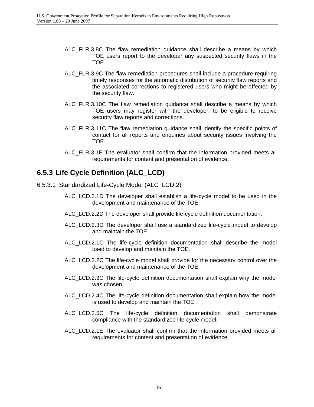- ALC\_FLR.3.8C The flaw remediation guidance shall describe a means by which TOE users report to the developer any suspected security flaws in the TOE.
- ALC\_FLR.3.9C The flaw remediation procedures shall include a procedure requiring timely responses for the automatic distribution of security flaw reports and the associated corrections to registered users who might be affected by the security flaw.
- ALC\_FLR.3.10C The flaw remediation guidance shall describe a means by which TOE users may register with the developer, to be eligible to receive security flaw reports and corrections.
- ALC FLR.3.11C The flaw remediation guidance shall identify the specific points of contact for all reports and enquiries about security issues involving the TOE.
- ALC\_FLR.3.1E The evaluator shall confirm that the information provided meets all requirements for content and presentation of evidence.

# **6.5.3 Life Cycle Definition (ALC\_LCD)**

- 6.5.3.1 Standardized Life-Cycle Model (ALC\_LCD.2)
	- ALC\_LCD.2.1D The developer shall establish a life-cycle model to be used in the development and maintenance of the TOE.
	- ALC\_LCD.2.2D The developer shall provide life-cycle definition documentation.
	- ALC\_LCD.2.3D The developer shall use a standardized life-cycle model to develop and maintain the TOE.
	- ALC\_LCD.2.1C The life-cycle definition documentation shall describe the model used to develop and maintain the TOE.
	- ALC\_LCD.2.2C The life-cycle model shall provide for the necessary control over the development and maintenance of the TOE.
	- ALC\_LCD.2.3C The life-cycle definition documentation shall explain why the model was chosen.
	- ALC\_LCD.2.4C The life-cycle definition documentation shall explain how the model is used to develop and maintain the TOE.
	- ALC\_LCD.2.5C The life-cycle definition documentation shall demonstrate compliance with the standardized life-cycle model.
	- ALC\_LCD.2.1E The evaluator shall confirm that the information provided meets all requirements for content and presentation of evidence.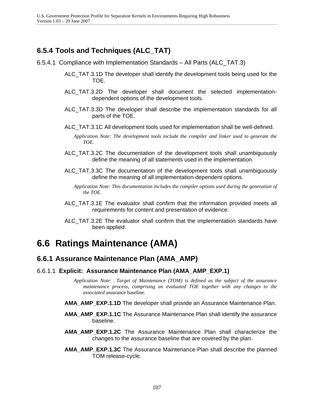# **6.5.4 Tools and Techniques (ALC\_TAT)**

- 6.5.4.1 Compliance with Implementation Standards All Parts (ALC\_TAT.3)
	- ALC\_TAT.3.1D The developer shall identify the development tools being used for the TOE.
	- ALC\_TAT.3.2D The developer shall document the selected implementationdependent options of the development tools.
	- ALC\_TAT.3.3D The developer shall describe the implementation standards for all parts of the TOE.
	- ALC\_TAT.3.1C All development tools used for implementation shall be well-defined.
		- *Application Note: The development tools include the compiler and linker used to generate the TOE.*
	- ALC\_TAT.3.2C The documentation of the development tools shall unambiguously define the meaning of all statements used in the implementation.
	- ALC\_TAT.3.3C The documentation of the development tools shall unambiguously define the meaning of all implementation-dependent options.
		- *Application Note: This documentation includes the compiler options used during the generation of the TOE.*
	- ALC\_TAT.3.1E The evaluator shall confirm that the information provided meets all requirements for content and presentation of evidence.
	- ALC\_TAT.3.2E The evaluator shall confirm that the implementation standards have been applied.

# **6.6 Ratings Maintenance (AMA)**

### **6.6.1 Assurance Maintenance Plan (AMA\_AMP)**

#### 6.6.1.1 **Explicit: Assurance Maintenance Plan (AMA\_AMP\_EXP.1)**

- *Application Note: Target of Maintenance (TOM) is defined as the subject of the assurance maintenance process, comprising an evaluated TOE together with any changes to the associated* assurance baseline*.*
- **AMA\_AMP\_EXP.1.1D** The developer shall provide an Assurance Maintenance Plan.
- **AMA\_AMP\_EXP.1.1C** The Assurance Maintenance Plan shall identify the assurance baseline.
- **AMA\_AMP\_EXP.1.2C** The Assurance Maintenance Plan shall characterize the changes to the assurance baseline that are covered by the plan.
- **AMA\_AMP\_EXP.1.3C** The Assurance Maintenance Plan shall describe the planned TOM release-cycle.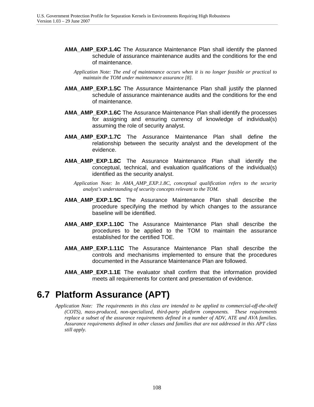- **AMA\_AMP\_EXP.1.4C** The Assurance Maintenance Plan shall identify the planned schedule of assurance maintenance audits and the conditions for the end of maintenance.
	- *Application Note: The end of maintenance occurs when it is no longer feasible or practical to maintain the TOM under maintenance assurance [8].*
- **AMA\_AMP\_EXP.1.5C** The Assurance Maintenance Plan shall justify the planned schedule of assurance maintenance audits and the conditions for the end of maintenance.
- **AMA\_AMP\_EXP.1.6C** The Assurance Maintenance Plan shall identify the processes for assigning and ensuring currency of knowledge of individual(s) assuming the role of security analyst.
- **AMA\_AMP\_EXP.1.7C** The Assurance Maintenance Plan shall define the relationship between the security analyst and the development of the evidence.
- **AMA\_AMP\_EXP.1.8C** The Assurance Maintenance Plan shall identify the conceptual, technical, and evaluation qualifications of the individual(s) identified as the security analyst.
	- *Application Note: In AMA\_AMP\_EXP.1.8C, conceptual qualification refers to the security analyst's understanding of security concepts relevant to the TOM.*
- **AMA\_AMP\_EXP.1.9C** The Assurance Maintenance Plan shall describe the procedure specifying the method by which changes to the assurance baseline will be identified.
- **AMA\_AMP\_EXP.1.10C** The Assurance Maintenance Plan shall describe the procedures to be applied to the TOM to maintain the assurance established for the certified TOE.
- **AMA\_AMP\_EXP.1.11C** The Assurance Maintenance Plan shall describe the controls and mechanisms implemented to ensure that the procedures documented in the Assurance Maintenance Plan are followed.
- **AMA\_AMP\_EXP.1.1E** The evaluator shall confirm that the information provided meets all requirements for content and presentation of evidence.

# **6.7 Platform Assurance (APT)**

*Application Note: The requirements in this class are intended to be applied to commercial-off-the-shelf (COTS), mass-produced, non-specialized, third-party platform components. These requirements replace a subset of the assurance requirements defined in a number of ADV, ATE and AVA families. Assurance requirements defined in other classes and families that are not addressed in this APT class still apply.*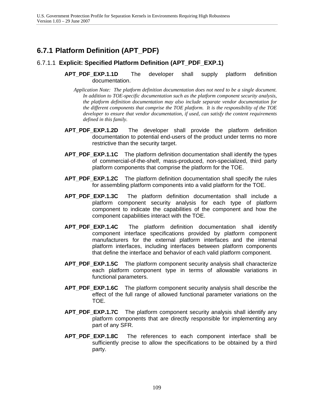### **6.7.1 Platform Definition (APT\_PDF)**

#### 6.7.1.1 **Explicit: Specified Platform Definition (APT\_PDF\_EXP.1)**

- **APT\_PDF\_EXP.1.1D** The developer shall supply platform definition documentation.
	- *Application Note: The platform definition documentation does not need to be a single document. In addition to TOE-specific documentation such as the platform component security analysis, the platform definition documentation may also include separate vendor documentation for the different components that comprise the TOE platform. It is the responsibility of the TOE developer to ensure that vendor documentation, if used, can satisfy the content requirements defined in this family.*
- **APT\_PDF\_EXP.1.2D** The developer shall provide the platform definition documentation to potential end-users of the product under terms no more restrictive than the security target.
- **APT\_PDF\_EXP.1.1C** The platform definition documentation shall identify the types of commercial-of-the-shelf, mass-produced, non-specialized, third party platform components that comprise the platform for the TOE.
- **APT\_PDF\_EXP.1.2C** The platform definition documentation shall specify the rules for assembling platform components into a valid platform for the TOE.
- **APT\_PDF\_EXP.1.3C** The platform definition documentation shall include a platform component security analysis for each type of platform component to indicate the capabilities of the component and how the component capabilities interact with the TOE.
- **APT\_PDF\_EXP.1.4C** The platform definition documentation shall identify component interface specifications provided by platform component manufacturers for the external platform interfaces and the internal platform interfaces, including interfaces between platform components that define the interface and behavior of each valid platform component.
- **APT\_PDF\_EXP.1.5C** The platform component security analysis shall characterize each platform component type in terms of allowable variations in functional parameters.
- **APT\_PDF\_EXP.1.6C** The platform component security analysis shall describe the effect of the full range of allowed functional parameter variations on the TOE.
- **APT\_PDF\_EXP.1.7C** The platform component security analysis shall identify any platform components that are directly responsible for implementing any part of any SFR.
- **APT\_PDF\_EXP.1.8C** The references to each component interface shall be sufficiently precise to allow the specifications to be obtained by a third party.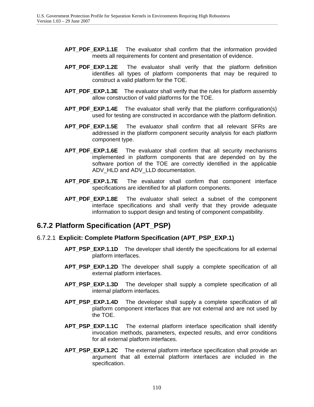- **APT\_PDF\_EXP.1.1E** The evaluator shall confirm that the information provided meets all requirements for content and presentation of evidence.
- **APT\_PDF\_EXP.1.2E** The evaluator shall verify that the platform definition identifies all types of platform components that may be required to construct a valid platform for the TOE.
- **APT\_PDF\_EXP.1.3E** The evaluator shall verify that the rules for platform assembly allow construction of valid platforms for the TOE.
- **APT\_PDF\_EXP.1.4E** The evaluator shall verify that the platform configuration(s) used for testing are constructed in accordance with the platform definition.
- **APT\_PDF\_EXP.1.5E** The evaluator shall confirm that all relevant SFRs are addressed in the platform component security analysis for each platform component type.
- **APT PDF EXP.1.6E** The evaluator shall confirm that all security mechanisms implemented in platform components that are depended on by the software portion of the TOE are correctly identified in the applicable ADV\_HLD and ADV\_LLD documentation.
- **APT\_PDF\_EXP.1.7E** The evaluator shall confirm that component interface specifications are identified for all platform components.
- **APT\_PDF\_EXP.1.8E** The evaluator shall select a subset of the component interface specifications and shall verify that they provide adequate information to support design and testing of component compatibility.

### **6.7.2 Platform Specification (APT\_PSP)**

- 6.7.2.1 **Explicit: Complete Platform Specification (APT\_PSP\_EXP.1)** 
	- **APT\_PSP\_EXP.1.1D** The developer shall identify the specifications for all external platform interfaces.
	- **APT PSP EXP.1.2D** The developer shall supply a complete specification of all external platform interfaces.
	- **APT PSP EXP.1.3D** The developer shall supply a complete specification of all internal platform interfaces.
	- APT PSP EXP.1.4D The developer shall supply a complete specification of all platform component interfaces that are not external and are not used by the TOE.
	- **APT\_PSP\_EXP.1.1C** The external platform interface specification shall identify invocation methods, parameters, expected results, and error conditions for all external platform interfaces.
	- **APT\_PSP\_EXP.1.2C** The external platform interface specification shall provide an argument that all external platform interfaces are included in the specification.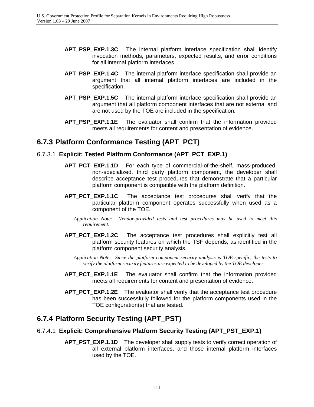- **APT\_PSP\_EXP.1.3C** The internal platform interface specification shall identify invocation methods, parameters, expected results, and error conditions for all internal platform interfaces.
- **APT\_PSP\_EXP.1.4C** The internal platform interface specification shall provide an argument that all internal platform interfaces are included in the specification.
- **APT\_PSP\_EXP.1.5C** The internal platform interface specification shall provide an argument that all platform component interfaces that are not external and are not used by the TOE are included in the specification.
- **APT\_PSP\_EXP.1.1E** The evaluator shall confirm that the information provided meets all requirements for content and presentation of evidence.

### **6.7.3 Platform Conformance Testing (APT\_PCT)**

#### 6.7.3.1 **Explicit: Tested Platform Conformance (APT\_PCT\_EXP.1)**

- **APT\_PCT\_EXP.1.1D** For each type of commercial-of-the-shelf, mass-produced, non-specialized, third party platform component, the developer shall describe acceptance test procedures that demonstrate that a particular platform component is compatible with the platform definition.
- **APT PCT EXP.1.1C** The acceptance test procedures shall verify that the particular platform component operates successfully when used as a component of the TOE.
	- *Application Note: Vendor-provided tests and test procedures may be used to meet this requirement.*
- **APT\_PCT\_EXP.1.2C** The acceptance test procedures shall explicitly test all platform security features on which the TSF depends, as identified in the platform component security analysis.
	- *Application Note: Since the platform component security analysis is TOE-specific, the tests to verify the platform security features are expected to be developed by the TOE developer.*
- **APT\_PCT\_EXP.1.1E** The evaluator shall confirm that the information provided meets all requirements for content and presentation of evidence.
- **APT\_PCT\_EXP.1.2E** The evaluator shall verify that the acceptance test procedure has been successfully followed for the platform components used in the TOE configuration(s) that are tested.

### **6.7.4 Platform Security Testing (APT\_PST)**

#### 6.7.4.1 **Explicit: Comprehensive Platform Security Testing (APT\_PST\_EXP.1)**

**APT\_PST\_EXP.1.1D** The developer shall supply tests to verify correct operation of all external platform interfaces, and those internal platform interfaces used by the TOE.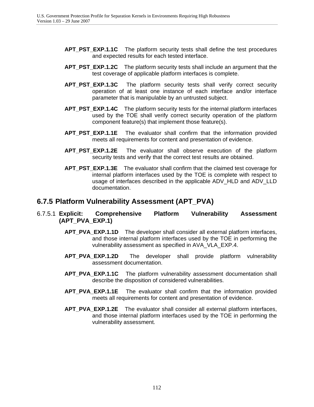- **APT\_PST\_EXP.1.1C** The platform security tests shall define the test procedures and expected results for each tested interface.
- **APT\_PST\_EXP.1.2C** The platform security tests shall include an argument that the test coverage of applicable platform interfaces is complete.
- **APT\_PST\_EXP.1.3C** The platform security tests shall verify correct security operation of at least one instance of each interface and/or interface parameter that is manipulable by an untrusted subject.
- **APT\_PST\_EXP.1.4C** The platform security tests for the internal platform interfaces used by the TOE shall verify correct security operation of the platform component feature(s) that implement those feature(s).
- **APT\_PST\_EXP.1.1E** The evaluator shall confirm that the information provided meets all requirements for content and presentation of evidence.
- **APT\_PST\_EXP.1.2E** The evaluator shall observe execution of the platform security tests and verify that the correct test results are obtained.
- **APT\_PST\_EXP.1.3E** The evaluator shall confirm that the claimed test coverage for internal platform interfaces used by the TOE is complete with respect to usage of interfaces described in the applicable ADV\_HLD and ADV\_LLD documentation.

#### **6.7.5 Platform Vulnerability Assessment (APT\_PVA)**

- 6.7.5.1 **Explicit: Comprehensive Platform Vulnerability Assessment (APT\_PVA\_EXP.1)** 
	- APT PVA EXP.1.1D The developer shall consider all external platform interfaces, and those internal platform interfaces used by the TOE in performing the vulnerability assessment as specified in AVA\_VLA\_EXP.4.
	- **APT PVA EXP.1.2D** The developer shall provide platform vulnerability assessment documentation.
	- **APT\_PVA\_EXP.1.1C** The platform vulnerability assessment documentation shall describe the disposition of considered vulnerabilities.
	- **APT\_PVA\_EXP.1.1E** The evaluator shall confirm that the information provided meets all requirements for content and presentation of evidence.
	- **APT\_PVA\_EXP.1.2E** The evaluator shall consider all external platform interfaces, and those internal platform interfaces used by the TOE in performing the vulnerability assessment.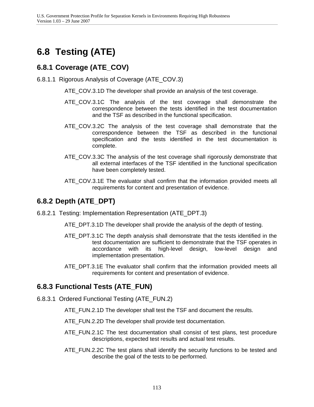# **6.8 Testing (ATE)**

### **6.8.1 Coverage (ATE\_COV)**

6.8.1.1 Rigorous Analysis of Coverage (ATE\_COV.3)

ATE\_COV.3.1D The developer shall provide an analysis of the test coverage.

- ATE\_COV.3.1C The analysis of the test coverage shall demonstrate the correspondence between the tests identified in the test documentation and the TSF as described in the functional specification.
- ATE\_COV.3.2C The analysis of the test coverage shall demonstrate that the correspondence between the TSF as described in the functional specification and the tests identified in the test documentation is complete.
- ATE\_COV.3.3C The analysis of the test coverage shall rigorously demonstrate that all external interfaces of the TSF identified in the functional specification have been completely tested.
- ATE\_COV.3.1E The evaluator shall confirm that the information provided meets all requirements for content and presentation of evidence.

### **6.8.2 Depth (ATE\_DPT)**

6.8.2.1 Testing: Implementation Representation (ATE\_DPT.3)

ATE\_DPT.3.1D The developer shall provide the analysis of the depth of testing.

- ATE\_DPT.3.1C The depth analysis shall demonstrate that the tests identified in the test documentation are sufficient to demonstrate that the TSF operates in accordance with its high-level design, low-level design and implementation presentation.
- ATE\_DPT.3.1E\_The evaluator shall confirm that the information provided meets all requirements for content and presentation of evidence.

### **6.8.3 Functional Tests (ATE\_FUN)**

- 6.8.3.1 Ordered Functional Testing (ATE\_FUN.2)
	- ATE\_FUN.2.1D The developer shall test the TSF and document the results.
	- ATE\_FUN.2.2D The developer shall provide test documentation.
	- ATE\_FUN.2.1C The test documentation shall consist of test plans, test procedure descriptions, expected test results and actual test results.
	- ATE\_FUN.2.2C The test plans shall identify the security functions to be tested and describe the goal of the tests to be performed.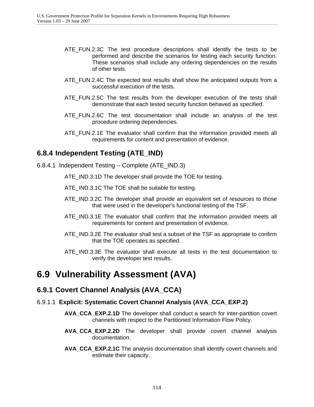- ATE\_FUN.2.3C The test procedure descriptions shall identify the tests to be performed and describe the scenarios for testing each security function. These scenarios shall include any ordering dependencies on the results of other tests.
- ATE\_FUN.2.4C The expected test results shall show the anticipated outputs from a successful execution of the tests.
- ATE\_FUN.2.5C The test results from the developer execution of the tests shall demonstrate that each tested security function behaved as specified.
- ATE\_FUN.2.6C The test documentation shall include an analysis of the test procedure ordering dependencies.
- ATE\_FUN.2.1E The evaluator shall confirm that the information provided meets all requirements for content and presentation of evidence.

### **6.8.4 Independent Testing (ATE\_IND)**

- 6.8.4.1 Independent Testing Complete (ATE\_IND.3)
	- ATE\_IND.3.1D The developer shall provide the TOE for testing.
	- ATE\_IND.3.1C The TOE shall be suitable for testing.
	- ATE IND.3.2C The developer shall provide an equivalent set of resources to those that were used in the developer's functional testing of the TSF.
	- ATE IND.3.1E The evaluator shall confirm that the information provided meets all requirements for content and presentation of evidence.
	- ATE\_IND.3.2E The evaluator shall test a subset of the TSF as appropriate to confirm that the TOE operates as specified.
	- ATE\_IND.3.3E The evaluator shall execute all tests in the test documentation to verify the developer test results.

## **6.9 Vulnerability Assessment (AVA)**

### **6.9.1 Covert Channel Analysis (AVA\_CCA)**

#### 6.9.1.1 **Explicit: Systematic Covert Channel Analysis (AVA\_CCA\_EXP.2)**

- **AVA\_CCA\_EXP.2.1D** The developer shall conduct a search for inter-partition covert channels with respect to the Partitioned Information Flow Policy.
- **AVA\_CCA\_EXP.2.2D** The developer shall provide covert channel analysis documentation.
- **AVA\_CCA\_EXP.2.1C** The analysis documentation shall identify covert channels and estimate their capacity.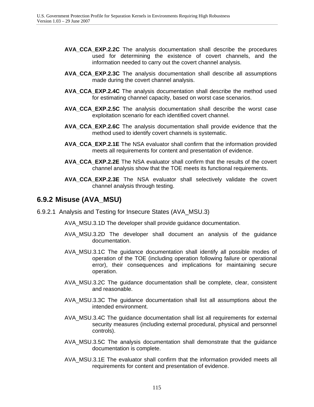- **AVA\_CCA\_EXP.2.2C** The analysis documentation shall describe the procedures used for determining the existence of covert channels, and the information needed to carry out the covert channel analysis.
- **AVA\_CCA\_EXP.2.3C** The analysis documentation shall describe all assumptions made during the covert channel analysis.
- **AVA\_CCA\_EXP.2.4C** The analysis documentation shall describe the method used for estimating channel capacity, based on worst case scenarios.
- **AVA\_CCA\_EXP.2.5C** The analysis documentation shall describe the worst case exploitation scenario for each identified covert channel.
- **AVA\_CCA\_EXP.2.6C** The analysis documentation shall provide evidence that the method used to identify covert channels is systematic.
- **AVA\_CCA\_EXP.2.1E** The NSA evaluator shall confirm that the information provided meets all requirements for content and presentation of evidence.
- **AVA\_CCA\_EXP.2.2E** The NSA evaluator shall confirm that the results of the covert channel analysis show that the TOE meets its functional requirements.
- **AVA\_CCA\_EXP.2.3E** The NSA evaluator shall selectively validate the covert channel analysis through testing.

#### **6.9.2 Misuse (AVA\_MSU)**

6.9.2.1 Analysis and Testing for Insecure States (AVA\_MSU.3)

AVA\_MSU.3.1D The developer shall provide guidance documentation.

- AVA\_MSU.3.2D The developer shall document an analysis of the guidance documentation.
- AVA\_MSU.3.1C The guidance documentation shall identify all possible modes of operation of the TOE (including operation following failure or operational error), their consequences and implications for maintaining secure operation.
- AVA\_MSU.3.2C The guidance documentation shall be complete, clear, consistent and reasonable.
- AVA\_MSU.3.3C The guidance documentation shall list all assumptions about the intended environment.
- AVA\_MSU.3.4C The guidance documentation shall list all requirements for external security measures (including external procedural, physical and personnel controls).
- AVA\_MSU.3.5C The analysis documentation shall demonstrate that the guidance documentation is complete.
- AVA\_MSU.3.1E The evaluator shall confirm that the information provided meets all requirements for content and presentation of evidence.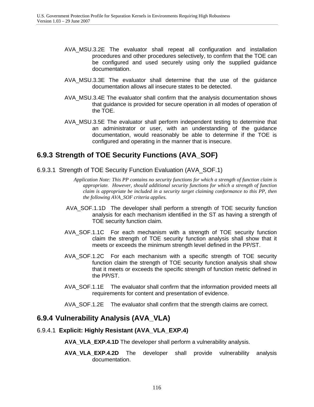- AVA\_MSU.3.2E The evaluator shall repeat all configuration and installation procedures and other procedures selectively, to confirm that the TOE can be configured and used securely using only the supplied guidance documentation.
- AVA\_MSU.3.3E The evaluator shall determine that the use of the guidance documentation allows all insecure states to be detected.
- AVA\_MSU.3.4E The evaluator shall confirm that the analysis documentation shows that guidance is provided for secure operation in all modes of operation of the TOE.
- AVA\_MSU.3.5E The evaluator shall perform independent testing to determine that an administrator or user, with an understanding of the guidance documentation, would reasonably be able to determine if the TOE is configured and operating in the manner that is insecure.

### **6.9.3 Strength of TOE Security Functions (AVA\_SOF)**

- 6.9.3.1 Strength of TOE Security Function Evaluation (AVA\_SOF.1)
	- *Application Note: This PP contains no security functions for which a strength of function claim is appropriate. However, should additional security functions for which a strength of function claim is appropriate be included in a security target claiming conformance to this PP, then the following AVA\_SOF criteria applies.*
	- AVA\_SOF.1.1D The developer shall perform a strength of TOE security function analysis for each mechanism identified in the ST as having a strength of TOE security function claim.
	- AVA\_SOF.1.1C For each mechanism with a strength of TOE security function claim the strength of TOE security function analysis shall show that it meets or exceeds the minimum strength level defined in the PP/ST.
	- AVA\_SOF.1.2C For each mechanism with a specific strength of TOE security function claim the strength of TOE security function analysis shall show that it meets or exceeds the specific strength of function metric defined in the PP/ST.
	- AVA\_SOF.1.1E The evaluator shall confirm that the information provided meets all requirements for content and presentation of evidence.
	- AVA\_SOF.1.2E The evaluator shall confirm that the strength claims are correct.

#### **6.9.4 Vulnerability Analysis (AVA\_VLA)**

#### 6.9.4.1 **Explicit: Highly Resistant (AVA\_VLA\_EXP.4)**

**AVA\_VLA\_EXP.4.1D** The developer shall perform a vulnerability analysis.

**AVA\_VLA\_EXP.4.2D** The developer shall provide vulnerability analysis documentation.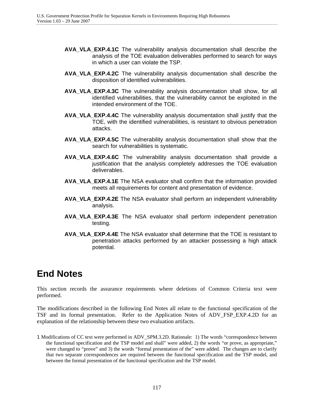- **AVA\_VLA\_EXP.4.1C** The vulnerability analysis documentation shall describe the analysis of the TOE evaluation deliverables performed to search for ways in which a user can violate the TSP.
- **AVA\_VLA\_EXP.4.2C** The vulnerability analysis documentation shall describe the disposition of identified vulnerabilities.
- **AVA\_VLA\_EXP.4.3C** The vulnerability analysis documentation shall show, for all identified vulnerabilities, that the vulnerability cannot be exploited in the intended environment of the TOE.
- **AVA\_VLA\_EXP.4.4C** The vulnerability analysis documentation shall justify that the TOE, with the identified vulnerabilities, is resistant to obvious penetration attacks.
- **AVA\_VLA\_EXP.4.5C** The vulnerability analysis documentation shall show that the search for vulnerabilities is systematic.
- **AVA\_VLA\_EXP.4.6C** The vulnerability analysis documentation shall provide a justification that the analysis completely addresses the TOE evaluation deliverables.
- **AVA\_VLA\_EXP.4.1E** The NSA evaluator shall confirm that the information provided meets all requirements for content and presentation of evidence.
- **AVA\_VLA\_EXP.4.2E** The NSA evaluator shall perform an independent vulnerability analysis.
- **AVA\_VLA\_EXP.4.3E** The NSA evaluator shall perform independent penetration testing.
- **AVA\_VLA\_EXP.4.4E** The NSA evaluator shall determine that the TOE is resistant to penetration attacks performed by an attacker possessing a high attack potential.

# **End Notes**

This section records the assurance requirements where deletions of Common Criteria text were performed.

The modifications described in the following End Notes all relate to the functional specification of the TSF and its formal presentation. Refer to the Application Notes of ADV\_FSP\_EXP.4.2D for an explanation of the relationship between these two evaluation artifacts.

1 Modifications of CC text were performed in ADV\_SPM.3.2D. Rationale: 1) The words "correspondence between the functional specification and the TSP model and shall" were added, 2) the words "or prove, as appropriate," were changed to "prove" and 3) the words "formal presentation of the" were added. The changes are to clarify that two separate correspondences are required between the functional specification and the TSP model, and between the formal presentation of the functional specification and the TSP model.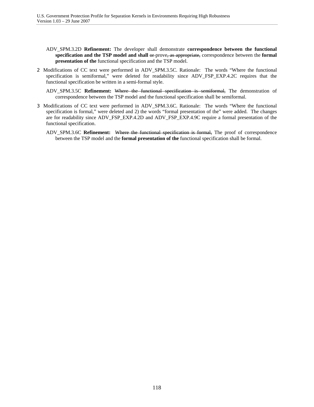- ADV\_SPM.3.2D **Refinement:** The developer shall demonstrate **correspondence between the functional specification and the TSP model and shall** or prove, as appropriate, correspondence between the **formal presentation of the** functional specification and the TSP model.
- 2 Modifications of CC text were performed in ADV\_SPM.3.5C. Rationale: The words "Where the functional specification is semiformal," were deleted for readability since ADV\_FSP\_EXP.4.2C requires that the functional specification be written in a semi-formal style.

ADV\_SPM.3.5C **Refinement:** Where the functional specification is semiformal, The demonstration of correspondence between the TSP model and the functional specification shall be semiformal.

- 3 Modifications of CC text were performed in ADV\_SPM.3.6C. Rationale: The words "Where the functional specification is formal," were deleted and 2) the words "formal presentation of the" were added. The changes are for readability since ADV\_FSP\_EXP.4.2D and ADV\_FSP\_EXP.4.9C require a formal presentation of the functional specification.
	- ADV\_SPM.3.6C **Refinement:** Where the functional specification is formal, The proof of correspondence between the TSP model and the **formal presentation of the** functional specification shall be formal.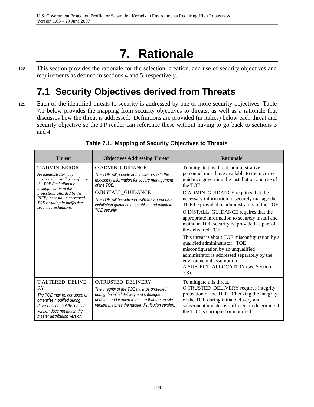# **7. Rationale**

128 This section provides the rationale for the selection, creation, and use of security objectives and requirements as defined in sections 4 and 5, respectively.

# **7.1 Security Objectives derived from Threats**

129 Each of the identified threats to security is addressed by one or more security objectives. Table 7.1 below provides the mapping from security objectives to threats, as well as a rationale that discusses how the threat is addressed. Definitions are provided (in italics) below each threat and security objective so the PP reader can reference these without having to go back to sections 3 and 4.

| <b>Threat</b>                                                                                                                                                                                                                                               | <b>Objectives Addressing Threat</b>                                                                                                                                                                                                                                               | <b>Rationale</b>                                                                                                                                                                                                                                                                                                                                                                                                                                                                                                                                                                                                                                                                                                     |
|-------------------------------------------------------------------------------------------------------------------------------------------------------------------------------------------------------------------------------------------------------------|-----------------------------------------------------------------------------------------------------------------------------------------------------------------------------------------------------------------------------------------------------------------------------------|----------------------------------------------------------------------------------------------------------------------------------------------------------------------------------------------------------------------------------------------------------------------------------------------------------------------------------------------------------------------------------------------------------------------------------------------------------------------------------------------------------------------------------------------------------------------------------------------------------------------------------------------------------------------------------------------------------------------|
| <b>T.ADMIN_ERROR</b><br>An administrator may<br>incorrectly install or configure<br>the TOE (including the<br>misapplication of the<br>protections afforded by the<br>PIFP), or install a corrupted<br>TOE resulting in ineffective<br>security mechanisms. | <b>O.ADMIN_GUIDANCE</b><br>The TOE will provide administrators with the<br>necessary information for secure management<br>of the TOE.<br>O.INSTALL_GUIDANCE<br>The TOE will be delivered with the appropriate<br>installation guidance to establish and maintain<br>TOE security. | To mitigate this threat, administrative<br>personnel must have available to them correct<br>guidance governing the installation and use of<br>the TOE.<br>O.ADMIN_GUIDANCE requires that the<br>necessary information to securely manage the<br>TOE be provided to administrators of the TOE.<br>O.INSTALL_GUIDANCE requires that the<br>appropriate information to securely install and<br>maintain TOE security be provided as part of<br>the delivered TOE.<br>This threat is about TOE misconfiguration by a<br>qualified admininstrator. TOE<br>misconfiguration by an unqualified<br>administrator is addressed separately by the<br>environmental assumption<br>A.SUBJECT_ALLOCATION (see Section<br>$7.3$ ). |
| <b>T.ALTERED_DELIVE</b><br>RY<br>The TOE may be corrupted or<br>otherwise modified during<br>delivery such that the on-site<br>version does not match the<br>master distribution version.                                                                   | O.TRUSTED_DELIVERY<br>The integrity of the TOE must be protected<br>during the initial delivery and subsequent<br>updates, and verified to ensure that the on-site<br>version matches the master distribution version.                                                            | To mitigate this threat,<br>O.TRUSTED_DELIVERY requires integrity<br>protection of the TOE. Checking the integrity<br>of the TOE during initial delivery and<br>subsequent updates is sufficient to determine if<br>the TOE is corrupted or modified.                                                                                                                                                                                                                                                                                                                                                                                                                                                                |

#### **Table 7.1. Mapping of Security Objectives to Threats**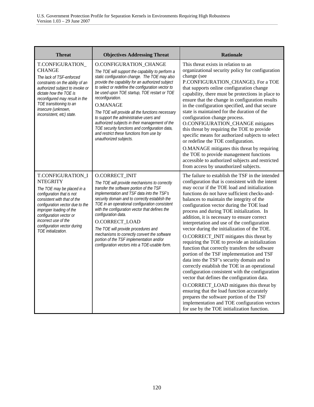| <b>Threat</b>                                                                                                                                                                                                                                                                                  | <b>Objectives Addressing Threat</b>                                                                                                                                                                                                                                                                                                                                                                                                                                                                                                                                                                  | <b>Rationale</b>                                                                                                                                                                                                                                                                                                                                                                                                                                                                                                                                                                                                                                                                                                                                                                                                                                                                                                                                                                                                                                                                                                          |
|------------------------------------------------------------------------------------------------------------------------------------------------------------------------------------------------------------------------------------------------------------------------------------------------|------------------------------------------------------------------------------------------------------------------------------------------------------------------------------------------------------------------------------------------------------------------------------------------------------------------------------------------------------------------------------------------------------------------------------------------------------------------------------------------------------------------------------------------------------------------------------------------------------|---------------------------------------------------------------------------------------------------------------------------------------------------------------------------------------------------------------------------------------------------------------------------------------------------------------------------------------------------------------------------------------------------------------------------------------------------------------------------------------------------------------------------------------------------------------------------------------------------------------------------------------------------------------------------------------------------------------------------------------------------------------------------------------------------------------------------------------------------------------------------------------------------------------------------------------------------------------------------------------------------------------------------------------------------------------------------------------------------------------------------|
| T.CONFIGURATION<br><b>CHANGE</b><br>The lack of TSF-enforced<br>constraints on the ability of an<br>authorized subject to invoke or<br>dictate how the TOE is<br>reconfigured may result in the<br>TOE transitioning to an<br>insecure (unknown,<br>inconsistent, etc) state.                  | O.CONFIGURATION_CHANGE<br>The TOE will support the capability to perform a<br>static configuration change. The TOE may also<br>provide the capability for an authorized subject<br>to select or redefine the configuration vector to<br>be used upon TOE startup, TOE restart or TOE<br>reconfiguration.<br><b>O.MANAGE</b><br>The TOE will provide all the functions necessary<br>to support the administrative users and<br>authorized subjects in their management of the<br>TOE security functions and configuration data,<br>and restrict these functions from use by<br>unauthorized subjects. | This threat exists in relation to an<br>organizational security policy for configuration<br>change (see<br>P.CONFIGURATION_CHANGE). For a TOE<br>that supports online configuration change<br>capability, there must be protections in place to<br>ensure that the change in configuration results<br>in the configuration specified, and that secure<br>state is maintained for the duration of the<br>configuration change process.<br>O.CONFIGURATION_CHANGE mitigates<br>this threat by requiring the TOE to provide<br>specific means for authorized subjects to select<br>or redefine the TOE configuration.<br>O.MANAGE mitigates this threat by requiring<br>the TOE to provide management functions<br>accessible to authorized subjects and restricted<br>from access by unauthorized subjects.                                                                                                                                                                                                                                                                                                                 |
| T.CONFIGURATION_I<br>NTEGRITY<br>The TOE may be placed in a<br>configuration that is not<br>consistent with that of the<br>configuration vector due to the<br>improper loading of the<br>configuration vector or<br>incorrect use of the<br>configuration vector during<br>TOE initialization. | O.CORRECT_INIT<br>The TOE will provide mechanisms to correctly<br>transfer the software portion of the TSF<br>implementation and TSF data into the TSF's<br>security domain and to correctly establish the<br>TOE in an operational configuration consistent<br>with the configuration vector that defines the<br>configuration data.<br>O.CORRECT_LOAD<br>The TOE will provide procedures and<br>mechanisms to correctly convert the software<br>portion of the TSF implementation and/or<br>configuration vectors into a TOE-usable form.                                                          | The failure to establish the TSF in the intended<br>configuration that is consistent with the intent<br>may occur if the TOE load and initialization<br>functions do not have sufficient checks-and-<br>balances to maintain the integrity of the<br>configuration vector during the TOE load<br>process and during TOE initialization. In<br>addition, it is necessary to ensure correct<br>interpretation and use of the configuration<br>vector during the initialization of the TOE.<br>O.CORRECT_INIT mitigates this threat by<br>requiring the TOE to provide an initialization<br>function that correctly transfers the software<br>portion of the TSF implementation and TSF<br>data into the TSF's security domain and to<br>correctly establish the TOE in an operational<br>configuration consistent with the configuration<br>vector that defines the configuration data.<br>O.CORRECT_LOAD mitigates this threat by<br>ensuring that the load function accurately<br>prepares the software portion of the TSF<br>implementation and TOE configuration vectors<br>for use by the TOE initialization function. |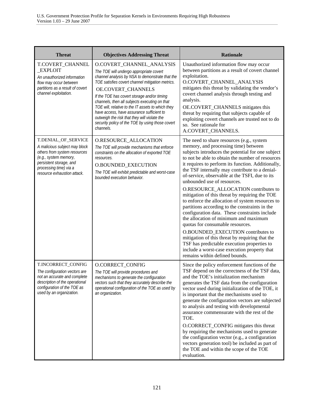| <b>Threat</b>                                                                                                                                                                                     | <b>Objectives Addressing Threat</b>                                                                                                                                                                                                                                                                                                                                                                                                                                                                                  | <b>Rationale</b>                                                                                                                                                                                                                                                                                                                                                                                                                                                                                                                                                                                                                                                                                                                                                                                                                                                                                                                            |
|---------------------------------------------------------------------------------------------------------------------------------------------------------------------------------------------------|----------------------------------------------------------------------------------------------------------------------------------------------------------------------------------------------------------------------------------------------------------------------------------------------------------------------------------------------------------------------------------------------------------------------------------------------------------------------------------------------------------------------|---------------------------------------------------------------------------------------------------------------------------------------------------------------------------------------------------------------------------------------------------------------------------------------------------------------------------------------------------------------------------------------------------------------------------------------------------------------------------------------------------------------------------------------------------------------------------------------------------------------------------------------------------------------------------------------------------------------------------------------------------------------------------------------------------------------------------------------------------------------------------------------------------------------------------------------------|
| T.COVERT_CHANNEL<br><b>EXPLOIT</b><br>An unauthorized information<br>flow may occur between<br>partitions as a result of covert<br>channel exploitation.                                          | O.COVERT_CHANNEL_ANALYSIS<br>The TOE will undergo appropriate covert<br>channel analysis by NSA to demonstrate that the<br>TOE satisfies covert channel mitigation metrics.<br>OE.COVERT_CHANNELS<br>If the TOE has covert storage and/or timing<br>channels, then all subjects executing on that<br>TOE will, relative to the IT assets to which they<br>have access, have assurance sufficient to<br>outweigh the risk that they will violate the<br>security policy of the TOE by using those covert<br>channels. | Unauthorized information flow may occur<br>between partitions as a result of covert channel<br>exploitation.<br>O.COVERT_CHANNEL_ANALYSIS<br>mitigates this threat by validating the vendor's<br>covert channel analysis through testing and<br>analysis.<br>OE.COVERT_CHANNELS mitigates this<br>threat by requiring that subjects capable of<br>exploiting covert channels are trusted not to do<br>so. See rationale for<br>A.COVERT_CHANNELS.                                                                                                                                                                                                                                                                                                                                                                                                                                                                                           |
| T.DENIAL_OF_SERVICE<br>A malicious subject may block<br>others from system resources<br>(e.g., system memory,<br>persistent storage, and<br>processing time) via a<br>resource exhaustion attack. | O.RESOURCE_ALLOCATION<br>The TOE will provide mechanisms that enforce<br>constraints on the allocation of exported TOE<br>resources.<br>O.BOUNDED_EXECUTION<br>The TOE will exhibit predictable and worst-case<br>bounded execution behavior.                                                                                                                                                                                                                                                                        | The need to share resources (e.g., system<br>memory, and processing time) between<br>subjects introduces the potential for one subject<br>to not be able to obtain the number of resources<br>it requires to perform its function. Additionally,<br>the TSF internally may contribute to a denial-<br>of-service, observable at the TSFI, due to its<br>unbounded use of resources.<br>O.RESOURCE_ALLOCATION contributes to<br>mitigation of this threat by requiring the TOE<br>to enforce the allocation of system resources to<br>partitions according to the constraints in the<br>configuration data. These constraints include<br>the allocation of minimum and maximum<br>quotas for consumable resources.<br>O.BOUNDED_EXECUTION contributes to<br>mitigation of this threat by requiring that the<br>TSF has predictable execution properties to<br>include a worst-case execution property that<br>remains within defined bounds. |
| T.INCORRECT_CONFIG<br>The configuration vectors are<br>not an accurate and complete<br>description of the operational<br>configuration of the TOE as<br>used by an organization.                  | O.CORRECT_CONFIG<br>The TOE will provide procedures and<br>mechanisms to generate the configuration<br>vectors such that they accurately describe the<br>operational configuration of the TOE as used by<br>an organization.                                                                                                                                                                                                                                                                                         | Since the policy enforcement functions of the<br>TSF depend on the correctness of the TSF data,<br>and the TOE's initialization mechanism<br>generates the TSF data from the configuration<br>vector used during initialization of the TOE, it<br>is important that the mechanisms used to<br>generate the configuration vectors are subjected<br>to analysis and testing with developmental<br>assurance commensurate with the rest of the<br>TOE.<br>O.CORRECT_CONFIG mitigates this threat<br>by requiring the mechanisms used to generate<br>the configuration vector (e.g., a configuration<br>vectors generation tool) be included as part of<br>the TOE and within the scope of the TOE<br>evaluation.                                                                                                                                                                                                                               |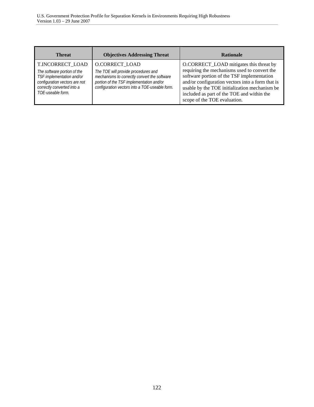| <b>Threat</b>                                                                                                                                                    | <b>Objectives Addressing Threat</b>                                                                                                                                                                        | <b>Rationale</b>                                                                                                                                                                                                                                                                                                         |
|------------------------------------------------------------------------------------------------------------------------------------------------------------------|------------------------------------------------------------------------------------------------------------------------------------------------------------------------------------------------------------|--------------------------------------------------------------------------------------------------------------------------------------------------------------------------------------------------------------------------------------------------------------------------------------------------------------------------|
| T.INCORRECT LOAD<br>The software portion of the<br>TSF implementation and/or<br>configuration vectors are not<br>correctly converted into a<br>TOE-useable form. | <b>O.CORRECT LOAD</b><br>The TOE will provide procedures and<br>mechanisms to correctly convert the software<br>portion of the TSF implementation and/or<br>configuration vectors into a TOE-useable form. | O.CORRECT_LOAD mitigates this threat by<br>requiring the mechanisms used to convert the<br>software portion of the TSF implementation<br>and/or configuration vectors into a form that is<br>usable by the TOE initialization mechanism be<br>included as part of the TOE and within the<br>scope of the TOE evaluation. |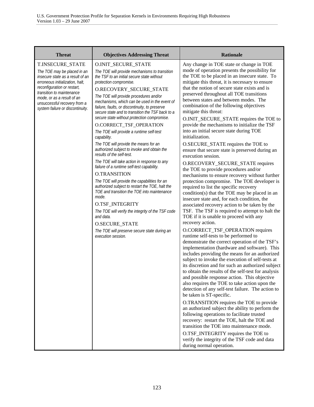| <b>Threat</b>                                                                                                                                                                                                                                                                        | <b>Objectives Addressing Threat</b>                                                                                                                                                                                                                                                                                                                                                                                                                                                                                                                                                                                                                                                                                                                                                                                                                                                                                                                                                                                                                                                            | <b>Rationale</b>                                                                                                                                                                                                                                                                                                                                                                                                                                                                                                                                                                                                                                                                                                                                                                                                                                                                                                                                                                                                                                                                                                                                                                                                                                                                                                                                                                                                                                                                                                                                                                                                                                                                                                                                                                                                                                                                                                                                                                                                                                                                                                           |
|--------------------------------------------------------------------------------------------------------------------------------------------------------------------------------------------------------------------------------------------------------------------------------------|------------------------------------------------------------------------------------------------------------------------------------------------------------------------------------------------------------------------------------------------------------------------------------------------------------------------------------------------------------------------------------------------------------------------------------------------------------------------------------------------------------------------------------------------------------------------------------------------------------------------------------------------------------------------------------------------------------------------------------------------------------------------------------------------------------------------------------------------------------------------------------------------------------------------------------------------------------------------------------------------------------------------------------------------------------------------------------------------|----------------------------------------------------------------------------------------------------------------------------------------------------------------------------------------------------------------------------------------------------------------------------------------------------------------------------------------------------------------------------------------------------------------------------------------------------------------------------------------------------------------------------------------------------------------------------------------------------------------------------------------------------------------------------------------------------------------------------------------------------------------------------------------------------------------------------------------------------------------------------------------------------------------------------------------------------------------------------------------------------------------------------------------------------------------------------------------------------------------------------------------------------------------------------------------------------------------------------------------------------------------------------------------------------------------------------------------------------------------------------------------------------------------------------------------------------------------------------------------------------------------------------------------------------------------------------------------------------------------------------------------------------------------------------------------------------------------------------------------------------------------------------------------------------------------------------------------------------------------------------------------------------------------------------------------------------------------------------------------------------------------------------------------------------------------------------------------------------------------------------|
| T.INSECURE_STATE<br>The TOE may be placed in an<br>insecure state as a result of an<br>erroneous initialization, halt,<br>reconfiguration or restart,<br>transition to maintenance<br>mode, or as a result of an<br>unsuccessful recovery from a<br>system failure or discontinuity. | O.INIT_SECURE_STATE<br>The TOE will provide mechanisms to transition<br>the TSF to an initial secure state without<br>protection compromise.<br>O.RECOVERY_SECURE_STATE<br>The TOE will provide procedures and/or<br>mechanisms, which can be used in the event of<br>failure, faults, or discontinuity, to preserve<br>secure state and to transition the TSF back to a<br>secure state without protection compromise.<br>O.CORRECT_TSF_OPERATION<br>The TOE will provide a runtime self-test<br>capability.<br>The TOE will provide the means for an<br>authorized subject to invoke and obtain the<br>results of the self-test.<br>The TOE will take action in response to any<br>failure of a runtime self-test capability.<br><b>O.TRANSITION</b><br>The TOE will provide the capabilities for an<br>authorized subject to restart the TOE, halt the<br>TOE and transition the TOE into maintenance<br>mode.<br>O.TSF_INTEGRITY<br>The TOE will verify the integrity of the TSF code<br>and data.<br>O.SECURE_STATE<br>The TOE will preserve secure state during an<br>execution session. | Any change in TOE state or change in TOE<br>mode of operation presents the possibility for<br>the TOE to be placed in an insecure state. To<br>mitigate this threat, it is necessary to ensure<br>that the notion of secure state exists and is<br>preserved throughout all TOE transitions<br>between states and between modes. The<br>combination of the following objectives<br>mitigate this threat:<br>O.INIT_SECURE_STATE requires the TOE to<br>provide the mechanisms to initialize the TSF<br>into an initial secure state during TOE<br>initialization.<br>O.SECURE_STATE requires the TOE to<br>ensure that secure state is preserved during an<br>execution session.<br>O.RECOVERY_SECURE_STATE requires<br>the TOE to provide procedures and/or<br>mechanisms to ensure recovery without further<br>protection compromise. The TOE developer is<br>required to list the specific recovery<br>condition(s) that the TOE may be placed in an<br>insecure state and, for each condition, the<br>associated recovery action to be taken by the<br>TSF. The TSF is required to attempt to halt the<br>TOE if it is unable to proceed with any<br>recovery action.<br>O.CORRECT_TSF_OPERATION requires<br>runtime self-tests to be performed to<br>demonstrate the correct operation of the TSF's<br>implementation (hardware and software). This<br>includes providing the means for an authorized<br>subject to invoke the execution of self-tests at<br>its discretion and for such an authorized subject<br>to obtain the results of the self-test for analysis<br>and possible response action. This objective<br>also requires the TOE to take action upon the<br>detection of any self-test failure. The action to<br>be taken is ST-specific.<br>O.TRANSITION requires the TOE to provide<br>an authorized subject the ability to perform the<br>following operations to facilitate trusted<br>recovery: restart the TOE, halt the TOE and<br>transition the TOE into maintenance mode.<br>O.TSF_INTEGRITY requires the TOE to<br>verify the integrity of the TSF code and data<br>during normal operation. |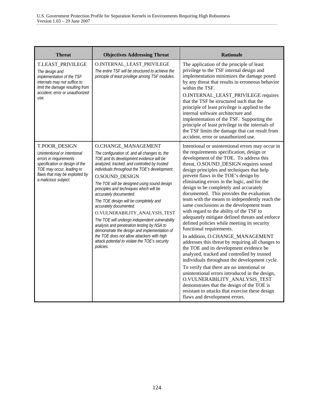| <b>Threat</b>                                                                                                                                                                                    | <b>Objectives Addressing Threat</b>                                                                                                                                                                                                                                                                                                                                                                                                                                                                                                                                                                                                                                                                                      | <b>Rationale</b>                                                                                                                                                                                                                                                                                                                                                                                                                                                                                                                                                                                                                                                                                                                                                                                                                                                                                                                                                                                                                                                                                                                                                                             |
|--------------------------------------------------------------------------------------------------------------------------------------------------------------------------------------------------|--------------------------------------------------------------------------------------------------------------------------------------------------------------------------------------------------------------------------------------------------------------------------------------------------------------------------------------------------------------------------------------------------------------------------------------------------------------------------------------------------------------------------------------------------------------------------------------------------------------------------------------------------------------------------------------------------------------------------|----------------------------------------------------------------------------------------------------------------------------------------------------------------------------------------------------------------------------------------------------------------------------------------------------------------------------------------------------------------------------------------------------------------------------------------------------------------------------------------------------------------------------------------------------------------------------------------------------------------------------------------------------------------------------------------------------------------------------------------------------------------------------------------------------------------------------------------------------------------------------------------------------------------------------------------------------------------------------------------------------------------------------------------------------------------------------------------------------------------------------------------------------------------------------------------------|
| T.LEAST_PRIVILEGE<br>The design and<br>implementation of the TSF<br>internals may not suffice to<br>limit the damage resulting from<br>accident, error or unauthorized<br>use.                   | O.INTERNAL_LEAST_PRIVILEGE<br>The entire TSF will be structured to achieve the<br>principle of least privilege among TSF modules.                                                                                                                                                                                                                                                                                                                                                                                                                                                                                                                                                                                        | The application of the principle of least<br>privilege to the TSF internal design and<br>implementation minimizes the damage posed<br>by any threat that results in erroneous behavior<br>within the TSF.<br>O.INTERNAL_LEAST_PRIVILEGE requires<br>that the TSF be structured such that the<br>principle of least privilege is applied to the<br>internal software architecture and<br>implementation of the TSF. Supporting the<br>principle of least privilege in the internals of<br>the TSF limits the damage that can result from<br>accident, error or unauthorized use.                                                                                                                                                                                                                                                                                                                                                                                                                                                                                                                                                                                                              |
| T.POOR_DESIGN<br>Unintentional or intentional<br>errors in requirements<br>specification or design of the<br>TOE may occur, leading to<br>flaws that may be exploited by<br>a malicious subject. | O.CHANGE_MANAGEMENT<br>The configuration of, and all changes to, the<br>TOE and its development evidence will be<br>analyzed, tracked, and controlled by trusted<br>individuals throughout the TOE's development.<br>O.SOUND_DESIGN<br>The TOE will be designed using sound design<br>principles and techniques which will be<br>accurately documented.<br>The TOE design will be completely and<br>accurately documented.<br>O.VULNERABILITY_ANALYSIS_TEST<br>The TOE will undergo independent vulnerability<br>analysis and penetration testing by NSA to<br>demonstrate the design and implementation of<br>the TOE does not allow attackers with high<br>attack potential to violate the TOE's security<br>policies. | Intentional or unintentional errors may occur in<br>the requirements specification, design or<br>development of the TOE. To address this<br>threat, O.SOUND_DESIGN requires sound<br>design principles and techniques that help<br>prevent flaws in the TOE's design by<br>eliminating errors in the logic, and for the<br>design to be completely and accurately<br>documented. This provides the evaluation<br>team with the means to independently reach the<br>same conclusions as the development team<br>with regard to the ability of the TSF to<br>adequately mitigate defined threats and enforce<br>defined policies while meeting its security<br>functional requirements.<br>In addition, O.CHANGE_MANAGEMENT<br>addresses this threat by requiring all changes to<br>the TOE and its development evidence be<br>analyzed, tracked and controlled by trusted<br>individuals throughout the development cycle.<br>To verify that there are no intentional or<br>unintentional errors introduced in the design,<br>O.VULNERABILITY_ANALYSIS_TEST<br>demonstrates that the design of the TOE is<br>resistant to attacks that exercise these design<br>flaws and development errors. |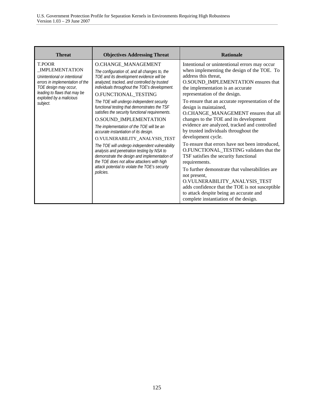| <b>Threat</b>                                                                                                                                                                                                                                                                                                                                                                                                   | <b>Objectives Addressing Threat</b>                                                                                                                                                                                                                                                                                                                                                                                                                                                                                                                       | <b>Rationale</b>                                                                                                                                                                                                                                                                                                                                                                                                                                                                                                                                                                                                                                                               |
|-----------------------------------------------------------------------------------------------------------------------------------------------------------------------------------------------------------------------------------------------------------------------------------------------------------------------------------------------------------------------------------------------------------------|-----------------------------------------------------------------------------------------------------------------------------------------------------------------------------------------------------------------------------------------------------------------------------------------------------------------------------------------------------------------------------------------------------------------------------------------------------------------------------------------------------------------------------------------------------------|--------------------------------------------------------------------------------------------------------------------------------------------------------------------------------------------------------------------------------------------------------------------------------------------------------------------------------------------------------------------------------------------------------------------------------------------------------------------------------------------------------------------------------------------------------------------------------------------------------------------------------------------------------------------------------|
| <b>T.POOR</b><br>O.CHANGE_MANAGEMENT<br><b>IMPLEMENTATION</b><br>The configuration of, and all changes to, the<br>TOE and its development evidence will be<br>Unintentional or intentional<br>analyzed, tracked, and controlled by trusted<br>errors in implementation of the<br>individuals throughout the TOE's development.<br>TOE design may occur,<br>leading to flaws that may be<br>O.FUNCTIONAL_TESTING | Intentional or unintentional errors may occur<br>when implementing the design of the TOE. To<br>address this threat,<br>O.SOUND_IMPLEMENTATION ensures that<br>the implementation is an accurate<br>representation of the design.                                                                                                                                                                                                                                                                                                                         |                                                                                                                                                                                                                                                                                                                                                                                                                                                                                                                                                                                                                                                                                |
| exploited by a malicious<br>subject.                                                                                                                                                                                                                                                                                                                                                                            | The TOE will undergo independent security<br>functional testing that demonstrates the TSF<br>satisfies the security functional requirements.<br>O.SOUND_IMPLEMENTATION<br>The implementation of the TOE will be an<br>accurate instantiation of its design.<br>O.VULNERABILITY_ANALYSIS_TEST<br>The TOE will undergo independent vulnerability<br>analysis and penetration testing by NSA to<br>demonstrate the design and implementation of<br>the TOE does not allow attackers with high<br>attack potential to violate the TOE's security<br>policies. | To ensure that an accurate representation of the<br>design is maintained,<br>O.CHANGE_MANAGEMENT ensures that all<br>changes to the TOE and its development<br>evidence are analyzed, tracked and controlled<br>by trusted individuals throughout the<br>development cycle.<br>To ensure that errors have not been introduced,<br>O.FUNCTIONAL_TESTING validates that the<br>TSF satisfies the security functional<br>requirements.<br>To further demonstrate that vulnerabilities are<br>not present,<br>O.VULNERABILITY_ANALYSIS_TEST<br>adds confidence that the TOE is not susceptible<br>to attack despite being an accurate and<br>complete instantiation of the design. |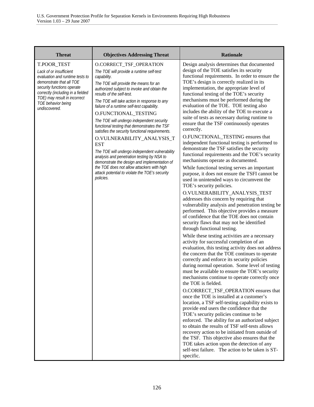| <b>Threat</b>                                                                                                                                                                                                                                   | <b>Objectives Addressing Threat</b>                                                                                                                                                                                                                                                                                                                                                                                                                                                                                                                                                                                                                                                                                                                                                   | <b>Rationale</b>                                                                                                                                                                                                                                                                                                                                                                                                                                                                                                                                                                                                                                                                                                                                                                                                                                                                                                                                                                                                                                                                                                                                                                                                                                                                                                                                                                                                                                                                                                                                                                                                                                                                                                                                                                                                               |
|-------------------------------------------------------------------------------------------------------------------------------------------------------------------------------------------------------------------------------------------------|---------------------------------------------------------------------------------------------------------------------------------------------------------------------------------------------------------------------------------------------------------------------------------------------------------------------------------------------------------------------------------------------------------------------------------------------------------------------------------------------------------------------------------------------------------------------------------------------------------------------------------------------------------------------------------------------------------------------------------------------------------------------------------------|--------------------------------------------------------------------------------------------------------------------------------------------------------------------------------------------------------------------------------------------------------------------------------------------------------------------------------------------------------------------------------------------------------------------------------------------------------------------------------------------------------------------------------------------------------------------------------------------------------------------------------------------------------------------------------------------------------------------------------------------------------------------------------------------------------------------------------------------------------------------------------------------------------------------------------------------------------------------------------------------------------------------------------------------------------------------------------------------------------------------------------------------------------------------------------------------------------------------------------------------------------------------------------------------------------------------------------------------------------------------------------------------------------------------------------------------------------------------------------------------------------------------------------------------------------------------------------------------------------------------------------------------------------------------------------------------------------------------------------------------------------------------------------------------------------------------------------|
| T.POOR_TEST<br>Lack of or insufficient<br>evaluation and runtime tests to<br>demonstrate that all TOE<br>security functions operate<br>correctly (including in a fielded<br>TOE) may result in incorrect<br>TOE behavior being<br>undiscovered. | O.CORRECT_TSF_OPERATION<br>The TOE will provide a runtime self-test<br>capability.<br>The TOE will provide the means for an<br>authorized subject to invoke and obtain the<br>results of the self-test.<br>The TOE will take action in response to any<br>failure of a runtime self-test capability.<br>O.FUNCTIONAL_TESTING<br>The TOE will undergo independent security<br>functional testing that demonstrates the TSF<br>satisfies the security functional requirements.<br>O.VULNERABILITY_ANALYSIS_T<br><b>EST</b><br>The TOE will undergo independent vulnerability<br>analysis and penetration testing by NSA to<br>demonstrate the design and implementation of<br>the TOE does not allow attackers with high<br>attack potential to violate the TOE's security<br>policies. | Design analysis determines that documented<br>design of the TOE satisfies its security<br>functional requirements. In order to ensure the<br>TOE's design is correctly realized in its<br>implementation, the appropriate level of<br>functional testing of the TOE's security<br>mechanisms must be performed during the<br>evaluation of the TOE. TOE testing also<br>includes the ability of the TOE to execute a<br>suite of tests as necessary during runtime to<br>ensure that the TSF continuously operates<br>correctly.<br>O.FUNCTIONAL_TESTING ensures that<br>independent functional testing is performed to<br>demonstrate the TSF satisfies the security<br>functional requirements and the TOE's security<br>mechanisms operate as documented.<br>While functional testing serves an important<br>purpose, it does not ensure the TSFI cannot be<br>used in unintended ways to circumvent the<br>TOE's security policies.<br>O.VULNERABILITY_ANALYSIS_TEST<br>addresses this concern by requiring that<br>vulnerability analysis and penetration testing be<br>performed. This objective provides a measure<br>of confidence that the TOE does not contain<br>security flaws that may not be identified<br>through functional testing.<br>While these testing activities are a necessary<br>activity for successful completion of an<br>evaluation, this testing activity does not address<br>the concern that the TOE continues to operate<br>correctly and enforce its security policies<br>during normal operation. Some level of testing<br>must be available to ensure the TOE's security<br>mechanisms continue to operate correctly once<br>the TOE is fielded.<br>O.CORRECT_TSF_OPERATION ensures that<br>once the TOE is installed at a customer's<br>location, a TSF self-testing capability exists to |
|                                                                                                                                                                                                                                                 |                                                                                                                                                                                                                                                                                                                                                                                                                                                                                                                                                                                                                                                                                                                                                                                       | provide end users the confidence that the<br>TOE's security policies continue to be<br>enforced. The ability for an authorized subject<br>to obtain the results of TSF self-tests allows<br>recovery action to be initiated from outside of<br>the TSF. This objective also ensures that the<br>TOE takes action upon the detection of any<br>self-test failure. The action to be taken is ST-<br>specific.                                                                                                                                                                                                                                                                                                                                                                                                                                                                                                                                                                                                                                                                                                                                                                                                                                                                                                                                                                                                                                                                                                                                                                                                                                                                                                                                                                                                                    |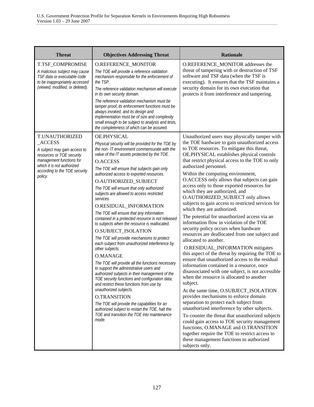| <b>Threat</b>                                                                                                                                                                               | <b>Objectives Addressing Threat</b>                                                                                                                                                                                                                                                                                                                                                                                                                                                                                                                                                                                                                                                                                                                                                                                                                                                                                                                                                                                                                                                                                                                                                                               | <b>Rationale</b>                                                                                                                                                                                                                                                                                                                                                                                                                                                                                                                                                                                                                                                                                                                                                                                                                                                                                                                                                                                                                                                                                                                                                                                                                                                                                                                                                                                                                                                                                                                  |
|---------------------------------------------------------------------------------------------------------------------------------------------------------------------------------------------|-------------------------------------------------------------------------------------------------------------------------------------------------------------------------------------------------------------------------------------------------------------------------------------------------------------------------------------------------------------------------------------------------------------------------------------------------------------------------------------------------------------------------------------------------------------------------------------------------------------------------------------------------------------------------------------------------------------------------------------------------------------------------------------------------------------------------------------------------------------------------------------------------------------------------------------------------------------------------------------------------------------------------------------------------------------------------------------------------------------------------------------------------------------------------------------------------------------------|-----------------------------------------------------------------------------------------------------------------------------------------------------------------------------------------------------------------------------------------------------------------------------------------------------------------------------------------------------------------------------------------------------------------------------------------------------------------------------------------------------------------------------------------------------------------------------------------------------------------------------------------------------------------------------------------------------------------------------------------------------------------------------------------------------------------------------------------------------------------------------------------------------------------------------------------------------------------------------------------------------------------------------------------------------------------------------------------------------------------------------------------------------------------------------------------------------------------------------------------------------------------------------------------------------------------------------------------------------------------------------------------------------------------------------------------------------------------------------------------------------------------------------------|
| T.TSF_COMPROMISE<br>A malicious subject may cause<br>TSF data or executable code<br>to be inappropriately accessed<br>(viewed, modified, or deleted).                                       | <b>O.REFERENCE MONITOR</b><br>The TOE will provide a reference validation<br>mechanism responsible for the enforcement of<br>the TSP.<br>The reference validation mechanism will execute<br>in its own security domain.<br>The reference validation mechanism must be<br>tamper proof, its enforcement functions must be<br>always invoked, and its design and<br>implementation must be of size and complexity<br>small enough to be subject to analysis and tests,<br>the completeness of which can be assured.                                                                                                                                                                                                                                                                                                                                                                                                                                                                                                                                                                                                                                                                                                 | O.REFERENCE_MONITOR addresses the<br>threat of tampering with or destruction of TSF<br>software and TSF data (when the TSF is<br>executing). It ensures that the TSF maintains a<br>security domain for its own execution that<br>protects it from interference and tampering.                                                                                                                                                                                                                                                                                                                                                                                                                                                                                                                                                                                                                                                                                                                                                                                                                                                                                                                                                                                                                                                                                                                                                                                                                                                    |
| T.UNAUTHORIZED<br>ACCESS<br>A subject may gain access to<br>resources or TOE security<br>management functions for<br>which it is not authorized<br>according to the TOE security<br>policy. | OE.PHYSICAL<br>Physical security will be provided for the TOE by<br>the non- IT environment commensurate with the<br>value of the IT assets protected by the TOE.<br><b>O.ACCESS</b><br>The TOE will ensure that subjects gain only<br>authorized access to exported resources.<br>O.AUTHORIZED_SUBJECT<br>The TOE will ensure that only authorized<br>subjects are allowed to access restricted<br>services.<br>O.RESIDUAL_INFORMATION<br>The TOE will ensure that any information<br>contained in a protected resource is not released<br>to subjects when the resource is reallocated.<br>O.SUBJECT_ISOLATION<br>The TOE will provide mechanisms to protect<br>each subject from unauthorized interference by<br>other subjects.<br><b>O.MANAGE</b><br>The TOE will provide all the functions necessary<br>to support the administrative users and<br>authorized subjects in their management of the<br>TOE security functions and configuration data,<br>and restrict these functions from use by<br>unauthorized subjects.<br><b>O.TRANSITION</b><br>The TOE will provide the capabilities for an<br>authorized subject to restart the TOE, halt the<br>TOE and transition the TOE into maintenance<br>mode. | Unauthorized users may physically tamper with<br>the TOE hardware to gain unauthorized access<br>to TOE resources. To mitigate this threat,<br>OE.PHYSICAL establishes physical controls<br>that restrict physical access to the TOE to only<br>authorized personnel.<br>Within the computing environment,<br>O.ACCESS only allows that subjects can gain<br>access only to those exported resources for<br>which they are authorized, and<br>O.AUTHORIZED_SUBJECT only allows<br>subjects to gain access to restricted services for<br>which they are authorized.<br>The potential for unauthorized access via an<br>information flow in violation of the TOE<br>security policy occurs when hardware<br>resources are deallocated from one subject and<br>allocated to another.<br>O.RESIDUAL_INFORMATION mitigates<br>this aspect of the threat by requiring the TOE to<br>ensure that unauthorized access to the residual<br>information contained in a resource, once<br>disassociated with one subject, is not accessible<br>when the resource is allocated to another<br>subject.<br>At the same time, O.SUBJECT_ISOLATION<br>provides mechanisms to enforce domain<br>separation to protect each subject from<br>unauthorized interference by other subjects.<br>To counter the threat that unauthorized subjects<br>could gain access to TOE security management<br>functions, O.MANAGE and O.TRANSITION<br>together require the TOE to restrict access to<br>these management functions to authorized<br>subjects only. |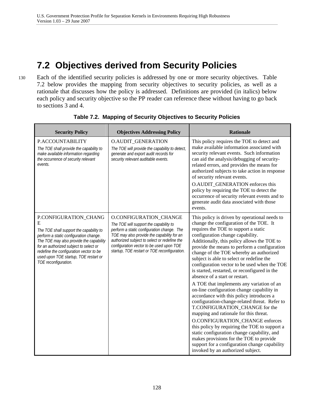# **7.2 Objectives derived from Security Policies**

130 Each of the identified security policies is addressed by one or more security objectives. Table 7.2 below provides the mapping from security objectives to security policies, as well as a rationale that discusses how the policy is addressed. Definitions are provided (in italics) below each policy and security objective so the PP reader can reference these without having to go back to sections 3 and 4.

| <b>Security Policy</b>                                                                                                                                                                                                                                                                                           | <b>Objectives Addressing Policy</b>                                                                                                                                                                                                                                                                      | <b>Rationale</b>                                                                                                                                                                                                                                                                                                                                                                                                                                                                                                                                                                                                                                                                                                                                                                                                                                                                                                                                                                                                                              |
|------------------------------------------------------------------------------------------------------------------------------------------------------------------------------------------------------------------------------------------------------------------------------------------------------------------|----------------------------------------------------------------------------------------------------------------------------------------------------------------------------------------------------------------------------------------------------------------------------------------------------------|-----------------------------------------------------------------------------------------------------------------------------------------------------------------------------------------------------------------------------------------------------------------------------------------------------------------------------------------------------------------------------------------------------------------------------------------------------------------------------------------------------------------------------------------------------------------------------------------------------------------------------------------------------------------------------------------------------------------------------------------------------------------------------------------------------------------------------------------------------------------------------------------------------------------------------------------------------------------------------------------------------------------------------------------------|
| P.ACCOUNTABILITY<br>The TOE shall provide the capability to<br>make available information regarding<br>the occurrence of security relevant<br>events.                                                                                                                                                            | <b>O.AUDIT GENERATION</b><br>The TOE will provide the capability to detect,<br>generate and export audit records for<br>security relevant auditable events.                                                                                                                                              | This policy requires the TOE to detect and<br>make available information associated with<br>security relevant events. Such information<br>can aid the analysis/debugging of security-<br>related errors, and provides the means for<br>authorized subjects to take action in response<br>of security relevant events.<br>O.AUDIT_GENERATION enforces this<br>policy by requiring the TOE to detect the<br>occurrence of security relevant events and to<br>generate audit data associated with those<br>events.                                                                                                                                                                                                                                                                                                                                                                                                                                                                                                                               |
| P.CONFIGURATION_CHANG<br>E<br>The TOE shall support the capability to<br>perform a static configuration change.<br>The TOE may also provide the capability<br>for an authorized subject to select or<br>redefine the configuration vector to be<br>used upon TOE startup, TOE restart or<br>TOE reconfiguration. | O.CONFIGURATION_CHANGE<br>The TOE will support the capability to<br>perform a static configuration change. The<br>TOE may also provide the capability for an<br>authorized subject to select or redefine the<br>configuration vector to be used upon TOE<br>startup, TOE restart or TOE reconfiguration. | This policy is driven by operational needs to<br>change the configuration of the TOE. It<br>requires the TOE to support a static<br>configuration change capability.<br>Additionally, this policy allows the TOE to<br>provide the means to perform a configuration<br>change of the TOE whereby an authorized<br>subject is able to select or redefine the<br>configuration vector to be used when the TOE<br>is started, restarted, or reconfigured in the<br>absence of a start or restart.<br>A TOE that implements any variation of an<br>on-line configuration change capability in<br>accordance with this policy introduces a<br>configuration-change-related threat. Refer to<br>T.CONFIGURATION CHANGE for the<br>mapping and rationale for this threat.<br><b>O.CONFIGURATION CHANGE enforces</b><br>this policy by requiring the TOE to support a<br>static configuration change capability, and<br>makes provisions for the TOE to provide<br>support for a configuration change capability<br>invoked by an authorized subject. |

**Table 7.2. Mapping of Security Objectives to Security Policies**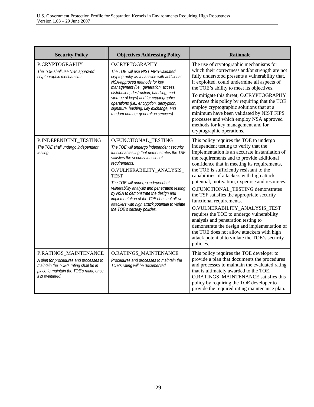| <b>Security Policy</b>                                                                                                                                                  | <b>Objectives Addressing Policy</b>                                                                                                                                                                                                                                                                                                                                                                                                                                              | <b>Rationale</b>                                                                                                                                                                                                                                                                                                                                                                                                                                                                                                                                                                                                                                                                                                                                                                |
|-------------------------------------------------------------------------------------------------------------------------------------------------------------------------|----------------------------------------------------------------------------------------------------------------------------------------------------------------------------------------------------------------------------------------------------------------------------------------------------------------------------------------------------------------------------------------------------------------------------------------------------------------------------------|---------------------------------------------------------------------------------------------------------------------------------------------------------------------------------------------------------------------------------------------------------------------------------------------------------------------------------------------------------------------------------------------------------------------------------------------------------------------------------------------------------------------------------------------------------------------------------------------------------------------------------------------------------------------------------------------------------------------------------------------------------------------------------|
| P.CRYPTOGRAPHY<br>The TOE shall use NSA approved<br>cryptographic mechanisms.                                                                                           | O.CRYPTOGRAPHY<br>The TOE will use NIST FIPS-validated<br>cryptography as a baseline with additional<br>NSA-approved methods for key<br>management (i.e., generation, access,<br>distribution, destruction, handling, and<br>storage of keys) and for cryptographic<br>operations (i.e., encryption, decryption,<br>signature, hashing, key exchange, and<br>random number generation services).                                                                                 | The use of cryptographic mechanisms for<br>which their correctness and/or strength are not<br>fully understood presents a vulnerability that,<br>if exploited, could undermine all aspects of<br>the TOE's ability to meet its objectives.<br>To mitigate this threat, O.CRYPTOGRAPHY<br>enforces this policy by requiring that the TOE<br>employ cryptographic solutions that at a<br>minimum have been validated by NIST FIPS<br>processes and which employ NSA approved<br>methods for key management and for<br>cryptographic operations.                                                                                                                                                                                                                                   |
| P.INDEPENDENT_TESTING<br>The TOE shall undergo independent<br>testing.                                                                                                  | O.FUNCTIONAL TESTING<br>The TOE will undergo independent security<br>functional testing that demonstrates the TSF<br>satisfies the security functional<br>requirements.<br>O.VULNERABILITY_ANALYSIS_<br><b>TEST</b><br>The TOE will undergo independent<br>vulnerability analysis and penetration testing<br>by NSA to demonstrate the design and<br>implementation of the TOE does not allow<br>attackers with high attack potential to violate<br>the TOE's security policies. | This policy requires the TOE to undergo<br>independent testing to verify that the<br>implementation is an accurate instantiation of<br>the requirements and to provide additional<br>confidence that in meeting its requirements,<br>the TOE is sufficiently resistant to the<br>capabilities of attackers with high attack<br>potential, motivation, expertise and resources.<br>O.FUNCTIONAL TESTING demonstrates<br>the TSF satisfies the appropriate security<br>functional requirements.<br>O.VULNERABILITY_ANALYSIS_TEST<br>requires the TOE to undergo vulnerability<br>analysis and penetration testing to<br>demonstrate the design and implementation of<br>the TOE does not allow attackers with high<br>attack potential to violate the TOE's security<br>policies. |
| P.RATINGS_MAINTENANCE<br>A plan for procedures and processes to<br>maintain the TOE's rating shall be in<br>place to maintain the TOE's rating once<br>it is evaluated. | O.RATINGS_MAINTENANCE<br>Procedures and processes to maintain the<br>TOE's rating will be documented.                                                                                                                                                                                                                                                                                                                                                                            | This policy requires the TOE developer to<br>provide a plan that documents the procedures<br>and processes to maintain the evaluated rating<br>that is ultimately awarded to the TOE.<br>O.RATINGS_MAINTENANCE satisfies this<br>policy by requiring the TOE developer to<br>provide the required rating maintenance plan.                                                                                                                                                                                                                                                                                                                                                                                                                                                      |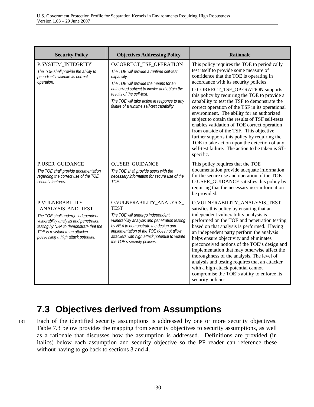| <b>Security Policy</b>                                                                                                                                                                                                                  | <b>Objectives Addressing Policy</b>                                                                                                                                                                                                                                                                   | <b>Rationale</b>                                                                                                                                                                                                                                                                                                                                                                                                                                                                                                                                                                                                                                                                                                                  |
|-----------------------------------------------------------------------------------------------------------------------------------------------------------------------------------------------------------------------------------------|-------------------------------------------------------------------------------------------------------------------------------------------------------------------------------------------------------------------------------------------------------------------------------------------------------|-----------------------------------------------------------------------------------------------------------------------------------------------------------------------------------------------------------------------------------------------------------------------------------------------------------------------------------------------------------------------------------------------------------------------------------------------------------------------------------------------------------------------------------------------------------------------------------------------------------------------------------------------------------------------------------------------------------------------------------|
| P.SYSTEM INTEGRITY<br>The TOE shall provide the ability to<br>periodically validate its correct<br>operation.                                                                                                                           | O.CORRECT_TSF_OPERATION<br>The TOE will provide a runtime self-test<br>capability.<br>The TOE will provide the means for an<br>authorized subject to invoke and obtain the<br>results of the self-test.<br>The TOE will take action in response to any<br>failure of a runtime self-test capability.  | This policy requires the TOE to periodically<br>test itself to provide some measure of<br>confidence that the TOE is operating in<br>accordance with its security policies.<br>O.CORRECT_TSF_OPERATION supports<br>this policy by requiring the TOE to provide a<br>capability to test the TSF to demonstrate the<br>correct operation of the TSF in its operational<br>environment. The ability for an authorized<br>subject to obtain the results of TSF self-tests<br>enables validation of TOE correct operation<br>from outside of the TSF. This objective<br>further supports this policy by requiring the<br>TOE to take action upon the detection of any<br>self-test failure. The action to be taken is ST-<br>specific. |
| P.USER_GUIDANCE<br>The TOE shall provide documentation<br>regarding the correct use of the TOE<br>security features.                                                                                                                    | O.USER_GUIDANCE<br>The TOE shall provide users with the<br>necessary information for secure use of the<br>TOE.                                                                                                                                                                                        | This policy requires that the TOE<br>documentation provide adequate information<br>for the secure use and operation of the TOE.<br>O.USER_GUIDANCE satisfies this policy by<br>requiring that the necessary user information<br>be provided.                                                                                                                                                                                                                                                                                                                                                                                                                                                                                      |
| P.VULNERABILITY<br>ANALYSIS_AND_TEST<br>The TOE shall undergo independent<br>vulnerability analysis and penetration<br>testing by NSA to demonstrate that the<br>TOE is resistant to an attacker<br>possessing a high attack potential. | O.VULNERABILITY_ANALYSIS_<br><b>TEST</b><br>The TOE will undergo independent<br>vulnerability analysis and penetration testing<br>by NSA to demonstrate the design and<br>implementation of the TOE does not allow<br>attackers with high attack potential to violate<br>the TOE's security policies. | O.VULNERABILITY_ANALYSIS_TEST<br>satisfies this policy by ensuring that an<br>independent vulnerability analysis is<br>performed on the TOE and penetration testing<br>based on that analysis is performed. Having<br>an independent party perform the analysis<br>helps ensure objectivity and eliminates<br>preconceived notions of the TOE's design and<br>implementation that may otherwise affect the<br>thoroughness of the analysis. The level of<br>analysis and testing requires that an attacker<br>with a high attack potential cannot<br>compromise the TOE's ability to enforce its<br>security policies.                                                                                                            |

# **7.3 Objectives derived from Assumptions**

131 Each of the identified security assumptions is addressed by one or more security objectives. Table 7.3 below provides the mapping from security objectives to security assumptions, as well as a rationale that discusses how the assumption is addressed. Definitions are provided (in italics) below each assumption and security objective so the PP reader can reference these without having to go back to sections 3 and 4.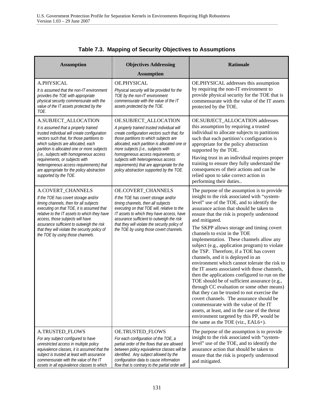| <b>Assumption</b>                                                                                                                                                                                                                                                                                                                                                                                                      | <b>Objectives Addressing</b>                                                                                                                                                                                                                                                                                                                                                                                               | <b>Rationale</b>                                                                                                                                                                                                                                                                                                                                                                                                                                                                                                                                                                                                                                                                                                                                                                                                                                                                                                                                                                                                                                |
|------------------------------------------------------------------------------------------------------------------------------------------------------------------------------------------------------------------------------------------------------------------------------------------------------------------------------------------------------------------------------------------------------------------------|----------------------------------------------------------------------------------------------------------------------------------------------------------------------------------------------------------------------------------------------------------------------------------------------------------------------------------------------------------------------------------------------------------------------------|-------------------------------------------------------------------------------------------------------------------------------------------------------------------------------------------------------------------------------------------------------------------------------------------------------------------------------------------------------------------------------------------------------------------------------------------------------------------------------------------------------------------------------------------------------------------------------------------------------------------------------------------------------------------------------------------------------------------------------------------------------------------------------------------------------------------------------------------------------------------------------------------------------------------------------------------------------------------------------------------------------------------------------------------------|
|                                                                                                                                                                                                                                                                                                                                                                                                                        | <b>Assumption</b>                                                                                                                                                                                                                                                                                                                                                                                                          |                                                                                                                                                                                                                                                                                                                                                                                                                                                                                                                                                                                                                                                                                                                                                                                                                                                                                                                                                                                                                                                 |
| A.PHYSICAL<br>It is assumed that the non-IT environment<br>provides the TOE with appropriate<br>physical security commensurate with the<br>value of the IT assets protected by the<br>TOE.                                                                                                                                                                                                                             | OE.PHYSICAL<br>Physical security will be provided for the<br>TOE by the non-IT environment<br>commensurate with the value of the IT<br>assets protected by the TOE.                                                                                                                                                                                                                                                        | OE.PHYSICAL addresses this assumption<br>by requiring the non-IT environment to<br>provide physical security for the TOE that is<br>commensurate with the value of the IT assets<br>protected by the TOE.                                                                                                                                                                                                                                                                                                                                                                                                                                                                                                                                                                                                                                                                                                                                                                                                                                       |
| A.SUBJECT_ALLOCATION<br>It is assumed that a properly trained<br>trusted individual will create configuration<br>vectors such that, for those partitions to<br>which subjects are allocated, each<br>partition is allocated one or more subjects<br>(i.e., subjects with homogeneous access<br>requirements, or subjects with<br>heterogeneous access requirements) that<br>are appropriate for the policy abstraction | OE.SUBJECT_ALLOCATION<br>A properly trained trusted individual will<br>create configuration vectors such that, for<br>those partitions to which subjects are<br>allocated, each partition is allocated one or<br>more subjects (i.e., subjects with<br>homogeneous access requirements, or<br>subjects with heterogeneous access<br>requirements) that are appropriate for the<br>policy abstraction supported by the TOE. | OE.SUBJECT_ALLOCATION addresses<br>this assumption by requiring a trusted<br>individual to allocate subjects to partitions<br>such that each partition's configuration is<br>appropriate for the policy abstraction<br>supported by the TOE.<br>Having trust in an individual requires proper<br>training to ensure they fully understand the<br>consequences of their actions and can be                                                                                                                                                                                                                                                                                                                                                                                                                                                                                                                                                                                                                                                       |
| supported by the TOE.                                                                                                                                                                                                                                                                                                                                                                                                  |                                                                                                                                                                                                                                                                                                                                                                                                                            | relied upon to take correct action in<br>performing their duties                                                                                                                                                                                                                                                                                                                                                                                                                                                                                                                                                                                                                                                                                                                                                                                                                                                                                                                                                                                |
| A.COVERT_CHANNELS<br>If the TOE has covert storage and/or<br>timing channels, then for all subjects<br>executing on that TOE, it is assumed that<br>relative to the IT assets to which they have<br>access, those subjects will have<br>assurance sufficient to outweigh the risk<br>that they will violate the security policy of<br>the TOE by using those channels.                                                 | OE.COVERT_CHANNELS<br>If the TOE has covert storage and/or<br>timing channels, then all subjects<br>executing on that TOE will, relative to the<br>IT assets to which they have access, have<br>assurance sufficient to outweigh the risk<br>that they will violate the security policy of<br>the TOE by using those covert channels.                                                                                      | The purpose of the assumption is to provide<br>insight to the risk associated with "system-<br>level" use of the TOE, and to identify the<br>assurance action that should be taken to<br>ensure that the risk is properly understood<br>and mitigated.<br>The SKPP allows storage and timing covert<br>channels to exist in the TOE<br>implementation. These channels allow any<br>subject (e.g., application program) to violate<br>the TSP. Therefore, if a TOE has covert<br>channels, and it is deployed in an<br>environment which cannot tolerate the risk to<br>the IT assets associated with those channels,<br>then the applications configured to run on the<br>TOE should be of sufficient assurance (e.g.,<br>through CC evaluation or some other means)<br>that they can be trusted to not exercise the<br>covert channels. The assurance should be<br>commensurate with the value of the IT<br>assets, at least, and in the case of the threat<br>environment targeted by this PP, would be<br>the same as the TOE (viz., EAL6+). |
| A.TRUSTED_FLOWS<br>For any subject configured to have<br>unrestricted access in multiple policy<br>equivalence classes, it is assumed that the<br>subject is trusted at least with assurance<br>commensurate with the value of the IT<br>assets in all equivalence classes to which                                                                                                                                    | OE.TRUSTED_FLOWS<br>For each configuration of the TOE, a<br>partial order of the flows that are allowed<br>between policy equivalence classes will be<br>identified. Any subject allowed by the<br>configuration data to cause information<br>flow that is contrary to the partial order will                                                                                                                              | The purpose of the assumption is to provide<br>insight to the risk associated with "system-<br>level" use of the TOE, and to identify the<br>assurance action that should be taken to<br>ensure that the risk is properly understood<br>and mitigated.                                                                                                                                                                                                                                                                                                                                                                                                                                                                                                                                                                                                                                                                                                                                                                                          |

#### **Table 7.3. Mapping of Security Objectives to Assumptions**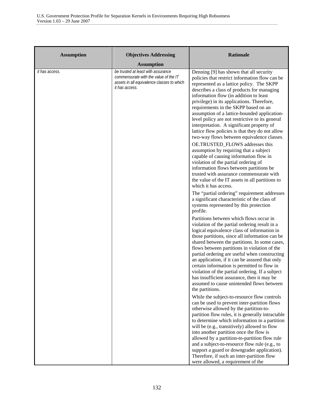| <b>Assumption</b> | <b>Objectives Addressing</b>                                                                                                                                     | <b>Rationale</b>                                                                                                                                                                                                                                                                                                                                                                                                                                                                                                                                                                                                                                                                                                                                                                                                                                                                                                                                                                                                                                                                                                                                                                                                                                                                                                                                                                                                                                                                                                                                                                                                                                                                                                                                                                                                                                                                                                                                                             |
|-------------------|------------------------------------------------------------------------------------------------------------------------------------------------------------------|------------------------------------------------------------------------------------------------------------------------------------------------------------------------------------------------------------------------------------------------------------------------------------------------------------------------------------------------------------------------------------------------------------------------------------------------------------------------------------------------------------------------------------------------------------------------------------------------------------------------------------------------------------------------------------------------------------------------------------------------------------------------------------------------------------------------------------------------------------------------------------------------------------------------------------------------------------------------------------------------------------------------------------------------------------------------------------------------------------------------------------------------------------------------------------------------------------------------------------------------------------------------------------------------------------------------------------------------------------------------------------------------------------------------------------------------------------------------------------------------------------------------------------------------------------------------------------------------------------------------------------------------------------------------------------------------------------------------------------------------------------------------------------------------------------------------------------------------------------------------------------------------------------------------------------------------------------------------------|
| it has access.    | <b>Assumption</b><br>be trusted at least with assurance<br>commensurate with the value of the IT<br>assets in all equivalence classes to which<br>it has access. | Denning [9] has shown that all security<br>policies that restrict information flow can be<br>represented as a lattice policy. The SKPP<br>describes a class of products for managing<br>information flow (in addition to least<br>privilege) in its applications. Therefore,<br>requirements in the SKPP based on an<br>assumption of a lattice-bounded application-<br>level policy are not restrictive to its general<br>interpretation. A significant property of<br>lattice flow policies is that they do not allow<br>two-way flows between equivalence classes.<br>OE.TRUSTED_FLOWS addresses this<br>assumption by requiring that a subject<br>capable of causing information flow in<br>violation of the partial ordering of<br>information flows between partitions be<br>trusted with assurance commensurate with<br>the value of the IT assets in all partitions to<br>which it has access.<br>The "partial ordering" requirement addresses<br>a significant characteristic of the class of<br>systems represented by this protection<br>profile.<br>Partitions between which flows occur in<br>violation of the partial ordering result in a<br>logical equivalence class of information in<br>those partitions, since all information can be<br>shared between the partitions. In some cases,<br>flows between partitions in violation of the<br>partial ordering are useful when constructing<br>an application, if it can be assured that only<br>certain information is permitted to flow in<br>violation of the partial ordering. If a subject<br>has insufficient assurance, then it may be<br>assumed to cause unintended flows between<br>the partitions.<br>While the subject-to-resource flow controls<br>can be used to prevent inter-partition flows<br>otherwise allowed by the partition-to-<br>partition flow rules, it is generally intractable<br>to determine which information in a partition<br>will be (e.g., transitively) allowed to flow |
|                   |                                                                                                                                                                  | into another partition once the flow is<br>allowed by a partition-to-partition flow rule<br>and a subject-to-resource flow rule (e.g., to<br>support a guard or downgrader application).<br>Therefore, if such an inter-partition flow<br>were allowed, a requirement of the                                                                                                                                                                                                                                                                                                                                                                                                                                                                                                                                                                                                                                                                                                                                                                                                                                                                                                                                                                                                                                                                                                                                                                                                                                                                                                                                                                                                                                                                                                                                                                                                                                                                                                 |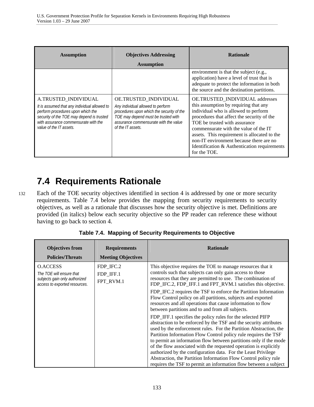| <b>Assumption</b>                                                                                                                                                                                                         | <b>Objectives Addressing</b><br><b>Assumption</b>                                                                                                                                                            | <b>Rationale</b>                                                                                                                                                                                                                                                                                                                                                                                    |
|---------------------------------------------------------------------------------------------------------------------------------------------------------------------------------------------------------------------------|--------------------------------------------------------------------------------------------------------------------------------------------------------------------------------------------------------------|-----------------------------------------------------------------------------------------------------------------------------------------------------------------------------------------------------------------------------------------------------------------------------------------------------------------------------------------------------------------------------------------------------|
|                                                                                                                                                                                                                           |                                                                                                                                                                                                              | environment is that the subject (e.g.,<br>application) have a level of trust that is<br>adequate to protect the information in both<br>the source and the destination partitions.                                                                                                                                                                                                                   |
| A.TRUSTED_INDIVIDUAL<br>It is assumed that any individual allowed to<br>perform procedures upon which the<br>security of the TOE may depend is trusted<br>with assurance commensurate with the<br>value of the IT assets. | OE.TRUSTED_INDIVIDUAL<br>Any individual allowed to perform<br>procedures upon which the security of the<br>TOE may depend must be trusted with<br>assurance commensurate with the value<br>of the IT assets. | OE.TRUSTED_INDIVIDUAL addresses<br>this assumption by requiring that any<br>individual who is allowed to perform<br>procedures that affect the security of the<br>TOE be trusted with assurance<br>commensurate with the value of the IT<br>assets. This requirement is allocated to the<br>non-IT environment because there are no<br>Identification & Authentication requirements<br>for the TOE. |

# **7.4 Requirements Rationale**

132 Each of the TOE security objectives identified in section 4 is addressed by one or more security requirements. Table 7.4 below provides the mapping from security requirements to security objectives, as well as a rationale that discusses how the security objective is met. Definitions are provided (in italics) below each security objective so the PP reader can reference these without having to go back to section 4.

| <b>Objectives from</b><br><b>Policies/Threats</b>                                                             | <b>Requirements</b><br><b>Meeting Objectives</b> | <b>Rationale</b>                                                                                                                                                                                                                                                                                                                                                                                                                                                                                                                                                                                                                                                                                                                                                                                                                                                                                                                                                                                                                                                                                                                            |
|---------------------------------------------------------------------------------------------------------------|--------------------------------------------------|---------------------------------------------------------------------------------------------------------------------------------------------------------------------------------------------------------------------------------------------------------------------------------------------------------------------------------------------------------------------------------------------------------------------------------------------------------------------------------------------------------------------------------------------------------------------------------------------------------------------------------------------------------------------------------------------------------------------------------------------------------------------------------------------------------------------------------------------------------------------------------------------------------------------------------------------------------------------------------------------------------------------------------------------------------------------------------------------------------------------------------------------|
| <b>O.ACCESS</b><br>The TOE will ensure that<br>subjects gain only authorized<br>access to exported resources. | FDP_IFC.2<br>FDP_IFF.1<br>FPT_RVM.1              | This objective requires the TOE to manage resources that it<br>controls such that subjects can only gain access to those<br>resources that they are permitted to use. The combination of<br>FDP_IFC.2, FDP_IFF.1 and FPT_RVM.1 satisfies this objective.<br>FDP_IFC.2 requires the TSF to enforce the Partition Information<br>Flow Control policy on all partitions, subjects and exported<br>resources and all operations that cause information to flow<br>between partitions and to and from all subjects.<br>FDP_IFF.1 specifies the policy rules for the selected PIFP<br>abstraction to be enforced by the TSF and the security attributes<br>used by the enforcement rules. For the Partition Abstraction, the<br>Partition Information Flow Control policy rule requires the TSF<br>to permit an information flow between partitions only if the mode<br>of the flow associated with the requested operation is explicitly<br>authorized by the configuration data. For the Least Privilege<br>Abstraction, the Partition Information Flow Control policy rule<br>requires the TSF to permit an information flow between a subject |

**Table 7.4. Mapping of Security Requirements to Objective**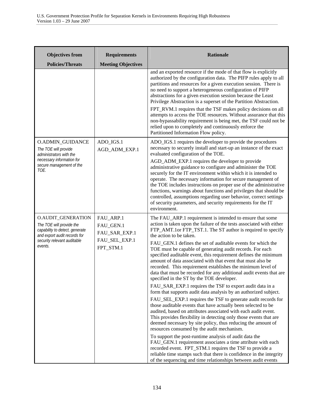| <b>Objectives from</b><br><b>Policies/Threats</b>                                                    | <b>Requirements</b><br><b>Meeting Objectives</b>                                                                                                                                                                                                                                                                                                                                                                                              | <b>Rationale</b>                                                                                                                                                                                                                                                                                                                                                                                                                                                                                                                                                                                                                                                                                                      |
|------------------------------------------------------------------------------------------------------|-----------------------------------------------------------------------------------------------------------------------------------------------------------------------------------------------------------------------------------------------------------------------------------------------------------------------------------------------------------------------------------------------------------------------------------------------|-----------------------------------------------------------------------------------------------------------------------------------------------------------------------------------------------------------------------------------------------------------------------------------------------------------------------------------------------------------------------------------------------------------------------------------------------------------------------------------------------------------------------------------------------------------------------------------------------------------------------------------------------------------------------------------------------------------------------|
|                                                                                                      |                                                                                                                                                                                                                                                                                                                                                                                                                                               | and an exported resource if the mode of that flow is explicitly<br>authorized by the configuration data. The PIFP rules apply to all<br>partitions and resources for a given execution session. There is<br>no need to support a heterogeneous configuration of PIFP<br>abstractions for a given execution session because the Least<br>Privilege Abstraction is a superset of the Partition Abstraction.<br>FPT_RVM.1 requires that the TSF makes policy decisions on all<br>attempts to access the TOE resources. Without assurance that this<br>non-bypassability requirement is being met, the TSF could not be<br>relied upon to completely and continuously enforce the<br>Partitioned Information Flow policy. |
| O.ADMIN_GUIDANCE<br>The TOE will provide<br>administrators with the                                  | ADO_IGS.1<br>AGD_ADM_EXP.1                                                                                                                                                                                                                                                                                                                                                                                                                    | ADO_IGS.1 requires the developer to provide the procedures<br>necessary to securely install and start-up an instance of the exact<br>evaluated configuration of the TOE.                                                                                                                                                                                                                                                                                                                                                                                                                                                                                                                                              |
| necessary information for<br>secure management of the<br>TOE.                                        |                                                                                                                                                                                                                                                                                                                                                                                                                                               | AGD_ADM_EXP.1 requires the developer to provide<br>administrative guidance to configure and administer the TOE<br>securely for the IT environment within which it is intended to<br>operate. The necessary information for secure management of<br>the TOE includes instructions on proper use of the administrative<br>functions, warnings about functions and privileges that should be<br>controlled, assumptions regarding user behavior, correct settings<br>of security parameters, and security requirements for the IT<br>environment.                                                                                                                                                                        |
| O.AUDIT_GENERATION<br>The TOE will provide the<br>capability to detect, generate                     | FAU_ARP.1<br>FAU_GEN.1<br>FAU_SAR_EXP.1                                                                                                                                                                                                                                                                                                                                                                                                       | The FAU_ARP.1 requirement is intended to ensure that some<br>action is taken upon the failure of the tests associated with either<br>FTP_AMT.1or FTP_TST.1. The ST author is required to specify<br>the action to be taken.                                                                                                                                                                                                                                                                                                                                                                                                                                                                                           |
| and export audit records for<br>FAU_SEL_EXP.1<br>security relevant auditable<br>events.<br>FPT_STM.1 | FAU_GEN.1 defines the set of auditable events for which the<br>TOE must be capable of generating audit records. For each<br>specified auditable event, this requirement defines the minimum<br>amount of data associated with that event that must also be<br>recorded. This requirement establishes the minimum level of<br>data that must be recorded for any additional audit events that are<br>specified in the ST by the TOE developer. |                                                                                                                                                                                                                                                                                                                                                                                                                                                                                                                                                                                                                                                                                                                       |
|                                                                                                      |                                                                                                                                                                                                                                                                                                                                                                                                                                               | FAU_SAR_EXP.1 requires the TSF to export audit data in a<br>form that supports audit data analysis by an authorized subject.                                                                                                                                                                                                                                                                                                                                                                                                                                                                                                                                                                                          |
|                                                                                                      |                                                                                                                                                                                                                                                                                                                                                                                                                                               | FAU_SEL_EXP.1 requires the TSF to generate audit records for<br>those auditable events that have actually been selected to be<br>audited, based on attributes associated with each audit event.<br>This provides flexibility in detecting only those events that are<br>deemed necessary by site policy, thus reducing the amount of<br>resources consumed by the audit mechanism.                                                                                                                                                                                                                                                                                                                                    |
|                                                                                                      |                                                                                                                                                                                                                                                                                                                                                                                                                                               | To support the post-runtime analysis of audit data the<br>FAU_GEN.1 requirement associates a time attribute with each<br>recorded event. FPT_STM.1 requires the TSF to provide a<br>reliable time stamps such that there is confidence in the integrity<br>of the sequencing and time relationships between audit events                                                                                                                                                                                                                                                                                                                                                                                              |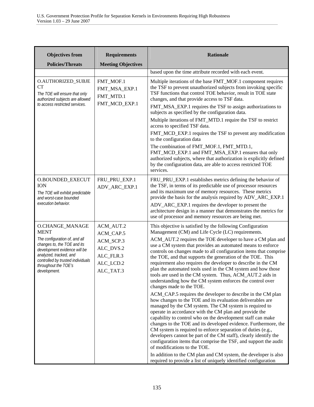| <b>Objectives from</b><br><b>Policies/Threats</b>                                                                                                                                                                                     | <b>Requirements</b><br><b>Meeting Objectives</b>                                        | <b>Rationale</b>                                                                                                                                                                                                                                                                                                                                                                                                                                                                                                                                                                                                                                                                                                                                                                                                                                                                                                                                                                                                                                                                                                                                                                                                                                                                                                                                                                                                                       |
|---------------------------------------------------------------------------------------------------------------------------------------------------------------------------------------------------------------------------------------|-----------------------------------------------------------------------------------------|----------------------------------------------------------------------------------------------------------------------------------------------------------------------------------------------------------------------------------------------------------------------------------------------------------------------------------------------------------------------------------------------------------------------------------------------------------------------------------------------------------------------------------------------------------------------------------------------------------------------------------------------------------------------------------------------------------------------------------------------------------------------------------------------------------------------------------------------------------------------------------------------------------------------------------------------------------------------------------------------------------------------------------------------------------------------------------------------------------------------------------------------------------------------------------------------------------------------------------------------------------------------------------------------------------------------------------------------------------------------------------------------------------------------------------------|
|                                                                                                                                                                                                                                       |                                                                                         | based upon the time attribute recorded with each event.                                                                                                                                                                                                                                                                                                                                                                                                                                                                                                                                                                                                                                                                                                                                                                                                                                                                                                                                                                                                                                                                                                                                                                                                                                                                                                                                                                                |
| O.AUTHORIZED_SUBJE<br><b>CT</b><br>The TOE will ensure that only<br>authorized subjects are allowed<br>to access restricted services.                                                                                                 | FMT_MOF.1<br>FMT_MSA_EXP.1<br>FMT_MTD.1<br>FMT_MCD_EXP.1                                | Multiple iterations of the base FMT_MOF.1 component requires<br>the TSF to prevent unauthorized subjects from invoking specific<br>TSF functions that control TOE behavior, result in TOE state<br>changes, and that provide access to TSF data.<br>FMT_MSA_EXP.1 requires the TSF to assign authorizations to<br>subjects as specified by the configuration data.<br>Multiple iterations of FMT_MTD.1 require the TSF to restrict<br>access to specified TSF data.<br>FMT_MCD_EXP.1 requires the TSF to prevent any modification<br>to the configuration data<br>The combination of FMT_MOF.1, FMT_MTD.1,<br>FMT_MCD_EXP.1 and FMT_MSA_EXP.1 ensures that only<br>authorized subjects, where that authorization is explicitly defined<br>by the configuration data, are able to access restricted TOE<br>services.                                                                                                                                                                                                                                                                                                                                                                                                                                                                                                                                                                                                                    |
| O.BOUNDED_EXECUT<br><b>ION</b><br>The TOE will exhibit predictable<br>and worst-case bounded<br>execution behavior.                                                                                                                   | FRU_PRU_EXP.1<br>ADV_ARC_EXP.1                                                          | FRU_PRU_EXP.1 establishes metrics defining the behavior of<br>the TSF, in terms of its predictable use of processor resources<br>and its maximum use of memory resources. These metrics<br>provide the basis for the analysis required by ADV_ARC_EXP.1<br>ADV_ARC_EXP.1 requires the developer to present the<br>architecture design in a manner that demonstrates the metrics for<br>use of processor and memory resources are being met.                                                                                                                                                                                                                                                                                                                                                                                                                                                                                                                                                                                                                                                                                                                                                                                                                                                                                                                                                                                            |
| O.CHANGE_MANAGE<br><b>MENT</b><br>The configuration of, and all<br>changes to, the TOE and its<br>development evidence will be<br>analyzed, tracked, and<br>controlled by trusted individuals<br>throughout the TOE's<br>development. | ACM_AUT.2<br>ACM_CAP.5<br>ACM_SCP.3<br>ALC_DVS.2<br>ALC_FLR.3<br>ALC LCD.2<br>ALC_TAT.3 | This objective is satisfied by the following Configuration<br>Management (CM) and Life Cycle (LC) requirements.<br>ACM_AUT.2 requires the TOE developer to have a CM plan and<br>use a CM system that provides an automated means to enforce<br>controls on changes made to all configuration items that comprise<br>the TOE, and that supports the generation of the TOE. This<br>requirement also requires the developer to describe in the CM<br>plan the automated tools used in the CM system and how those<br>tools are used in the CM system. Thus, ACM_AUT.2 aids in<br>understanding how the CM system enforces the control over<br>changes made to the TOE.<br>ACM_CAP.5 requires the developer to describe in the CM plan<br>how changes to the TOE and its evaluation deliverables are<br>managed by the CM system. The CM system is required to<br>operate in accordance with the CM plan and provide the<br>capability to control who on the development staff can make<br>changes to the TOE and its developed evidence. Furthermore, the<br>CM system is required to enforce separation of duties (e.g.,<br>developers cannot be part of the CM staff), clearly identify the<br>configuration items that comprise the TSF, and support the audit<br>of modifications to the TOE.<br>In addition to the CM plan and CM system, the developer is also<br>required to provide a list of uniquely identified configuration |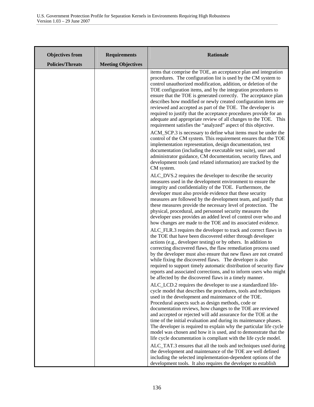| <b>Objectives from</b><br><b>Policies/Threats</b> | <b>Requirements</b><br><b>Meeting Objectives</b> | <b>Rationale</b>                                                                                                                                                                                                                                                                                                                                                                                                                                                                                                                                                                                                                                                                    |
|---------------------------------------------------|--------------------------------------------------|-------------------------------------------------------------------------------------------------------------------------------------------------------------------------------------------------------------------------------------------------------------------------------------------------------------------------------------------------------------------------------------------------------------------------------------------------------------------------------------------------------------------------------------------------------------------------------------------------------------------------------------------------------------------------------------|
|                                                   |                                                  | items that comprise the TOE, an acceptance plan and integration<br>procedures. The configuration list is used by the CM system to<br>control unauthorized modification, addition, or deletion of the<br>TOE configuration items, and by the integration procedures to<br>ensure that the TOE is generated correctly. The acceptance plan<br>describes how modified or newly created configuration items are<br>reviewed and accepted as part of the TOE. The developer is<br>required to justify that the acceptance procedures provide for an<br>adequate and appropriate review of all changes to the TOE. This<br>requirement satisfies the "analyzed" aspect of this objective. |
|                                                   |                                                  | ACM_SCP.3 is necessary to define what items must be under the<br>control of the CM system. This requirement ensures that the TOE<br>implementation representation, design documentation, test<br>documentation (including the executable test suite), user and<br>administrator guidance, CM documentation, security flaws, and<br>development tools (and related information) are tracked by the<br>CM system.                                                                                                                                                                                                                                                                     |
|                                                   |                                                  | ALC_DVS.2 requires the developer to describe the security<br>measures used in the development environment to ensure the<br>integrity and confidentiality of the TOE. Furthermore, the<br>developer must also provide evidence that these security<br>measures are followed by the development team, and justify that<br>these measures provide the necessary level of protection. The<br>physical, procedural, and personnel security measures the<br>developer uses provides an added level of control over who and<br>how changes are made to the TOE and its associated evidence.<br>ALC_FLR.3 requires the developer to track and correct flaws in                              |
|                                                   |                                                  | the TOE that have been discovered either through developer<br>actions (e.g., developer testing) or by others. In addition to<br>correcting discovered flaws, the flaw remediation process used<br>by the developer must also ensure that new flaws are not created<br>while fixing the discovered flaws. The developer is also<br>required to support timely automatic distribution of security flaw<br>reports and associated corrections, and to inform users who might<br>be affected by the discovered flaws in a timely manner.                                                                                                                                                |
|                                                   |                                                  | ALC_LCD.2 requires the developer to use a standardized life-<br>cycle model that describes the procedures, tools and techniques<br>used in the development and maintenance of the TOE.<br>Procedural aspects such as design methods, code or<br>documentation reviews, how changes to the TOE are reviewed<br>and accepted or rejected will add assurance for the TOE at the<br>time of the initial evaluation and during its maintenance phases.<br>The developer is required to explain why the particular life cycle<br>model was chosen and how it is used, and to demonstrate that the                                                                                         |
|                                                   |                                                  | life cycle documentation is compliant with the life cycle model.<br>ALC_TAT.3 ensures that all the tools and techniques used during<br>the development and maintenance of the TOE are well defined<br>including the selected implementation-dependent options of the<br>development tools. It also requires the developer to establish                                                                                                                                                                                                                                                                                                                                              |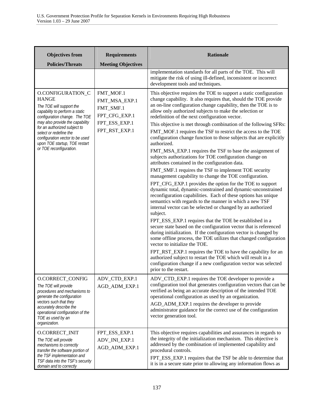| <b>Objectives from</b><br><b>Policies/Threats</b>                                                                                                                                                                                                                                                                            | <b>Requirements</b><br><b>Meeting Objectives</b>                                           | <b>Rationale</b>                                                                                                                                                                                                                                                                                                                                                                                                                                                                                                                                                                                                                                                                                                                                                                                                                                                                                                                                                                                                                                                                                                                                                                                                                                                                                                                                                                                                                                                                                                                                                                                                                                                                                                     |
|------------------------------------------------------------------------------------------------------------------------------------------------------------------------------------------------------------------------------------------------------------------------------------------------------------------------------|--------------------------------------------------------------------------------------------|----------------------------------------------------------------------------------------------------------------------------------------------------------------------------------------------------------------------------------------------------------------------------------------------------------------------------------------------------------------------------------------------------------------------------------------------------------------------------------------------------------------------------------------------------------------------------------------------------------------------------------------------------------------------------------------------------------------------------------------------------------------------------------------------------------------------------------------------------------------------------------------------------------------------------------------------------------------------------------------------------------------------------------------------------------------------------------------------------------------------------------------------------------------------------------------------------------------------------------------------------------------------------------------------------------------------------------------------------------------------------------------------------------------------------------------------------------------------------------------------------------------------------------------------------------------------------------------------------------------------------------------------------------------------------------------------------------------------|
|                                                                                                                                                                                                                                                                                                                              |                                                                                            | implementation standards for all parts of the TOE. This will<br>mitigate the risk of using ill-defined, inconsistent or incorrect<br>development tools and techniques.                                                                                                                                                                                                                                                                                                                                                                                                                                                                                                                                                                                                                                                                                                                                                                                                                                                                                                                                                                                                                                                                                                                                                                                                                                                                                                                                                                                                                                                                                                                                               |
| O.CONFIGURATION_C<br><b>HANGE</b><br>The TOE will support the<br>capability to perform a static<br>configuration change. The TOE<br>may also provide the capability<br>for an authorized subject to<br>select or redefine the<br>configuration vector to be used<br>upon TOE startup, TOE restart<br>or TOE reconfiguration. | FMT_MOF.1<br>FMT_MSA_EXP.1<br>FMT_SMF.1<br>FPT_CFG_EXP.1<br>FPT_ESS_EXP.1<br>FPT_RST_EXP.1 | This objective requires the TOE to support a static configuration<br>change capability. It also requires that, should the TOE provide<br>an on-line configuration change capability, then the TOE is to<br>allow only authorized subjects to make the selection or<br>redefinition of the next configuration vector.<br>This objective is met through combination of the following SFRs:<br>FMT_MOF.1 requires the TSF to restrict the access to the TOE<br>configuration change function to those subjects that are explicitly<br>authorized.<br>FMT_MSA_EXP.1 requires the TSF to base the assignment of<br>subjects authorizations for TOE configuration change on<br>attributes contained in the configuration data.<br>FMT_SMF.1 requires the TSF to implement TOE security<br>management capability to change the TOE configuration.<br>FPT_CFG_EXP.1 provides the option for the TOE to support<br>dynamic total, dynamic-constrained and dynamic-unconstrained<br>reconfiguration capabilities. Each of these options has unique<br>semantics with regards to the manner in which a new TSF<br>internal vector can be selected or changed by an authorized<br>subject.<br>FPT_ESS_EXP.1 requires that the TOE be established in a<br>secure state based on the configuration vector that is referenced<br>during initialization. If the configuration vector is changed by<br>some offline process, the TOE utilizes that changed configuration<br>vector to initialize the TOE.<br>FPT_RST_EXP.1 requires the TOE to have the capability for an<br>authorized subject to restart the TOE which will result in a<br>configuration change if a new configuration vector was selected<br>prior to the restart. |
| O.CORRECT_CONFIG<br>The TOE will provide<br>procedures and mechanisms to<br>generate the configuration<br>vectors such that they<br>accurately describe the<br>operational configuration of the<br>TOE as used by an<br>organization.                                                                                        | ADV_CTD_EXP.1<br>AGD_ADM_EXP.1                                                             | ADV_CTD_EXP.1 requires the TOE developer to provide a<br>configuration tool that generates configuration vectors that can be<br>verified as being an accurate description of the intended TOE<br>operational configuration as used by an organization.<br>AGD_ADM_EXP.1 requires the developer to provide<br>administrator guidance for the correct use of the configuration<br>vector generation tool.                                                                                                                                                                                                                                                                                                                                                                                                                                                                                                                                                                                                                                                                                                                                                                                                                                                                                                                                                                                                                                                                                                                                                                                                                                                                                                              |
| O.CORRECT_INIT<br>The TOE will provide<br>mechanisms to correctly<br>transfer the software portion of<br>the TSF implementation and<br>TSF data into the TSF's security<br>domain and to correctly                                                                                                                           | FPT_ESS_EXP.1<br>ADV_INI_EXP.1<br>AGD_ADM_EXP.1                                            | This objective requires capabilities and assurances in regards to<br>the integrity of the initialization mechanism. This objective is<br>addressed by the combination of implemented capability and<br>procedural controls.<br>FPT_ESS_EXP.1 requires that the TSF be able to determine that<br>it is in a secure state prior to allowing any information flows as                                                                                                                                                                                                                                                                                                                                                                                                                                                                                                                                                                                                                                                                                                                                                                                                                                                                                                                                                                                                                                                                                                                                                                                                                                                                                                                                                   |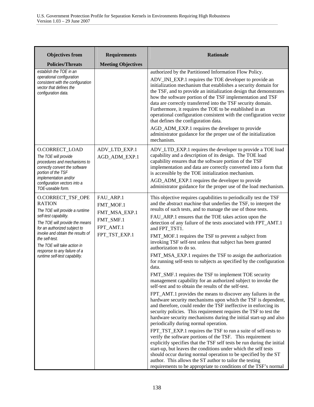| <b>Objectives from</b><br><b>Policies/Threats</b>                                                                                                                                                                                                                                                                     | <b>Requirements</b><br><b>Meeting Objectives</b>                                   | <b>Rationale</b>                                                                                                                                                                                                                                                                                                                                                                                                                                                                                                                                                                                                                                                                                                                                                                                                                                                                                                                                                                                                                                                                                                                                                                                                                                                                                                                                                                                                                                                                                                                                                                                                                                                                                         |
|-----------------------------------------------------------------------------------------------------------------------------------------------------------------------------------------------------------------------------------------------------------------------------------------------------------------------|------------------------------------------------------------------------------------|----------------------------------------------------------------------------------------------------------------------------------------------------------------------------------------------------------------------------------------------------------------------------------------------------------------------------------------------------------------------------------------------------------------------------------------------------------------------------------------------------------------------------------------------------------------------------------------------------------------------------------------------------------------------------------------------------------------------------------------------------------------------------------------------------------------------------------------------------------------------------------------------------------------------------------------------------------------------------------------------------------------------------------------------------------------------------------------------------------------------------------------------------------------------------------------------------------------------------------------------------------------------------------------------------------------------------------------------------------------------------------------------------------------------------------------------------------------------------------------------------------------------------------------------------------------------------------------------------------------------------------------------------------------------------------------------------------|
| establish the TOE in an<br>operational configuration<br>consistent with the configuration<br>vector that defines the<br>configuration data.                                                                                                                                                                           |                                                                                    | authorized by the Partitioned Information Flow Policy.<br>ADV_INI_EXP.1 requires the TOE developer to provide an<br>initialization mechanism that establishes a security domain for<br>the TSF, and to provide an initialization design that demonstrates<br>how the software portion of the TSF implementation and TSF<br>data are correctly transferred into the TSF security domain.<br>Furthermore, it requires the TOE to be established in an<br>operational configuration consistent with the configuration vector<br>that defines the configuration data.<br>AGD_ADM_EXP.1 requires the developer to provide<br>administrator guidance for the proper use of the initialization<br>mechanism.                                                                                                                                                                                                                                                                                                                                                                                                                                                                                                                                                                                                                                                                                                                                                                                                                                                                                                                                                                                                    |
| O.CORRECT_LOAD<br>The TOE will provide<br>procedures and mechanisms to<br>correctly convert the software<br>portion of the TSF<br>implementation and/or<br>configuration vectors into a<br>TOE-useable form.                                                                                                          | ADV_LTD_EXP.1<br>AGD_ADM_EXP.1                                                     | ADV_LTD_EXP.1 requires the developer to provide a TOE load<br>capability and a description of its design. The TOE load<br>capability ensures that the software portion of the TSF<br>implementation and data are correctly converted into a form that<br>is accessible by the TOE initialization mechanism.<br>AGD_ADM_EXP.1 requires the developer to provide<br>administrator guidance for the proper use of the load mechanism.                                                                                                                                                                                                                                                                                                                                                                                                                                                                                                                                                                                                                                                                                                                                                                                                                                                                                                                                                                                                                                                                                                                                                                                                                                                                       |
| O.CORRECT_TSF_OPE<br><b>RATION</b><br>The TOE will provide a runtime<br>self-test capability.<br>The TOE will provide the means<br>for an authorized subject to<br>invoke and obtain the results of<br>the self-test.<br>The TOE will take action in<br>response to any failure of a<br>runtime self-test capability. | FAU_ARP.1<br>FMT_MOF.1<br>FMT_MSA_EXP.1<br>FMT_SMF.1<br>FPT_AMT.1<br>FPT_TST_EXP.1 | This objective requires capabilities to periodically test the TSF<br>and the abstract machine that underlies the TSF, to interpret the<br>results of such tests, and to manage the use of those tests.<br>FAU_ARP.1 ensures that the TOE takes action upon the<br>detection of any failure of the tests associated with FPT_AMT.1<br>and FPT_TST1.<br>FMT_MOF.1 requires the TSF to prevent a subject from<br>invoking TSF self-test unless that subject has been granted<br>authorization to do so.<br>FMT_MSA_EXP.1 requires the TSF to assign the authorization<br>for running self-tests to subjects as specified by the configuration<br>data.<br>FMT_SMF.1 requires the TSF to implement TOE security<br>management capability for an authorized subject to invoke the<br>self-test and to obtain the results of the self-test.<br>FPT_AMT.1 provides the means to discover any failures in the<br>hardware security mechanisms upon which the TSF is dependent,<br>and therefore, could render the TSF ineffective in enforcing its<br>security policies. This requirement requires the TSF to test the<br>hardware security mechanisms during the initial start-up and also<br>periodically during normal operation.<br>FPT_TST_EXP.1 requires the TSF to run a suite of self-tests to<br>verify the software portions of the TSF. This requirement<br>explicitly specifies that the TSF self tests be run during the initial<br>start-up, but leaves the conditions under which the self tests<br>should occur during normal operation to be specified by the ST<br>author. This allows the ST author to tailor the testing<br>requirements to be appropriate to conditions of the TSF's normal |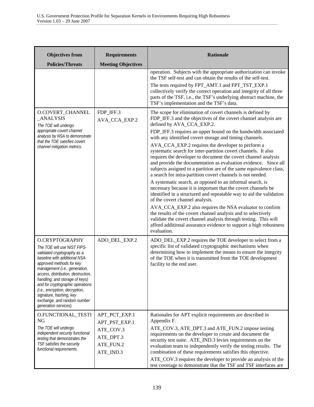| <b>Objectives from</b><br><b>Policies/Threats</b>                                                                                                                                                                                                                                                                                                                                                           | <b>Requirements</b><br><b>Meeting Objectives</b> | <b>Rationale</b>                                                                                                                                                                                                                                                                                                                          |
|-------------------------------------------------------------------------------------------------------------------------------------------------------------------------------------------------------------------------------------------------------------------------------------------------------------------------------------------------------------------------------------------------------------|--------------------------------------------------|-------------------------------------------------------------------------------------------------------------------------------------------------------------------------------------------------------------------------------------------------------------------------------------------------------------------------------------------|
|                                                                                                                                                                                                                                                                                                                                                                                                             |                                                  | operation. Subjects with the appropriate authorization can invoke<br>the TSF self-test and can obtain the results of the self-test.<br>The tests required by FPT_AMT.1 and FPT_TST_EXP.1<br>collectively verify the correct operation and integrity of all three                                                                          |
|                                                                                                                                                                                                                                                                                                                                                                                                             |                                                  | parts of the TSF, i.e., the TSF's underlying abstract machine, the<br>TSF's implementation and the TSF's data.                                                                                                                                                                                                                            |
| O.COVERT_CHANNEL<br>ANALYSIS<br>The TOE will undergo                                                                                                                                                                                                                                                                                                                                                        | FDP_IFF.3<br>AVA_CCA_EXP.2                       | The scope for elimination of covert channels is defined by<br>FDP_IFF.3 and the objectives of the covert channel analysis are<br>defined by AVA_CCA_EXP.2.                                                                                                                                                                                |
| appropriate covert channel<br>analysis by NSA to demonstrate<br>that the TOE satisfies covert                                                                                                                                                                                                                                                                                                               |                                                  | FDP_IFF.3 requires an upper bound on the bandwidth associated<br>with any identified covert storage and timing channels.<br>AVA_CCA_EXP.2 requires the developer to perform a                                                                                                                                                             |
| channel mitigation metrics.                                                                                                                                                                                                                                                                                                                                                                                 |                                                  | systematic search for inter-partition covert channels. It also<br>requires the developer to document the covert channel analysis<br>and provide the documentation as evaluation evidence. Since all<br>subjects assigned to a partition are of the same equivalence class,<br>a search for intra-partition covert channels is not needed. |
|                                                                                                                                                                                                                                                                                                                                                                                                             |                                                  | A systematic search, as opposed to an informal search, is<br>necessary because it is important that the covert channels be<br>identified in a structured and repeatable way to aid the validation<br>of the covert channel analysis.                                                                                                      |
|                                                                                                                                                                                                                                                                                                                                                                                                             |                                                  | AVA_CCA_EXP.2 also requires the NSA evaluator to confirm<br>the results of the covert channel analysis and to selectively<br>validate the covert channel analysis through testing. This will<br>afford additional assurance evidence to support a high robustness<br>evaluation.                                                          |
| O.CRYPTOGRAPHY<br>The TOE will use NIST FIPS-<br>validated cryptography as a<br>baseline with additional NSA-<br>approved methods for key<br>management (i.e., generation,<br>access, distribution, destruction,<br>handling, and storage of keys)<br>and for cryptographic operations<br>(i.e., encryption, decryption,<br>signature, hashing, key<br>exchange, and random number<br>generation services). | ADO_DEL_EXP.2                                    | ADO_DEL_EXP.2 requires the TOE developer to select from a<br>specific list of validated cryptographic mechanisms when<br>determining how to implement the means to ensure the integrity<br>of the TOE when it is transmitted from the TOE development<br>facility to the end user.                                                        |
| O.FUNCTIONAL_TESTI<br>NG<br>The TOE will undergo                                                                                                                                                                                                                                                                                                                                                            | APT_PCT_EXP.1<br>APT_PST_EXP.1                   | Rationales for APT explicit requirements are described in<br>Appendix F.<br>ATE_COV.3, ATE_DPT.3 and ATE_FUN.2 impose testing                                                                                                                                                                                                             |
| independent security functional<br>testing that demonstrates the<br>TSF satisfies the security<br>functional requirements.                                                                                                                                                                                                                                                                                  | ATE_COV.3<br>ATE_DPT.3<br>ATE_FUN.2<br>ATE_IND.3 | requirements on the developer to create and document the<br>security test suite. ATE_IND.3 levies requirements on the<br>evaluation team to independently verify the testing results. The<br>combination of these requirements satisfies this objective.                                                                                  |
|                                                                                                                                                                                                                                                                                                                                                                                                             |                                                  | ATE_COV.3 requires the developer to provide an analysis of the<br>test coverage to demonstrate that the TSF and TSF interfaces are                                                                                                                                                                                                        |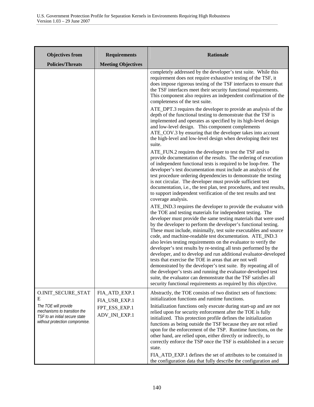| <b>Objectives from</b><br><b>Policies/Threats</b>                                                                                                   | <b>Requirements</b><br><b>Meeting Objectives</b>                 | <b>Rationale</b>                                                                                                                                                                                                                                                                                                                                                                                                                                                                                                                                                                                                                                                                                                                                                                                                                                                                                                                                                                                                                                                                                                                                                                                                                                                                                                                                                                                                                                                                                                                                                                                                                                                                                                                                                                                                                                                                                                                                                                                                                                                                                                                                                                                                                                                                                                      |
|-----------------------------------------------------------------------------------------------------------------------------------------------------|------------------------------------------------------------------|-----------------------------------------------------------------------------------------------------------------------------------------------------------------------------------------------------------------------------------------------------------------------------------------------------------------------------------------------------------------------------------------------------------------------------------------------------------------------------------------------------------------------------------------------------------------------------------------------------------------------------------------------------------------------------------------------------------------------------------------------------------------------------------------------------------------------------------------------------------------------------------------------------------------------------------------------------------------------------------------------------------------------------------------------------------------------------------------------------------------------------------------------------------------------------------------------------------------------------------------------------------------------------------------------------------------------------------------------------------------------------------------------------------------------------------------------------------------------------------------------------------------------------------------------------------------------------------------------------------------------------------------------------------------------------------------------------------------------------------------------------------------------------------------------------------------------------------------------------------------------------------------------------------------------------------------------------------------------------------------------------------------------------------------------------------------------------------------------------------------------------------------------------------------------------------------------------------------------------------------------------------------------------------------------------------------------|
|                                                                                                                                                     |                                                                  | completely addressed by the developer's test suite. While this<br>requirement does not require exhaustive testing of the TSF, it<br>does impose rigorous testing of the TSF interfaces to ensure that<br>the TSF interfaces meet their security functional requirements.<br>This component also requires an independent confirmation of the<br>completeness of the test suite.<br>ATE_DPT.3 requires the developer to provide an analysis of the<br>depth of the functional testing to demonstrate that the TSF is<br>implemented and operates as specified by its high-level design<br>and low-level design. This component complements<br>ATE_COV.3 by ensuring that the developer takes into account<br>the high-level and low-level design when developing their test<br>suite.<br>ATE_FUN.2 requires the developer to test the TSF and to<br>provide documentation of the results. The ordering of execution<br>of independent functional tests is required to be loop-free. The<br>developer's test documentation must include an analysis of the<br>test procedure ordering dependencies to demonstrate the testing<br>is not circular. The developer must provide sufficient test<br>documentation, i.e., the test plan, test procedures, and test results,<br>to support independent verification of the test results and test<br>coverage analysis.<br>ATE_IND.3 requires the developer to provide the evaluator with<br>the TOE and testing materials for independent testing. The<br>developer must provide the same testing materials that were used<br>by the developer to perform the developer's functional testing.<br>These must include, minimally, test suite executables and source<br>code, and machine-readable test documentation. ATE_IND.3<br>also levies testing requirements on the evaluator to verify the<br>developer's test results by re-testing all tests performed by the<br>developer, and to develop and run additional evaluator-developed<br>tests that exercise the TOE in areas that are not well<br>demonstrated by the developer's test suite. By repeating all of<br>the developer's tests and running the evaluator-developed test<br>suite, the evaluator can demonstrate that the TSF satisfies all<br>security functional requirements as required by this objective. |
| O.INIT_SECURE_STAT<br>E<br>The TOE will provide<br>mechanisms to transition the<br>TSF to an initial secure state<br>without protection compromise. | FIA_ATD_EXP.1<br>FIA_USB_EXP.1<br>FPT_ESS_EXP.1<br>ADV_INI_EXP.1 | Abstractly, the TOE consists of two distinct sets of functions:<br>initialization functions and runtime functions.<br>Initialization functions only execute during start-up and are not<br>relied upon for security enforcement after the TOE is fully<br>initialized. This protection profile defines the initialization<br>functions as being outside the TSF because they are not relied<br>upon for the enforcement of the TSP. Runtime functions, on the<br>other hand, are relied upon, either directly or indirectly, to<br>correctly enforce the TSP once the TSF is established in a secure<br>state.<br>FIA_ATD_EXP.1 defines the set of attributes to be contained in<br>the configuration data that fully describe the configuration and                                                                                                                                                                                                                                                                                                                                                                                                                                                                                                                                                                                                                                                                                                                                                                                                                                                                                                                                                                                                                                                                                                                                                                                                                                                                                                                                                                                                                                                                                                                                                                  |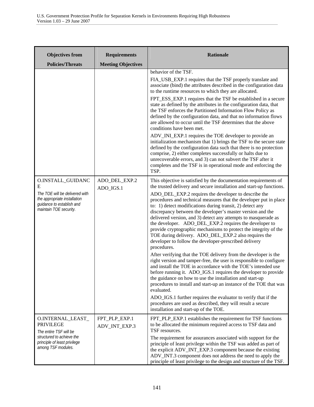| <b>Objectives from</b><br><b>Policies/Threats</b>                                                                                                  | <b>Requirements</b><br><b>Meeting Objectives</b> | <b>Rationale</b>                                                                                                                                                                                                                                                                                                                                                                                                                                                                                                                                                                                                                                                                                                                                                                                                                                                                                                                                                                                                                                                                                                                                                                                                                                                                                                                        |
|----------------------------------------------------------------------------------------------------------------------------------------------------|--------------------------------------------------|-----------------------------------------------------------------------------------------------------------------------------------------------------------------------------------------------------------------------------------------------------------------------------------------------------------------------------------------------------------------------------------------------------------------------------------------------------------------------------------------------------------------------------------------------------------------------------------------------------------------------------------------------------------------------------------------------------------------------------------------------------------------------------------------------------------------------------------------------------------------------------------------------------------------------------------------------------------------------------------------------------------------------------------------------------------------------------------------------------------------------------------------------------------------------------------------------------------------------------------------------------------------------------------------------------------------------------------------|
|                                                                                                                                                    |                                                  | behavior of the TSF.                                                                                                                                                                                                                                                                                                                                                                                                                                                                                                                                                                                                                                                                                                                                                                                                                                                                                                                                                                                                                                                                                                                                                                                                                                                                                                                    |
|                                                                                                                                                    |                                                  | FIA_USB_EXP.1 requires that the TSF properly translate and<br>associate (bind) the attributes described in the configuration data<br>to the runtime resources to which they are allocated.<br>FPT_ESS_EXP.1 requires that the TSF be established in a secure<br>state as defined by the attributes in the configuration data, that<br>the TSF enforces the Partitioned Information Flow Policy as<br>defined by the configuration data, and that no information flows<br>are allowed to occur until the TSF determines that the above<br>conditions have been met.<br>ADV_INI_EXP.1 requires the TOE developer to provide an<br>initialization mechanism that 1) brings the TSF to the secure state<br>defined by the configuration data such that there is no protection<br>comprise, 2) either completes successfully or halts due to<br>unrecoverable errors, and 3) can not subvert the TSF after it<br>completes and the TSF is in operational mode and enforcing the                                                                                                                                                                                                                                                                                                                                                              |
|                                                                                                                                                    |                                                  | TSP.                                                                                                                                                                                                                                                                                                                                                                                                                                                                                                                                                                                                                                                                                                                                                                                                                                                                                                                                                                                                                                                                                                                                                                                                                                                                                                                                    |
| O.INSTALL_GUIDANC<br>Е<br>The TOE will be delivered with<br>the appropriate installation<br>guidance to establish and<br>maintain TOE security.    | ADO_DEL_EXP.2<br>ADO_IGS.1                       | This objective is satisfied by the documentation requirements of<br>the trusted delivery and secure installation and start-up functions.<br>ADO_DEL_EXP.2 requires the developer to describe the<br>procedures and technical measures that the developer put in place<br>to: 1) detect modifications during transit, 2) detect any<br>discrepancy between the developer's master version and the<br>delivered version, and 3) detect any attempts to masquerade as<br>the developer. ADO_DEL_EXP.2 requires the developer to<br>provide cryptographic mechanisms to protect the integrity of the<br>TOE during delivery. ADO_DEL_EXP.2 also requires the<br>developer to follow the developer-prescribed delivery<br>procedures.<br>After verifying that the TOE delivery from the developer is the<br>right version and tamper-free, the user is responsible to configure<br>and install the TOE in accordance with the TOE's intended use<br>before running it. ADO_IGS.1 requires the developer to provide<br>the guidance on how to use the installation and start-up<br>procedures to install and start-up an instance of the TOE that was<br>evaluated.<br>ADO_IGS.1 further requires the evaluator to verify that if the<br>procedures are used as described, they will result a secure<br>installation and start-up of the TOE. |
| O.INTERNAL_LEAST_<br><b>PRIVILEGE</b><br>The entire TSF will be<br>structured to achieve the<br>principle of least privilege<br>among TSF modules. | FPT_PLP_EXP.1<br>ADV INT EXP.3                   | FPT_PLP_EXP.1 establishes the requirement for TSF functions<br>to be allocated the minimum required access to TSF data and<br>TSF resources.<br>The requirement for assurances associated with support for the<br>principle of least privilege within the TSF was added as part of<br>the explicit ADV_INT_EXP.3 component because the existing<br>ADV_INT.3 component does not address the need to apply the<br>principle of least privilege to the design and structure of the TSF.                                                                                                                                                                                                                                                                                                                                                                                                                                                                                                                                                                                                                                                                                                                                                                                                                                                   |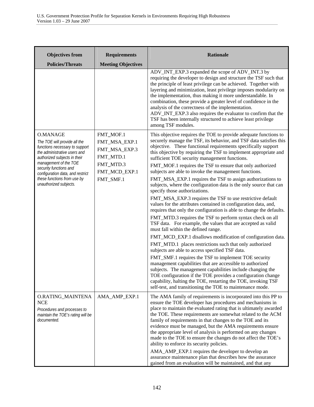| <b>Objectives from</b>                                                                                                                                                                                                                                                                            | <b>Requirements</b>                                      | <b>Rationale</b>                                                                                                                                                                                                                                                                                                                                                                                                                                                                                                                                                                                                                                                                                                                                            |
|---------------------------------------------------------------------------------------------------------------------------------------------------------------------------------------------------------------------------------------------------------------------------------------------------|----------------------------------------------------------|-------------------------------------------------------------------------------------------------------------------------------------------------------------------------------------------------------------------------------------------------------------------------------------------------------------------------------------------------------------------------------------------------------------------------------------------------------------------------------------------------------------------------------------------------------------------------------------------------------------------------------------------------------------------------------------------------------------------------------------------------------------|
| <b>Policies/Threats</b>                                                                                                                                                                                                                                                                           | <b>Meeting Objectives</b>                                |                                                                                                                                                                                                                                                                                                                                                                                                                                                                                                                                                                                                                                                                                                                                                             |
|                                                                                                                                                                                                                                                                                                   |                                                          | ADV_INT_EXP.3 expanded the scope of ADV_INT.3 by<br>requiring the developer to design and structure the TSF such that<br>the principle of least privilege can be achieved. Together with<br>layering and minimization, least privilege imposes modularity on<br>the implementation, thus making it more understandable. In<br>combination, these provide a greater level of confidence in the<br>analysis of the correctness of the implementation.<br>ADV_INT_EXP.3 also requires the evaluator to confirm that the<br>TSF has been internally structured to achieve least privilege<br>among TSF modules.                                                                                                                                                 |
| <b>O.MANAGE</b><br>The TOE will provide all the<br>functions necessary to support<br>the administrative users and<br>authorized subjects in their<br>management of the TOE<br>security functions and<br>configuration data, and restrict<br>these functions from use by<br>unauthorized subjects. | FMT_MOF.1<br>FMT_MSA_EXP.1<br>FMT_MSA_EXP.3<br>FMT_MTD.1 | This objective requires the TOE to provide adequate functions to<br>securely manage the TSF, its behavior, and TSF data satisfies this<br>objective. These functional requirements specifically support<br>this objective by requiring the TSF to implement appropriate and<br>sufficient TOE security management functions.                                                                                                                                                                                                                                                                                                                                                                                                                                |
|                                                                                                                                                                                                                                                                                                   | FMT_MTD.3<br>FMT_MCD_EXP.1                               | FMT_MOF.1 requires the TSF to ensure that only authorized<br>subjects are able to invoke the management functions.                                                                                                                                                                                                                                                                                                                                                                                                                                                                                                                                                                                                                                          |
|                                                                                                                                                                                                                                                                                                   | FMT_SMF.1                                                | FMT_MSA_EXP.1 requires the TSF to assign authorizations to<br>subjects, where the configuration data is the only source that can<br>specify those authorizations.                                                                                                                                                                                                                                                                                                                                                                                                                                                                                                                                                                                           |
|                                                                                                                                                                                                                                                                                                   |                                                          | FMT_MSA_EXP.3 requires the TSF to use restrictive default<br>values for the attributes contained in configuration data, and,<br>requires that only the configuration is able to change the defaults.                                                                                                                                                                                                                                                                                                                                                                                                                                                                                                                                                        |
|                                                                                                                                                                                                                                                                                                   |                                                          | FMT_MTD.3 requires the TSF to perform syntax check on all<br>TSF data. For example, the values that are accepted as valid<br>must fall within the defined range.                                                                                                                                                                                                                                                                                                                                                                                                                                                                                                                                                                                            |
|                                                                                                                                                                                                                                                                                                   |                                                          | FMT_MCD_EXP.1 disallows modification of configuration data.                                                                                                                                                                                                                                                                                                                                                                                                                                                                                                                                                                                                                                                                                                 |
|                                                                                                                                                                                                                                                                                                   |                                                          | FMT_MTD.1 places restrictions such that only authorized<br>subjects are able to access specified TSF data.                                                                                                                                                                                                                                                                                                                                                                                                                                                                                                                                                                                                                                                  |
|                                                                                                                                                                                                                                                                                                   |                                                          | FMT_SMF.1 requires the TSF to implement TOE security<br>management capabilities that are accessible to authorized<br>subjects. The management capabilities include changing the<br>TOE configuration if the TOE provides a configuration change<br>capability, halting the TOE, restarting the TOE, invoking TSF<br>self-test, and transitioning the TOE to maintenance mode.                                                                                                                                                                                                                                                                                                                                                                               |
| O.RATING_MAINTENA<br><b>NCE</b><br>Procedures and processes to<br>maintain the TOE's rating will be<br>documented.                                                                                                                                                                                | AMA_AMP_EXP.1                                            | The AMA family of requirements is incorporated into this PP to<br>ensure the TOE developer has procedures and mechanisms in<br>place to maintain the evaluated rating that is ultimately awarded<br>the TOE. These requirements are somewhat related to the ACM<br>family of requirements in that changes to the TOE and its<br>evidence must be managed, but the AMA requirements ensure<br>the appropriate level of analysis is performed on any changes<br>made to the TOE to ensure the changes do not affect the TOE's<br>ability to enforce its security policies.<br>AMA_AMP_EXP.1 requires the developer to develop an<br>assurance maintenance plan that describes how the assurance<br>gained from an evaluation will be maintained, and that any |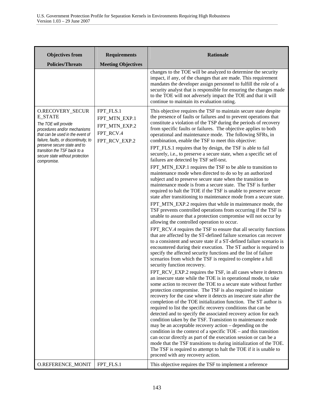| <b>Objectives from</b><br><b>Policies/Threats</b>                                                                                                                                                                                                                                         | <b>Requirements</b><br><b>Meeting Objectives</b>                          | <b>Rationale</b>                                                                                                                                                                                                                                                                                                                                                                                                                                                                                                                                                                                                                                                                                                                                                                                                                                                                                                                                                                                                                                                                                                                                                                                                                                                                                                                                                                                                                                                                                                                                                                                                                                                                                                                                                                                                                                                                                                                                                                                                                                                                                                                                                                                                                                                                                                                                                                                                                                                                                                                                                                                                                                          |
|-------------------------------------------------------------------------------------------------------------------------------------------------------------------------------------------------------------------------------------------------------------------------------------------|---------------------------------------------------------------------------|-----------------------------------------------------------------------------------------------------------------------------------------------------------------------------------------------------------------------------------------------------------------------------------------------------------------------------------------------------------------------------------------------------------------------------------------------------------------------------------------------------------------------------------------------------------------------------------------------------------------------------------------------------------------------------------------------------------------------------------------------------------------------------------------------------------------------------------------------------------------------------------------------------------------------------------------------------------------------------------------------------------------------------------------------------------------------------------------------------------------------------------------------------------------------------------------------------------------------------------------------------------------------------------------------------------------------------------------------------------------------------------------------------------------------------------------------------------------------------------------------------------------------------------------------------------------------------------------------------------------------------------------------------------------------------------------------------------------------------------------------------------------------------------------------------------------------------------------------------------------------------------------------------------------------------------------------------------------------------------------------------------------------------------------------------------------------------------------------------------------------------------------------------------------------------------------------------------------------------------------------------------------------------------------------------------------------------------------------------------------------------------------------------------------------------------------------------------------------------------------------------------------------------------------------------------------------------------------------------------------------------------------------------------|
|                                                                                                                                                                                                                                                                                           |                                                                           | changes to the TOE will be analyzed to determine the security<br>impact, if any, of the changes that are made. This requirement<br>mandates the developer assign personnel to fulfill the role of a<br>security analyst that is responsible for ensuring the changes made<br>to the TOE will not adversely impact the TOE and that it will<br>continue to maintain its evaluation rating.                                                                                                                                                                                                                                                                                                                                                                                                                                                                                                                                                                                                                                                                                                                                                                                                                                                                                                                                                                                                                                                                                                                                                                                                                                                                                                                                                                                                                                                                                                                                                                                                                                                                                                                                                                                                                                                                                                                                                                                                                                                                                                                                                                                                                                                                 |
| O.RECOVERY_SECUR<br><b>E_STATE</b><br>The TOE will provide<br>procedures and/or mechanisms<br>that can be used in the event of<br>failure, faults, or discontinuity, to<br>preserve secure state and to<br>transition the TSF back to a<br>secure state without protection<br>compromise. | FPT_FLS.1<br>FPT_MTN_EXP.1<br>FPT_MTN_EXP.2<br>FPT_RCV.4<br>FPT_RCV_EXP.2 | This objective requires the TSF to maintain secure state despite<br>the presence of faults or failures and to prevent operations that<br>constitute a violation of the TSP during the periods of recovery<br>from specific faults or failures. The objective applies to both<br>operational and maintenance mode. The following SFRs, in<br>combination, enable the TSF to meet this objective:<br>FPT_FLS.1 requires that by design, the TSF is able to fail<br>securely, i.e., to preserve a secure state, when a specific set of<br>failures are detected by TSF self-test.<br>FPT_MTN_EXP.1 requires the TSF to be able to transition to<br>maintenance mode when directed to do so by an authorized<br>subject and to preserve secure state when the transition to<br>maintenance mode is from a secure state. The TSF is further<br>required to halt the TOE if the TSF is unable to preserve secure<br>state after transitioning to maintenance mode from a secure state.<br>FPT_MTN_EXP.2 requires that while in maintenance mode, the<br>TSF prevents controlled operations from occurring if the TSF is<br>unable to assure that a protection compromise will not occur by<br>allowing the controlled operation to occur.<br>FPT_RCV.4 requires the TSF to ensure that all security functions<br>that are affected by the ST-defined failure scenarios can recover<br>to a consistent and secure state if a ST-defined failure scenario is<br>encountered during their execution. The ST author is required to<br>specify the affected security functions and the list of failure<br>scenarios from which the TSF is required to complete a full<br>security function recovery.<br>FPT_RCV_EXP.2 requires the TSF, in all cases where it detects<br>an insecure state while the TOE is in operational mode, to take<br>some action to recover the TOE to a secure state without further<br>protection compromise. The TSF is also required to initiate<br>recovery for the case where it detects an insecure state after the<br>completion of the TOE initialization function. The ST author is<br>required to list the specific recovery conditions that can be<br>detected and to specify the associated recovery action for each<br>condition taken by the TSF. Transistion to maintenance mode<br>may be an acceptable recovery action – depending on the<br>condition in the context of a specific TOE - and this transition<br>can occur directly as part of the execution session or can be a<br>mode that the TSF transitions to during initialization of the TOE.<br>The TSF is required to attempt to halt the TOE if it is unable to |
| O.REFERENCE_MONIT                                                                                                                                                                                                                                                                         | FPT_FLS.1                                                                 | proceed with any recovery action.<br>This objective requires the TSF to implement a reference                                                                                                                                                                                                                                                                                                                                                                                                                                                                                                                                                                                                                                                                                                                                                                                                                                                                                                                                                                                                                                                                                                                                                                                                                                                                                                                                                                                                                                                                                                                                                                                                                                                                                                                                                                                                                                                                                                                                                                                                                                                                                                                                                                                                                                                                                                                                                                                                                                                                                                                                                             |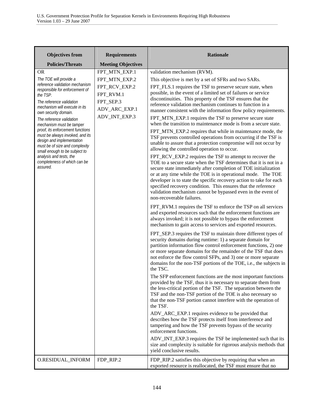| <b>Objectives from</b>                                                                                                                                                                                                                                                                                                                                                                                                                                                                                                                                                                                                        | <b>Requirements</b>                                                                                                                                                                                                                                                                                                                                                                                                                                                                                                                                                                                                                                                                                                                                                                                                                                                                                                                                                                                                                                                                                                                                                                                            | <b>Rationale</b>                                                                                                                                                                                                                                                                                                                                                                                                        |
|-------------------------------------------------------------------------------------------------------------------------------------------------------------------------------------------------------------------------------------------------------------------------------------------------------------------------------------------------------------------------------------------------------------------------------------------------------------------------------------------------------------------------------------------------------------------------------------------------------------------------------|----------------------------------------------------------------------------------------------------------------------------------------------------------------------------------------------------------------------------------------------------------------------------------------------------------------------------------------------------------------------------------------------------------------------------------------------------------------------------------------------------------------------------------------------------------------------------------------------------------------------------------------------------------------------------------------------------------------------------------------------------------------------------------------------------------------------------------------------------------------------------------------------------------------------------------------------------------------------------------------------------------------------------------------------------------------------------------------------------------------------------------------------------------------------------------------------------------------|-------------------------------------------------------------------------------------------------------------------------------------------------------------------------------------------------------------------------------------------------------------------------------------------------------------------------------------------------------------------------------------------------------------------------|
| <b>Policies/Threats</b>                                                                                                                                                                                                                                                                                                                                                                                                                                                                                                                                                                                                       | <b>Meeting Objectives</b>                                                                                                                                                                                                                                                                                                                                                                                                                                                                                                                                                                                                                                                                                                                                                                                                                                                                                                                                                                                                                                                                                                                                                                                      |                                                                                                                                                                                                                                                                                                                                                                                                                         |
| <b>OR</b><br>FPT_MTN_EXP.1<br>The TOE will provide a<br>FPT MTN EXP.2<br>reference validation mechanism<br>FPT_RCV_EXP.2<br>responsible for enforcement of<br>FPT_RVM.1<br>the TSP.<br>FPT_SEP.3<br>The reference validation<br>mechanism will execute in its<br>ADV_ARC_EXP.1<br>own security domain.<br>ADV_INT_EXP.3<br>The reference validation<br>mechanism must be tamper<br>proof, its enforcement functions<br>must be always invoked, and its<br>design and implementation<br>must be of size and complexity<br>small enough to be subject to<br>analysis and tests, the<br>completeness of which can be<br>assured. | validation mechanism (RVM).<br>This objective is met by a set of SFRs and two SARs.<br>FPT_FLS.1 requires the TSF to preserve secure state, when<br>possible, in the event of a limited set of failures or service<br>discontinuities. This property of the TSF ensures that the<br>reference validation mechanism continues to function in a<br>manner consistent with the information flow policy requirements.<br>FPT_MTN_EXP.1 requires the TSF to preserve secure state<br>when the transition to maintenance mode is from a secure state.<br>FPT_MTN_EXP.2 requires that while in maintenance mode, the<br>TSF prevents controlled operations from occurring if the TSF is<br>unable to assure that a protection compromise will not occur by<br>allowing the controlled operation to occur.<br>FPT_RCV_EXP.2 requires the TSF to attempt to recover the<br>TOE to a secure state when the TSF determines that it is not in a<br>secure state immediately after completion of TOE initialization<br>or at any time while the TOE is in operational mode. The TOE<br>developer is to state the specific recovery action to take for each<br>specified recovery condition. This ensures that the reference |                                                                                                                                                                                                                                                                                                                                                                                                                         |
|                                                                                                                                                                                                                                                                                                                                                                                                                                                                                                                                                                                                                               |                                                                                                                                                                                                                                                                                                                                                                                                                                                                                                                                                                                                                                                                                                                                                                                                                                                                                                                                                                                                                                                                                                                                                                                                                | validation mechanism cannot be bypassed even in the event of<br>non-recoverable failures.<br>FPT_RVM.1 requires the TSF to enforce the TSP on all services<br>and exported resources such that the enforcement functions are<br>always invoked; it is not possible to bypass the enforcement<br>mechanism to gain access to services and exported resources.                                                            |
|                                                                                                                                                                                                                                                                                                                                                                                                                                                                                                                                                                                                                               |                                                                                                                                                                                                                                                                                                                                                                                                                                                                                                                                                                                                                                                                                                                                                                                                                                                                                                                                                                                                                                                                                                                                                                                                                | FPT_SEP.3 requires the TSF to maintain three different types of<br>security domains during runtime: 1) a separate domain for<br>partition information flow control enforcement functions, 2) one<br>or more separate domains for the remainder of the TSF that does<br>not enforce the flow control SFPs, and 3) one or more separate<br>domains for the non-TSF portions of the TOE, i.e., the subjects in<br>the TSC. |
|                                                                                                                                                                                                                                                                                                                                                                                                                                                                                                                                                                                                                               |                                                                                                                                                                                                                                                                                                                                                                                                                                                                                                                                                                                                                                                                                                                                                                                                                                                                                                                                                                                                                                                                                                                                                                                                                | The SFP enforcement functions are the most important functions<br>provided by the TSF, thus it is necessary to separate them from<br>the less-critical portion of the TSF. The separation between the<br>TSF and the non-TSF portion of the TOE is also necessary so<br>that the non-TSF portion cannot interfere with the operation of<br>the TSF.                                                                     |
|                                                                                                                                                                                                                                                                                                                                                                                                                                                                                                                                                                                                                               |                                                                                                                                                                                                                                                                                                                                                                                                                                                                                                                                                                                                                                                                                                                                                                                                                                                                                                                                                                                                                                                                                                                                                                                                                | ADV_ARC_EXP.1 requires evidence to be provided that<br>describes how the TSF protects itself from interference and<br>tampering and how the TSF prevents bypass of the security<br>enforcement functions.                                                                                                                                                                                                               |
|                                                                                                                                                                                                                                                                                                                                                                                                                                                                                                                                                                                                                               |                                                                                                                                                                                                                                                                                                                                                                                                                                                                                                                                                                                                                                                                                                                                                                                                                                                                                                                                                                                                                                                                                                                                                                                                                | ADV_INT_EXP.3 requires the TSF be implemented such that its<br>size and complexity is suitable for rigorous analysis methods that<br>yield conclusive results.                                                                                                                                                                                                                                                          |
| O.RESIDUAL_INFORM                                                                                                                                                                                                                                                                                                                                                                                                                                                                                                                                                                                                             | FDP_RIP.2                                                                                                                                                                                                                                                                                                                                                                                                                                                                                                                                                                                                                                                                                                                                                                                                                                                                                                                                                                                                                                                                                                                                                                                                      | FDP_RIP.2 satisfies this objective by requiring that when an<br>exported resource is reallocated, the TSF must ensure that no                                                                                                                                                                                                                                                                                           |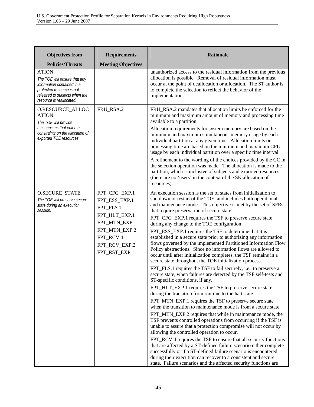| <b>Objectives from</b><br><b>Policies/Threats</b>                                                                                                                    | <b>Requirements</b><br><b>Meeting Objectives</b>                                                                                              | <b>Rationale</b>                                                                                                                                                                                                                                                                                                                                                                                                                                                                                                                                                                                                                                                                                                                                                                                                                                                                                                                                                                                                                                                                                                                                                                                                                                                                                                                                                                                                                                                                                                                                                                           |
|----------------------------------------------------------------------------------------------------------------------------------------------------------------------|-----------------------------------------------------------------------------------------------------------------------------------------------|--------------------------------------------------------------------------------------------------------------------------------------------------------------------------------------------------------------------------------------------------------------------------------------------------------------------------------------------------------------------------------------------------------------------------------------------------------------------------------------------------------------------------------------------------------------------------------------------------------------------------------------------------------------------------------------------------------------------------------------------------------------------------------------------------------------------------------------------------------------------------------------------------------------------------------------------------------------------------------------------------------------------------------------------------------------------------------------------------------------------------------------------------------------------------------------------------------------------------------------------------------------------------------------------------------------------------------------------------------------------------------------------------------------------------------------------------------------------------------------------------------------------------------------------------------------------------------------------|
| <b>ATION</b><br>The TOE will ensure that any<br>information contained in a<br>protected resource is not<br>released to subjects when the<br>resource is reallocated. |                                                                                                                                               | unauthorized access to the residual information from the previous<br>allocation is possible. Removal of residual information must<br>occur at the point of deallocation or allocation. The ST author is<br>to complete the selection to reflect the behavior of the<br>implementation.                                                                                                                                                                                                                                                                                                                                                                                                                                                                                                                                                                                                                                                                                                                                                                                                                                                                                                                                                                                                                                                                                                                                                                                                                                                                                                     |
| O.RESOURCE_ALLOC<br><b>ATION</b><br>The TOE will provide<br>mechanisms that enforce                                                                                  | FRU_RSA.2                                                                                                                                     | FRU_RSA.2 mandates that allocation limits be enforced for the<br>minimum and maximum amount of memory and processing time<br>available to a partition.                                                                                                                                                                                                                                                                                                                                                                                                                                                                                                                                                                                                                                                                                                                                                                                                                                                                                                                                                                                                                                                                                                                                                                                                                                                                                                                                                                                                                                     |
| constraints on the allocation of<br>exported TOE resources.                                                                                                          |                                                                                                                                               | Allocation requirements for system memory are based on the<br>minimum and maximum simultaneous memory usage by each<br>individual partition at any given time. Allocation limits on<br>processing time are based on the minimum and maximum CPU<br>usage by each individual partition over a specific time interval.<br>A refinement to the wording of the choices provided by the CC in<br>the selection operation was made. The allocation is made to the<br>partition, which is inclusive of subjects and exported resources<br>(there are no 'users' in the context of the SK allocation of<br>resources).                                                                                                                                                                                                                                                                                                                                                                                                                                                                                                                                                                                                                                                                                                                                                                                                                                                                                                                                                                             |
| <b>O.SECURE_STATE</b><br>The TOE will preserve secure<br>state during an execution<br>session.                                                                       | FPT_CFG_EXP.1<br>FPT_ESS_EXP.1<br>FPT_FLS.1<br>FPT_HLT_EXP.1<br>FPT_MTN_EXP.1<br>FPT_MTN_EXP.2<br>FPT_RCV.4<br>FPT_RCV_EXP.2<br>FPT_RST_EXP.1 | An execution session is the set of states from initialization to<br>shutdown or restart of the TOE, and includes both operational<br>and maintenance mode. This objective is met by the set of SFRs<br>that require preservation of secure state.<br>FPT_CFG_EXP.1 requires the TSF to preserve secure state<br>during any change to the TOE configuration.<br>FPT_ESS_EXP.1 requires the TSF to determine that it is<br>established in a secure state prior to authorizing any information<br>flows governed by the implemented Partitioned Information Flow<br>Policy abstractions. Since no information flows are allowed to<br>occur until after initialization completes, the TSF remains in a<br>secure state throughout the TOE initialization process.<br>FPT_FLS.1 requires the TSF to fail securely, i.e., to preserve a<br>secure state, when failures are detected by the TSF self-tests and<br>ST-specific conditions, if any.<br>FPT_HLT_EXP.1 requires the TSF to preserve secure state<br>during the transition from runtime to the halt state.<br>FPT_MTN_EXP.1 requires the TSF to preserve secure state<br>when the transition to maintenance mode is from a secure state.<br>FPT_MTN_EXP.2 requires that while in maintenance mode, the<br>TSF prevents controlled operations from occurring if the TSF is<br>unable to assure that a protection compromise will not occur by<br>allowing the controlled operation to occur.<br>FPT_RCV.4 requires the TSF to ensure that all security functions<br>that are affected by a ST-defined failure scenario either complete |
|                                                                                                                                                                      |                                                                                                                                               | successfully or if a ST-defined failure scenario is encountered<br>during their execution can recover to a consistent and secure<br>state. Failure scenarios and the affected security functions are                                                                                                                                                                                                                                                                                                                                                                                                                                                                                                                                                                                                                                                                                                                                                                                                                                                                                                                                                                                                                                                                                                                                                                                                                                                                                                                                                                                       |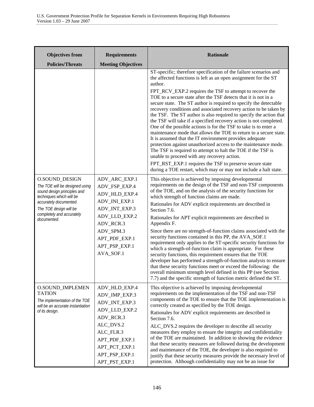| <b>Objectives from</b><br><b>Policies/Threats</b>                                                                                                                                                           | <b>Requirements</b><br><b>Meeting Objectives</b>                                                                                                                            | <b>Rationale</b>                                                                                                                                                                                                                                                                                                                                                                                                                                                                                                                                                                                                                                                                                                                                                                                                                                                                                                                                                                                                                                                                          |
|-------------------------------------------------------------------------------------------------------------------------------------------------------------------------------------------------------------|-----------------------------------------------------------------------------------------------------------------------------------------------------------------------------|-------------------------------------------------------------------------------------------------------------------------------------------------------------------------------------------------------------------------------------------------------------------------------------------------------------------------------------------------------------------------------------------------------------------------------------------------------------------------------------------------------------------------------------------------------------------------------------------------------------------------------------------------------------------------------------------------------------------------------------------------------------------------------------------------------------------------------------------------------------------------------------------------------------------------------------------------------------------------------------------------------------------------------------------------------------------------------------------|
|                                                                                                                                                                                                             |                                                                                                                                                                             | ST-specific; therefore specification of the failure scenarios and<br>the affected functions is left as an open assignment for the ST<br>author.<br>FPT_RCV_EXP.2 requires the TSF to attempt to recover the<br>TOE to a secure state after the TSF detects that it is not in a<br>secure state. The ST author is required to specify the detectable<br>recovery conditions and associated recovery action to be taken by<br>the TSF. The ST author is also required to specify the action that<br>the TSF will take if a specified recovery action is not completed.<br>One of the possible actions is for the TSF to take is to enter a<br>maintenance mode that allows the TOE to return to a secure state.<br>It is assumed that the IT environment provides adequate<br>protection against unauthorized access to the maintenance mode.<br>The TSF is required to attempt to halt the TOE if the TSF is<br>unable to proceed with any recovery action.<br>FPT_RST_EXP.1 requires the TSF to preserve secure state<br>during a TOE restart, which may or may not include a halt state. |
| O.SOUND_DESIGN<br>The TOE will be designed using<br>sound design principles and<br>techniques which will be<br>accurately documented.<br>The TOE design will be<br>completely and accurately<br>documented. | ADV_ARC_EXP.1<br>ADV_FSP_EXP.4<br>ADV_HLD_EXP.4<br>ADV_INI_EXP.1<br>ADV_INT_EXP.3<br>ADV_LLD_EXP.2<br>ADV_RCR.3<br>ADV_SPM.3<br>APT_PDF_EXP.1<br>APT_PSP_EXP.1<br>AVA_SOF.1 | This objective is achieved by imposing developmental<br>requirements on the design of the TSF and non-TSF components<br>of the TOE, and on the analysis of the security functions for<br>which strength of function claims are made.<br>Rationales for ADV explicit requirements are described in<br>Section 7.6.<br>Rationales for APT explicit requirements are described in<br>Appendix F.<br>Since there are no strength-of-function claims associated with the<br>security functions contained in this PP, the AVA_SOF.1<br>requirement only applies to the ST-specific security functions for<br>which a strength-of-function claim is appropriate. For these<br>security functions, this requirement ensures that the TOE<br>developer has performed a strength-of-function analysis to ensure<br>that these security functions meet or exceed the following: the<br>overall minimum strength level defined in this PP (see Section<br>7.7) and the specific strength of function metric defined the ST.                                                                           |
| O.SOUND_IMPLEMEN<br><b>TATION</b><br>The implementation of the TOE<br>will be an accurate instantiation<br>of its design.                                                                                   | ADV_HLD_EXP.4<br>ADV_IMP_EXP.3<br>ADV_INT_EXP.3<br>ADV_LLD_EXP.2<br>ADV_RCR.3<br>ALC_DVS.2<br>ALC_FLR.3<br>APT_PDF_EXP.1<br>APT_PCT_EXP.1<br>APT_PSP_EXP.1<br>APT_PST_EXP.1 | This objective is achieved by imposing developmental<br>requirements on the implementation of the TSF and non-TSF<br>components of the TOE to ensure that the TOE implementation is<br>correctly created as specified by the TOE design.<br>Rationales for ADV explicit requirements are described in<br>Section 7.6.<br>ALC_DVS.2 requires the developer to describe all security<br>measures they employ to ensure the integrity and confidentiality<br>of the TOE are maintained. In addition to showing the evidence<br>that these security measures are followed during the development<br>and maintenance of the TOE, the developer is also required to<br>justify that these security measures provide the necessary level of<br>protection. Although confidentiality may not be an issue for                                                                                                                                                                                                                                                                                      |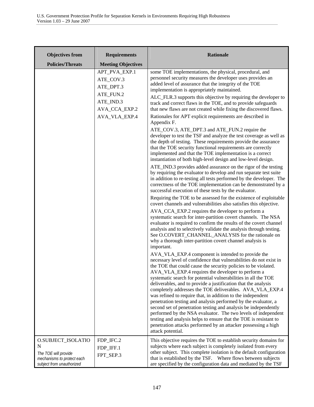| <b>Objectives from</b>                                                                                     | <b>Requirements</b>                                                                                 | <b>Rationale</b>                                                                                                                                                                                                                                                                                                                                                                                                                                                                                                                                                                                                                                                                                                                                                                                                                                                                                                                                                                                                                                                                                                                                                                                                                                                                                                                                                                                                                                                                                                                                                                           |
|------------------------------------------------------------------------------------------------------------|-----------------------------------------------------------------------------------------------------|--------------------------------------------------------------------------------------------------------------------------------------------------------------------------------------------------------------------------------------------------------------------------------------------------------------------------------------------------------------------------------------------------------------------------------------------------------------------------------------------------------------------------------------------------------------------------------------------------------------------------------------------------------------------------------------------------------------------------------------------------------------------------------------------------------------------------------------------------------------------------------------------------------------------------------------------------------------------------------------------------------------------------------------------------------------------------------------------------------------------------------------------------------------------------------------------------------------------------------------------------------------------------------------------------------------------------------------------------------------------------------------------------------------------------------------------------------------------------------------------------------------------------------------------------------------------------------------------|
| <b>Policies/Threats</b>                                                                                    | <b>Meeting Objectives</b>                                                                           |                                                                                                                                                                                                                                                                                                                                                                                                                                                                                                                                                                                                                                                                                                                                                                                                                                                                                                                                                                                                                                                                                                                                                                                                                                                                                                                                                                                                                                                                                                                                                                                            |
|                                                                                                            | APT_PVA_EXP.1<br>ATE_COV.3<br>ATE_DPT.3<br>ATE_FUN.2<br>ATE_IND.3<br>AVA_CCA_EXP.2<br>AVA_VLA_EXP.4 | some TOE implementations, the physical, procedural, and<br>personnel security measures the developer uses provides an<br>added level of assurance that the integrity of the TOE<br>implementation is appropriately maintained.<br>ALC_FLR.3 supports this objective by requiring the developer to<br>track and correct flaws in the TOE, and to provide safeguards<br>that new flaws are not created while fixing the discovered flaws.<br>Rationales for APT explicit requirements are described in<br>Appendix F.<br>ATE_COV.3, ATE_DPT.3 and ATE_FUN.2 require the<br>developer to test the TSF and analyze the test coverage as well as<br>the depth of testing. These requirements provide the assurance<br>that the TOE security functional requirements are correctly<br>implemented and that the TOE implementation is a correct<br>instantiation of both high-level design and low-level design.<br>ATE_IND.3 provides added assurance on the rigor of the testing<br>by requiring the evaluator to develop and run separate test suite<br>in addition to re-testing all tests performed by the developer. The<br>correctness of the TOE implementation can be demonstrated by a<br>successful execution of these tests by the evaluator.<br>Requiring the TOE to be assessed for the existence of exploitable<br>covert channels and vulnerabilities also satisfies this objective.<br>AVA_CCA_EXP.2 requires the developer to perform a<br>systematic search for inter-partition covert channels. The NSA<br>evaluator is required to confirm the results of the covert channel |
|                                                                                                            |                                                                                                     | analysis and to selectively validate the analysis through testing.<br>See O.COVERT_CHANNEL_ANALYSIS for the rationale on<br>why a thorough inter-partition covert channel analysis is<br>important.<br>AVA_VLA_EXP.4 component is intended to provide the<br>necessary level of confidence that vulnerabilities do not exist in<br>the TOE that could cause the security policies to be violated.                                                                                                                                                                                                                                                                                                                                                                                                                                                                                                                                                                                                                                                                                                                                                                                                                                                                                                                                                                                                                                                                                                                                                                                          |
|                                                                                                            |                                                                                                     | AVA_VLA_EXP.4 requires the developer to perform a<br>systematic search for potential vulnerabilities in all the TOE<br>deliverables, and to provide a justification that the analysis<br>completely addresses the TOE deliverables. AVA_VLA_EXP.4<br>was refined to require that, in addition to the independent<br>penetration testing and analysis performed by the evaluator, a<br>second set of penetration testing and analysis be independently<br>performed by the NSA evaluator. The two levels of independent<br>testing and analysis helps to ensure that the TOE is resistant to<br>penetration attacks performed by an attacker possessing a high<br>attack potential.                                                                                                                                                                                                                                                                                                                                                                                                                                                                                                                                                                                                                                                                                                                                                                                                                                                                                                         |
| O.SUBJECT_ISOLATIO<br>N<br>The TOE will provide<br>mechanisms to protect each<br>subject from unauthorized | FDP_IFC.2<br>FDP_IFF.1<br>FPT_SEP.3                                                                 | This objective requires the TOE to establish security domains for<br>subjects where each subject is completely isolated from every<br>other subject. This complete isolation is the default configuration<br>that is established by the TSF. Where flows between subjects<br>are specified by the configuration data and mediated by the TSF                                                                                                                                                                                                                                                                                                                                                                                                                                                                                                                                                                                                                                                                                                                                                                                                                                                                                                                                                                                                                                                                                                                                                                                                                                               |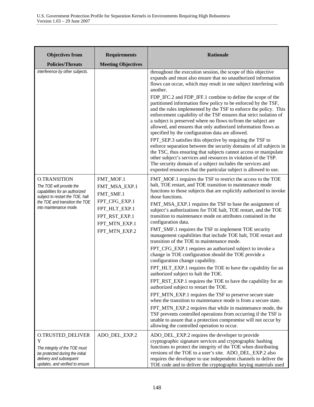| <b>Objectives from</b><br><b>Policies/Threats</b>                                                                                                                                 | <b>Requirements</b><br><b>Meeting Objectives</b>                                                                             | <b>Rationale</b>                                                                                                                                                                                                                                                                                                                                                                                                                                                                                                                                                                                                                                                                                                                                                                                                                                                                                                                                                                                                                                                                                                                                                                                                                                                                                                                                                               |
|-----------------------------------------------------------------------------------------------------------------------------------------------------------------------------------|------------------------------------------------------------------------------------------------------------------------------|--------------------------------------------------------------------------------------------------------------------------------------------------------------------------------------------------------------------------------------------------------------------------------------------------------------------------------------------------------------------------------------------------------------------------------------------------------------------------------------------------------------------------------------------------------------------------------------------------------------------------------------------------------------------------------------------------------------------------------------------------------------------------------------------------------------------------------------------------------------------------------------------------------------------------------------------------------------------------------------------------------------------------------------------------------------------------------------------------------------------------------------------------------------------------------------------------------------------------------------------------------------------------------------------------------------------------------------------------------------------------------|
| interference by other subjects.                                                                                                                                                   |                                                                                                                              | throughout the execution session, the scope of this objective<br>expands and must also ensure that no unauthorized information<br>flows can occur, which may result in one subject interfering with<br>another.<br>FDP_IFC.2 and FDP_IFF.1 combine to define the scope of the<br>partitioned information flow policy to be enforced by the TSF,<br>and the rules implemented by the TSF to enforce the policy. This<br>enforcement capability of the TSF ensures that strict isolation of<br>a subject is preserved where no flows to/from the subject are<br>allowed, and ensures that only authorized information flows as<br>specified by the configuration data are allowed.<br>FPT_SEP.3 satisfies this objective by requiring the TSF to<br>enforce separation between the security domains of all subjects in<br>the TSC, thus ensuring that subjects cannot access or manipulate<br>other subject's services and resources in violation of the TSP.<br>The security domain of a subject includes the services and<br>exported resources that the particular subject is allowed to use.                                                                                                                                                                                                                                                                                 |
| <b>O.TRANSITION</b><br>The TOE will provide the<br>capabilities for an authorized<br>subject to restart the TOE, halt<br>the TOE and transition the TOE<br>into maintenance mode. | FMT_MOF.1<br>FMT_MSA_EXP.1<br>FMT_SMF.1<br>FPT_CFG_EXP.1<br>FPT_HLT_EXP.1<br>FPT_RST_EXP.1<br>FPT_MTN_EXP.1<br>FPT_MTN_EXP.2 | FMT_MOF.1 requires the TSF to restrict the access to the TOE<br>halt, TOE restart, and TOE transition to maintenance mode<br>functions to those subjects that are explicitly authorized to invoke<br>those functions.<br>FMT_MSA_EXP.1 requires the TSF to base the assignment of<br>subject's authorizations for TOE halt, TOE restart, and the TOE<br>transition to maintenance mode on attributes contained in the<br>configuration data.<br>FMT_SMF.1 requires the TSF to implement TOE security<br>management capabilities that include TOE halt, TOE restart and<br>transition of the TOE to maintenance mode.<br>FPT_CFG_EXP.1 requires an authorized subject to invoke a<br>change in TOE configuration should the TOE provide a<br>configuration change capability.<br>FPT_HLT_EXP.1 requires the TOE to have the capability for an<br>authorized subject to halt the TOE.<br>FPT_RST_EXP.1 requires the TOE to have the capability for an<br>authorized subject to restart the TOE.<br>FPT_MTN_EXP.1 requires the TSF to preserve secure state<br>when the transition to maintenance mode is from a secure state.<br>FPT_MTN_EXP.2 requires that while in maintenance mode, the<br>TSF prevents controlled operations from occurring if the TSF is<br>unable to assure that a protection compromise will not occur by<br>allowing the controlled operation to occur. |
| O.TRUSTED_DELIVER<br>Y<br>The integrity of the TOE must<br>be protected during the initial<br>delivery and subsequent<br>updates, and verified to ensure                          | ADO_DEL_EXP.2                                                                                                                | ADO_DEL_EXP.2 requires the developer to provide<br>cryptographic signature services and cryptographic hashing<br>functions to protect the integrity of the TOE when distributing<br>versions of the TOE to a user's site. ADO_DEL_EXP.2 also<br>requires the developer to use independent channels to deliver the<br>TOE code and to deliver the cryptographic keying materials used                                                                                                                                                                                                                                                                                                                                                                                                                                                                                                                                                                                                                                                                                                                                                                                                                                                                                                                                                                                           |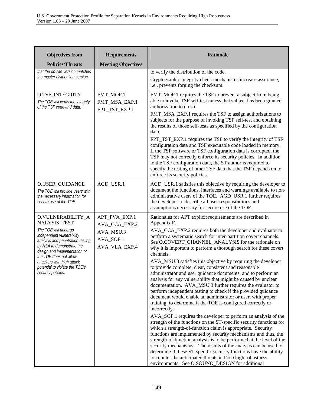| <b>Objectives from</b><br><b>Policies/Threats</b>                                                                                                                                                                                                                                                       | <b>Requirements</b><br><b>Meeting Objectives</b>                          | <b>Rationale</b>                                                                                                                                                                                                                                                                                                                                                                                                                                                                                                                                                                                                                                                                                                                                                                                                                                                                                                                                                                                                                                                                                                                                                                                                                                                                                                                                                                                                                                                                                        |
|---------------------------------------------------------------------------------------------------------------------------------------------------------------------------------------------------------------------------------------------------------------------------------------------------------|---------------------------------------------------------------------------|---------------------------------------------------------------------------------------------------------------------------------------------------------------------------------------------------------------------------------------------------------------------------------------------------------------------------------------------------------------------------------------------------------------------------------------------------------------------------------------------------------------------------------------------------------------------------------------------------------------------------------------------------------------------------------------------------------------------------------------------------------------------------------------------------------------------------------------------------------------------------------------------------------------------------------------------------------------------------------------------------------------------------------------------------------------------------------------------------------------------------------------------------------------------------------------------------------------------------------------------------------------------------------------------------------------------------------------------------------------------------------------------------------------------------------------------------------------------------------------------------------|
| that the on-site version matches<br>the master distribution version.                                                                                                                                                                                                                                    |                                                                           | to verify the distribution of the code.<br>Cryptographic integrity check mechanisms increase assurance,<br>i.e., prevents forging the checksum.                                                                                                                                                                                                                                                                                                                                                                                                                                                                                                                                                                                                                                                                                                                                                                                                                                                                                                                                                                                                                                                                                                                                                                                                                                                                                                                                                         |
| O.TSF_INTEGRITY<br>The TOE will verify the integrity<br>of the TSF code and data.                                                                                                                                                                                                                       | FMT_MOF.1<br>FMT_MSA_EXP.1<br>FPT_TST_EXP.1                               | FMT_MOF.1 requires the TSF to prevent a subject from being<br>able to invoke TSF self-test unless that subject has been granted<br>authorization to do so.<br>FMT_MSA_EXP.1 requires the TSF to assign authorizations to<br>subjects for the purpose of invoking TSF self-test and obtaining<br>the results of those self-tests as specified by the configuration<br>data.<br>FPT_TST_EXP.1 requires the TSF to verify the integrity of TSF<br>configuration data and TSF executable code loaded in memory.<br>If the TSF software or TSF configuration data is corrupted, the<br>TSF may not correctly enforce its security policies. In addition<br>to the TSF configuration data, the ST author is required to<br>specify the testing of other TSF data that the TSF depends on to<br>enforce its security policies.                                                                                                                                                                                                                                                                                                                                                                                                                                                                                                                                                                                                                                                                                 |
| O.USER_GUIDANCE<br>The TOE will provide users with<br>the necessary information for<br>secure use of the TOE.                                                                                                                                                                                           | AGD_USR.1                                                                 | AGD_USR.1 satisfies this objective by requiring the developer to<br>document the functions, interfaces and warnings available to non-<br>administrative users of the TOE. AGD_USR.1 further requires<br>the developer to describe all user responsibilities and<br>assumptions necessary for secure use of the TOE.                                                                                                                                                                                                                                                                                                                                                                                                                                                                                                                                                                                                                                                                                                                                                                                                                                                                                                                                                                                                                                                                                                                                                                                     |
| O.VULNERABILITY_A<br>NALYSIS_TEST<br>The TOE will undergo<br>independent vulnerability<br>analysis and penetration testing<br>by NSA to demonstrate the<br>design and implementation of<br>the TOE does not allow<br>attackers with high attack<br>potential to violate the TOE's<br>security policies. | APT_PVA_EXP.1<br>AVA_CCA_EXP.2<br>AVA_MSU.3<br>AVA_SOF.1<br>AVA_VLA_EXP.4 | Rationales for APT explicit requirements are described in<br>Appendix F.<br>AVA_CCA_EXP.2 requires both the developer and evaluator to<br>perform a systematic search for inter-partition covert channels.<br>See O.COVERT_CHANNEL_ANALYSIS for the rationale on<br>why it is important to perform a thorough search for these covert<br>channels.<br>AVA_MSU.3 satisfies this objective by requiring the developer<br>to provide complete, clear, consistent and reasonable<br>administrator and user guidance documents, and to perform an<br>analysis for any vulnerability that might be caused by unclear<br>documentation. AVA_MSU.3 further requires the evaluator to<br>perform independent testing to check if the provided guidance<br>document would enable an administrator or user, with proper<br>training, to determine if the TOE is configured correctly or<br>incorrectly.<br>AVA_SOF.1 requires the developer to perform an analysis of the<br>strength of the functions on the ST-specific security functions for<br>which a strength-of-function claim is appropriate. Security<br>functions are implemented by security mechanisms and thus, the<br>strength-of-function analysis is to be performed at the level of the<br>security mechanisms. The results of the analysis can be used to<br>determine if these ST-specific security functions have the ability<br>to counter the anticipated threats in DoD high robustness<br>environments. See O.SOUND_DESIGN for additional |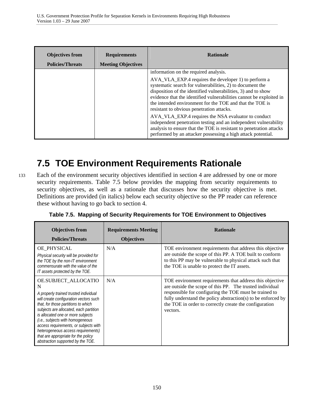| <b>Objectives from</b><br><b>Policies/Threats</b> | <b>Requirements</b><br><b>Meeting Objectives</b> | <b>Rationale</b>                                                                                                                                                                                                                                                                                                                                                   |
|---------------------------------------------------|--------------------------------------------------|--------------------------------------------------------------------------------------------------------------------------------------------------------------------------------------------------------------------------------------------------------------------------------------------------------------------------------------------------------------------|
|                                                   |                                                  | information on the required analysis.                                                                                                                                                                                                                                                                                                                              |
|                                                   |                                                  | AVA_VLA_EXP.4 requires the developer 1) to perform a<br>systematic search for vulnerabilities, 2) to document the<br>disposition of the identified vulnerabilities, 3) and to show<br>evidence that the identified vulnerabilities cannot be exploited in<br>the intended environment for the TOE and that the TOE is<br>resistant to obvious penetration attacks. |
|                                                   |                                                  | AVA_VLA_EXP.4 requires the NSA evaluator to conduct<br>independent penetration testing and an independent vulnerability<br>analysis to ensure that the TOE is resistant to penetration attacks<br>performed by an attacker possessing a high attack potential.                                                                                                     |

# **7.5 TOE Environment Requirements Rationale**

133 Each of the environment security objectives identified in section 4 are addressed by one or more security requirements. Table 7.5 below provides the mapping from security requirements to security objectives, as well as a rationale that discusses how the security objective is met. Definitions are provided (in italics) below each security objective so the PP reader can reference these without having to go back to section 4.

| <b>Objectives from</b>                                                                                                                                                                                                                                                                                                                                                                                                                   | <b>Requirements Meeting</b> | <b>Rationale</b>                                                                                                                                                                                                                                                                                                     |
|------------------------------------------------------------------------------------------------------------------------------------------------------------------------------------------------------------------------------------------------------------------------------------------------------------------------------------------------------------------------------------------------------------------------------------------|-----------------------------|----------------------------------------------------------------------------------------------------------------------------------------------------------------------------------------------------------------------------------------------------------------------------------------------------------------------|
| <b>Policies/Threats</b>                                                                                                                                                                                                                                                                                                                                                                                                                  | <b>Objectives</b>           |                                                                                                                                                                                                                                                                                                                      |
| OE PHYSICAL<br>Physical security will be provided for<br>the TOE by the non-IT environment<br>commensurate with the value of the<br>IT assets protected by the TOE.                                                                                                                                                                                                                                                                      | N/A                         | TOE environment requirements that address this objective<br>are outside the scope of this PP. A TOE built to conform<br>to this PP may be vulnerable to physical attack such that<br>the TOE is unable to protect the IT assets.                                                                                     |
| <b>OE.SUBJECT ALLOCATIO</b><br>N<br>A properly trained trusted individual<br>will create configuration vectors such<br>that, for those partitions to which<br>subjects are allocated, each partition<br>is allocated one or more subjects<br>(i.e., subjects with homogeneous<br>access requirements, or subjects with<br>heterogeneous access requirements)<br>that are appropriate for the policy<br>abstraction supported by the TOE. | N/A                         | TOE environment requirements that address this objective<br>are outside the scope of this PP. The trusted individual<br>responsible for configuring the TOE must be trained to<br>fully understand the policy abstraction(s) to be enforced by<br>the TOE in order to correctly create the configuration<br>vectors. |

 **Table 7.5. Mapping of Security Requirements for TOE Environment to Objectives**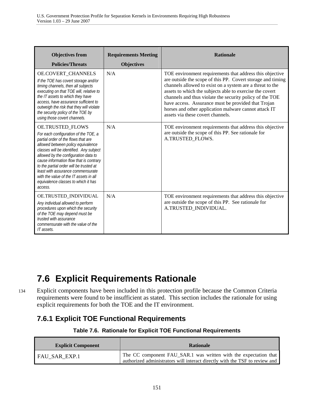| <b>Objectives from</b><br><b>Policies/Threats</b>                                                                                                                                                                                                                                                                                                                                                                                               | <b>Requirements Meeting</b><br><b>Objectives</b> | <b>Rationale</b>                                                                                                                                                                                                                                                                                                                                                                                                                                                  |
|-------------------------------------------------------------------------------------------------------------------------------------------------------------------------------------------------------------------------------------------------------------------------------------------------------------------------------------------------------------------------------------------------------------------------------------------------|--------------------------------------------------|-------------------------------------------------------------------------------------------------------------------------------------------------------------------------------------------------------------------------------------------------------------------------------------------------------------------------------------------------------------------------------------------------------------------------------------------------------------------|
| OE.COVERT_CHANNELS<br>If the TOE has covert storage and/or<br>timing channels, then all subjects<br>executing on that TOE will, relative to<br>the IT assets to which they have<br>access, have assurance sufficient to<br>outweigh the risk that they will violate<br>the security policy of the TOE by<br>using those covert channels.                                                                                                        | N/A                                              | TOE environment requirements that address this objective<br>are outside the scope of this PP. Covert storage and timing<br>channels allowed to exist on a system are a threat to the<br>assets to which the subjects able to exercise the covert<br>channels and thus violate the security policy of the TOE<br>have access. Assurance must be provided that Trojan<br>horses and other application malware cannot attack IT<br>assets via these covert channels. |
| OE.TRUSTED_FLOWS<br>For each configuration of the TOE, a<br>partial order of the flows that are<br>allowed between policy equivalence<br>classes will be identified. Any subject<br>allowed by the configuration data to<br>cause information flow that is contrary<br>to the partial order will be trusted at<br>least with assurance commensurate<br>with the value of the IT assets in all<br>equivalence classes to which it has<br>access. | N/A                                              | TOE environment requirements that address this objective<br>are outside the scope of this PP. See rationale for<br>A.TRUSTED FLOWS.                                                                                                                                                                                                                                                                                                                               |
| OE.TRUSTED_INDIVIDUAL<br>Any individual allowed to perform<br>procedures upon which the security<br>of the TOE may depend must be<br>trusted with assurance<br>commensurate with the value of the<br>IT assets.                                                                                                                                                                                                                                 | N/A                                              | TOE environment requirements that address this objective<br>are outside the scope of this PP. See rationale for<br>A.TRUSTED INDIVIDUAL.                                                                                                                                                                                                                                                                                                                          |

# **7.6 Explicit Requirements Rationale**

134 Explicit components have been included in this protection profile because the Common Criteria requirements were found to be insufficient as stated. This section includes the rationale for using explicit requirements for both the TOE and the IT environment.

#### **7.6.1 Explicit TOE Functional Requirements**

|  |  |  | Table 7.6. Rationale for Explicit TOE Functional Requirements |  |
|--|--|--|---------------------------------------------------------------|--|
|--|--|--|---------------------------------------------------------------|--|

| <b>Explicit Component</b> | <b>Rationale</b>                                                                                                                                |
|---------------------------|-------------------------------------------------------------------------------------------------------------------------------------------------|
| FAU SAR EXP.1             | The CC component FAU_SAR.1 was written with the expectation that<br>authorized administrators will interact directly with the TSF to review and |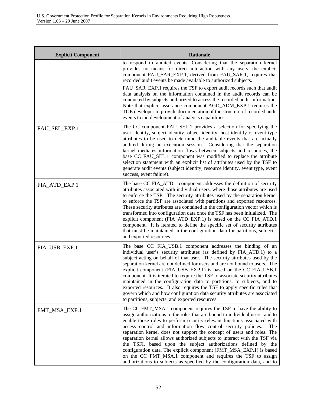| <b>Explicit Component</b> | <b>Rationale</b>                                                                                                                                                                                                                                                                                                                                                                                                                                                                                                                                                                                                                                                                                                                                       |
|---------------------------|--------------------------------------------------------------------------------------------------------------------------------------------------------------------------------------------------------------------------------------------------------------------------------------------------------------------------------------------------------------------------------------------------------------------------------------------------------------------------------------------------------------------------------------------------------------------------------------------------------------------------------------------------------------------------------------------------------------------------------------------------------|
|                           | to respond to audited events. Considering that the separation kernel<br>provides no means for direct interaction with any users, the explicit<br>component FAU_SAR_EXP.1, derived from FAU_SAR.1, requires that<br>recorded audit events be made available to authorized subjects.                                                                                                                                                                                                                                                                                                                                                                                                                                                                     |
|                           | FAU_SAR_EXP.1 requires the TSF to export audit records such that audit<br>data analysis on the information contained in the audit records can be<br>conducted by subjects authorized to access the recorded audit information.<br>Note that explicit assurance component AGD_ADM_EXP.1 requires the<br>TOE developer to provide documentation of the structure of recorded audit<br>events to aid development of analysis capabilities.                                                                                                                                                                                                                                                                                                                |
| FAU_SEL_EXP.1             | The CC component FAU_SEL.1 provides a selection for specifying the<br>user identity, subject identity, object identity, host identify or event type<br>attributes to be used to determine the auditable events that are actually<br>audited during an execution session. Considering that the separation<br>kernel mediates information flows between subjects and resources, the<br>base CC FAU_SEL.1 component was modified to replace the attribute<br>selection statement with an explicit list of attributes used by the TSF to<br>generate audit events (subject identity, resource identity, event type, event<br>success, event failure).                                                                                                      |
| FIA_ATD_EXP.1             | The base CC FIA_ATD.1 component addresses the definition of security<br>attributes associated with individual users, where those attributes are used<br>to enforce the TSP. The security attributes used by the separation kernel<br>to enforce the TSP are associated with partitions and exported resources.<br>These security attributes are contained in the configuration vector which is<br>transformed into configuration data once the TSF has been initialized. The<br>explicit component (FIA_ATD_EXP.1) is based on the CC FIA_ATD.1<br>component. It is iterated to define the specific set of security attributes<br>that must be maintained in the configuration data for partitions, subjects,<br>and exported resources.               |
| FIA_USB_EXP.1             | The base CC FIA_USB.1 component addresses the binding of an<br>individual user's security attributes (as defined by FIA_ATD.1) to a<br>subject acting on behalf of that user. The security attributes used by the<br>separation kernel are not defined for users and are not bound to users. The<br>explicit component (FIA_USB_EXP.1) is based on the CC FIA_USB.1<br>component. It is iterated to require the TSF to associate security attributes<br>maintained in the configuration data to partitions, to subjects, and to<br>exported resources. It also requires the TSF to apply specific rules that<br>govern which and how configuration data security attributes are associated<br>to partitions, subjects, and exported resources.         |
| FMT_MSA_EXP.1             | The CC FMT_MSA.1 component requires the TSF to have the ability to<br>assign authorizations to the roles that are bound to individual users, and to<br>enable those roles to perform security-relevant functions associated with<br>access control and information flow control security policies.<br>The<br>separation kernel does not support the concept of users and roles. The<br>separation kernel allows authorized subjects to interact with the TSF via<br>the TSFI, based upon the subject authorizations defined by the<br>configuration data. The explicit component (FMT_MSA_EXP.1) is based<br>on the CC FMT_MSA.1 component and requires the TSF to assign<br>authorizations to subjects as specified by the configuration data, and to |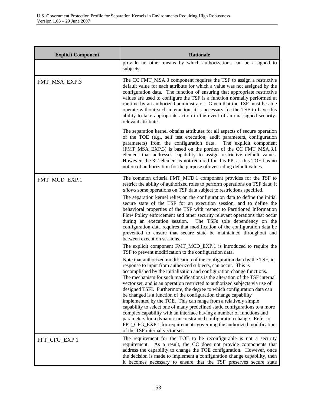| <b>Explicit Component</b> | <b>Rationale</b>                                                                                                                                                                                                                                                                                                                                                                                                                                                                                                                                                                                                                                                                                                                                                                                                                                                                                                                                                                                           |
|---------------------------|------------------------------------------------------------------------------------------------------------------------------------------------------------------------------------------------------------------------------------------------------------------------------------------------------------------------------------------------------------------------------------------------------------------------------------------------------------------------------------------------------------------------------------------------------------------------------------------------------------------------------------------------------------------------------------------------------------------------------------------------------------------------------------------------------------------------------------------------------------------------------------------------------------------------------------------------------------------------------------------------------------|
|                           | provide no other means by which authorizations can be assigned to<br>subjects.                                                                                                                                                                                                                                                                                                                                                                                                                                                                                                                                                                                                                                                                                                                                                                                                                                                                                                                             |
| FMT_MSA_EXP.3             | The CC FMT_MSA.3 component requires the TSF to assign a restrictive<br>default value for each attribute for which a value was not assigned by the<br>configuration data. The function of ensuring that appropriate restrictive<br>values are used to configure the TSF is a function normally performed at<br>runtime by an authorized administrator. Given that the TSF must be able<br>operate without such interaction, it is necessary for the TSF to have this<br>ability to take appropriate action in the event of an unassigned security-<br>relevant attribute.                                                                                                                                                                                                                                                                                                                                                                                                                                   |
|                           | The separation kernel obtains attributes for all aspects of secure operation<br>of the TOE (e.g., self test execution, audit parameters, configuration<br>parameters) from the configuration data.<br>The explicit component<br>(FMT_MSA_EXP.3) is based on the portion of the CC FMT_MSA.3.1<br>element that addresses capability to assign restrictive default values.<br>However, the 3.2 element is not required for this PP, as this TOE has no<br>notion of authorization for the purpose of over-riding default values.                                                                                                                                                                                                                                                                                                                                                                                                                                                                             |
| FMT_MCD_EXP.1             | The common criteria FMT_MTD.1 component provides for the TSF to<br>restrict the ability of authorized roles to perform operations on TSF data; it<br>allows some operations on TSF data subject to restrictions specified.<br>The separation kernel relies on the configuration data to define the initial<br>secure state of the TSF for an execution session, and to define the<br>behavioral properties of the TSF with respect to Partitioned Information<br>Flow Policy enforcement and other security relevant operations that occur<br>during an execution session.<br>The TSFs sole dependency on the<br>configuration data requires that modification of the configuration data be<br>prevented to ensure that secure state be maintained throughout and<br>between execution sessions.<br>The explicit component FMT_MCD_EXP.1 is introduced to require the                                                                                                                                      |
|                           | TSF to prevent modification to the configuration data.<br>Note that authorized modification of the configuration data by the TSF, in<br>response to input from authorized subjects, can occur. This is<br>accomplished by the initialization and configuration change functions.<br>The mechanism for such modifications is the alteration of the TSF internal<br>vector set, and is an operation restricted to authorized subjects via use of<br>designed TSFI. Furthermore, the degree to which configuration data can<br>be changed is a function of the configuration change capability<br>implemented by the TOE. This can range from a relatively simple<br>capability to select one of many predefined static configurations to a more<br>complex capability with an interface having a number of functions and<br>parameters for a dynamic unconstrained configuration change. Refer to<br>FPT_CFG_EXP.1 for requirements governing the authorized modification<br>of the TSF internal vector set. |
| FPT_CFG_EXP.1             | The requirement for the TOE to be reconfigurable is not a security<br>requirement. As a result, the CC does not provide components that<br>address the capability to change the TOE configuration. However, once<br>the decision is made to implement a configuration change capability, then<br>it becomes necessary to ensure that the TSF preserves secure state                                                                                                                                                                                                                                                                                                                                                                                                                                                                                                                                                                                                                                        |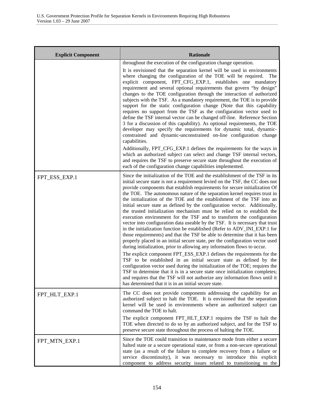| <b>Explicit Component</b> | <b>Rationale</b>                                                                                                                                                                                                                                                                                                                                                                                                                                                                                                                                                                                                                                                                                                                                                                                                                                                                                                                                                                                                                                                                                                                                                                                                                                                                                                                                                                                                                                                                                   |
|---------------------------|----------------------------------------------------------------------------------------------------------------------------------------------------------------------------------------------------------------------------------------------------------------------------------------------------------------------------------------------------------------------------------------------------------------------------------------------------------------------------------------------------------------------------------------------------------------------------------------------------------------------------------------------------------------------------------------------------------------------------------------------------------------------------------------------------------------------------------------------------------------------------------------------------------------------------------------------------------------------------------------------------------------------------------------------------------------------------------------------------------------------------------------------------------------------------------------------------------------------------------------------------------------------------------------------------------------------------------------------------------------------------------------------------------------------------------------------------------------------------------------------------|
|                           | throughout the execution of the configuration change operation.<br>It is envisioned that the separation kernel will be used in environments<br>where changing the configuration of the TOE will be required. The<br>explicit component, FPT_CFG_EXP.1, establishes one mandatory<br>requirement and several optional requirements that govern "by design"<br>changes to the TOE configuration through the interaction of authorized<br>subjects with the TSF. As a mandatory requirement, the TOE is to provide<br>support for the static configuration change (Note that this capability<br>requires no support from the TSF as the configuration vector used to<br>define the TSF internal vector can be changed off-line. Reference Section<br>3 for a discussion of this capability). As optional requirements, the TOE<br>developer may specify the requirements for dynamic total, dynamic-<br>constrained and dynamic-unconstrained on-line configuration change<br>capabilities.<br>Additionally, FPT_CFG_EXP.1 defines the requirements for the ways in<br>which an authorized subject can select and change TSF internal vectors,<br>and requires the TSF to preserve secure state throughout the execution of<br>each of the configuration change capabilities implemented.                                                                                                                                                                                                             |
| FPT_ESS_EXP.1             | Since the initialization of the TOE and the establishment of the TSF in its<br>initial secure state is not a requirement levied on the TSF, the CC does not<br>provide components that establish requirements for secure initialization Of<br>the TOE. The autonomous nature of the separation kernel requires trust in<br>the initialization of the TOE and the establishment of the TSF into an<br>initial secure state as defined by the configuration vector. Additionally,<br>the trusted initialization mechanism must be relied on to establish the<br>execution environment for the TSF and to transform the configuration<br>vector into configuration data useable by the TSF. It is necessary that trust<br>in the initialization function be established (Refer to ADV_INI_EXP.1 for<br>those requirements) and that the TSF be able to determine that it has been<br>properly placed in an initial secure state, per the configuration vector used<br>during initialization, prior to allowing any information flows to occur.<br>The explicit component FPT_ESS_EXP.1 defines the requirements for the<br>TSF to be established in an initial secure state as defined by the<br>configuration vector used during the initialization of the TOE; requires the<br>TSF to determine that it is in a secure state once initialization completes;<br>and requires that the TSF will not authorize any information flows until it<br>has determined that it is in an initial secure state. |
| FPT_HLT_EXP.1             | The CC does not provide components addressing the capability for an<br>authorized subject to halt the TOE. It is envisioned that the separation<br>kernel will be used in environments where an authorized subject can<br>command the TOE to halt.<br>The explicit component FPT_HLT_EXP.1 requires the TSF to halt the<br>TOE when directed to do so by an authorized subject, and for the TSF to<br>preserve secure state throughout the process of halting the TOE.                                                                                                                                                                                                                                                                                                                                                                                                                                                                                                                                                                                                                                                                                                                                                                                                                                                                                                                                                                                                                             |
| FPT_MTN_EXP.1             | Since the TOE could transition to maintenance mode from either a secure<br>halted state or a secure operational state, or from a non-secure operational<br>state (as a result of the failure to complete recovery from a failure or<br>service discontinuity), it was necessary to introduce this explicit<br>component to address security issues related to transitioning to the                                                                                                                                                                                                                                                                                                                                                                                                                                                                                                                                                                                                                                                                                                                                                                                                                                                                                                                                                                                                                                                                                                                 |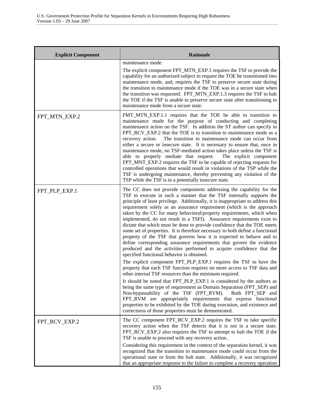| <b>Explicit Component</b> | <b>Rationale</b>                                                                                                                                                                                                                                                                                                                                                                                                                                                                                                                                                                                                                                                                                                                                                                                                                                                                                                                                                    |
|---------------------------|---------------------------------------------------------------------------------------------------------------------------------------------------------------------------------------------------------------------------------------------------------------------------------------------------------------------------------------------------------------------------------------------------------------------------------------------------------------------------------------------------------------------------------------------------------------------------------------------------------------------------------------------------------------------------------------------------------------------------------------------------------------------------------------------------------------------------------------------------------------------------------------------------------------------------------------------------------------------|
|                           | maintenance mode.<br>The explicit component FPT_MTN_EXP.1 requires the TSF to provide the<br>capability for an authorized subject to request the TOE be transitioned into<br>maintenance mode, and, requires the TSF to preserve secure state during<br>the transition to maintenance mode if the TOE was in a secure state when<br>the transition was requested. FPT_MTN_EXP.1.3 requires the TSF to halt<br>the TOE if the TSF is unable to preserve secure state after transitioning to<br>maintenance mode from a secure state.                                                                                                                                                                                                                                                                                                                                                                                                                                 |
| FPT_MTN_EXP.2             | FMT_MTN_EXP.1.1 requires that the TOE be able to transition to<br>maintenance mode for the purpose of conducting and completing<br>maintenance action on the TSF. In addition the ST author can specify in<br>FPT_RCV_EXP.2 that the TOE is to transition to maintenance mode as a<br>recovery action.<br>The transition to maintenance mode can occur from<br>either a secure or insecure state. It is necessary to ensure that, once in<br>maintenance mode, no TSF-mediated action takes place unless the TSF is<br>able to properly mediate that request.<br>The explicit component<br>FPT_MNT_EXP.2 requires the TSF to be capable of rejecting requests for<br>controlled operations that would result in violations of the TSP while the<br>TSF is undergoing maintenance, thereby preventing any violation of the<br>TSP while the TSF is in a potentially insecure state.                                                                                  |
| FPT_PLP_EXP.1             | The CC does not provide components addressing the capability for the<br>TSF to execute in such a manner that the TSF internally supports the<br>principle of least privilege. Additionally, it is inappropriate to address this<br>requirement solely as an assurance requirement (which is the approach<br>taken by the CC for many behavioral/property requirements, which when<br>implemented, do not result in a TSFI). Assurance requirements exist to<br>dictate that which must be done to provide confidence that the TOE meets<br>some set of properties. It is therefore necessary to both define a functional<br>property of the TSF that governs how it is expected to behave and to<br>define corresponding assurance requirements that govern the evidence<br>produced and the activities performed to acquire confidence that the<br>specified functional behavior is obtained.<br>The explicit component FPT_PLP_EXP.1 requires the TSF to have the |
|                           | property that each TSF function requires no more access to TSF data and<br>other internal TSF resources than the minimum required.<br>It should be noted that FPT_PLP_EXP.1 is considered by the authors as<br>being the same type of requirement as Domain Separation (FPT_SEP) and<br>Non-bypassability of the TSF (FPT_RVM).<br>Both FPT_SEP and<br>FPT_RVM are appropriately requirements that express functional<br>properties to be exhibited by the TOE during execution, and existence and<br>correctness of those properties must be demonstrated.                                                                                                                                                                                                                                                                                                                                                                                                         |
| FPT_RCV_EXP.2             | The CC component FPT_RCV_EXP.2 requires the TSF to take specific<br>recovery action when the TSF detects that it is not in a secure state.<br>FPT_RCV_EXP.2 also requires the TSF to attempt to halt the TOE if the<br>TSF is unable to proceed with any recovery action<br>Considering this requirement in the context of the separation kernel, it was<br>recognized that the transition to maintenance mode could occur from the<br>operational state or from the halt state. Additionally, it was recognized<br>that an appropriate response to the failure to complete a recovery operation                                                                                                                                                                                                                                                                                                                                                                    |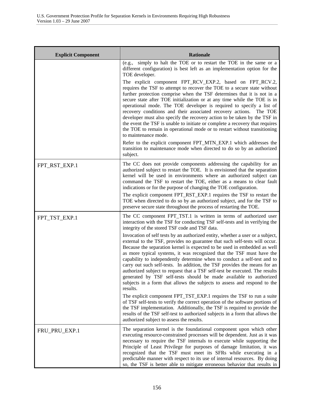| <b>Explicit Component</b> | <b>Rationale</b>                                                                                                                                                                                                                                                                                                                                                                                                                                                                                                                                                                                                                                                                                                                                                                     |
|---------------------------|--------------------------------------------------------------------------------------------------------------------------------------------------------------------------------------------------------------------------------------------------------------------------------------------------------------------------------------------------------------------------------------------------------------------------------------------------------------------------------------------------------------------------------------------------------------------------------------------------------------------------------------------------------------------------------------------------------------------------------------------------------------------------------------|
|                           | simply to halt the TOE or to restart the TOE in the same or a<br>(e.g.,<br>different configuration) is best left as an implementation option for the<br>TOE developer.                                                                                                                                                                                                                                                                                                                                                                                                                                                                                                                                                                                                               |
|                           | The explicit component FPT_RCV_EXP.2, based on FPT_RCV.2,<br>requires the TSF to attempt to recover the TOE to a secure state without<br>further protection comprise when the TSF determines that it is not in a<br>secure state after TOE initialization or at any time while the TOE is in<br>operational mode. The TOE developer is required to specify a list of<br>recovery conditions and their associated recovery actions.<br>The TOE<br>developer must also specify the recovery action to be taken by the TSF in<br>the event the TSF is unable to initiate or complete a recovery that requires<br>the TOE to remain in operational mode or to restart without transitioning<br>to maintenance mode.<br>Refer to the explicit component FPT_MTN_EXP.1 which addresses the |
|                           | transition to maintenance mode when directed to do so by an authorized<br>subject.                                                                                                                                                                                                                                                                                                                                                                                                                                                                                                                                                                                                                                                                                                   |
| FPT_RST_EXP.1             | The CC does not provide components addressing the capability for an<br>authorized subject to restart the TOE. It is envisioned that the separation<br>kernel will be used in environments where an authorized subject can<br>command the TSF to restart the TOE, either as a means to clear fault<br>indications or for the purpose of changing the TOE configuration.<br>The explicit component FPT_RST_EXP.1 requires the TSF to restart the                                                                                                                                                                                                                                                                                                                                       |
|                           | TOE when directed to do so by an authorized subject, and for the TSF to<br>preserve secure state throughout the process of restarting the TOE.                                                                                                                                                                                                                                                                                                                                                                                                                                                                                                                                                                                                                                       |
| FPT_TST_EXP.1             | The CC component FPT_TST.1 is written in terms of authorized user<br>interaction with the TSF for conducting TSF self-tests and in verifying the<br>integrity of the stored TSF code and TSF data.                                                                                                                                                                                                                                                                                                                                                                                                                                                                                                                                                                                   |
|                           | Invocation of self tests by an authorized entity, whether a user or a subject,<br>external to the TSF, provides no guarantee that such self-tests will occur.<br>Because the separation kernel is expected to be used in embedded as well<br>as more typical systems, it was recognized that the TSF must have the<br>capability to independently determine when to conduct a self-test and to<br>carry out such self-tests. In addition, the TSF provides the means for an<br>authorized subject to request that a TSF self-test be executed. The results<br>generated by TSF self-tests should be made available to authorized<br>subjects in a form that allows the subjects to assess and respond to the<br>results.                                                             |
|                           | The explicit component FPT_TST_EXP.1 requires the TSF to run a suite<br>of TSF self-tests to verify the correct operation of the software portions of<br>the TSF implementation. Additionally, the TSF is required to provide the<br>results of the TSF self-test to authorized subjects in a form that allows the<br>authorized subject to assess the results.                                                                                                                                                                                                                                                                                                                                                                                                                      |
| FRU_PRU_EXP.1             | The separation kernel is the foundational component upon which other<br>executing resource-constrained processes will be dependent. Just as it was<br>necessary to require the TSF internals to execute while supporting the<br>Principle of Least Privilege for purposes of damage limitation, it was<br>recognized that the TSF must meet its SFRs while executing in a<br>predictable manner with respect to its use of internal resources. By doing<br>so, the TSF is better able to mitigate erroneous behavior that results in                                                                                                                                                                                                                                                 |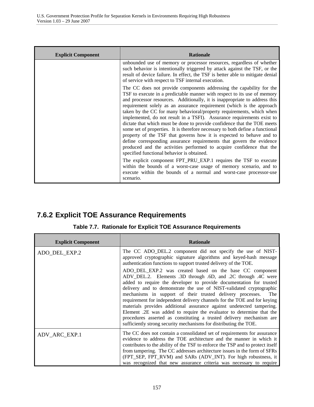| <b>Explicit Component</b> | <b>Rationale</b>                                                                                                                                                                                                                                                                                                                                                                                                                                                                                                                                                                                                                                                                                                                                                                                                                                                                                                                                                                                                                                                                                              |
|---------------------------|---------------------------------------------------------------------------------------------------------------------------------------------------------------------------------------------------------------------------------------------------------------------------------------------------------------------------------------------------------------------------------------------------------------------------------------------------------------------------------------------------------------------------------------------------------------------------------------------------------------------------------------------------------------------------------------------------------------------------------------------------------------------------------------------------------------------------------------------------------------------------------------------------------------------------------------------------------------------------------------------------------------------------------------------------------------------------------------------------------------|
|                           | unbounded use of memory or processor resources, regardless of whether<br>such behavior is intentionally triggered by attack against the TSF, or the<br>result of device failure. In effect, the TSF is better able to mitigate denial<br>of service with respect to TSF internal execution.                                                                                                                                                                                                                                                                                                                                                                                                                                                                                                                                                                                                                                                                                                                                                                                                                   |
|                           | The CC does not provide components addressing the capability for the<br>TSF to execute in a predictable manner with respect to its use of memory<br>and processor resources. Additionally, it is inappropriate to address this<br>requirement solely as an assurance requirement (which is the approach<br>taken by the CC for many behavioral/property requirements, which when<br>implemented, do not result in a TSFI). Assurance requirements exist to<br>dictate that which must be done to provide confidence that the TOE meets<br>some set of properties. It is therefore necessary to both define a functional<br>property of the TSF that governs how it is expected to behave and to<br>define corresponding assurance requirements that govern the evidence<br>produced and the activities performed to acquire confidence that the<br>specified functional behavior is obtained.<br>The explicit component FPT_PRU_EXP.1 requires the TSF to execute<br>within the bounds of a worst-case usage of memory scenario, and to<br>execute within the bounds of a normal and worst-case processor-use |

### **7.6.2 Explicit TOE Assurance Requirements**

#### **Table 7.7. Rationale for Explicit TOE Assurance Requirements**

| <b>Explicit Component</b> | <b>Rationale</b>                                                                                                                                                                                                                                                                                                                                                                                                                                                                                                                                                                                                                                                                                                       |
|---------------------------|------------------------------------------------------------------------------------------------------------------------------------------------------------------------------------------------------------------------------------------------------------------------------------------------------------------------------------------------------------------------------------------------------------------------------------------------------------------------------------------------------------------------------------------------------------------------------------------------------------------------------------------------------------------------------------------------------------------------|
| ADO_DEL_EXP.2             | The CC ADO_DEL.2 component did not specify the use of NIST-<br>approved cryptographic signature algorithms and keyed-hash message<br>authentication functions to support trusted delivery of the TOE.                                                                                                                                                                                                                                                                                                                                                                                                                                                                                                                  |
|                           | ADO DEL EXP.2 was created based on the base CC component<br>ADV_DEL.2. Elements .3D through .6D, and .2C through .4C were<br>added to require the developer to provide documentation for trusted<br>delivery and to demonstrate the use of NIST-validated cryptographic<br>mechanisms in support of their trusted delivery processes.<br>The<br>requirement for independent delivery channels for the TOE and for keying<br>materials provides additional assurance against undetected tampering.<br>Element .2E was added to require the evaluator to determine that the<br>procedures asserted as constituting a trusted delivery mechanism are<br>sufficiently strong security mechanisms for distributing the TOE. |
| ADV_ARC_EXP.1             | The CC does not contain a consolidated set of requirements for assurance<br>evidence to address the TOE architecture and the manner in which it<br>contributes to the ability of the TSF to enforce the TSP and to protect itself<br>from tampering. The CC addresses architecture issues in the form of SFRs<br>(FPT_SEP, FPT_RVM) and SARs (ADV_INT). For high robustness, it<br>was recognized that new assurance criteria was necessary to require                                                                                                                                                                                                                                                                 |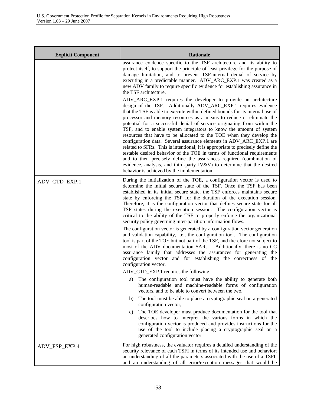| <b>Explicit Component</b> | <b>Rationale</b>                                                                                                                                                                                                                                                                                                                                                                                                                                                                                                                                                                                                                                                                                                                                                                                                                                                                                                                                              |
|---------------------------|---------------------------------------------------------------------------------------------------------------------------------------------------------------------------------------------------------------------------------------------------------------------------------------------------------------------------------------------------------------------------------------------------------------------------------------------------------------------------------------------------------------------------------------------------------------------------------------------------------------------------------------------------------------------------------------------------------------------------------------------------------------------------------------------------------------------------------------------------------------------------------------------------------------------------------------------------------------|
|                           | assurance evidence specific to the TSF architecture and its ability to<br>protect itself, to support the principle of least privilege for the purpose of<br>damage limitation, and to prevent TSF-internal denial of service by<br>executing in a predictable manner. ADV_ARC_EXP.1 was created as a<br>new ADV family to require specific evidence for establishing assurance in<br>the TSF architecture.                                                                                                                                                                                                                                                                                                                                                                                                                                                                                                                                                    |
|                           | ADV_ARC_EXP.1 requires the developer to provide an architecture<br>design of the TSF. Additionally ADV_ARC_EXP.1 requires evidence<br>that the TSF is able to execute within defined bounds for its internal use of<br>processor and memory resources as a means to reduce or eliminate the<br>potential for a successful denial of service originating from within the<br>TSF, and to enable system integrators to know the amount of system<br>resources that have to be allocated to the TOE when they develop the<br>configuration data. Several assurance elements in ADV_ARC_EXP.1 are<br>related to SFRs. This is intentional; it is appropriate to precisely define the<br>testable desired behavior of the TOE in terms of functional requirements<br>and to then precisely define the assurances required (combination of<br>evidence, analysis, and third-party IV&V) to determine that the desired<br>behavior is achieved by the implementation. |
| ADV_CTD_EXP.1             | During the initialization of the TOE, a configuration vector is used to<br>determine the initial secure state of the TSF. Once the TSF has been<br>established in its initial secure state, the TSF enforces maintains secure<br>state by enforcing the TSP for the duration of the execution session.<br>Therefore, it is the configuration vector that defines secure state for all<br>TSP states during the execution session. The configuration vector is<br>critical to the ability of the TSF to properly enforce the organizational<br>security policy governing inter-partition information flows.                                                                                                                                                                                                                                                                                                                                                    |
|                           | The configuration vector is generated by a configuration vector generation<br>and validation capability, i.e., the configuration tool. The configuration<br>tool is part of the TOE but not part of the TSF, and therefore not subject to<br>most of the ADV documentation SARs. Additionally, there is no CC<br>assurance family that addresses the assurances for generating the<br>configuration vector and for establishing the correctness of the<br>configuration vector.<br>ADV_CTD_EXP.1 requires the following:                                                                                                                                                                                                                                                                                                                                                                                                                                      |
|                           | The configuration tool must have the ability to generate both<br>a)<br>human-readable and machine-readable forms of configuration<br>vectors, and to be able to convert between the two.                                                                                                                                                                                                                                                                                                                                                                                                                                                                                                                                                                                                                                                                                                                                                                      |
|                           | The tool must be able to place a cryptographic seal on a generated<br>b)<br>configuration vector,                                                                                                                                                                                                                                                                                                                                                                                                                                                                                                                                                                                                                                                                                                                                                                                                                                                             |
|                           | The TOE developer must produce documentation for the tool that<br>C)<br>describes how to interpret the various forms in which the<br>configuration vector is produced and provides instructions for the<br>use of the tool to include placing a cryptographic seal on a<br>generated configuration vector.                                                                                                                                                                                                                                                                                                                                                                                                                                                                                                                                                                                                                                                    |
| ADV_FSP_EXP.4             | For high robustness, the evaluator requires a detailed understanding of the<br>security relevance of each TSFI in terms of its intended use and behavior;<br>an understanding of all the parameters associated with the use of a TSFI;<br>and an understanding of all error/exception messages that would be                                                                                                                                                                                                                                                                                                                                                                                                                                                                                                                                                                                                                                                  |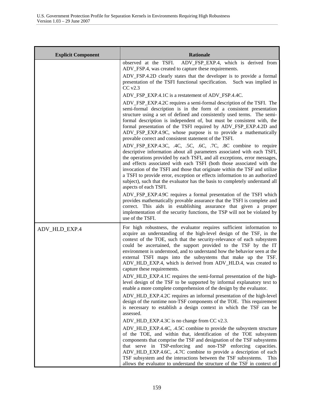| <b>Explicit Component</b> | <b>Rationale</b>                                                                                                                                                                                                                                                                                                                                                                                                                                                                                                                                                                                                                                                                           |
|---------------------------|--------------------------------------------------------------------------------------------------------------------------------------------------------------------------------------------------------------------------------------------------------------------------------------------------------------------------------------------------------------------------------------------------------------------------------------------------------------------------------------------------------------------------------------------------------------------------------------------------------------------------------------------------------------------------------------------|
|                           | observed at the TSFI.<br>ADV_FSP_EXP.4, which is derived from<br>ADV_FSP.4, was created to capture these requirements.<br>ADV_FSP.4.2D clearly states that the developer is to provide a formal<br>presentation of the TSFI functional specification. Such was implied in<br>CC v2.3                                                                                                                                                                                                                                                                                                                                                                                                       |
|                           | ADV_FSP_EXP.4.1C is a restatement of ADV_FSP.4.4C.                                                                                                                                                                                                                                                                                                                                                                                                                                                                                                                                                                                                                                         |
|                           | ADV_FSP_EXP.4.2C requires a semi-formal description of the TSFI. The<br>semi-formal description is in the form of a consistent presentation<br>structure using a set of defined and consistently used terms. The semi-<br>formal description is independent of, but must be consistent with, the<br>formal presentation of the TSFI required by ADV_FSP_EXP.4.2D and<br>ADV_FSP_EXP.4.9C, whose purpose is to provide a mathematically<br>provable correct and consistent statement of the TSFI.                                                                                                                                                                                           |
|                           | ADV_FSP_EXP.4.3C, .4C, .5C, .6C, .7C, .8C combine to require<br>descriptive information about all parameters associated with each TSFI,<br>the operations provided by each TSFI, and all exceptions, error messages,<br>and effects associated with each TSFI (both those associated with the<br>invocation of the TSFI and those that originate within the TSF and utilize<br>a TSFI to provide error, exception or effects information to an authorized<br>subject), such that the evaluator has the basis to completely understand all<br>aspects of each TSFI.                                                                                                                         |
|                           | ADV_FSP_EXP.4.9C requires a formal presentation of the TSFI which<br>provides mathematically provable assurance that the TSFI is complete and<br>correct. This aids in establishing assurance that given a proper<br>implementation of the security functions, the TSP will not be violated by<br>use of the TSFI.                                                                                                                                                                                                                                                                                                                                                                         |
| ADV_HLD_EXP.4             | For high robustness, the evaluator requires sufficient information to<br>acquire an understanding of the high-level design of the TSF, in the<br>context of the TOE, such that the security-relevance of each subsystem<br>could be ascertained, the support provided to the TSF by the IT<br>environment is understood, and to understand how the behavior seen at the<br>external TSFI maps into the subsystems that make up the TSF.<br>ADV_HLD_EXP.4, which is derived from ADV_HLD.4, was created to<br>capture these requirements.<br>ADV_HLD_EXP.4.1C requires the semi-formal presentation of the high-<br>level design of the TSF to be supported by informal explanatory text to |
|                           | enable a more complete comprehension of the design by the evaluator.                                                                                                                                                                                                                                                                                                                                                                                                                                                                                                                                                                                                                       |
|                           | ADV_HLD_EXP.4.2C requires an informal presentation of the high-level<br>design of the runtime non-TSF components of the TOE. This requirement<br>is necessary to establish a design context in which the TSF can be<br>assessed.                                                                                                                                                                                                                                                                                                                                                                                                                                                           |
|                           | ADV_HLD_EXP.4.3C is no change from CC v2.3.                                                                                                                                                                                                                                                                                                                                                                                                                                                                                                                                                                                                                                                |
|                           | ADV_HLD_EXP.4.4C, .4.5C combine to provide the subsystem structure<br>of the TOE, and within that, identification of the TOE subsystem<br>components that comprise the TSF and designation of the TSF subsystems<br>that serve in TSP-enforcing and non-TSP enforcing capacities.<br>ADV_HLD_EXP.4.6C, .4.7C combine to provide a description of each<br>TSF subsystem and the interactions between the TSF subsystems.<br><b>This</b><br>allows the evaluator to understand the structure of the TSF in context of                                                                                                                                                                        |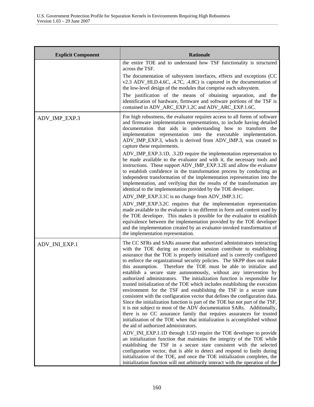| <b>Explicit Component</b> | <b>Rationale</b>                                                                                                                                                                                                                                                                                                                                                                                                                                                                                                                                                                                                                                                                                                                                                                                                                                                                                                                                                                                                                                                                                                                                                                                                                                                                                                                                                                                                                                                                                                                                                                                     |
|---------------------------|------------------------------------------------------------------------------------------------------------------------------------------------------------------------------------------------------------------------------------------------------------------------------------------------------------------------------------------------------------------------------------------------------------------------------------------------------------------------------------------------------------------------------------------------------------------------------------------------------------------------------------------------------------------------------------------------------------------------------------------------------------------------------------------------------------------------------------------------------------------------------------------------------------------------------------------------------------------------------------------------------------------------------------------------------------------------------------------------------------------------------------------------------------------------------------------------------------------------------------------------------------------------------------------------------------------------------------------------------------------------------------------------------------------------------------------------------------------------------------------------------------------------------------------------------------------------------------------------------|
|                           | the entire TOE and to understand how TSF functionality is structured<br>across the TSF.                                                                                                                                                                                                                                                                                                                                                                                                                                                                                                                                                                                                                                                                                                                                                                                                                                                                                                                                                                                                                                                                                                                                                                                                                                                                                                                                                                                                                                                                                                              |
|                           | The documentation of subsystem interfaces, effects and exceptions (CC<br>v2.3 ADV_HLD.4.6C, .4.7C, .4.8C) is captured in the documentation of<br>the low-level design of the modules that comprise each subsystem.                                                                                                                                                                                                                                                                                                                                                                                                                                                                                                                                                                                                                                                                                                                                                                                                                                                                                                                                                                                                                                                                                                                                                                                                                                                                                                                                                                                   |
|                           | The justification of the means of obtaining separation, and the<br>identification of hardware, firmware and software portions of the TSF is<br>contained in ADV_ARC_EXP.1.2C and ADV_ARC_EXP.1.6C.                                                                                                                                                                                                                                                                                                                                                                                                                                                                                                                                                                                                                                                                                                                                                                                                                                                                                                                                                                                                                                                                                                                                                                                                                                                                                                                                                                                                   |
| ADV_IMP_EXP.3             | For high robustness, the evaluator requires access to all forms of software<br>and firmware implementation representations, to include having detailed<br>documentation that aids in understanding how to transform the<br>implementation representation into the executable implementation.<br>ADV_IMP_EXP.3, which is derived from ADV_IMP.3, was created to<br>capture these requirements.                                                                                                                                                                                                                                                                                                                                                                                                                                                                                                                                                                                                                                                                                                                                                                                                                                                                                                                                                                                                                                                                                                                                                                                                        |
|                           | ADV_IMP_EXP.3.1D, .3.2D require the implementation representation to<br>be made available to the evaluator and with it, the necessary tools and<br>instructions. These support ADV_IMP_EXP.3.2E and allow the evaluator<br>to establish confidence in the transformation process by conducting an<br>independent transformation of the implementation representation into the<br>implementation, and verifying that the results of the transformation are<br>identical to the implementation provided by the TOE developer.<br>ADV_IMP_EXP.3.1C is no change from ADV_IMP.3.1C.<br>ADV_IMP_EXP.3.2C requires that the implementation representation<br>made available to the evaluator is no different in form and content used by<br>the TOE developer. This makes it possible for the evaluator to establish<br>equivalence between the implementation provided by the TOE developer<br>and the implementation created by an evaluator-invoked transformation of<br>the implementation representation.                                                                                                                                                                                                                                                                                                                                                                                                                                                                                                                                                                                             |
| ADV_INI_EXP.1             | The CC SFRs and SARs assume that authorized administrators interacting<br>with the TOE during an execution session contribute to establishing<br>assurance that the TOE is properly initialized and is correctly configured<br>to enforce the organizational security policies. The SKPP does not make<br>this assumption. Therefore the TOE must be able to initialize and<br>establish a secure state autonomously, without any intervention by<br>authorized administrators. The initialization function is responsible for<br>trusted initialization of the TOE which includes establishing the execution<br>environment for the TSF and establishing the TSF in a secure state<br>consistent with the configuration vector that defines the configuration data.<br>Since the initialization function is part of the TOE but not part of the TSF,<br>it is not subject to most of the ADV documentation SARs. Additionally,<br>there is no CC assurance family that requires assurances for trusted<br>initialization of the TOE when that initialization is accomplished without<br>the aid of authorized administrators.<br>ADV_INI_EXP.1.1D through 1.5D require the TOE developer to provide<br>an initialization function that maintains the integrity of the TOE while<br>establishing the TSF in a secure state consistent with the selected<br>configuration vector, that is able to detect and respond to faults during<br>initialization of the TOE, and once the TOE initialization completes, the<br>initialization function will not arbitrarily interact with the operation of the |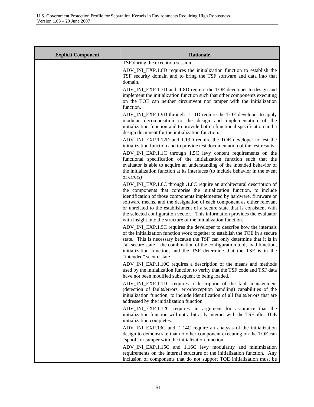| <b>Explicit Component</b> | <b>Rationale</b>                                                                                                                                                                                                                                                                                                                                                                                                                                                                                                                      |
|---------------------------|---------------------------------------------------------------------------------------------------------------------------------------------------------------------------------------------------------------------------------------------------------------------------------------------------------------------------------------------------------------------------------------------------------------------------------------------------------------------------------------------------------------------------------------|
|                           | TSF during the execution session.                                                                                                                                                                                                                                                                                                                                                                                                                                                                                                     |
|                           | ADV_INI_EXP.1.6D requires the initialization function to establish the<br>TSF security domain and to bring the TSF software and data into that<br>domain.                                                                                                                                                                                                                                                                                                                                                                             |
|                           | ADV_INI_EXP.1.7D and .1.8D require the TOE developer to design and<br>implement the initialization function such that other components executing<br>on the TOE can neither circumvent nor tamper with the initialization<br>function.                                                                                                                                                                                                                                                                                                 |
|                           | ADV_INI_EXP.1.9D through .1.11D require the TOE developer to apply<br>modular decomposition to the design and implementation of the<br>initialization function and to provide both a functional specification and a<br>design document for the initialization function.                                                                                                                                                                                                                                                               |
|                           | ADV_INI_EXP.1.12D and 1.13D require the TOE developer to test the<br>initialization function and to provide test documentation of the test results.                                                                                                                                                                                                                                                                                                                                                                                   |
|                           | ADV_INI_EXP.1.1C through 1.5C levy content requirements on the<br>functional specification of the initialization function such that the<br>evaluator is able to acquire an understanding of the intended behavior of<br>the initialization function at its interfaces (to include behavior in the event<br>of errors)                                                                                                                                                                                                                 |
|                           | ADV_INI_EXP.1.6C through .1.8C require an architectural description of<br>the components that comprise the initialization function, to include<br>identification of those components implemented by hardware, firmware or<br>software means, and the designation of each component as either relevant<br>or unrelated to the establishment of a secure state that is consistent with<br>the selected configuration vector. This information provides the evaluator<br>with insight into the structure of the initialization function. |
|                           | ADV_INI_EXP.1.9C requires the developer to describe how the internals<br>of the initialization function work together to establish the TOE in a secure<br>state. This is necessary because the TSF can only determine that it is in<br>"a" secure state – the combination of the configuration tool, load function,<br>initialization function, and the TSF determine that the TSF is in the<br>"intended" secure state.                                                                                                              |
|                           | ADV_INI_EXP.1.10C requires a description of the means and methods<br>used by the initialization function to verify that the TSF code and TSF data<br>have not been modified subsequent to being loaded.                                                                                                                                                                                                                                                                                                                               |
|                           | ADV_INI_EXP.1.11C requires a description of the fault management<br>(detection of faults/errors, error/exception handling) capabilities of the<br>initialization function, to include identification of all faults/errors that are<br>addressed by the initialization function.                                                                                                                                                                                                                                                       |
|                           | ADV_INI_EXP.1.12C requires an argument for assurance that the<br>initialization function will not arbitrarily interact with the TSF after TOE<br>initialization completes.                                                                                                                                                                                                                                                                                                                                                            |
|                           | ADV_INI_EXP.13C and .1.14C require an analysis of the initialization<br>design to demonstrate that no other component executing on the TOE can<br>"spoof" or tamper with the initialization function.                                                                                                                                                                                                                                                                                                                                 |
|                           | ADV_INI_EXP.1.15C and 1.16C levy modularity and minimization<br>requirements on the internal structure of the initialization function. Any<br>inclusion of components that do not support TOE initialization must be                                                                                                                                                                                                                                                                                                                  |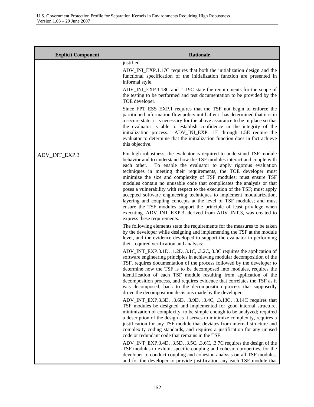| <b>Explicit Component</b> | <b>Rationale</b>                                                                                                                                                                                                                                                                                                                                                                                                                                                                                                                                                                                                                                                                                                                                                                                                                                                                                                                                      |
|---------------------------|-------------------------------------------------------------------------------------------------------------------------------------------------------------------------------------------------------------------------------------------------------------------------------------------------------------------------------------------------------------------------------------------------------------------------------------------------------------------------------------------------------------------------------------------------------------------------------------------------------------------------------------------------------------------------------------------------------------------------------------------------------------------------------------------------------------------------------------------------------------------------------------------------------------------------------------------------------|
|                           | justified.<br>ADV_INI_EXP.1.17C requires that both the initialization design and the<br>functional specification of the initialization function are presented in<br>informal style.<br>ADV_INI_EXP.1.18C and .1.19C state the requirements for the scope of<br>the testing to be performed and test documentation to be provided by the<br>TOE developer.<br>Since FPT_ESS_EXP.1 requires that the TSF not begin to enforce the<br>partitioned information flow policy until after it has determined that it is in<br>a secure state, it is necessary for the above assurance to be in place so that<br>the evaluator is able to establish confidence in the integrity of the<br>initialization process. ADV_INI_EXP.1.1E through 1.5E require the<br>evaluator to determine that the initialization function does in fact achieve<br>this objective.                                                                                                 |
| ADV_INT_EXP.3             | For high robustness, the evaluator is required to understand TSF module<br>behavior and to understand how the TSF modules interact and couple with<br>To enable the evaluator to apply rigorous evaluation<br>each other.<br>techniques in meeting their requirements, the TOE developer must<br>minimize the size and complexity of TSF modules; must ensure TSF<br>modules contain no unusable code that complicates the analysis or that<br>poses a vulnerability with respect to the execution of the TSF; must apply<br>accepted software engineering techniques to implement modularization,<br>layering and coupling concepts at the level of TSF modules; and must<br>ensure the TSF modules support the principle of least privilege when<br>executing. ADV_INT_EXP.3, derived from ADV_INT.3, was created to<br>express these requirements.                                                                                                 |
|                           | The following elements state the requirements for the measures to be taken<br>by the developer while designing and implementing the TSF at the module<br>level, and the evidence developed to support the evaluator in performing<br>their required verification and analysis:<br>ADV_INT_EXP.3.1D, .1.2D, 3.1C, .3.2C, 3.3C requires the application of<br>software engineering principles in achieving modular decomposition of the<br>TSF, requires documentation of the process followed by the developer to<br>determine how the TSF is to be decomposed into modules, requires the<br>identification of each TSF module resulting from application of the<br>decomposition process, and requires evidence that correlates the TSF as it<br>was decomposed, back to the decomposition process that supposedly<br>drove the decomposition decisions made by the developer.<br>ADV_INT_EXP.3.3D, .3.6D, .3.9D, .3.4C, .3.13C, .3.14C requires that |
|                           | TSF modules be designed and implemented for good internal structure,<br>minimization of complexity, to be simple enough to be analyzed; required<br>a description of the design as it serves to minimize complexity, requires a<br>justification for any TSF module that deviates from internal structure and<br>complexity coding standards, and requires a justification for any unused<br>code or redundant code that remains in the TSF.<br>ADV_INT_EXP.3.4D, .3.5D, .3.5C, .3.6C, .3.7C requires the design of the<br>TSF modules to exhibit specific coupling and cohesion properties, for the<br>developer to conduct coupling and cohesion analysis on all TSF modules,<br>and for the developer to provide justification any each TSF module that                                                                                                                                                                                            |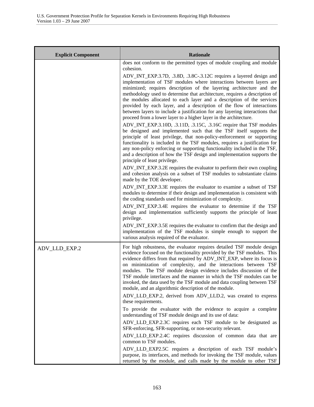| <b>Explicit Component</b> | <b>Rationale</b>                                                                                                                                                                                                                                                                                                                                                                                                                                                                                                                                                                                                                                                                                                                                   |
|---------------------------|----------------------------------------------------------------------------------------------------------------------------------------------------------------------------------------------------------------------------------------------------------------------------------------------------------------------------------------------------------------------------------------------------------------------------------------------------------------------------------------------------------------------------------------------------------------------------------------------------------------------------------------------------------------------------------------------------------------------------------------------------|
|                           | does not conform to the permitted types of module coupling and module<br>cohesion.                                                                                                                                                                                                                                                                                                                                                                                                                                                                                                                                                                                                                                                                 |
|                           | ADV_INT_EXP.3.7D, .3.8D, .3.8C-.3.12C requires a layered design and<br>implementation of TSF modules where interactions between layers are<br>minimized; requires description of the layering architecture and the<br>methodology used to determine that architecture, requires a description of<br>the modules allocated to each layer and a description of the services<br>provided by each layer, and a description of the flow of interactions<br>between layers to include a justification for any layering interactions that<br>proceed from a lower layer to a higher layer in the architecture.<br>ADV_INT_EXP.3.10D, .3.11D, .3.15C, .3.16C require that TSF modules<br>be designed and implemented such that the TSF itself supports the |
|                           | principle of least privilege, that non-policy-enforcement or supporting<br>functionality is included in the TSF modules, requires a justification for<br>any non-policy enforcing or supporting functionality included in the TSF,<br>and a description of how the TSF design and implementation supports the<br>principle of least privilege.                                                                                                                                                                                                                                                                                                                                                                                                     |
|                           | ADV_INT_EXP.3.2E requires the evaluator to perform their own coupling<br>and cohesion analysis on a subset of TSF modules to substantiate claims<br>made by the TOE developer.                                                                                                                                                                                                                                                                                                                                                                                                                                                                                                                                                                     |
|                           | ADV_INT_EXP.3.3E requires the evaluator to examine a subset of TSF<br>modules to determine if their design and implementation is consistent with<br>the coding standards used for minimization of complexity.                                                                                                                                                                                                                                                                                                                                                                                                                                                                                                                                      |
|                           | ADV_INT_EXP.3.4E requires the evaluator to determine if the TSF<br>design and implementation sufficiently supports the principle of least<br>privilege.                                                                                                                                                                                                                                                                                                                                                                                                                                                                                                                                                                                            |
|                           | ADV_INT_EXP.3.5E requires the evaluator to confirm that the design and<br>implementation of the TSF modules is simple enough to support the<br>various analysis required of the evaluator.                                                                                                                                                                                                                                                                                                                                                                                                                                                                                                                                                         |
| ADV_LLD_EXP.2             | For high robustness, the evaluator requires detailed TSF module design<br>evidence focused on the functionality provided by the TSF modules. This<br>evidence differs from that required by ADV_INT_EXP, where its focus is<br>on minimization of complexity, and the interactions between TSF<br>modules. The TSF module design evidence includes discussion of the<br>TSF module interfaces and the manner in which the TSF modules can be<br>invoked, the data used by the TSF module and data coupling between TSF<br>module, and an algorithmic description of the module.                                                                                                                                                                    |
|                           | ADV_LLD_EXP.2, derived from ADV_LLD.2, was created to express<br>these requirements.                                                                                                                                                                                                                                                                                                                                                                                                                                                                                                                                                                                                                                                               |
|                           | To provide the evaluator with the evidence to acquire a complete<br>understanding of TSF module design and its use of data:                                                                                                                                                                                                                                                                                                                                                                                                                                                                                                                                                                                                                        |
|                           | ADV_LLD_EXP.2.3C requires each TSF module to be designated as<br>SFR-enforcing, SFR-supporting, or non-security relevant.                                                                                                                                                                                                                                                                                                                                                                                                                                                                                                                                                                                                                          |
|                           | ADV_LLD_EXP.2.4C requires discussion of common data that are<br>common to TSF modules.                                                                                                                                                                                                                                                                                                                                                                                                                                                                                                                                                                                                                                                             |
|                           | ADV_LLD_EXP2.5C requires a description of each TSF module's<br>purpose, its interfaces, and methods for invoking the TSF module, values<br>returned by the module, and calls made by the module to other TSF                                                                                                                                                                                                                                                                                                                                                                                                                                                                                                                                       |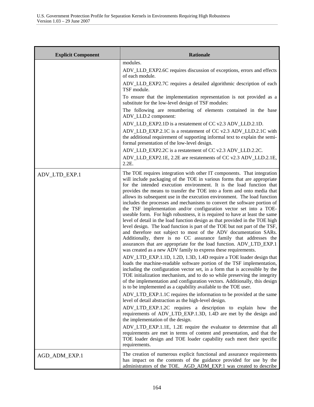| <b>Explicit Component</b> | <b>Rationale</b>                                                                                                                                                                                                                                                                                                                                                                                                                                                                                                                                                                                                                                                                                                                                                                                                                                                                                                                                                                                                                                                                                                                                                                                                                                                                                                                                                                                                                                                                                                                                                                                                                                                                                                                                                                                                                                                                                                                                                                                                                                                                    |
|---------------------------|-------------------------------------------------------------------------------------------------------------------------------------------------------------------------------------------------------------------------------------------------------------------------------------------------------------------------------------------------------------------------------------------------------------------------------------------------------------------------------------------------------------------------------------------------------------------------------------------------------------------------------------------------------------------------------------------------------------------------------------------------------------------------------------------------------------------------------------------------------------------------------------------------------------------------------------------------------------------------------------------------------------------------------------------------------------------------------------------------------------------------------------------------------------------------------------------------------------------------------------------------------------------------------------------------------------------------------------------------------------------------------------------------------------------------------------------------------------------------------------------------------------------------------------------------------------------------------------------------------------------------------------------------------------------------------------------------------------------------------------------------------------------------------------------------------------------------------------------------------------------------------------------------------------------------------------------------------------------------------------------------------------------------------------------------------------------------------------|
|                           | modules.<br>ADV_LLD_EXP2.6C requires discussion of exceptions, errors and effects<br>of each module.<br>ADV_LLD_EXP2.7C requires a detailed algorithmic description of each<br>TSF module.<br>To ensure that the implementation representation is not provided as a<br>substitute for the low-level design of TSF modules:<br>The following are renumbering of elements contained in the base<br>ADV_LLD.2 component:<br>ADV_LLD_EXP2.1D is a restatement of CC v2.3 ADV_LLD.2.1D.<br>ADV_LLD_EXP.2.1C is a restatement of CC v2.3 ADV_LLD.2.1C with<br>the additional requirement of supporting informal text to explain the semi-<br>formal presentation of the low-level design.<br>ADV_LLD_EXP2.2C is a restatement of CC v2.3 ADV_LLD.2.2C.<br>ADV_LLD_EXP2.1E, 2.2E are restatements of CC v2.3 ADV_LLD.2.1E,<br>2.2E.                                                                                                                                                                                                                                                                                                                                                                                                                                                                                                                                                                                                                                                                                                                                                                                                                                                                                                                                                                                                                                                                                                                                                                                                                                                        |
| ADV_LTD_EXP.1             | The TOE requires integration with other IT components. That integration<br>will include packaging of the TOE in various forms that are appropriate<br>for the intended execution environment. It is the load function that<br>provides the means to transfer the TOE into a form and onto media that<br>allows its subsequent use in the execution environment. The load function<br>includes the processes and mechanisms to convert the software portion of<br>the TSF implementation and/or configuration vector set into a TOE-<br>useable form. For high robustness, it is required to have at least the same<br>level of detail in the load function design as that provided in the TOE high<br>level design. The load function is part of the TOE but not part of the TSF,<br>and therefore not subject to most of the ADV documentation SARs.<br>Additionally, there is no CC assurance family that addresses the<br>assurances that are appropriate for the load function. ADV_LTD_EXP.1<br>was created as a new ADV family to express these requirements.<br>ADV_LTD_EXP.1.1D, 1.2D, 1.3D, 1.4D require a TOE loader design that<br>loads the machine-readable software portion of the TSF implementation,<br>including the configuration vector set, in a form that is accessible by the<br>TOE initialization mechanism, and to do so while preserving the integrity<br>of the implementation and configuration vectors. Additionally, this design<br>is to be implemented as a capability available to the TOE user.<br>ADV_LTD_EXP.1.1C requires the information to be provided at the same<br>level of detail abstraction as the high-level design.<br>ADV_LTD_EXP.1.2C requires a description to explain how the<br>requirements of ADV_LTD_EXP.1.3D, 1.4D are met by the design and<br>the implementation of the design.<br>ADV_LTD_EXP.1.1E, 1.2E require the evaluator to determine that all<br>requirements are met in terms of content and presentation, and that the<br>TOE loader design and TOE loader capability each meet their specific<br>requirements. |
| AGD_ADM_EXP.1             | The creation of numerous explicit functional and assurance requirements<br>has impact on the contents of the guidance provided for use by the<br>administrators of the TOE. AGD_ADM_EXP.1 was created to describe                                                                                                                                                                                                                                                                                                                                                                                                                                                                                                                                                                                                                                                                                                                                                                                                                                                                                                                                                                                                                                                                                                                                                                                                                                                                                                                                                                                                                                                                                                                                                                                                                                                                                                                                                                                                                                                                   |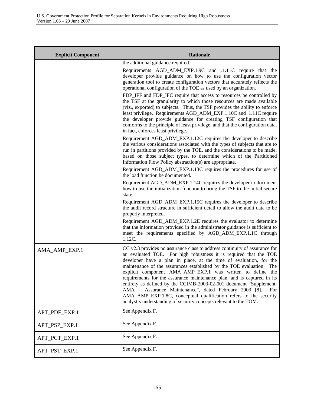| <b>Explicit Component</b> | <b>Rationale</b>                                                                                                                                                                                                                                                                                                                                                                                                                                                                                                                                                                                                                                                                                                                                                                                                                                                                                                                                                                                                                                                                                                                                                                                                                                                                                                                                                                                                                                                                                                                                                                                                                                      |
|---------------------------|-------------------------------------------------------------------------------------------------------------------------------------------------------------------------------------------------------------------------------------------------------------------------------------------------------------------------------------------------------------------------------------------------------------------------------------------------------------------------------------------------------------------------------------------------------------------------------------------------------------------------------------------------------------------------------------------------------------------------------------------------------------------------------------------------------------------------------------------------------------------------------------------------------------------------------------------------------------------------------------------------------------------------------------------------------------------------------------------------------------------------------------------------------------------------------------------------------------------------------------------------------------------------------------------------------------------------------------------------------------------------------------------------------------------------------------------------------------------------------------------------------------------------------------------------------------------------------------------------------------------------------------------------------|
|                           | the additional guidance required.<br>Requirements AGD_ADM_EXP.1.9C and .1.11C require that the<br>developer provide guidance on how to use the configuration vector<br>generation tool to create configuration vectors that accurately reflects the<br>operational configuration of the TOE as used by an organization.<br>FDP_IFF and FDP_IFC require that access to resources be controlled by<br>the TSF at the granularity to which those resources are made available<br>(viz., exported) to subjects. Thus, the TSF provides the ability to enforce<br>least privilege. Requirements AGD_ADM_EXP.1.10C and .1.11C require<br>the developer provide guidance for creating TSF configuration that<br>conforms to the principle of least privilege, and that the configuration data,<br>in fact, enforces least privilege.<br>Requirement AGD_ADM_EXP.1.12C requires the developer to describe<br>the various considerations associated with the types of subjects that are to<br>run in partitions provided by the TOE, and the considerations to be made,<br>based on those subject types, to determine which of the Partitioned<br>Information Flow Policy abstraction(s) are appropriate.<br>Requirement AGD_ADM_EXP.1.13C requires the procedures for use of<br>the load function be documented.<br>Requirement AGD_ADM_EXP.1.14C requires the developer to document<br>how to use the initialization function to bring the TSF to the initial secure<br>state.<br>Requirement AGD_ADM_EXP.1.15C requires the developer to describe<br>the audit record structure in sufficient detail to allow the audit data to be<br>properly interpreted. |
|                           | Requirement AGD_ADM_EXP.1.2E requires the evaluator to determine<br>that the information provided in the administrator guidance is sufficient to<br>meet the requirements specified by AGD_ADM_EXP.1.1C through<br>1.12C.                                                                                                                                                                                                                                                                                                                                                                                                                                                                                                                                                                                                                                                                                                                                                                                                                                                                                                                                                                                                                                                                                                                                                                                                                                                                                                                                                                                                                             |
| AMA_AMP_EXP.1             | CC v2.3 provides no assurance class to address continuity of assurance for<br>an evaluated TOE. For high robustness it is required that the TOE<br>developer have a plan in place, at the time of evaluation, for the<br>maintenance of the assurances established by the TOE evaluation. The<br>explicit component AMA_AMP_EXP.1 was written to define the<br>requirements for the assurance maintenance plan, and is captured in its<br>entirety as defined by the CCIMB-2003-02-001 document "Supplement:<br>AMA - Assurance Maintenance", dated February 2003 [8].<br>For<br>AMA_AMP_EXP.1.8C, conceptual qualification refers to the security<br>analyst's understanding of security concepts relevant to the TOM.                                                                                                                                                                                                                                                                                                                                                                                                                                                                                                                                                                                                                                                                                                                                                                                                                                                                                                                               |
| APT_PDF_EXP.1             | See Appendix F.                                                                                                                                                                                                                                                                                                                                                                                                                                                                                                                                                                                                                                                                                                                                                                                                                                                                                                                                                                                                                                                                                                                                                                                                                                                                                                                                                                                                                                                                                                                                                                                                                                       |
| APT_PSP_EXP.1             | See Appendix F.                                                                                                                                                                                                                                                                                                                                                                                                                                                                                                                                                                                                                                                                                                                                                                                                                                                                                                                                                                                                                                                                                                                                                                                                                                                                                                                                                                                                                                                                                                                                                                                                                                       |
| APT PCT EXP.1             | See Appendix F.                                                                                                                                                                                                                                                                                                                                                                                                                                                                                                                                                                                                                                                                                                                                                                                                                                                                                                                                                                                                                                                                                                                                                                                                                                                                                                                                                                                                                                                                                                                                                                                                                                       |
| APT_PST_EXP.1             | See Appendix F.                                                                                                                                                                                                                                                                                                                                                                                                                                                                                                                                                                                                                                                                                                                                                                                                                                                                                                                                                                                                                                                                                                                                                                                                                                                                                                                                                                                                                                                                                                                                                                                                                                       |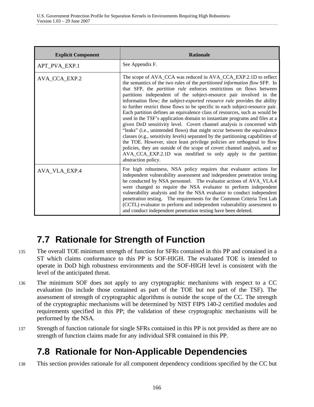| <b>Explicit Component</b> | <b>Rationale</b>                                                                                                                                                                                                                                                                                                                                                                                                                                                                                                                                                                                                                                                                                                                                                                                                                                                                                                                                                                                                                                                                                                                       |
|---------------------------|----------------------------------------------------------------------------------------------------------------------------------------------------------------------------------------------------------------------------------------------------------------------------------------------------------------------------------------------------------------------------------------------------------------------------------------------------------------------------------------------------------------------------------------------------------------------------------------------------------------------------------------------------------------------------------------------------------------------------------------------------------------------------------------------------------------------------------------------------------------------------------------------------------------------------------------------------------------------------------------------------------------------------------------------------------------------------------------------------------------------------------------|
| APT_PVA_EXP.1             | See Appendix F.                                                                                                                                                                                                                                                                                                                                                                                                                                                                                                                                                                                                                                                                                                                                                                                                                                                                                                                                                                                                                                                                                                                        |
| AVA_CCA_EXP.2             | The scope of AVA_CCA was reduced in AVA_CCA_EXP.2.1D to reflect<br>the semantics of the two rules of the <i>partitioned information flow</i> SFP. In<br>that SFP, the <i>partition rule</i> enforces restrictions on flows between<br>partitions independent of the subject-resource pair involved in the<br>information flow; the <i>subject-exported resource rule</i> provides the ability<br>to further restrict those flows to be specific to each subject-resource pair.<br>Each partition defines an equivalence class of resources, such as would be<br>used in the TSF's application domain to instantiate programs and files at a<br>given DoD sensitivity level. Covert channel analysis is concerned with<br>"leaks" (i.e., unintended flows) that might occur between the equivalence<br>classes (e.g., sensitivity levels) separated by the partitioning capabilities of<br>the TOE. However, since least privilege policies are orthogonal to flow<br>policies, they are outside of the scope of covert channel analysis, and so<br>AVA_CCA_EXP.2.1D was modified to only apply to the partition<br>abstraction policy. |
| <b>AVA_VLA_EXP.4</b>      | For high robustness, NSA policy requires that evaluator actions for<br>independent vulnerability assessment and independent penetration testing<br>be conducted by NSA personnel. The evaluator actions of AVA_VLA.4<br>were changed to require the NSA evaluator to perform independent<br>vulnerability analysis and for the NSA evaluator to conduct independent<br>penetration testing. The requirements for the Common Criteria Test Lab<br>(CCTL) evaluator to perform and independent vulnerability assessment to<br>and conduct independent penetration testing have been deleted.                                                                                                                                                                                                                                                                                                                                                                                                                                                                                                                                             |

### **7.7 Rationale for Strength of Function**

- 135 The overall TOE minimum strength of function for SFRs contained in this PP and contained in a ST which claims conformance to this PP is SOF-HIGH. The evaluated TOE is intended to operate in DoD high robustness environments and the SOF-HIGH level is consistent with the level of the anticipated threat.
- 136 The minimum SOF does not apply to any cryptographic mechanisms with respect to a CC evaluation (to include those contained as part of the TOE but not part of the TSF). The assessment of strength of cryptographic algorithms is outside the scope of the CC. The strength of the cryptographic mechanisms will be determined by NIST FIPS 140-2 certified modules and requirements specified in this PP; the validation of these cryptographic mechanisms will be performed by the NSA.
- 137 Strength of function rationale for single SFRs contained in this PP is not provided as there are no strength of function claims made for any individual SFR contained in this PP.

# **7.8 Rationale for Non-Applicable Dependencies**

138 This section provides rationale for all component dependency conditions specified by the CC but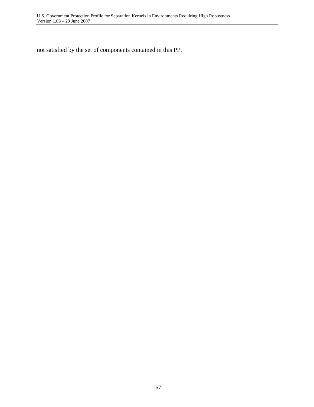not satisfied by the set of components contained in this PP.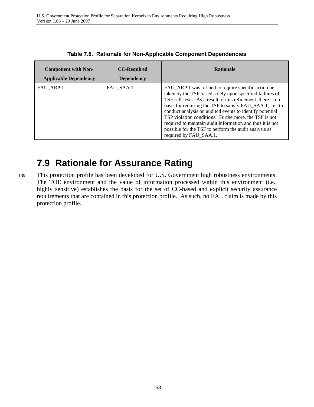| <b>Component with Non-</b><br><b>Applicable Dependency</b> | <b>CC-Required</b><br><b>Dependency</b> | <b>Rationale</b>                                                                                                                                                                                                                                                                                                                                                                                                                                                                                                  |
|------------------------------------------------------------|-----------------------------------------|-------------------------------------------------------------------------------------------------------------------------------------------------------------------------------------------------------------------------------------------------------------------------------------------------------------------------------------------------------------------------------------------------------------------------------------------------------------------------------------------------------------------|
| FAU_ARP.1                                                  | FAU_SAA.1                               | FAU_ARP.1 was refined to require specific action be<br>taken by the TSF based solely upon specified failures of<br>TSF self-tests. As a result of this refinement, there is no<br>basis for requiring the TSF to satisfy FAU_SAA.1, i.e., to<br>conduct analysis on audited events to identify potential<br>TSP violation conditions. Furthermore, the TSF is not<br>required to maintain audit information and thus it is not<br>possible for the TSF to perform the audit analysis as<br>required by FAU_SAA.1. |

|  | Table 7.8. Rationale for Non-Applicable Component Dependencies |  |  |  |
|--|----------------------------------------------------------------|--|--|--|
|--|----------------------------------------------------------------|--|--|--|

### **7.9 Rationale for Assurance Rating**

139 This protection profile has been developed for U.S. Government high robustness environments. The TOE environment and the value of information processed within this environment (i.e., highly sensitive) establishes the basis for the set of CC-based and explicit security assurance requirements that are contained in this protection profile. As such, no EAL claim is made by this protection profile.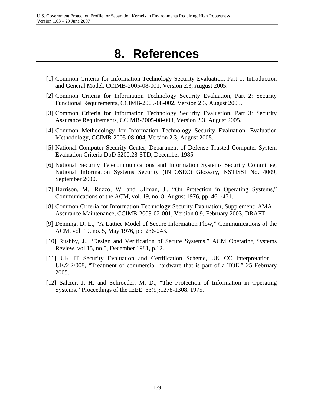# **8. References**

- [1] Common Criteria for Information Technology Security Evaluation, Part 1: Introduction and General Model, CCIMB-2005-08-001, Version 2.3, August 2005.
- [2] Common Criteria for Information Technology Security Evaluation, Part 2: Security Functional Requirements, CCIMB-2005-08-002, Version 2.3, August 2005.
- [3] Common Criteria for Information Technology Security Evaluation, Part 3: Security Assurance Requirements, CCIMB-2005-08-003, Version 2.3, August 2005.
- [4] Common Methodology for Information Technology Security Evaluation, Evaluation Methodology, CCIMB-2005-08-004, Version 2.3, August 2005.
- [5] National Computer Security Center, Department of Defense Trusted Computer System Evaluation Criteria DoD 5200.28-STD, December 1985.
- [6] National Security Telecommunications and Information Systems Security Committee, National Information Systems Security (INFOSEC) Glossary, NSTISSI No. 4009, September 2000.
- [7] Harrison, M., Ruzzo, W. and Ullman, J., "On Protection in Operating Systems," Communications of the ACM, vol. 19, no. 8, August 1976, pp. 461-471.
- [8] Common Criteria for Information Technology Security Evaluation, Supplement: AMA Assurance Maintenance, CCIMB-2003-02-001, Version 0.9, February 2003, DRAFT.
- [9] Denning, D. E., "A Lattice Model of Secure Information Flow," Communications of the ACM, vol. 19, no. 5, May 1976, pp. 236-243.
- [10] Rushby, J., "Design and Verification of Secure Systems," ACM Operating Systems Review, vol.15, no.5, December 1981, p.12.
- [11] UK IT Security Evaluation and Certification Scheme, UK CC Interpretation UK/2.2/008, "Treatment of commercial hardware that is part of a TOE," 25 February 2005.
- [12] Saltzer, J. H. and Schroeder, M. D., "The Protection of Information in Operating Systems," Proceedings of the IEEE. 63(9):1278-1308. 1975.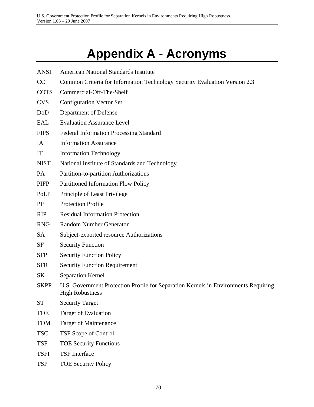# **Appendix A - Acronyms**

| <b>ANSI</b> | <b>American National Standards Institute</b>                                                                  |
|-------------|---------------------------------------------------------------------------------------------------------------|
| CC          | Common Criteria for Information Technology Security Evaluation Version 2.3                                    |
| <b>COTS</b> | Commercial-Off-The-Shelf                                                                                      |
| <b>CVS</b>  | <b>Configuration Vector Set</b>                                                                               |
| DoD         | Department of Defense                                                                                         |
| EAL         | <b>Evaluation Assurance Level</b>                                                                             |
| <b>FIPS</b> | <b>Federal Information Processing Standard</b>                                                                |
| IA          | <b>Information Assurance</b>                                                                                  |
| IT          | <b>Information Technology</b>                                                                                 |
| <b>NIST</b> | National Institute of Standards and Technology                                                                |
| PA          | Partition-to-partition Authorizations                                                                         |
| <b>PIFP</b> | Partitioned Information Flow Policy                                                                           |
| PoLP        | Principle of Least Privilege                                                                                  |
| PP          | <b>Protection Profile</b>                                                                                     |
| <b>RIP</b>  | <b>Residual Information Protection</b>                                                                        |
| <b>RNG</b>  | <b>Random Number Generator</b>                                                                                |
| <b>SA</b>   | Subject-exported resource Authorizations                                                                      |
| <b>SF</b>   | <b>Security Function</b>                                                                                      |
| <b>SFP</b>  | <b>Security Function Policy</b>                                                                               |
| <b>SFR</b>  | <b>Security Function Requirement</b>                                                                          |
| <b>SK</b>   | <b>Separation Kernel</b>                                                                                      |
| <b>SKPP</b> | U.S. Government Protection Profile for Separation Kernels in Environments Requiring<br><b>High Robustness</b> |
| <b>ST</b>   | <b>Security Target</b>                                                                                        |
| <b>TOE</b>  | <b>Target of Evaluation</b>                                                                                   |
| <b>TOM</b>  | <b>Target of Maintenance</b>                                                                                  |
| <b>TSC</b>  | TSF Scope of Control                                                                                          |
| <b>TSF</b>  | <b>TOE Security Functions</b>                                                                                 |
| <b>TSFI</b> | <b>TSF</b> Interface                                                                                          |
| <b>TSP</b>  | <b>TOE Security Policy</b>                                                                                    |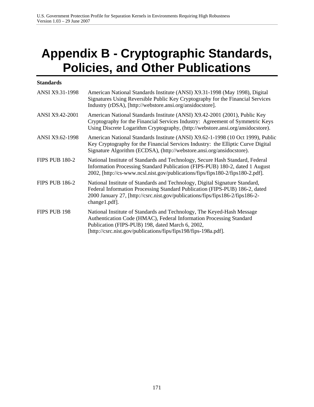# **Appendix B - Cryptographic Standards, Policies, and Other Publications**

#### **Standards**

| ANSI X9.31-1998        | American National Standards Institute (ANSI) X9.31-1998 (May 1998), Digital<br>Signatures Using Reversible Public Key Cryptography for the Financial Services<br>Industry (rDSA), [http://webstore.ansi.org/ansidocstore].                                           |
|------------------------|----------------------------------------------------------------------------------------------------------------------------------------------------------------------------------------------------------------------------------------------------------------------|
| <b>ANSI X9.42-2001</b> | American National Standards Institute (ANSI) X9.42-2001 (2001), Public Key<br>Cryptography for the Financial Services Industry: Agreement of Symmetric Keys<br>Using Discrete Logarithm Cryptography, (http://webstore.ansi.org/ansidocstore).                       |
| ANSI X9.62-1998        | American National Standards Institute (ANSI) X9.62-1-1998 (10 Oct 1999), Public<br>Key Cryptography for the Financial Services Industry: the Elliptic Curve Digital<br>Signature Algorithm (ECDSA), (http://webstore.ansi.org/ansidocstore).                         |
| <b>FIPS PUB 180-2</b>  | National Institute of Standards and Technology, Secure Hash Standard, Federal<br>Information Processing Standard Publication (FIPS-PUB) 180-2, dated 1 August<br>2002, [http://cs-www.ncsl.nist.gov/publications/fips/fips180-2/fips180-2.pdf].                      |
| <b>FIPS PUB 186-2</b>  | National Institute of Standards and Technology, Digital Signature Standard,<br>Federal Information Processing Standard Publication (FIPS-PUB) 186-2, dated<br>2000 January 27, [http://csrc.nist.gov/publications/fips/fips186-2/fips186-2-<br>change1.pdf].         |
| FIPS PUB 198           | National Institute of Standards and Technology, The Keyed-Hash Message<br>Authentication Code (HMAC), Federal Information Processing Standard<br>Publication (FIPS-PUB) 198, dated March 6, 2002,<br>[http://csrc.nist.gov/publications/fips/fips198/fips-198a.pdf]. |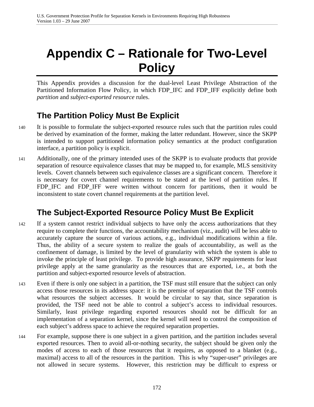# **Appendix C – Rationale for Two-Level Policy**

This Appendix provides a discussion for the dual-level Least Privilege Abstraction of the Partitioned Information Flow Policy, in which FDP\_IFC and FDP\_IFF explicitly define both *partition* and *subject-exported resource* rules.

### **The Partition Policy Must Be Explicit**

- 140 It is possible to formulate the subject-exported resource rules such that the partition rules could be derived by examination of the former, making the latter redundant. However, since the SKPP is intended to support partitioned information policy semantics at the product configuration interface, a partition policy is explicit.
- 141 Additionally, one of the primary intended uses of the SKPP is to evaluate products that provide separation of resource equivalence classes that may be mapped to, for example, MLS sensitivity levels. Covert channels between such equivalence classes are a significant concern. Therefore it is necessary for covert channel requirements to be stated at the level of partition rules. If FDP IFC and FDP IFF were written without concern for partitions, then it would be inconsistent to state covert channel requirements at the partition level.

### **The Subject-Exported Resource Policy Must Be Explicit**

- 142 If a system cannot restrict individual subjects to have only the access authorizations that they require to complete their functions, the accountability mechanism (viz., audit) will be less able to accurately capture the source of various actions, e.g., individual modifications within a file. Thus, the ability of a secure system to realize the goals of accountability, as well as the confinement of damage, is limited by the level of granularity with which the system is able to invoke the principle of least privilege. To provide high assurance, SKPP requirements for least privilege apply at the same granularity as the resources that are exported, i.e., at both the partition and subject-exported resource levels of abstraction.
- 143 Even if there is only one subject in a partition, the TSF must still ensure that the subject can only access those resources in its address space: it is the premise of separation that the TSF controls what resources the subject accesses. It would be circular to say that, since separation is provided, the TSF need not be able to control a subject's access to individual resources. Similarly, least privilege regarding exported resources should not be difficult for an implementation of a separation kernel, since the kernel will need to control the composition of each subject's address space to achieve the required separation properties.
- 144 For example, suppose there is one subject in a given partition, and the partition includes several exported resources. Then to avoid all-or-nothing security, the subject should be given only the modes of access to each of those resources that it requires, as opposed to a blanket (e.g., maximal) access to all of the resources in the partition. This is why "super-user" privileges are not allowed in secure systems. However, this restriction may be difficult to express or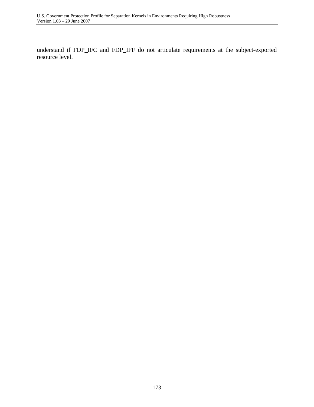understand if FDP\_IFC and FDP\_IFF do not articulate requirements at the subject-exported resource level.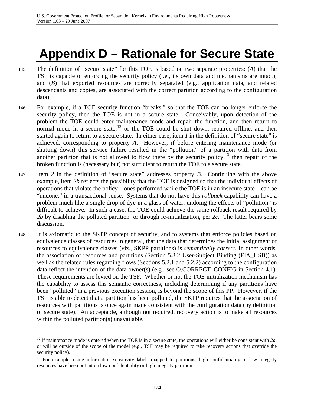# **Appendix D – Rationale for Secure State**

- 145 The definition of "secure state" for this TOE is based on two separate properties: (*A*) that the TSF is capable of enforcing the security policy (i.e., its own data and mechanisms are intact); and (*B*) that exported resources are correctly separated (e.g., application data, and related descendants and copies, are associated with the correct partition according to the configuration data).
- 146 For example, if a TOE security function "breaks," so that the TOE can no longer enforce the security policy, then the TOE is not in a secure state. Conceivably, upon detection of the problem the TOE could enter maintenance mode and repair the function, and then return to normal mode in a secure state; $12$  or the TOE could be shut down, repaired offline, and then started again to return to a secure state. In either case, item *1* in the definition of "secure state" is achieved, corresponding to property *A*. However, if before entering maintenance mode (or shutting down) this service failure resulted in the "pollution" of a partition with data from another partition that is not allowed to flow there by the security policy, $13$  then repair of the broken function is (necessary but) not sufficient to return the TOE to a secure state.
- 147 Item *2* in the definition of "secure state" addresses property *B*. Continuing with the above example, item *2b* reflects the possibility that the TOE is designed so that the individual effects of operations that violate the policy – ones performed while the TOE is in an insecure state – can be "undone," in a transactional sense. Systems that do not have this *rollback* capability can have a problem much like a single drop of dye in a glass of water: undoing the effects of "pollution" is difficult to achieve. In such a case, the TOE could achieve the same rollback result required by *2b* by disabling the polluted partition or through re-initialization, per *2c*. The latter bears some discussion.
- 148 It is axiomatic to the SKPP concept of security, and to systems that enforce policies based on equivalence classes of resources in general, that the data that determines the initial assignment of resources to equivalence classes (viz., SKPP partitions) is *semantically correct*. In other words, the association of resources and partitions (Section 5.3.2 User-Subject Binding (FIA\_USB)) as well as the related rules regarding flows (Sections 5.2.1 and 5.2.2) according to the configuration data reflect the intention of the data owner(s) (e.g., see O.CORRECT\_CONFIG in Section 4.1). These requirements are levied on the TSF. Whether or not the TOE initialization mechanism has the capability to assess this semantic correctness, including determining if any partitions have been "polluted" in a previous execution session, is beyond the scope of this PP. However, if the TSF is able to detect that a partition has been polluted, the SKPP requires that the association of resources with partitions is once again made consistent with the configuration data (by definition of secure state). An acceptable, although not required, recovery action is to make all resources within the polluted partition(s) unavailable.

 $\overline{a}$ 

<span id="page-174-0"></span><sup>&</sup>lt;sup>12</sup> If maintenance mode is entered when the TOE is in a secure state, the operations will either be consistent with  $2a$ , or will be outside of the scope of the model (e.g., TSF may be required to take recovery actions that override the security policy).

<span id="page-174-1"></span><sup>&</sup>lt;sup>13</sup> For example, using information sensitivity labels mapped to partitions, high confidentiality or low integrity resources have been put into a low confidentiality or high integrity partition.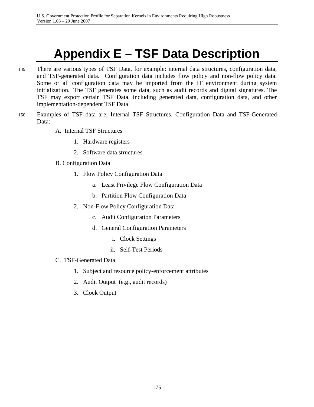# **Appendix E – TSF Data Description**

- 149 There are various types of TSF Data, for example: internal data structures, configuration data, and TSF-generated data. Configuration data includes flow policy and non-flow policy data. Some or all configuration data may be imported from the IT environment during system initialization. The TSF generates some data, such as audit records and digital signatures. The TSF may export certain TSF Data, including generated data, configuration data, and other implementation-dependent TSF Data.
- 150 Examples of TSF data are, Internal TSF Structures, Configuration Data and TSF-Generated Data:
	- A. Internal TSF Structures
		- 1. Hardware registers
		- 2. Software data structures
	- B. Configuration Data
		- 1. Flow Policy Configuration Data
			- a. Least Privilege Flow Configuration Data
			- b. Partition Flow Configuration Data
		- 2. Non-Flow Policy Configuration Data
			- c. Audit Configuration Parameters
			- d. General Configuration Parameters
				- i. Clock Settings
				- ii. Self-Test Periods
	- C. TSF-Generated Data
		- 1. Subject and resource policy-enforcement attributes
		- 2. Audit Output (e.g., audit records)
		- 3. Clock Output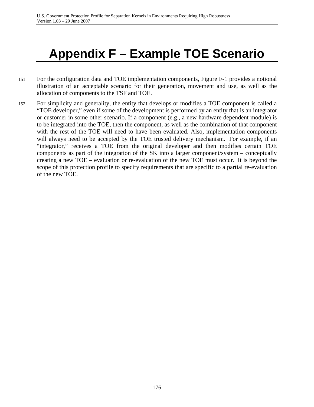# **Appendix F – Example TOE Scenario**

- 151 For the configuration data and TOE implementation components, Figure F-1 provides a notional illustration of an acceptable scenario for their generation, movement and use, as well as the allocation of components to the TSF and TOE.
- 152 For simplicity and generality, the entity that develops or modifies a TOE component is called a "TOE developer," even if some of the development is performed by an entity that is an integrator or customer in some other scenario. If a component (e.g., a new hardware dependent module) is to be integrated into the TOE, then the component, as well as the combination of that component with the rest of the TOE will need to have been evaluated. Also, implementation components will always need to be accepted by the TOE trusted delivery mechanism. For example, if an "integrator," receives a TOE from the original developer and then modifies certain TOE components as part of the integration of the SK into a larger component/system – conceptually creating a new TOE – evaluation or re-evaluation of the new TOE must occur. It is beyond the scope of this protection profile to specify requirements that are specific to a partial re-evaluation of the new TOE.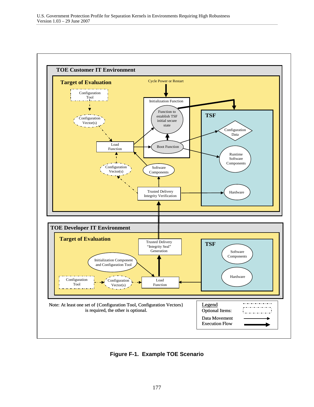

**Figure F-1. Example TOE Scenario**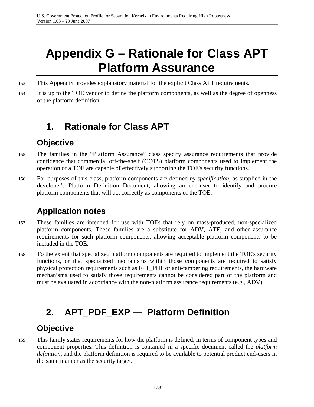# **Appendix G – Rationale for Class APT Platform Assurance**

- 153 This Appendix provides explanatory material for the explicit Class APT requirements.
- 154 It is up to the TOE vendor to define the platform components, as well as the degree of openness of the platform definition.

### **1. Rationale for Class APT**

### **Objective**

- 155 The families in the "Platform Assurance" class specify assurance requirements that provide confidence that commercial off-the-shelf (COTS) platform components used to implement the operation of a TOE are capable of effectively supporting the TOE's security functions.
- 156 For purposes of this class, platform components are defined *by specification*, as supplied in the developer's Platform Definition Document, allowing an end-user to identify and procure platform components that will act correctly as components of the TOE.

### **Application notes**

- 157 These families are intended for use with TOEs that rely on mass-produced, non-specialized platform components. These families are a substitute for ADV, ATE, and other assurance requirements for such platform components, allowing acceptable platform components to be included in the TOE.
- 158 To the extent that specialized platform components are required to implement the TOE's security functions, or that specialized mechanisms within those components are required to satisfy physical protection requirements such as FPT\_PHP or anti-tampering requirements, the hardware mechanisms used to satisfy those requirements cannot be considered part of the platform and must be evaluated in accordance with the non-platform assurance requirements (e.g., ADV).

# **2. APT\_PDF\_EXP — Platform Definition**

#### **Objective**

159 This family states requirements for how the platform is defined, in terms of component types and component properties. This definition is contained in a specific document called the *platform definition*, and the platform definition is required to be available to potential product end-users in the same manner as the security target.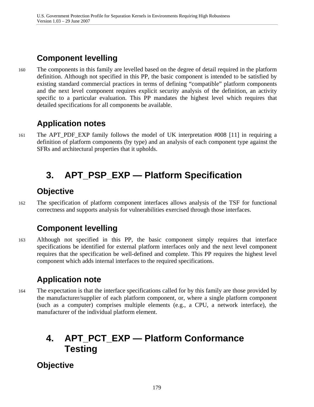### **Component levelling**

160 The components in this family are levelled based on the degree of detail required in the platform definition. Although not specified in this PP, the basic component is intended to be satisfied by existing standard commercial practices in terms of defining "compatible" platform components and the next level component requires explicit security analysis of the definition, an activity specific to a particular evaluation. This PP mandates the highest level which requires that detailed specifications for all components be available.

### **Application notes**

161 The APT\_PDF\_EXP family follows the model of UK interpretation #008 [11] in requiring a definition of platform components (by type) and an analysis of each component type against the SFRs and architectural properties that it upholds.

# **3. APT\_PSP\_EXP — Platform Specification**

#### **Objective**

162 The specification of platform component interfaces allows analysis of the TSF for functional correctness and supports analysis for vulnerabilities exercised through those interfaces.

### **Component levelling**

163 Although not specified in this PP, the basic component simply requires that interface specifications be identified for external platform interfaces only and the next level component requires that the specification be well-defined and complete. This PP requires the highest level component which adds internal interfaces to the required specifications.

### **Application note**

164 The expectation is that the interface specifications called for by this family are those provided by the manufacturer/supplier of each platform component, or, where a single platform component (such as a computer) comprises multiple elements (e.g., a CPU, a network interface), the manufacturer of the individual platform element.

### **4. APT\_PCT\_EXP — Platform Conformance Testing**

#### **Objective**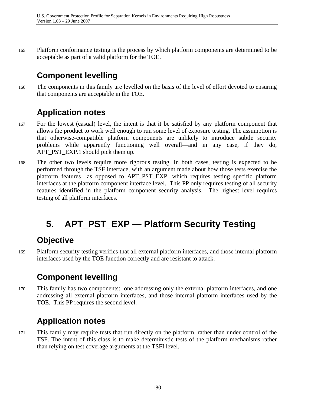165 Platform conformance testing is the process by which platform components are determined to be acceptable as part of a valid platform for the TOE.

### **Component levelling**

166 The components in this family are levelled on the basis of the level of effort devoted to ensuring that components are acceptable in the TOE.

# **Application notes**

- 167 For the lowest (casual) level, the intent is that it be satisfied by any platform component that allows the product to work well enough to run some level of exposure testing. The assumption is that otherwise-compatible platform components are unlikely to introduce subtle security problems while apparently functioning well overall—and in any case, if they do, APT\_PST\_EXP.1 should pick them up.
- 168 The other two levels require more rigorous testing. In both cases, testing is expected to be performed through the TSF interface, with an argument made about how those tests exercise the platform features—as opposed to APT\_PST\_EXP, which requires testing specific platform interfaces at the platform component interface level. This PP only requires testing of all security features identified in the platform component security analysis. The highest level requires testing of all platform interfaces.

# **5. APT\_PST\_EXP — Platform Security Testing**

### **Objective**

169 Platform security testing verifies that all external platform interfaces, and those internal platform interfaces used by the TOE function correctly and are resistant to attack.

# **Component levelling**

170 This family has two components: one addressing only the external platform interfaces, and one addressing all external platform interfaces, and those internal platform interfaces used by the TOE. This PP requires the second level.

# **Application notes**

171 This family may require tests that run directly on the platform, rather than under control of the TSF. The intent of this class is to make deterministic tests of the platform mechanisms rather than relying on test coverage arguments at the TSFI level.